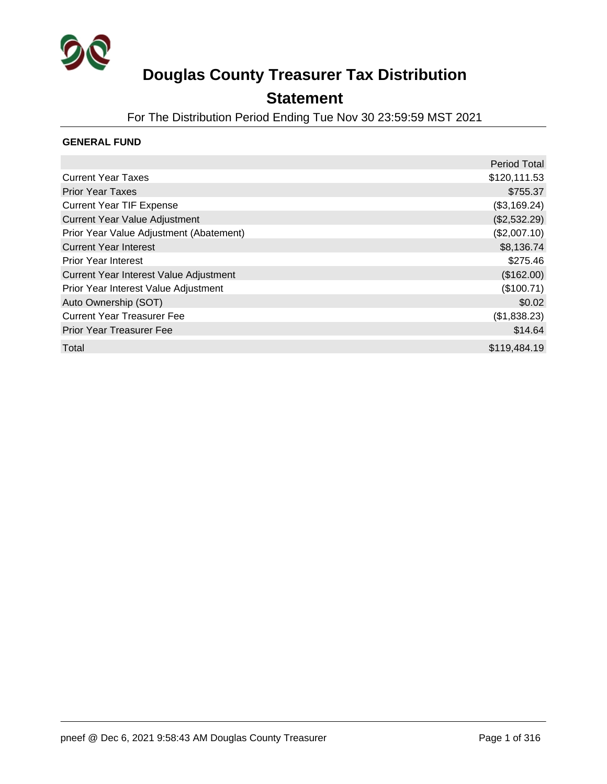

### **Statement**

For The Distribution Period Ending Tue Nov 30 23:59:59 MST 2021

#### **GENERAL FUND**

|                                         | <b>Period Total</b> |
|-----------------------------------------|---------------------|
| <b>Current Year Taxes</b>               | \$120,111.53        |
| <b>Prior Year Taxes</b>                 | \$755.37            |
| <b>Current Year TIF Expense</b>         | (\$3,169.24)        |
| <b>Current Year Value Adjustment</b>    | (\$2,532.29)        |
| Prior Year Value Adjustment (Abatement) | (\$2,007.10)        |
| <b>Current Year Interest</b>            | \$8,136.74          |
| <b>Prior Year Interest</b>              | \$275.46            |
| Current Year Interest Value Adjustment  | (\$162.00)          |
| Prior Year Interest Value Adjustment    | (\$100.71)          |
| Auto Ownership (SOT)                    | \$0.02              |
| <b>Current Year Treasurer Fee</b>       | (\$1,838.23)        |
| <b>Prior Year Treasurer Fee</b>         | \$14.64             |
| Total                                   | \$119,484.19        |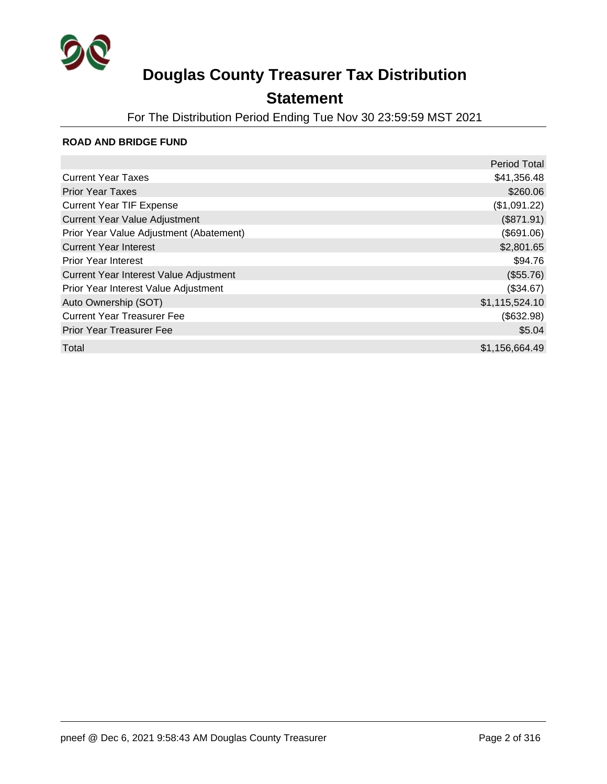

### **Statement**

For The Distribution Period Ending Tue Nov 30 23:59:59 MST 2021

#### **ROAD AND BRIDGE FUND**

|                                         | <b>Period Total</b> |
|-----------------------------------------|---------------------|
| <b>Current Year Taxes</b>               | \$41,356.48         |
| <b>Prior Year Taxes</b>                 | \$260.06            |
| <b>Current Year TIF Expense</b>         | (\$1,091.22)        |
| <b>Current Year Value Adjustment</b>    | (\$871.91)          |
| Prior Year Value Adjustment (Abatement) | (\$691.06)          |
| <b>Current Year Interest</b>            | \$2,801.65          |
| <b>Prior Year Interest</b>              | \$94.76             |
| Current Year Interest Value Adjustment  | (\$55.76)           |
| Prior Year Interest Value Adjustment    | (\$34.67)           |
| Auto Ownership (SOT)                    | \$1,115,524.10      |
| <b>Current Year Treasurer Fee</b>       | (\$632.98)          |
| <b>Prior Year Treasurer Fee</b>         | \$5.04              |
| Total                                   | \$1,156,664.49      |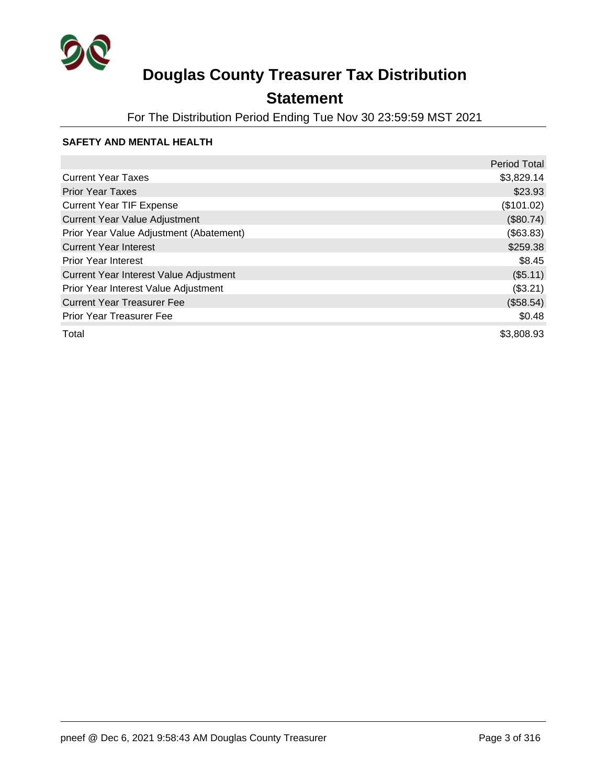

### **Statement**

For The Distribution Period Ending Tue Nov 30 23:59:59 MST 2021

#### **SAFETY AND MENTAL HEALTH**

|                                         | <b>Period Total</b> |
|-----------------------------------------|---------------------|
| <b>Current Year Taxes</b>               | \$3,829.14          |
| <b>Prior Year Taxes</b>                 | \$23.93             |
| <b>Current Year TIF Expense</b>         | (\$101.02)          |
| <b>Current Year Value Adjustment</b>    | (\$80.74)           |
| Prior Year Value Adjustment (Abatement) | (\$63.83)           |
| <b>Current Year Interest</b>            | \$259.38            |
| <b>Prior Year Interest</b>              | \$8.45              |
| Current Year Interest Value Adjustment  | $($ \$5.11)         |
| Prior Year Interest Value Adjustment    | (\$3.21)            |
| <b>Current Year Treasurer Fee</b>       | (\$58.54)           |
| <b>Prior Year Treasurer Fee</b>         | \$0.48              |
| Total                                   | \$3,808.93          |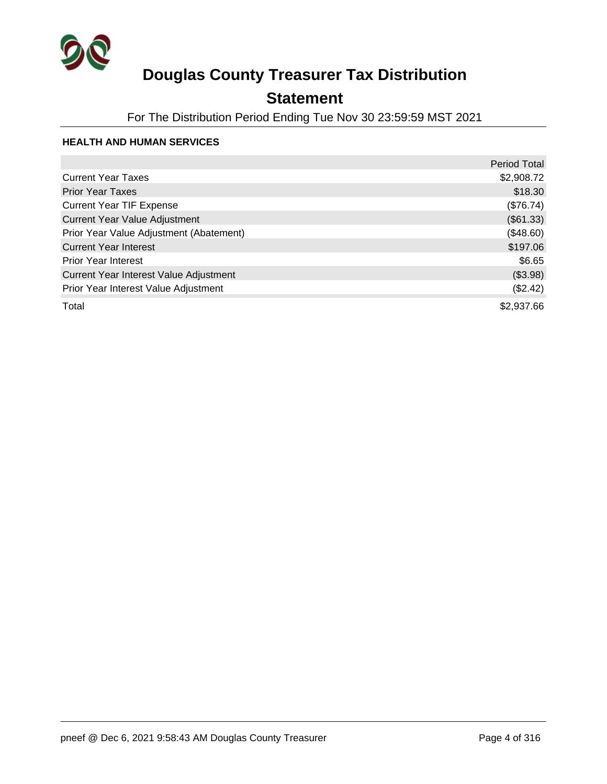

### **Statement**

For The Distribution Period Ending Tue Nov 30 23:59:59 MST 2021

#### **HEALTH AND HUMAN SERVICES**

|                                         | <b>Period Total</b> |
|-----------------------------------------|---------------------|
| <b>Current Year Taxes</b>               | \$2,908.72          |
| <b>Prior Year Taxes</b>                 | \$18.30             |
| <b>Current Year TIF Expense</b>         | (\$76.74)           |
| <b>Current Year Value Adjustment</b>    | (\$61.33)           |
| Prior Year Value Adjustment (Abatement) | (\$48.60)           |
| <b>Current Year Interest</b>            | \$197.06            |
| <b>Prior Year Interest</b>              | \$6.65              |
| Current Year Interest Value Adjustment  | (\$3.98)            |
| Prior Year Interest Value Adjustment    | (\$2.42)            |
| Total                                   | \$2,937.66          |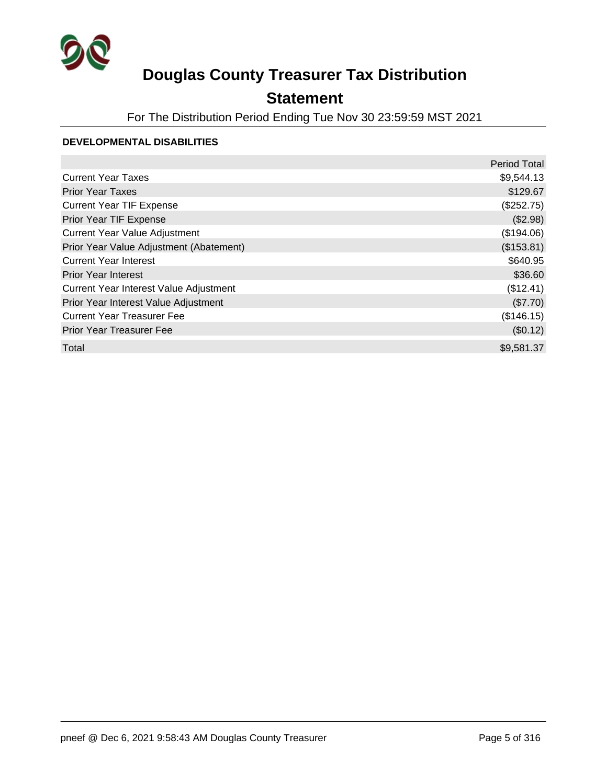

### **Statement**

For The Distribution Period Ending Tue Nov 30 23:59:59 MST 2021

#### **DEVELOPMENTAL DISABILITIES**

|                                         | <b>Period Total</b> |
|-----------------------------------------|---------------------|
| <b>Current Year Taxes</b>               | \$9,544.13          |
| <b>Prior Year Taxes</b>                 | \$129.67            |
| <b>Current Year TIF Expense</b>         | (\$252.75)          |
| Prior Year TIF Expense                  | (\$2.98)            |
| <b>Current Year Value Adjustment</b>    | (\$194.06)          |
| Prior Year Value Adjustment (Abatement) | (\$153.81)          |
| <b>Current Year Interest</b>            | \$640.95            |
| <b>Prior Year Interest</b>              | \$36.60             |
| Current Year Interest Value Adjustment  | (\$12.41)           |
| Prior Year Interest Value Adjustment    | (\$7.70)            |
| <b>Current Year Treasurer Fee</b>       | (\$146.15)          |
| <b>Prior Year Treasurer Fee</b>         | (\$0.12)            |
| Total                                   | \$9,581.37          |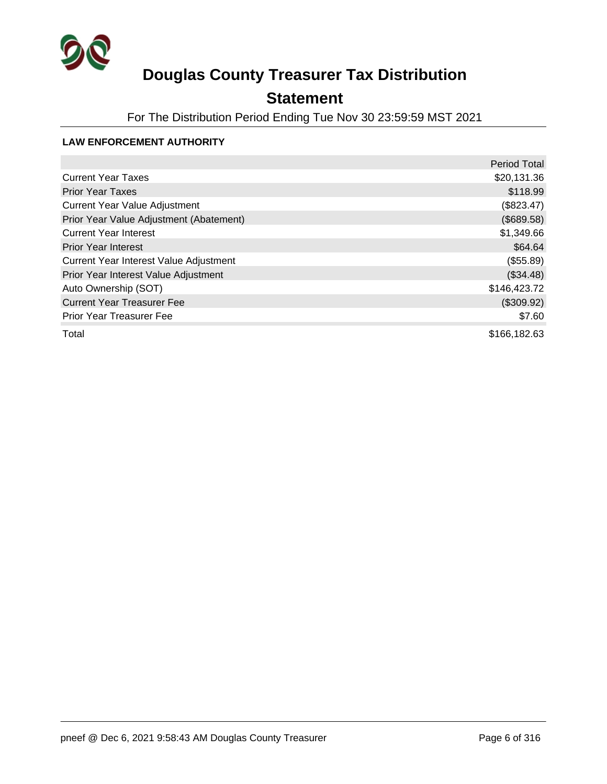

### **Statement**

For The Distribution Period Ending Tue Nov 30 23:59:59 MST 2021

#### **LAW ENFORCEMENT AUTHORITY**

|                                         | <b>Period Total</b> |
|-----------------------------------------|---------------------|
| <b>Current Year Taxes</b>               | \$20,131.36         |
| <b>Prior Year Taxes</b>                 | \$118.99            |
| Current Year Value Adjustment           | (\$823.47)          |
| Prior Year Value Adjustment (Abatement) | (\$689.58)          |
| <b>Current Year Interest</b>            | \$1,349.66          |
| <b>Prior Year Interest</b>              | \$64.64             |
| Current Year Interest Value Adjustment  | (\$55.89)           |
| Prior Year Interest Value Adjustment    | (\$34.48)           |
| Auto Ownership (SOT)                    | \$146,423.72        |
| <b>Current Year Treasurer Fee</b>       | (\$309.92)          |
| <b>Prior Year Treasurer Fee</b>         | \$7.60              |
| Total                                   | \$166,182.63        |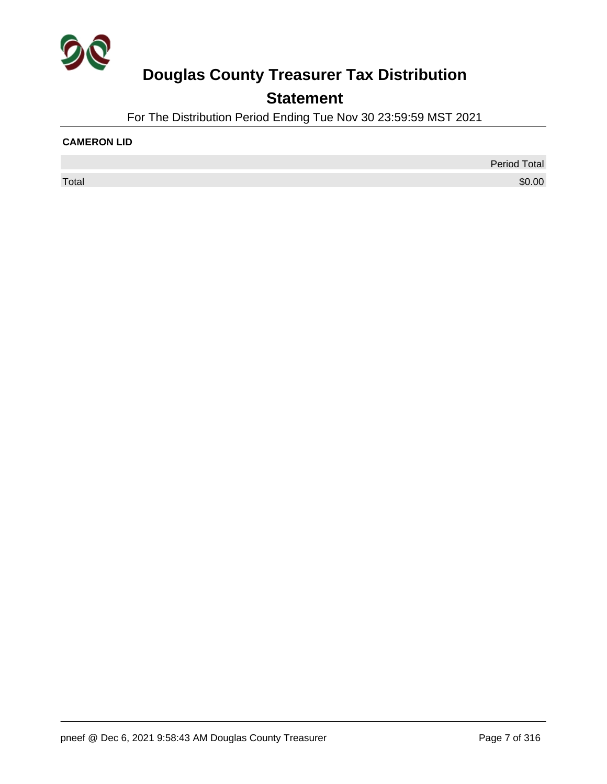

## **Statement**

For The Distribution Period Ending Tue Nov 30 23:59:59 MST 2021

#### **CAMERON LID**

Period Total  $\sf Total$   $\$0.00$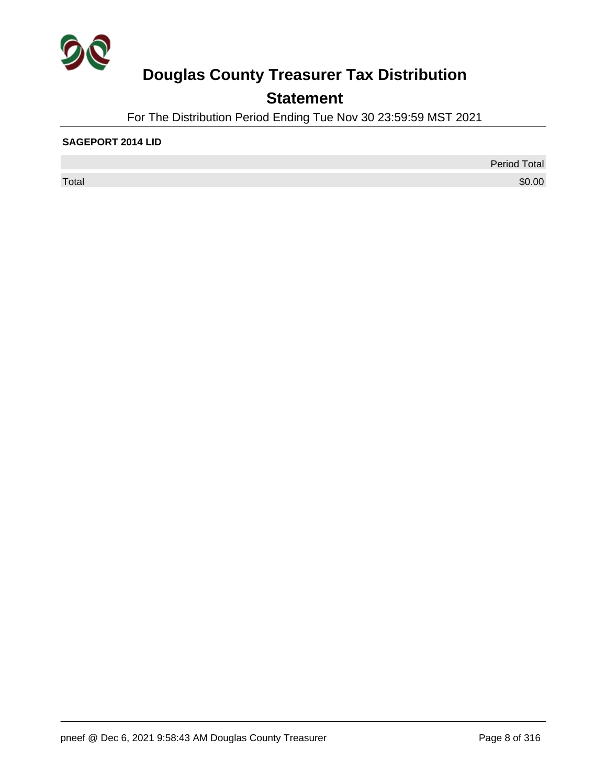

## **Statement**

For The Distribution Period Ending Tue Nov 30 23:59:59 MST 2021

#### **SAGEPORT 2014 LID**

 $\sf Total$   $\$0.00$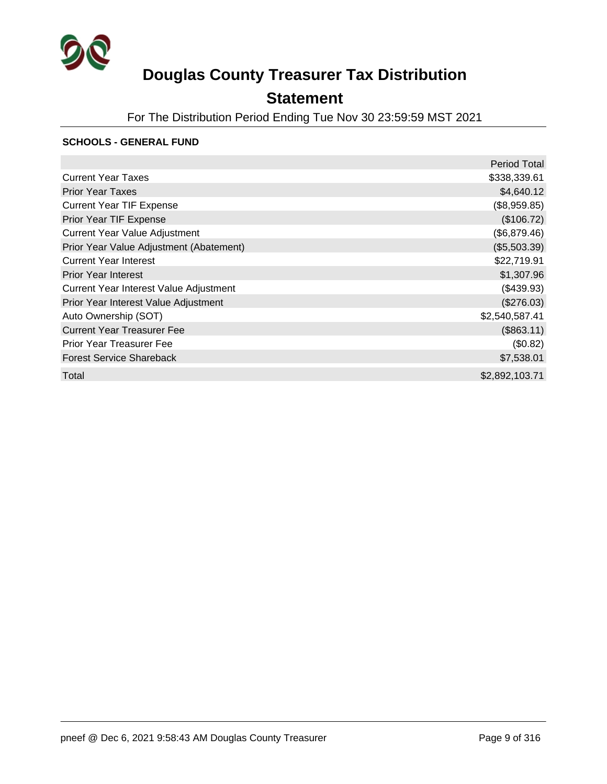

## **Statement**

For The Distribution Period Ending Tue Nov 30 23:59:59 MST 2021

#### **SCHOOLS - GENERAL FUND**

|                                         | Period Total   |
|-----------------------------------------|----------------|
| <b>Current Year Taxes</b>               | \$338,339.61   |
| <b>Prior Year Taxes</b>                 | \$4,640.12     |
| <b>Current Year TIF Expense</b>         | (\$8,959.85)   |
| Prior Year TIF Expense                  | (\$106.72)     |
| <b>Current Year Value Adjustment</b>    | (\$6,879.46)   |
| Prior Year Value Adjustment (Abatement) | (\$5,503.39)   |
| <b>Current Year Interest</b>            | \$22,719.91    |
| <b>Prior Year Interest</b>              | \$1,307.96     |
| Current Year Interest Value Adjustment  | $(\$439.93)$   |
| Prior Year Interest Value Adjustment    | (\$276.03)     |
| Auto Ownership (SOT)                    | \$2,540,587.41 |
| <b>Current Year Treasurer Fee</b>       | (\$863.11)     |
| <b>Prior Year Treasurer Fee</b>         | (\$0.82)       |
| <b>Forest Service Shareback</b>         | \$7,538.01     |
| Total                                   | \$2,892,103.71 |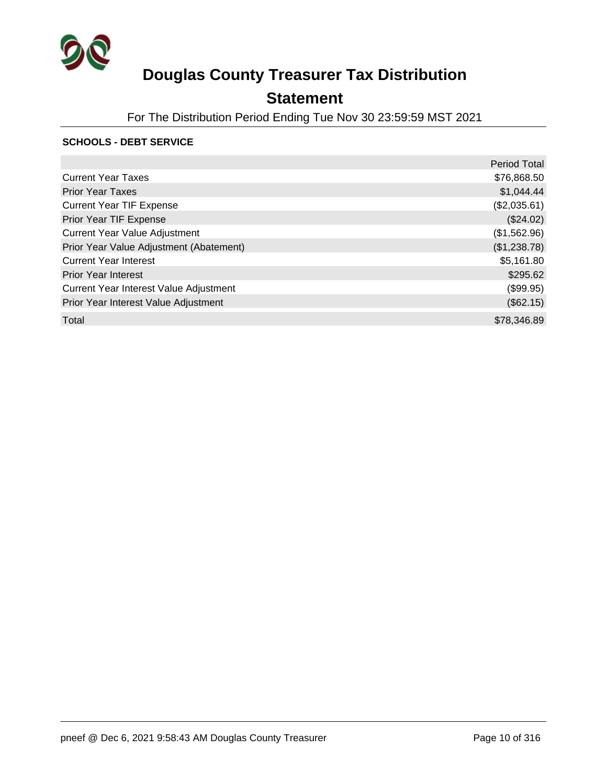

### **Statement**

For The Distribution Period Ending Tue Nov 30 23:59:59 MST 2021

#### **SCHOOLS - DEBT SERVICE**

|                                         | <b>Period Total</b> |
|-----------------------------------------|---------------------|
| <b>Current Year Taxes</b>               | \$76,868.50         |
| <b>Prior Year Taxes</b>                 | \$1,044.44          |
| <b>Current Year TIF Expense</b>         | (\$2,035.61)        |
| Prior Year TIF Expense                  | (\$24.02)           |
| <b>Current Year Value Adjustment</b>    | (\$1,562.96)        |
| Prior Year Value Adjustment (Abatement) | (\$1,238.78)        |
| <b>Current Year Interest</b>            | \$5,161.80          |
| <b>Prior Year Interest</b>              | \$295.62            |
| Current Year Interest Value Adjustment  | (\$99.95)           |
| Prior Year Interest Value Adjustment    | (\$62.15)           |
| Total                                   | \$78,346.89         |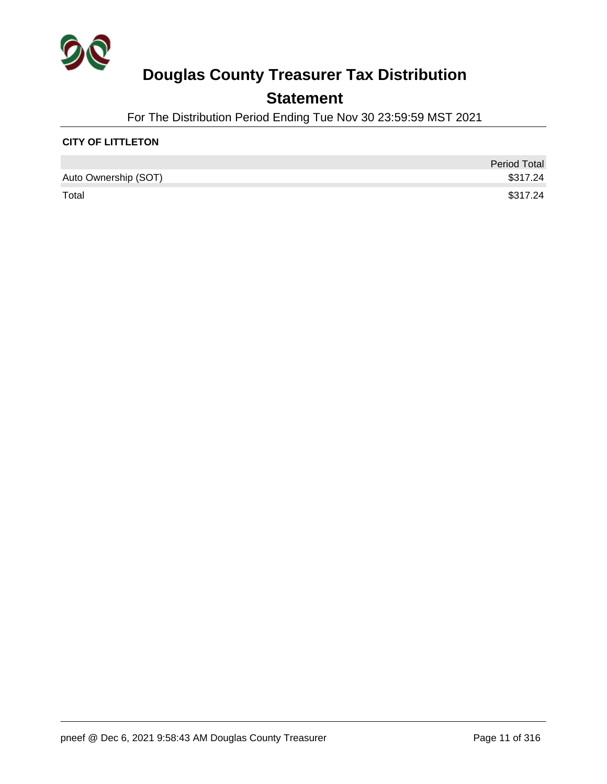

### **Statement**

For The Distribution Period Ending Tue Nov 30 23:59:59 MST 2021

#### **CITY OF LITTLETON**

|                      | <b>Period Total</b> |
|----------------------|---------------------|
| Auto Ownership (SOT) | \$317.24            |
| Total                | \$317.24            |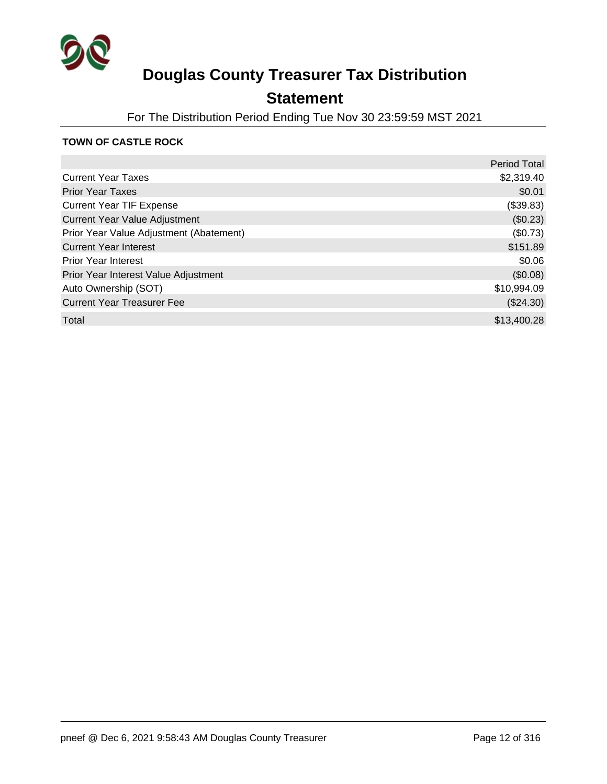

### **Statement**

For The Distribution Period Ending Tue Nov 30 23:59:59 MST 2021

#### **TOWN OF CASTLE ROCK**

|                                         | <b>Period Total</b> |
|-----------------------------------------|---------------------|
| <b>Current Year Taxes</b>               | \$2,319.40          |
| <b>Prior Year Taxes</b>                 | \$0.01              |
| <b>Current Year TIF Expense</b>         | (\$39.83)           |
| <b>Current Year Value Adjustment</b>    | (\$0.23)            |
| Prior Year Value Adjustment (Abatement) | (\$0.73)            |
| <b>Current Year Interest</b>            | \$151.89            |
| <b>Prior Year Interest</b>              | \$0.06              |
| Prior Year Interest Value Adjustment    | (\$0.08)            |
| Auto Ownership (SOT)                    | \$10,994.09         |
| <b>Current Year Treasurer Fee</b>       | $(\$24.30)$         |
| Total                                   | \$13,400.28         |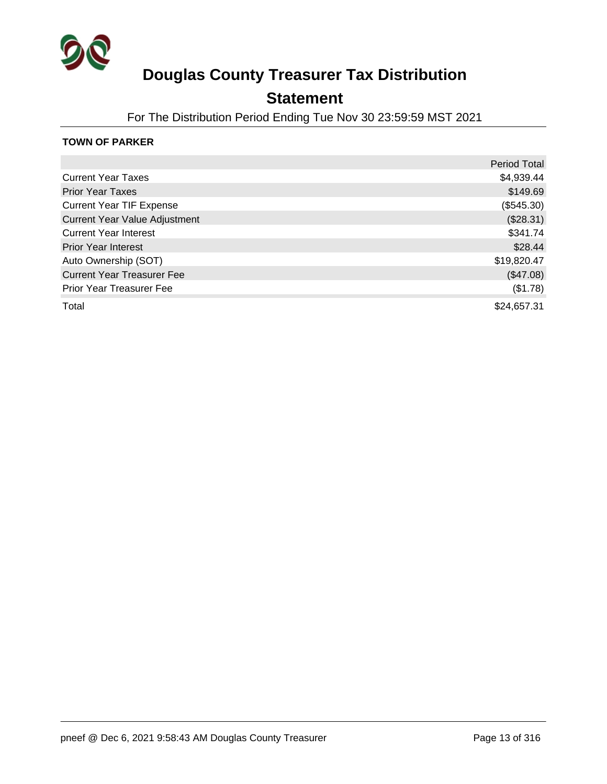

### **Statement**

For The Distribution Period Ending Tue Nov 30 23:59:59 MST 2021

#### **TOWN OF PARKER**

|                                      | <b>Period Total</b> |
|--------------------------------------|---------------------|
| <b>Current Year Taxes</b>            | \$4,939.44          |
| <b>Prior Year Taxes</b>              | \$149.69            |
| <b>Current Year TIF Expense</b>      | (\$545.30)          |
| <b>Current Year Value Adjustment</b> | (\$28.31)           |
| <b>Current Year Interest</b>         | \$341.74            |
| <b>Prior Year Interest</b>           | \$28.44             |
| Auto Ownership (SOT)                 | \$19,820.47         |
| <b>Current Year Treasurer Fee</b>    | (\$47.08)           |
| <b>Prior Year Treasurer Fee</b>      | (\$1.78)            |
| Total                                | \$24,657.31         |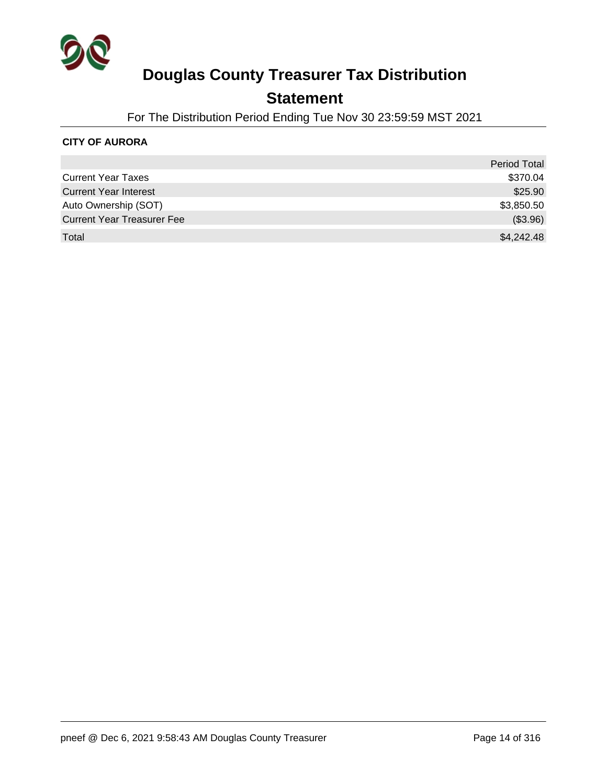

### **Statement**

For The Distribution Period Ending Tue Nov 30 23:59:59 MST 2021

#### **CITY OF AURORA**

|                                   | <b>Period Total</b> |
|-----------------------------------|---------------------|
| <b>Current Year Taxes</b>         | \$370.04            |
| <b>Current Year Interest</b>      | \$25.90             |
| Auto Ownership (SOT)              | \$3,850.50          |
| <b>Current Year Treasurer Fee</b> | (\$3.96)            |
| Total                             | \$4,242.48          |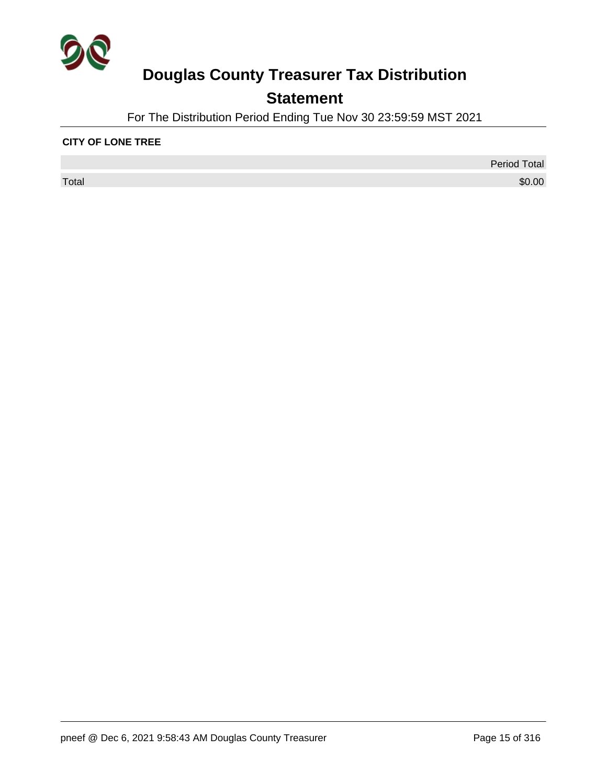

## **Statement**

For The Distribution Period Ending Tue Nov 30 23:59:59 MST 2021

#### **CITY OF LONE TREE**

 $\sf Total$   $\$0.00$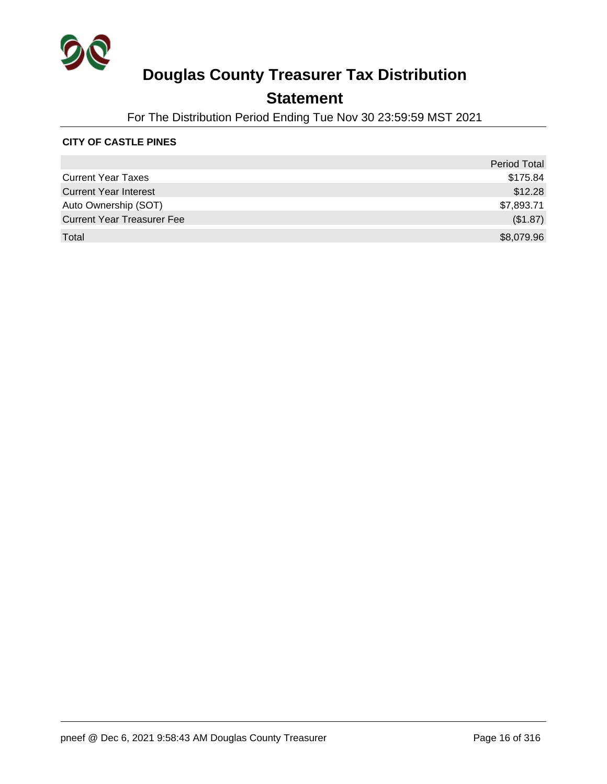

### **Statement**

For The Distribution Period Ending Tue Nov 30 23:59:59 MST 2021

#### **CITY OF CASTLE PINES**

|                                   | <b>Period Total</b> |
|-----------------------------------|---------------------|
| <b>Current Year Taxes</b>         | \$175.84            |
| <b>Current Year Interest</b>      | \$12.28             |
| Auto Ownership (SOT)              | \$7,893.71          |
| <b>Current Year Treasurer Fee</b> | (\$1.87)            |
| Total                             | \$8,079.96          |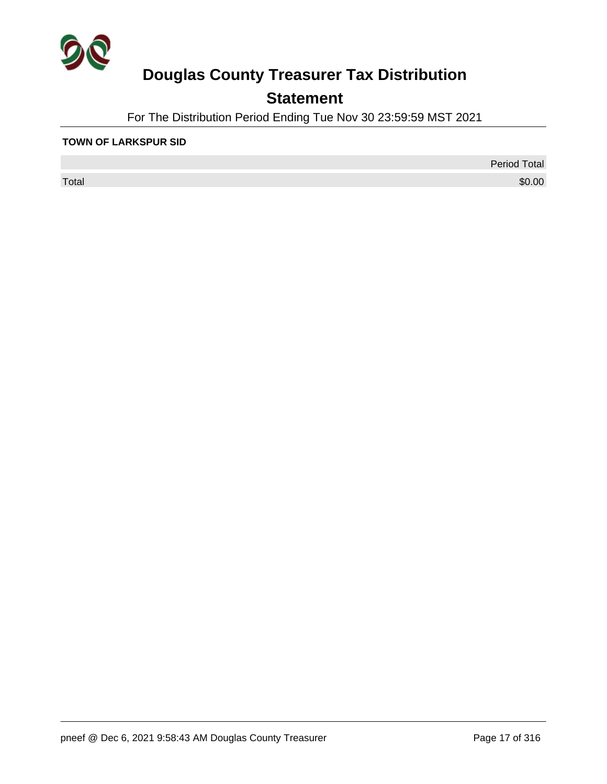

## **Statement**

For The Distribution Period Ending Tue Nov 30 23:59:59 MST 2021

#### **TOWN OF LARKSPUR SID**

 $\sf Total$   $\$0.00$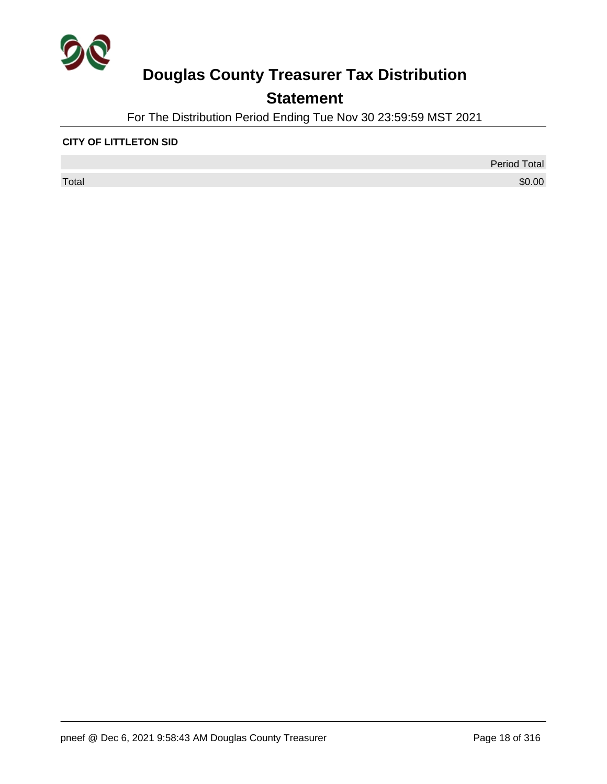

## **Statement**

For The Distribution Period Ending Tue Nov 30 23:59:59 MST 2021

#### **CITY OF LITTLETON SID**

 $\sf Total$   $\$0.00$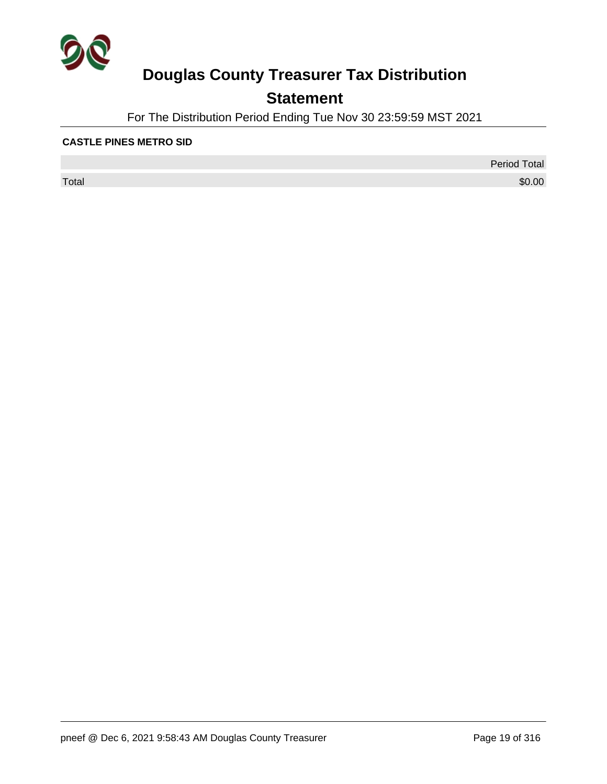

## **Statement**

For The Distribution Period Ending Tue Nov 30 23:59:59 MST 2021

#### **CASTLE PINES METRO SID**

 $\sf Total$   $\$0.00$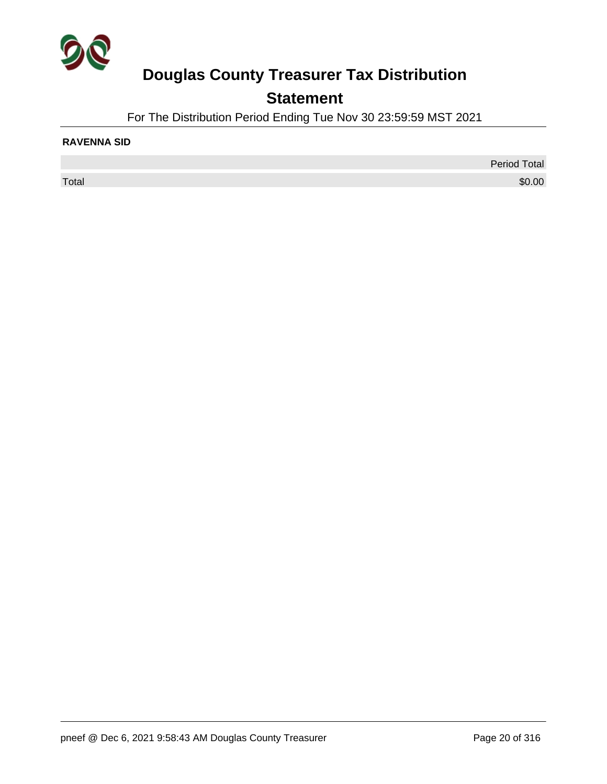

## **Statement**

For The Distribution Period Ending Tue Nov 30 23:59:59 MST 2021

#### **RAVENNA SID**

Period Total  $\sf Total$   $\$0.00$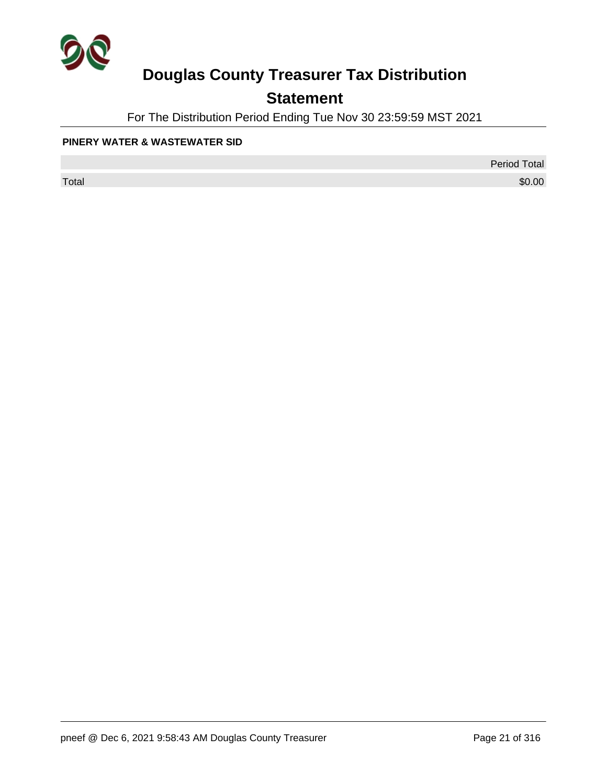

## **Statement**

For The Distribution Period Ending Tue Nov 30 23:59:59 MST 2021

#### **PINERY WATER & WASTEWATER SID**

Period Total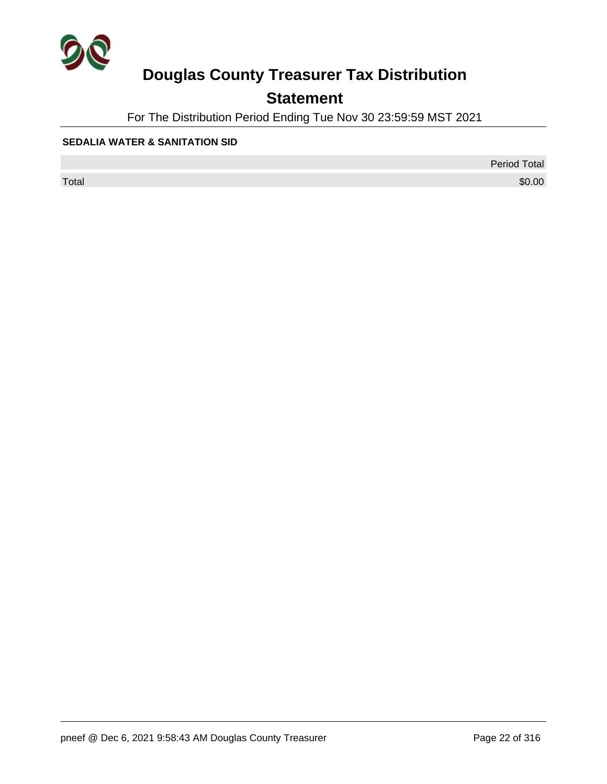

## **Statement**

For The Distribution Period Ending Tue Nov 30 23:59:59 MST 2021

#### **SEDALIA WATER & SANITATION SID**

Period Total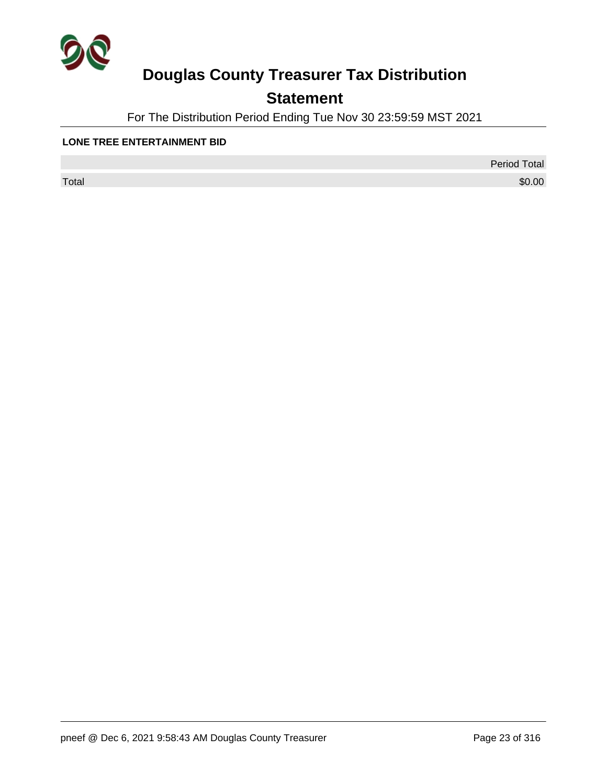

## **Statement**

For The Distribution Period Ending Tue Nov 30 23:59:59 MST 2021

#### **LONE TREE ENTERTAINMENT BID**

 $\sf Total$   $\$0.00$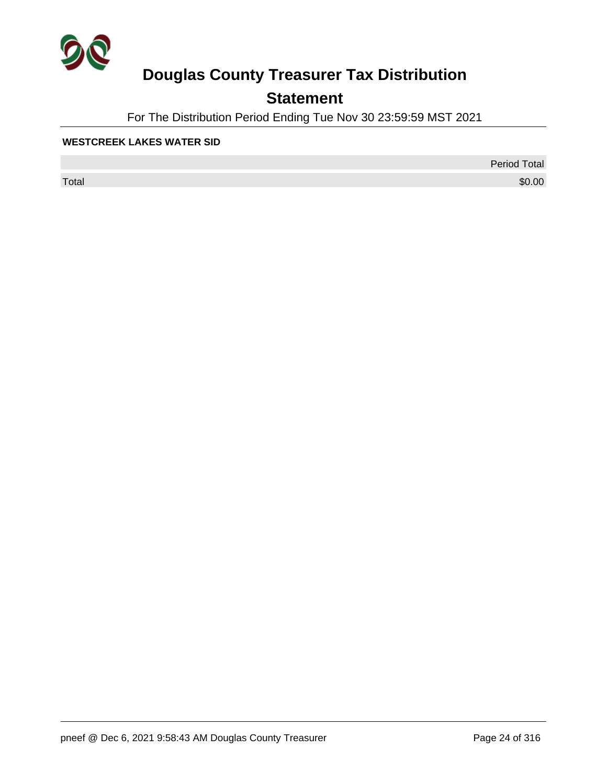

## **Statement**

For The Distribution Period Ending Tue Nov 30 23:59:59 MST 2021

#### **WESTCREEK LAKES WATER SID**

 $\sf Total$   $\$0.00$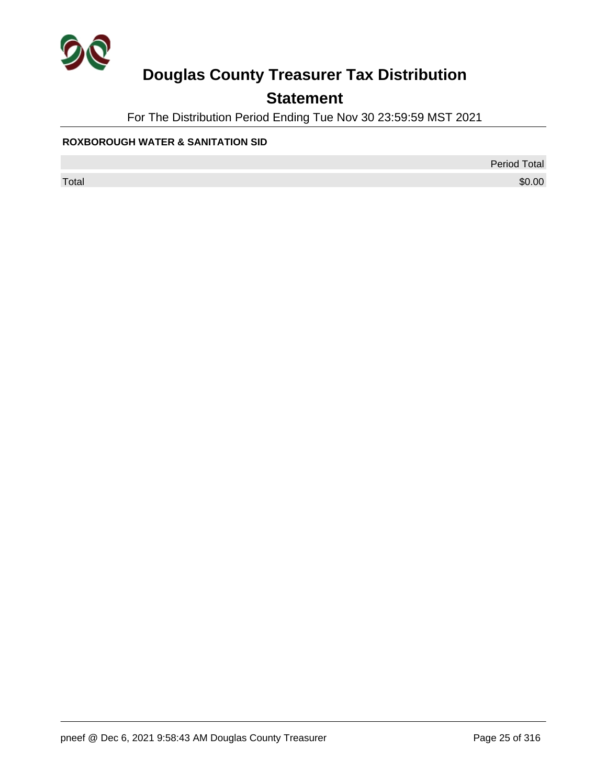

## **Statement**

For The Distribution Period Ending Tue Nov 30 23:59:59 MST 2021

#### **ROXBOROUGH WATER & SANITATION SID**

Period Total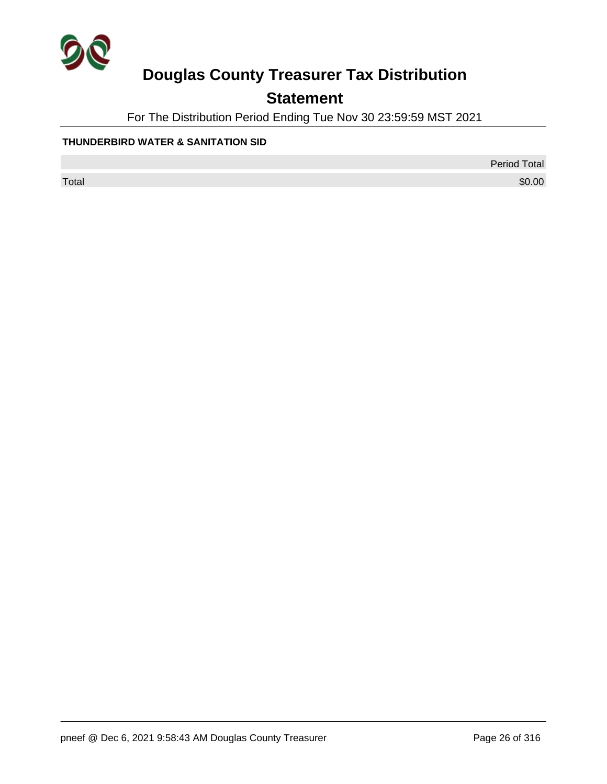

## **Statement**

For The Distribution Period Ending Tue Nov 30 23:59:59 MST 2021

#### **THUNDERBIRD WATER & SANITATION SID**

Period Total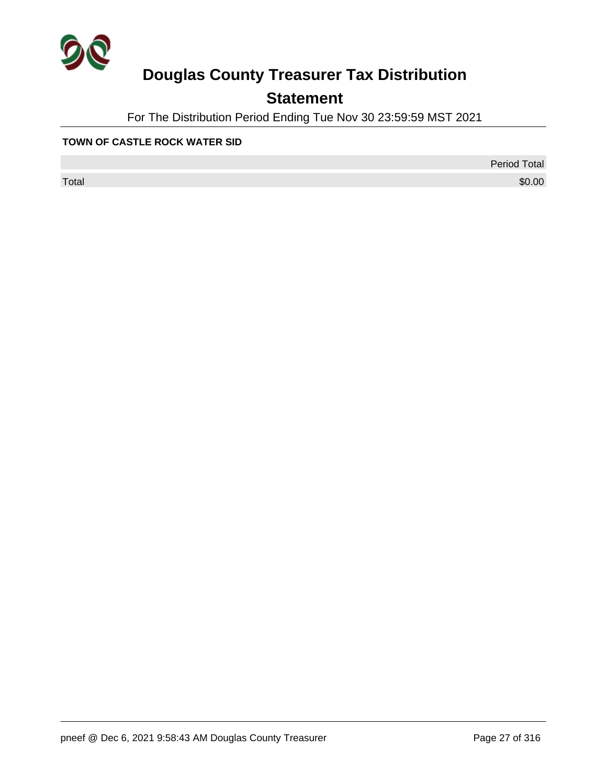

## **Statement**

For The Distribution Period Ending Tue Nov 30 23:59:59 MST 2021

#### **TOWN OF CASTLE ROCK WATER SID**

Period Total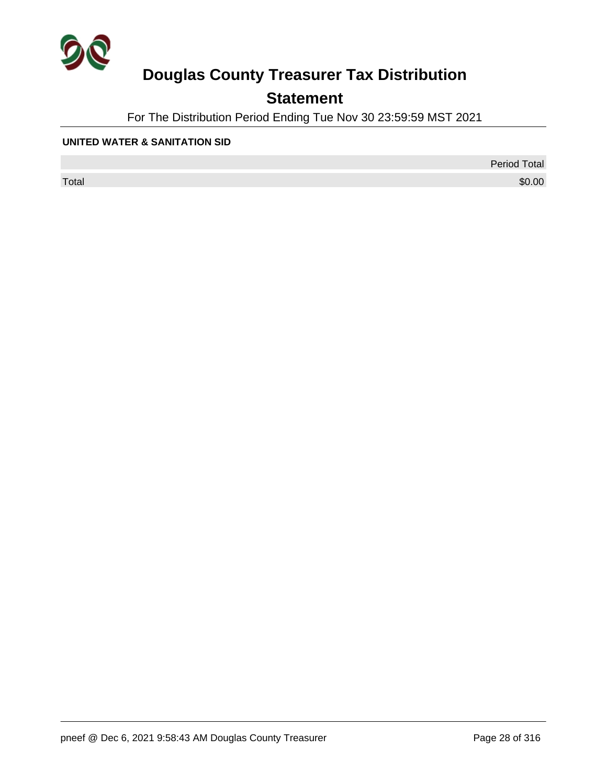

## **Statement**

For The Distribution Period Ending Tue Nov 30 23:59:59 MST 2021

#### **UNITED WATER & SANITATION SID**

Period Total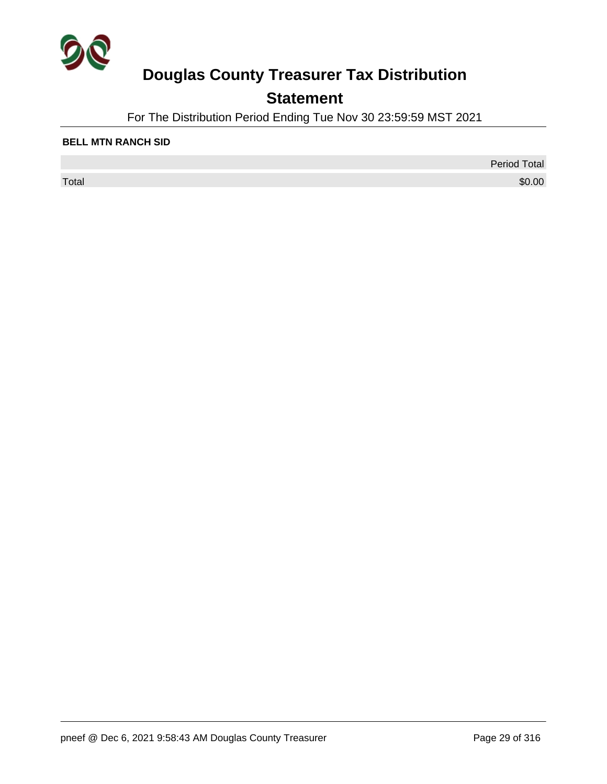

## **Statement**

For The Distribution Period Ending Tue Nov 30 23:59:59 MST 2021

#### **BELL MTN RANCH SID**

 $\sf Total$   $\$0.00$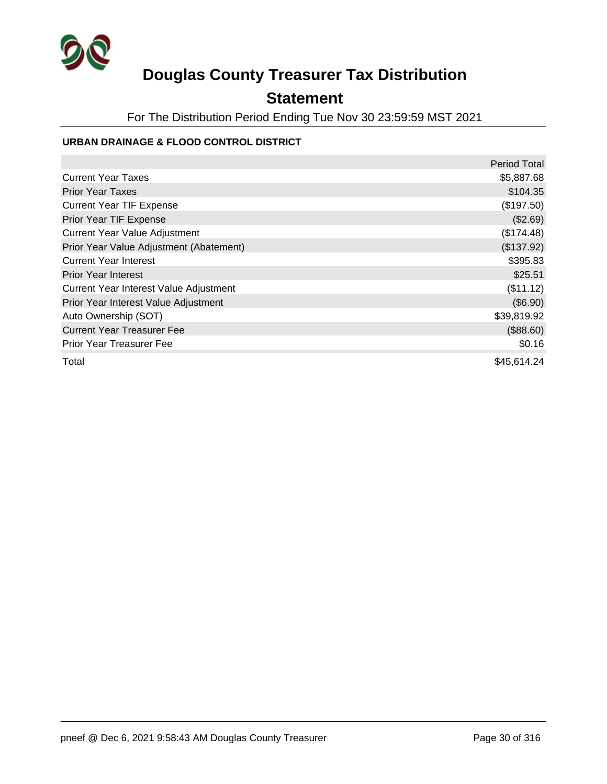

### **Statement**

For The Distribution Period Ending Tue Nov 30 23:59:59 MST 2021

#### **URBAN DRAINAGE & FLOOD CONTROL DISTRICT**

|                                         | <b>Period Total</b> |
|-----------------------------------------|---------------------|
| <b>Current Year Taxes</b>               | \$5,887.68          |
| <b>Prior Year Taxes</b>                 | \$104.35            |
| <b>Current Year TIF Expense</b>         | (\$197.50)          |
| Prior Year TIF Expense                  | (\$2.69)            |
| <b>Current Year Value Adjustment</b>    | (\$174.48)          |
| Prior Year Value Adjustment (Abatement) | (\$137.92)          |
| <b>Current Year Interest</b>            | \$395.83            |
| <b>Prior Year Interest</b>              | \$25.51             |
| Current Year Interest Value Adjustment  | (\$11.12)           |
| Prior Year Interest Value Adjustment    | (\$6.90)            |
| Auto Ownership (SOT)                    | \$39,819.92         |
| <b>Current Year Treasurer Fee</b>       | (\$88.60)           |
| <b>Prior Year Treasurer Fee</b>         | \$0.16              |
| Total                                   | \$45,614.24         |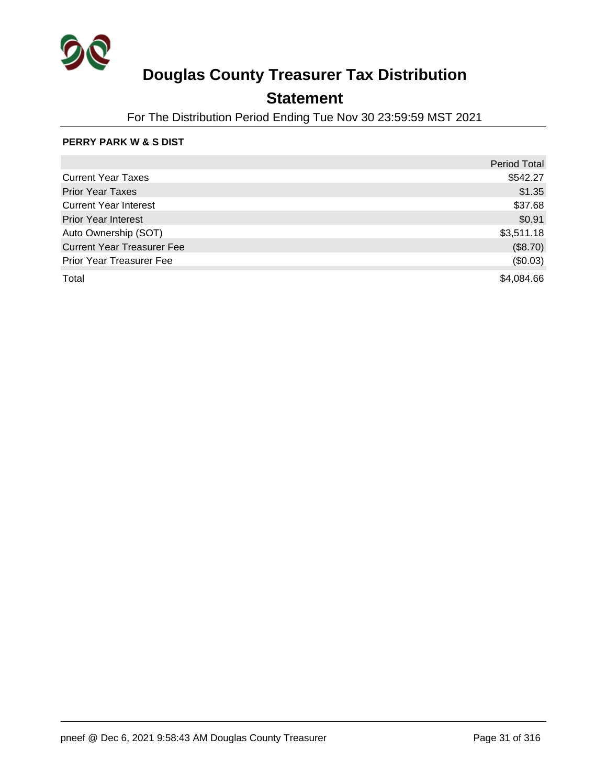

### **Statement**

For The Distribution Period Ending Tue Nov 30 23:59:59 MST 2021

#### **PERRY PARK W & S DIST**

|                                   | <b>Period Total</b> |
|-----------------------------------|---------------------|
| <b>Current Year Taxes</b>         | \$542.27            |
| <b>Prior Year Taxes</b>           | \$1.35              |
| <b>Current Year Interest</b>      | \$37.68             |
| <b>Prior Year Interest</b>        | \$0.91              |
| Auto Ownership (SOT)              | \$3,511.18          |
| <b>Current Year Treasurer Fee</b> | (\$8.70)            |
| <b>Prior Year Treasurer Fee</b>   | (\$0.03)            |
| Total                             | \$4,084.66          |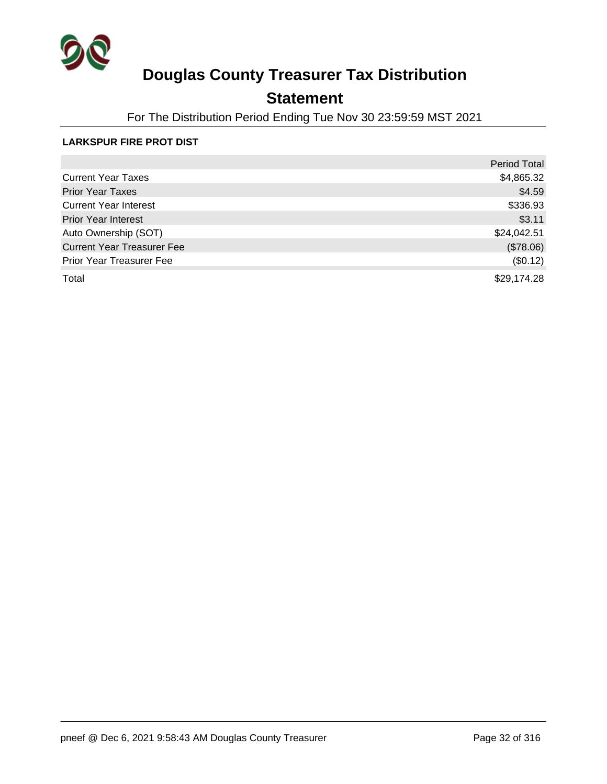

### **Statement**

For The Distribution Period Ending Tue Nov 30 23:59:59 MST 2021

#### **LARKSPUR FIRE PROT DIST**

|                                   | <b>Period Total</b> |
|-----------------------------------|---------------------|
| <b>Current Year Taxes</b>         | \$4,865.32          |
| <b>Prior Year Taxes</b>           | \$4.59              |
| <b>Current Year Interest</b>      | \$336.93            |
| <b>Prior Year Interest</b>        | \$3.11              |
| Auto Ownership (SOT)              | \$24,042.51         |
| <b>Current Year Treasurer Fee</b> | (\$78.06)           |
| <b>Prior Year Treasurer Fee</b>   | (\$0.12)            |
| Total                             | \$29,174.28         |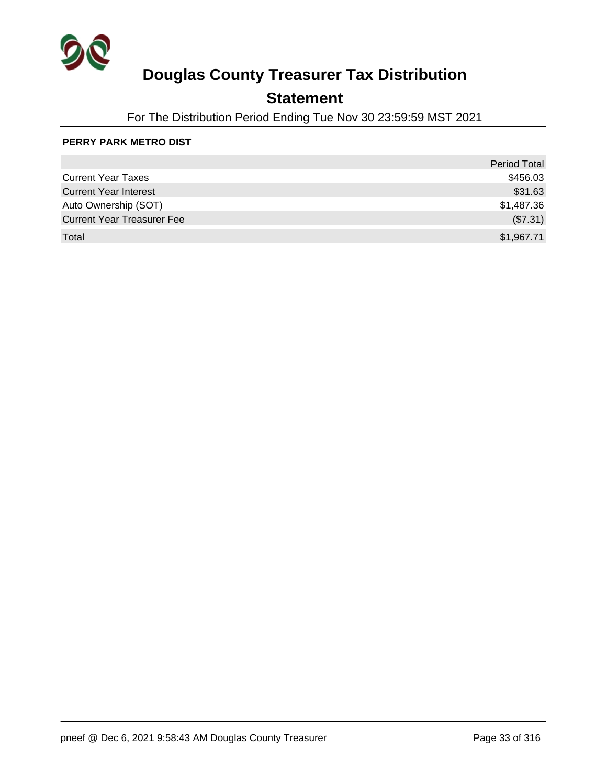

### **Statement**

For The Distribution Period Ending Tue Nov 30 23:59:59 MST 2021

#### **PERRY PARK METRO DIST**

|                                   | <b>Period Total</b> |
|-----------------------------------|---------------------|
| <b>Current Year Taxes</b>         | \$456.03            |
| <b>Current Year Interest</b>      | \$31.63             |
| Auto Ownership (SOT)              | \$1,487.36          |
| <b>Current Year Treasurer Fee</b> | (\$7.31)            |
| Total                             | \$1,967.71          |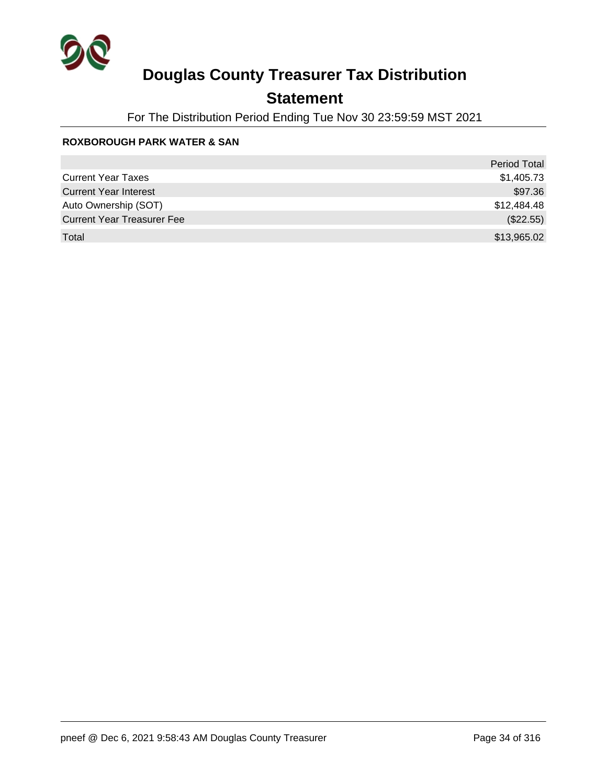

### **Statement**

For The Distribution Period Ending Tue Nov 30 23:59:59 MST 2021

#### **ROXBOROUGH PARK WATER & SAN**

|                                   | <b>Period Total</b> |
|-----------------------------------|---------------------|
| <b>Current Year Taxes</b>         | \$1,405.73          |
| <b>Current Year Interest</b>      | \$97.36             |
| Auto Ownership (SOT)              | \$12,484.48         |
| <b>Current Year Treasurer Fee</b> | (\$22.55)           |
| Total                             | \$13,965.02         |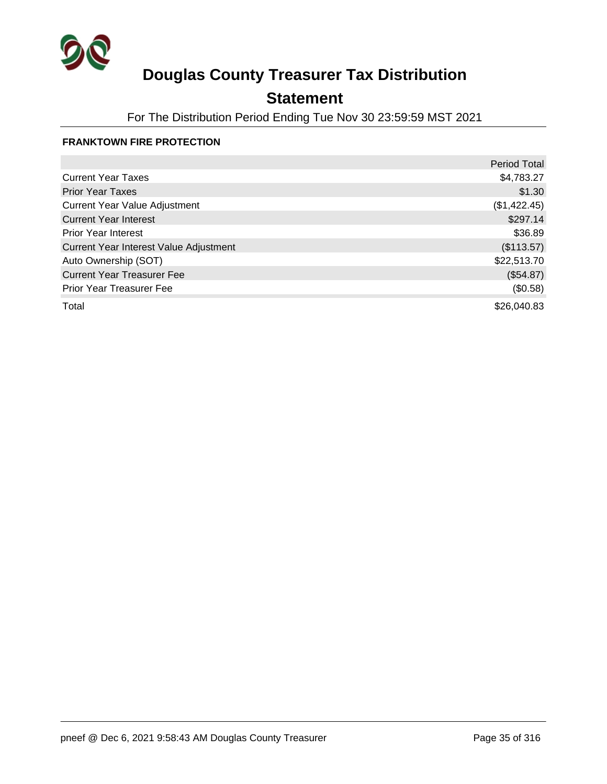

## **Statement**

For The Distribution Period Ending Tue Nov 30 23:59:59 MST 2021

#### **FRANKTOWN FIRE PROTECTION**

|                                        | <b>Period Total</b> |
|----------------------------------------|---------------------|
| <b>Current Year Taxes</b>              | \$4,783.27          |
| <b>Prior Year Taxes</b>                | \$1.30              |
| <b>Current Year Value Adjustment</b>   | (\$1,422.45)        |
| <b>Current Year Interest</b>           | \$297.14            |
| <b>Prior Year Interest</b>             | \$36.89             |
| Current Year Interest Value Adjustment | (\$113.57)          |
| Auto Ownership (SOT)                   | \$22,513.70         |
| <b>Current Year Treasurer Fee</b>      | (\$54.87)           |
| <b>Prior Year Treasurer Fee</b>        | (\$0.58)            |
| Total                                  | \$26,040.83         |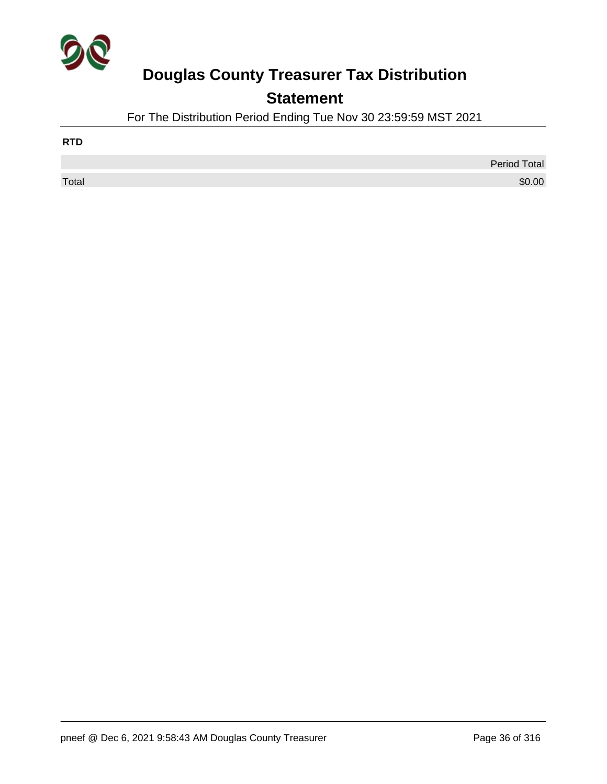

## **Statement**

For The Distribution Period Ending Tue Nov 30 23:59:59 MST 2021

| <b>RTD</b> |                     |
|------------|---------------------|
|            | <b>Period Total</b> |
| Total      | \$0.00              |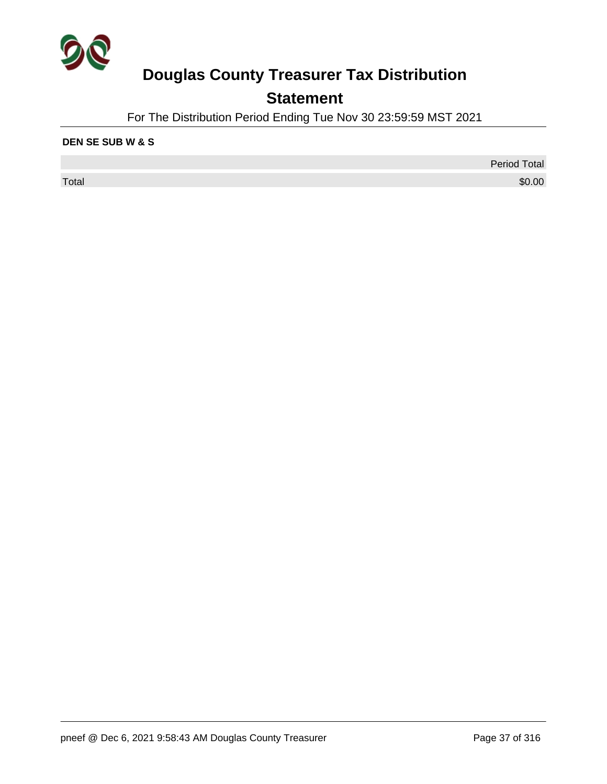

## **Statement**

For The Distribution Period Ending Tue Nov 30 23:59:59 MST 2021

#### **DEN SE SUB W & S**

 $\sf Total$   $\$0.00$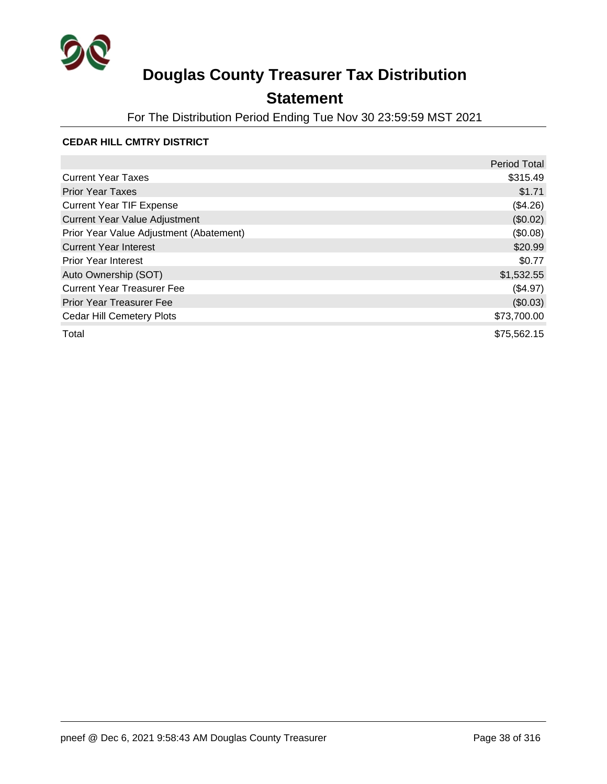

### **Statement**

For The Distribution Period Ending Tue Nov 30 23:59:59 MST 2021

#### **CEDAR HILL CMTRY DISTRICT**

|                                         | <b>Period Total</b> |
|-----------------------------------------|---------------------|
| <b>Current Year Taxes</b>               | \$315.49            |
| <b>Prior Year Taxes</b>                 | \$1.71              |
| <b>Current Year TIF Expense</b>         | (\$4.26)            |
| <b>Current Year Value Adjustment</b>    | (\$0.02)            |
| Prior Year Value Adjustment (Abatement) | (\$0.08)            |
| <b>Current Year Interest</b>            | \$20.99             |
| <b>Prior Year Interest</b>              | \$0.77              |
| Auto Ownership (SOT)                    | \$1,532.55          |
| <b>Current Year Treasurer Fee</b>       | (\$4.97)            |
| <b>Prior Year Treasurer Fee</b>         | (\$0.03)            |
| <b>Cedar Hill Cemetery Plots</b>        | \$73,700.00         |
| Total                                   | \$75,562.15         |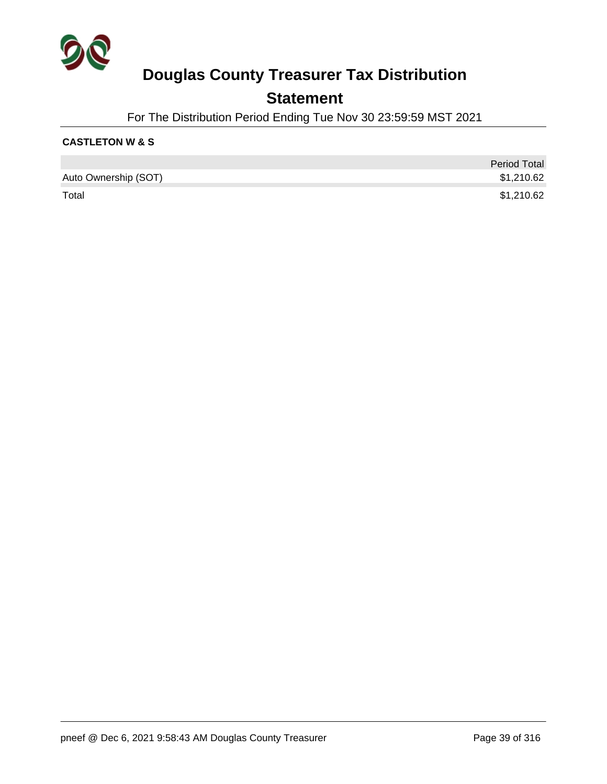

### **Statement**

For The Distribution Period Ending Tue Nov 30 23:59:59 MST 2021

#### **CASTLETON W & S**

|                      | <b>Period Total</b> |
|----------------------|---------------------|
| Auto Ownership (SOT) | \$1,210.62          |
| Total                | \$1,210.62          |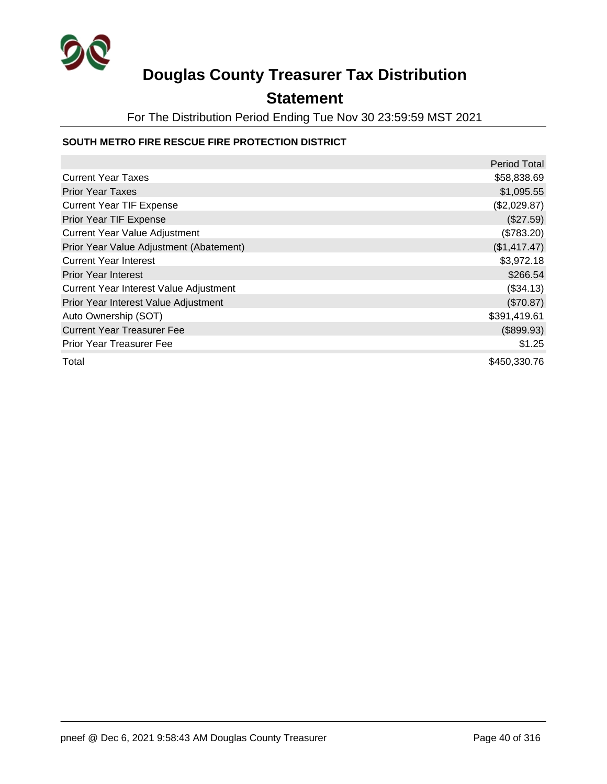

### **Statement**

For The Distribution Period Ending Tue Nov 30 23:59:59 MST 2021

#### **SOUTH METRO FIRE RESCUE FIRE PROTECTION DISTRICT**

|                                         | Period Total |
|-----------------------------------------|--------------|
| <b>Current Year Taxes</b>               | \$58,838.69  |
| <b>Prior Year Taxes</b>                 | \$1,095.55   |
| <b>Current Year TIF Expense</b>         | (\$2,029.87) |
| Prior Year TIF Expense                  | (\$27.59)    |
| <b>Current Year Value Adjustment</b>    | (\$783.20)   |
| Prior Year Value Adjustment (Abatement) | (\$1,417.47) |
| <b>Current Year Interest</b>            | \$3,972.18   |
| <b>Prior Year Interest</b>              | \$266.54     |
| Current Year Interest Value Adjustment  | (\$34.13)    |
| Prior Year Interest Value Adjustment    | (\$70.87)    |
| Auto Ownership (SOT)                    | \$391,419.61 |
| <b>Current Year Treasurer Fee</b>       | (\$899.93)   |
| <b>Prior Year Treasurer Fee</b>         | \$1.25       |
| Total                                   | \$450,330.76 |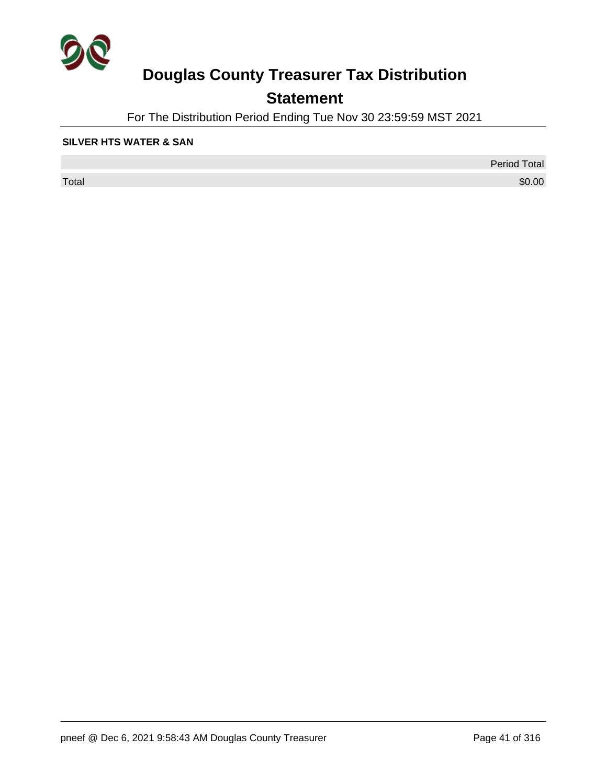

## **Statement**

For The Distribution Period Ending Tue Nov 30 23:59:59 MST 2021

#### **SILVER HTS WATER & SAN**

 $\sf Total$   $\$0.00$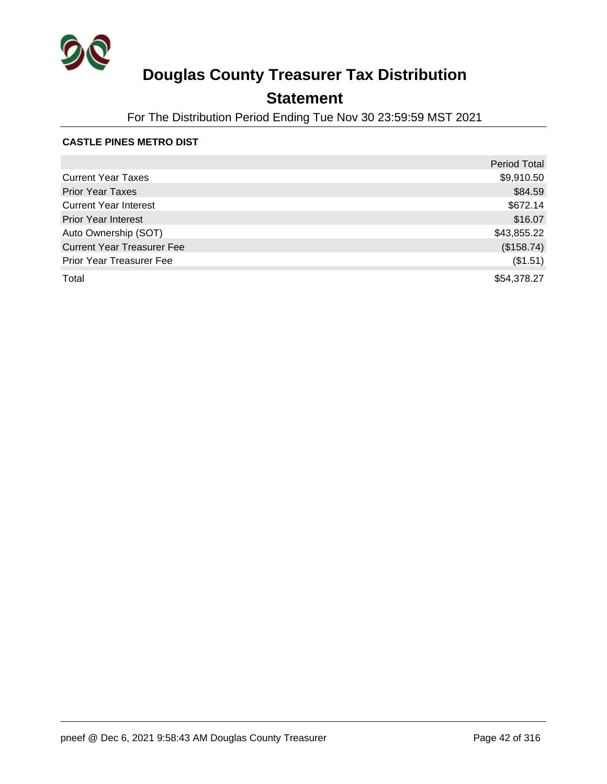

### **Statement**

For The Distribution Period Ending Tue Nov 30 23:59:59 MST 2021

#### **CASTLE PINES METRO DIST**

|                                   | <b>Period Total</b> |
|-----------------------------------|---------------------|
| <b>Current Year Taxes</b>         | \$9,910.50          |
| <b>Prior Year Taxes</b>           | \$84.59             |
| <b>Current Year Interest</b>      | \$672.14            |
| <b>Prior Year Interest</b>        | \$16.07             |
| Auto Ownership (SOT)              | \$43,855.22         |
| <b>Current Year Treasurer Fee</b> | (\$158.74)          |
| <b>Prior Year Treasurer Fee</b>   | (\$1.51)            |
| Total                             | \$54,378.27         |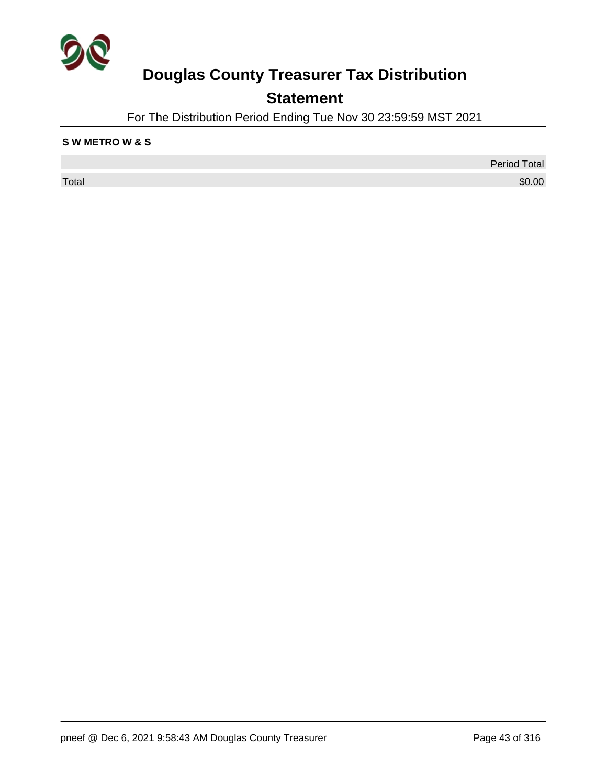

## **Statement**

For The Distribution Period Ending Tue Nov 30 23:59:59 MST 2021

#### **S W METRO W & S**

 $\sf Total$   $\$0.00$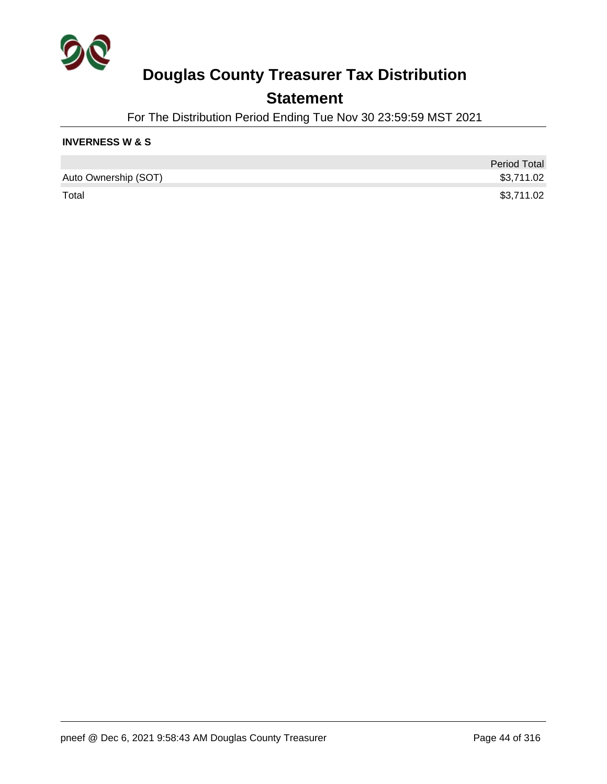

### **Statement**

For The Distribution Period Ending Tue Nov 30 23:59:59 MST 2021

#### **INVERNESS W & S**

|                      | <b>Period Total</b> |
|----------------------|---------------------|
| Auto Ownership (SOT) | \$3,711.02          |
| Total                | \$3,711.02          |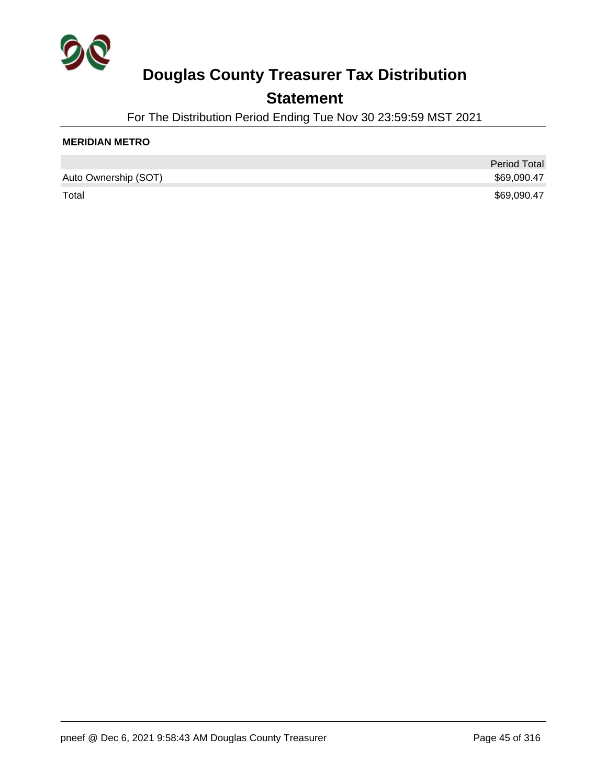

### **Statement**

For The Distribution Period Ending Tue Nov 30 23:59:59 MST 2021

#### **MERIDIAN METRO**

|                      | <b>Period Total</b> |
|----------------------|---------------------|
| Auto Ownership (SOT) | \$69,090.47         |
| Total                | \$69,090.47         |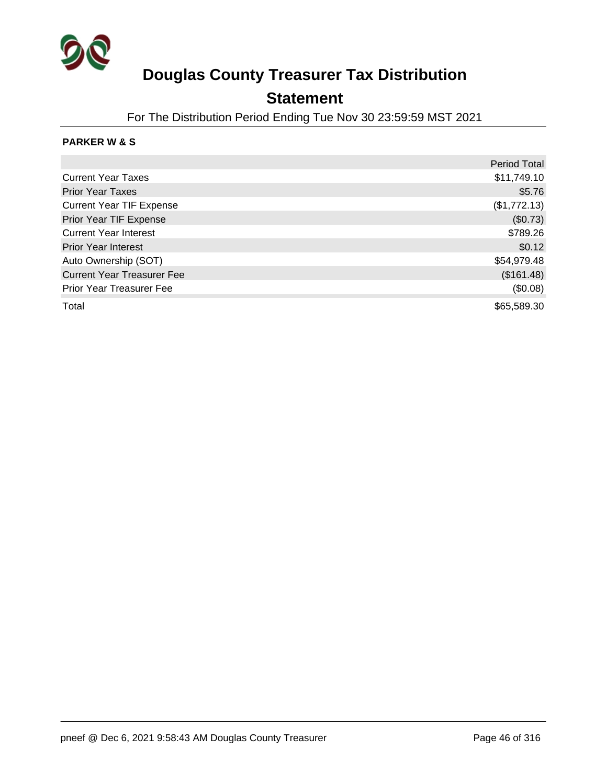

### **Statement**

For The Distribution Period Ending Tue Nov 30 23:59:59 MST 2021

#### **PARKER W & S**

|                                   | <b>Period Total</b> |
|-----------------------------------|---------------------|
| <b>Current Year Taxes</b>         | \$11,749.10         |
| <b>Prior Year Taxes</b>           | \$5.76              |
| <b>Current Year TIF Expense</b>   | (\$1,772.13)        |
| Prior Year TIF Expense            | (\$0.73)            |
| <b>Current Year Interest</b>      | \$789.26            |
| <b>Prior Year Interest</b>        | \$0.12              |
| Auto Ownership (SOT)              | \$54,979.48         |
| <b>Current Year Treasurer Fee</b> | (\$161.48)          |
| <b>Prior Year Treasurer Fee</b>   | (\$0.08)            |
| Total                             | \$65,589.30         |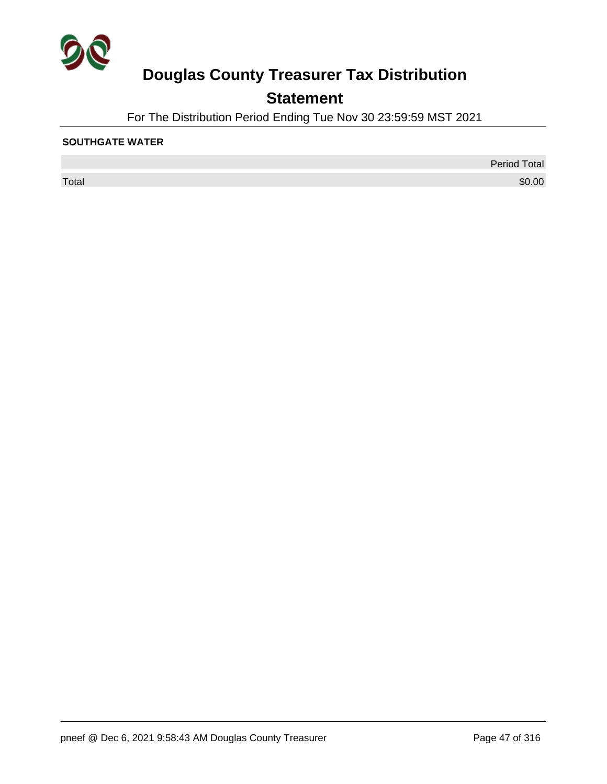

## **Statement**

For The Distribution Period Ending Tue Nov 30 23:59:59 MST 2021

#### **SOUTHGATE WATER**

 $\sf Total$   $\$0.00$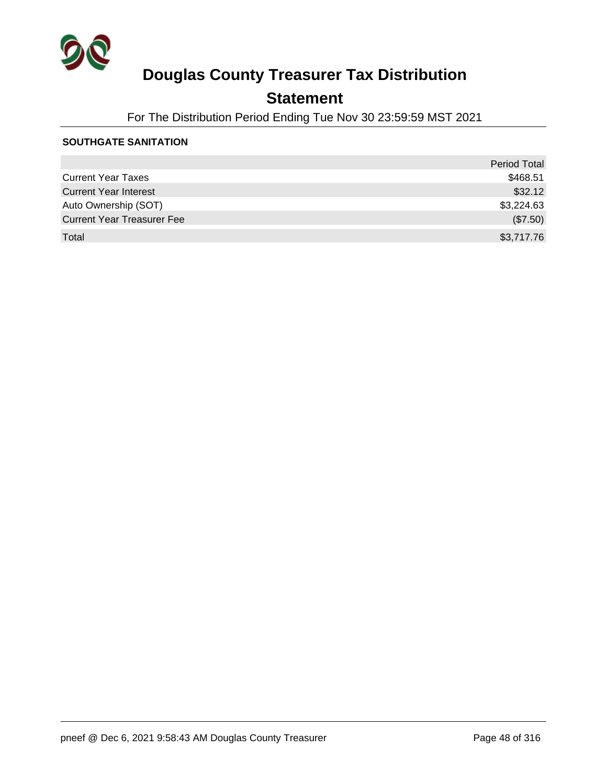

### **Statement**

For The Distribution Period Ending Tue Nov 30 23:59:59 MST 2021

#### **SOUTHGATE SANITATION**

|                                   | <b>Period Total</b> |
|-----------------------------------|---------------------|
| <b>Current Year Taxes</b>         | \$468.51            |
| <b>Current Year Interest</b>      | \$32.12             |
| Auto Ownership (SOT)              | \$3,224.63          |
| <b>Current Year Treasurer Fee</b> | (\$7.50)            |
| Total                             | \$3,717.76          |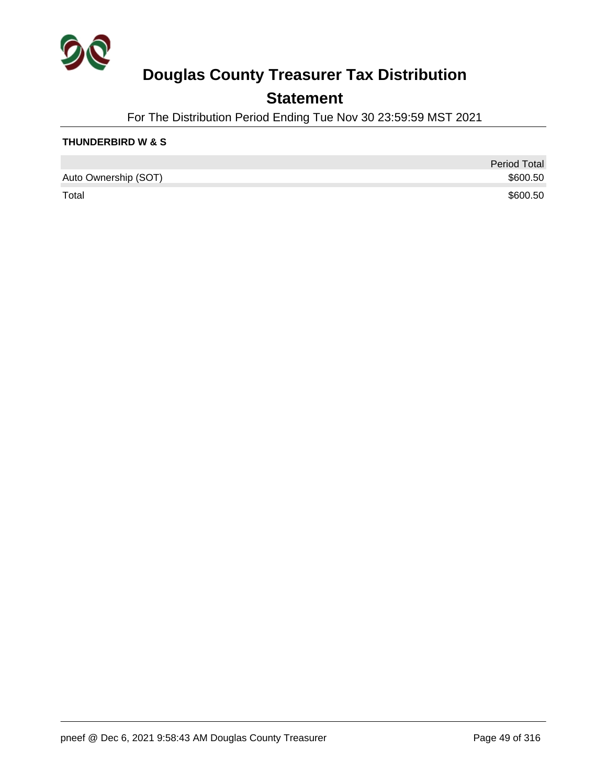

### **Statement**

For The Distribution Period Ending Tue Nov 30 23:59:59 MST 2021

#### **THUNDERBIRD W & S**

|                      | <b>Period Total</b> |
|----------------------|---------------------|
| Auto Ownership (SOT) | \$600.50            |
| Total                | \$600.50            |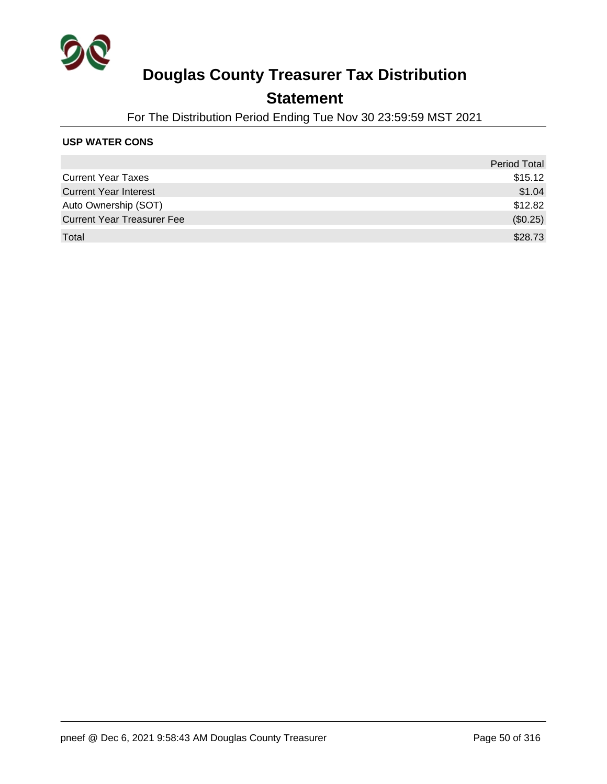

### **Statement**

For The Distribution Period Ending Tue Nov 30 23:59:59 MST 2021

#### **USP WATER CONS**

|                                   | <b>Period Total</b> |
|-----------------------------------|---------------------|
| <b>Current Year Taxes</b>         | \$15.12             |
| <b>Current Year Interest</b>      | \$1.04              |
| Auto Ownership (SOT)              | \$12.82             |
| <b>Current Year Treasurer Fee</b> | (\$0.25)            |
| Total                             | \$28.73             |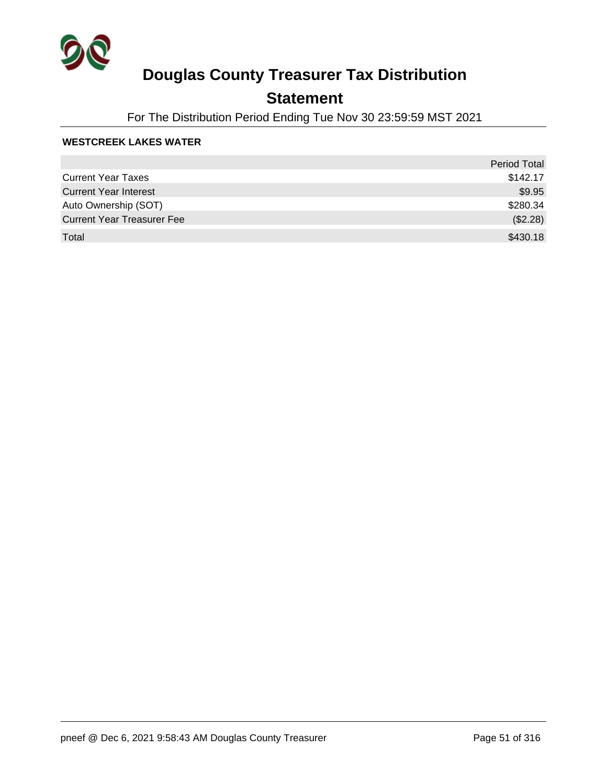

### **Statement**

For The Distribution Period Ending Tue Nov 30 23:59:59 MST 2021

#### **WESTCREEK LAKES WATER**

|                                   | <b>Period Total</b> |
|-----------------------------------|---------------------|
| <b>Current Year Taxes</b>         | \$142.17            |
| <b>Current Year Interest</b>      | \$9.95              |
| Auto Ownership (SOT)              | \$280.34            |
| <b>Current Year Treasurer Fee</b> | (\$2.28)            |
| Total                             | \$430.18            |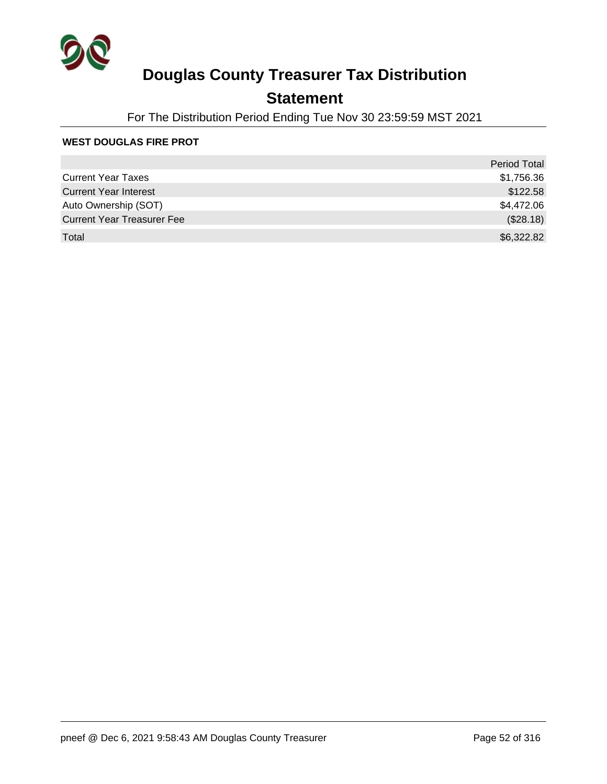

### **Statement**

For The Distribution Period Ending Tue Nov 30 23:59:59 MST 2021

#### **WEST DOUGLAS FIRE PROT**

|                                   | Period Total |
|-----------------------------------|--------------|
| <b>Current Year Taxes</b>         | \$1,756.36   |
| <b>Current Year Interest</b>      | \$122.58     |
| Auto Ownership (SOT)              | \$4,472.06   |
| <b>Current Year Treasurer Fee</b> | (\$28.18)    |
| Total                             | \$6,322.82   |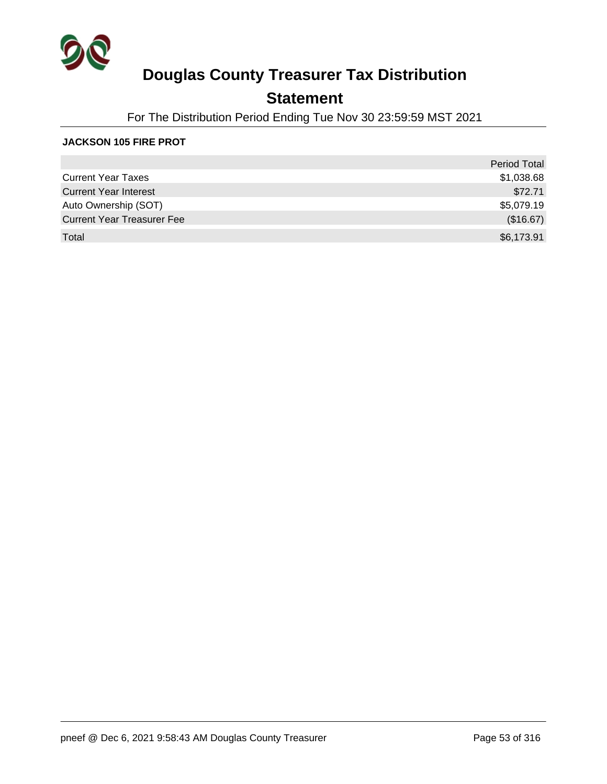

### **Statement**

For The Distribution Period Ending Tue Nov 30 23:59:59 MST 2021

#### **JACKSON 105 FIRE PROT**

|                                   | <b>Period Total</b> |
|-----------------------------------|---------------------|
| <b>Current Year Taxes</b>         | \$1,038.68          |
| <b>Current Year Interest</b>      | \$72.71             |
| Auto Ownership (SOT)              | \$5,079.19          |
| <b>Current Year Treasurer Fee</b> | (\$16.67)           |
| Total                             | \$6,173.91          |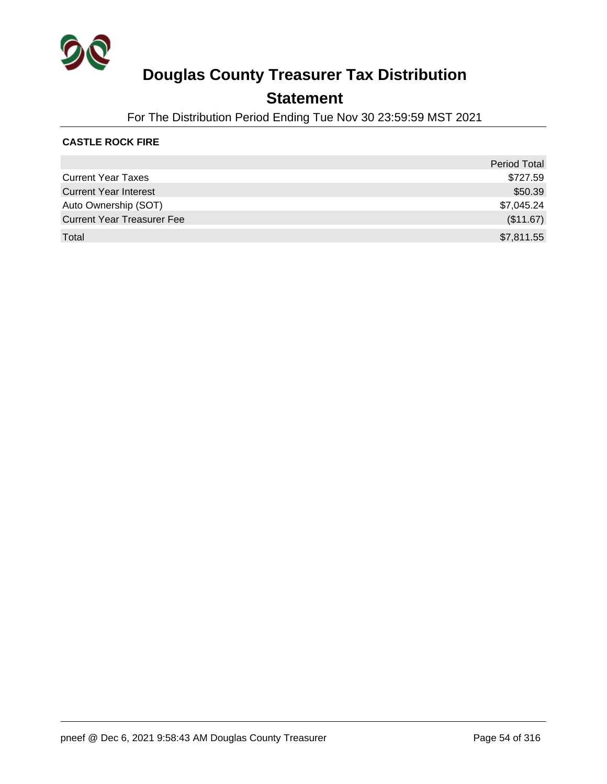

### **Statement**

For The Distribution Period Ending Tue Nov 30 23:59:59 MST 2021

#### **CASTLE ROCK FIRE**

|                                   | <b>Period Total</b> |
|-----------------------------------|---------------------|
| <b>Current Year Taxes</b>         | \$727.59            |
| <b>Current Year Interest</b>      | \$50.39             |
| Auto Ownership (SOT)              | \$7,045.24          |
| <b>Current Year Treasurer Fee</b> | (\$11.67)           |
| Total                             | \$7,811.55          |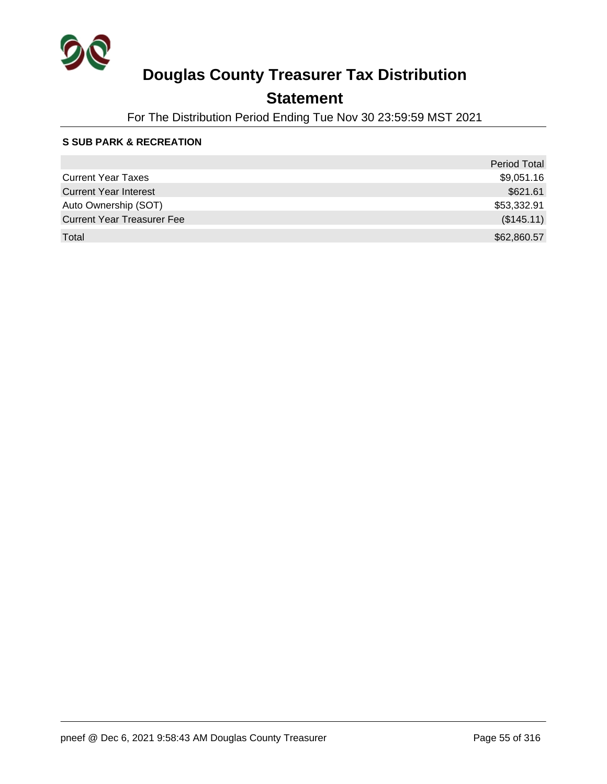

### **Statement**

For The Distribution Period Ending Tue Nov 30 23:59:59 MST 2021

#### **S SUB PARK & RECREATION**

|                                   | <b>Period Total</b> |
|-----------------------------------|---------------------|
| <b>Current Year Taxes</b>         | \$9,051.16          |
| <b>Current Year Interest</b>      | \$621.61            |
| Auto Ownership (SOT)              | \$53,332.91         |
| <b>Current Year Treasurer Fee</b> | (\$145.11)          |
| Total                             | \$62,860.57         |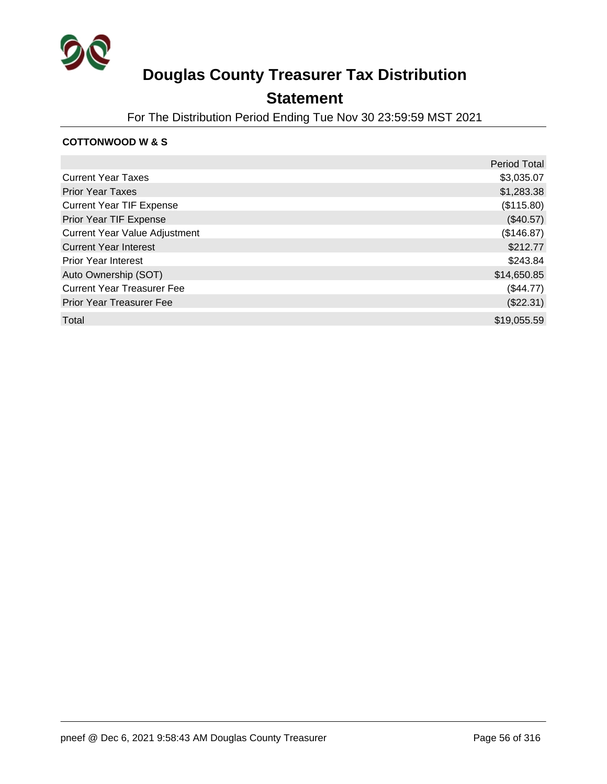

### **Statement**

For The Distribution Period Ending Tue Nov 30 23:59:59 MST 2021

#### **COTTONWOOD W & S**

|                                      | <b>Period Total</b> |
|--------------------------------------|---------------------|
| <b>Current Year Taxes</b>            | \$3,035.07          |
| <b>Prior Year Taxes</b>              | \$1,283.38          |
| <b>Current Year TIF Expense</b>      | (\$115.80)          |
| Prior Year TIF Expense               | $(\$40.57)$         |
| <b>Current Year Value Adjustment</b> | (\$146.87)          |
| <b>Current Year Interest</b>         | \$212.77            |
| <b>Prior Year Interest</b>           | \$243.84            |
| Auto Ownership (SOT)                 | \$14,650.85         |
| <b>Current Year Treasurer Fee</b>    | $(\$44.77)$         |
| <b>Prior Year Treasurer Fee</b>      | (\$22.31)           |
| Total                                | \$19,055.59         |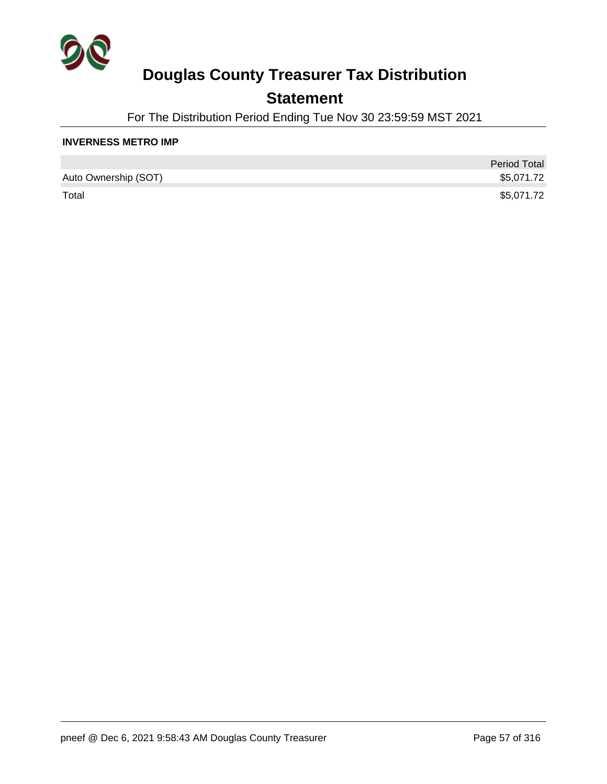

### **Statement**

For The Distribution Period Ending Tue Nov 30 23:59:59 MST 2021

#### **INVERNESS METRO IMP**

|                      | <b>Period Total</b> |
|----------------------|---------------------|
| Auto Ownership (SOT) | \$5,071.72          |
| Total                | \$5,071.72          |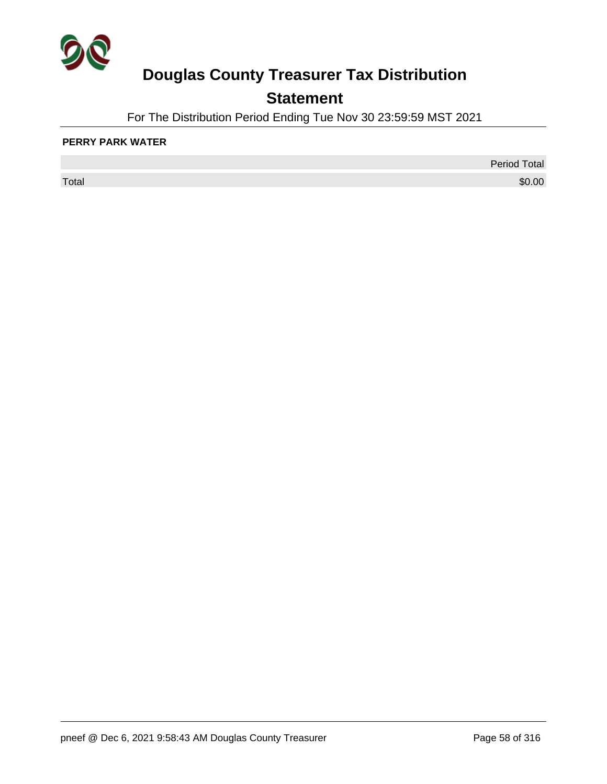

## **Statement**

For The Distribution Period Ending Tue Nov 30 23:59:59 MST 2021

#### **PERRY PARK WATER**

 $\sf Total$   $\$0.00$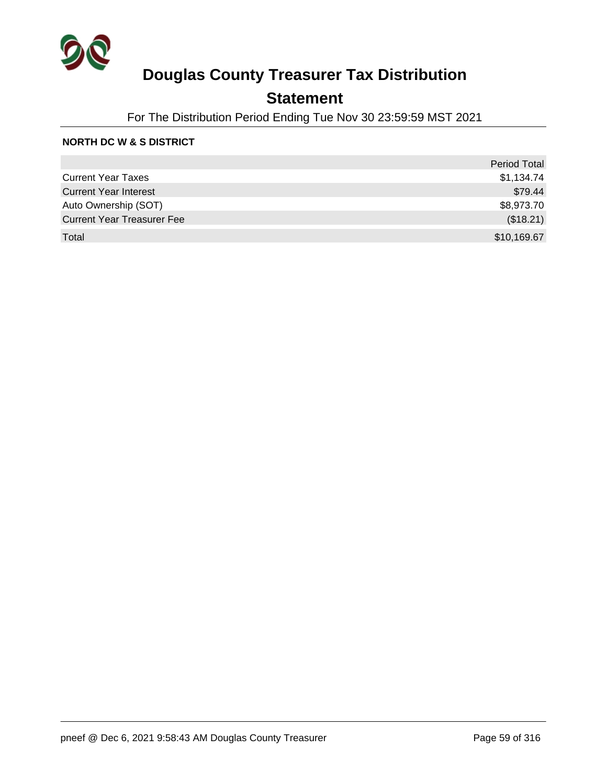

### **Statement**

For The Distribution Period Ending Tue Nov 30 23:59:59 MST 2021

#### **NORTH DC W & S DISTRICT**

|                                   | <b>Period Total</b> |
|-----------------------------------|---------------------|
| <b>Current Year Taxes</b>         | \$1,134.74          |
| <b>Current Year Interest</b>      | \$79.44             |
| Auto Ownership (SOT)              | \$8,973.70          |
| <b>Current Year Treasurer Fee</b> | (\$18.21)           |
| Total                             | \$10,169.67         |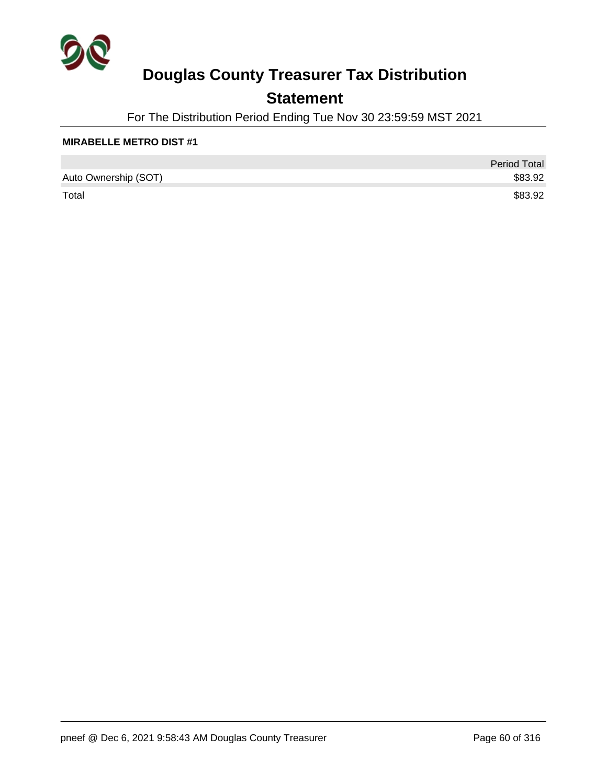

### **Statement**

For The Distribution Period Ending Tue Nov 30 23:59:59 MST 2021

#### **MIRABELLE METRO DIST #1**

|                      | <b>Period Total</b> |
|----------------------|---------------------|
| Auto Ownership (SOT) | \$83.92             |
| Total                | \$83.92             |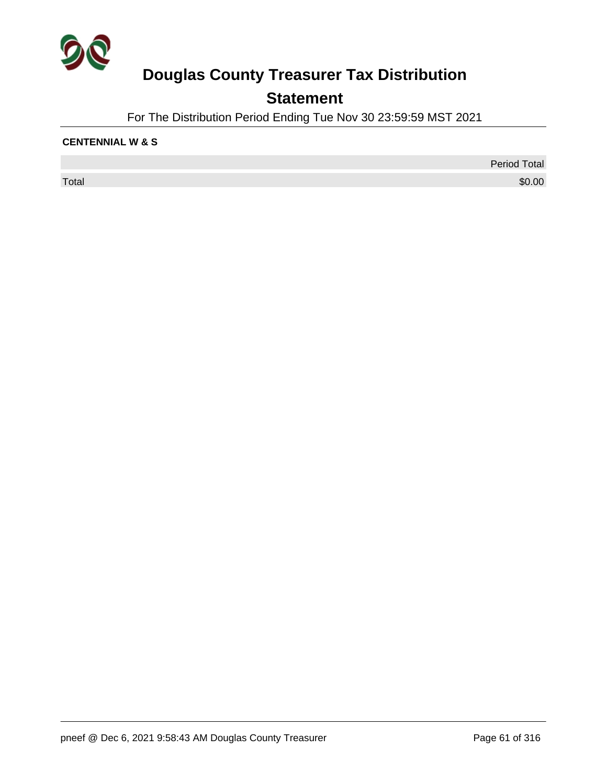

## **Statement**

For The Distribution Period Ending Tue Nov 30 23:59:59 MST 2021

#### **CENTENNIAL W & S**

 $\sf Total$   $\$0.00$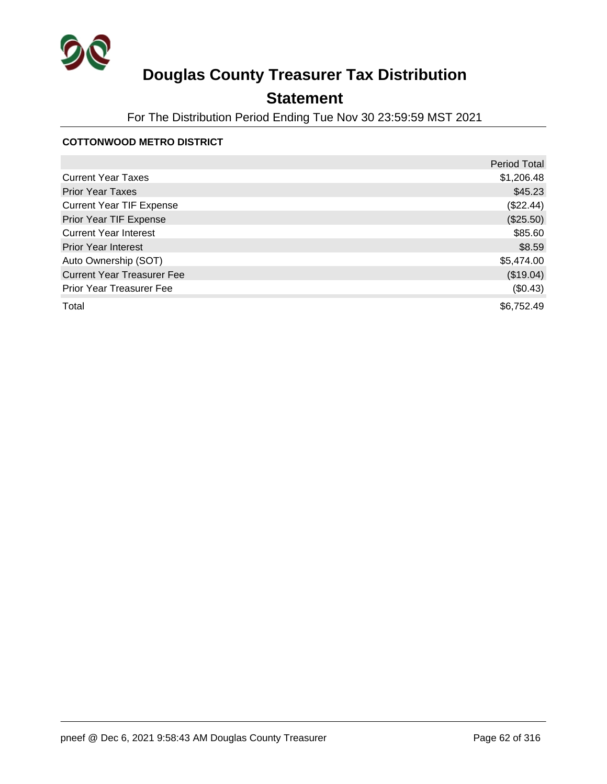

## **Statement**

For The Distribution Period Ending Tue Nov 30 23:59:59 MST 2021

#### **COTTONWOOD METRO DISTRICT**

|                                   | <b>Period Total</b> |
|-----------------------------------|---------------------|
| <b>Current Year Taxes</b>         | \$1,206.48          |
| <b>Prior Year Taxes</b>           | \$45.23             |
| <b>Current Year TIF Expense</b>   | (\$22.44)           |
| Prior Year TIF Expense            | (\$25.50)           |
| <b>Current Year Interest</b>      | \$85.60             |
| <b>Prior Year Interest</b>        | \$8.59              |
| Auto Ownership (SOT)              | \$5,474.00          |
| <b>Current Year Treasurer Fee</b> | (\$19.04)           |
| <b>Prior Year Treasurer Fee</b>   | (\$0.43)            |
| Total                             | \$6,752.49          |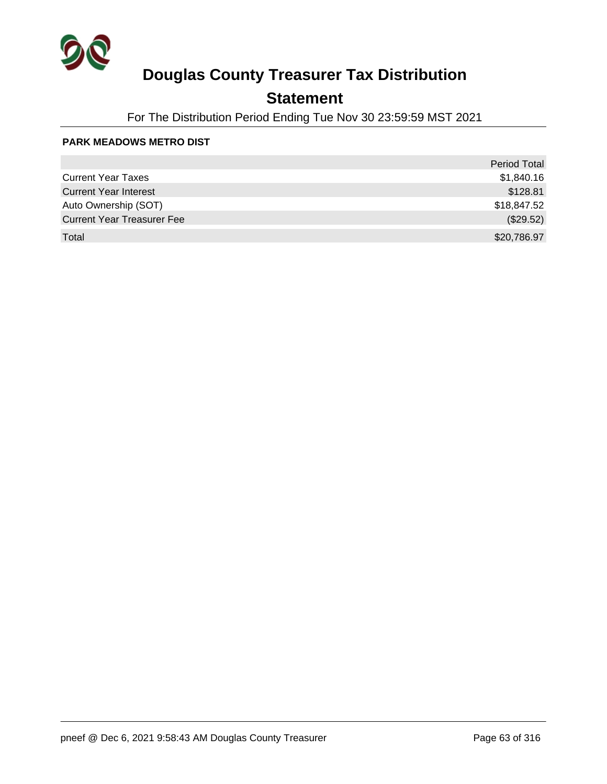

### **Statement**

For The Distribution Period Ending Tue Nov 30 23:59:59 MST 2021

#### **PARK MEADOWS METRO DIST**

|                                   | Period Total |
|-----------------------------------|--------------|
| <b>Current Year Taxes</b>         | \$1,840.16   |
| <b>Current Year Interest</b>      | \$128.81     |
| Auto Ownership (SOT)              | \$18,847.52  |
| <b>Current Year Treasurer Fee</b> | (\$29.52)    |
| Total                             | \$20,786.97  |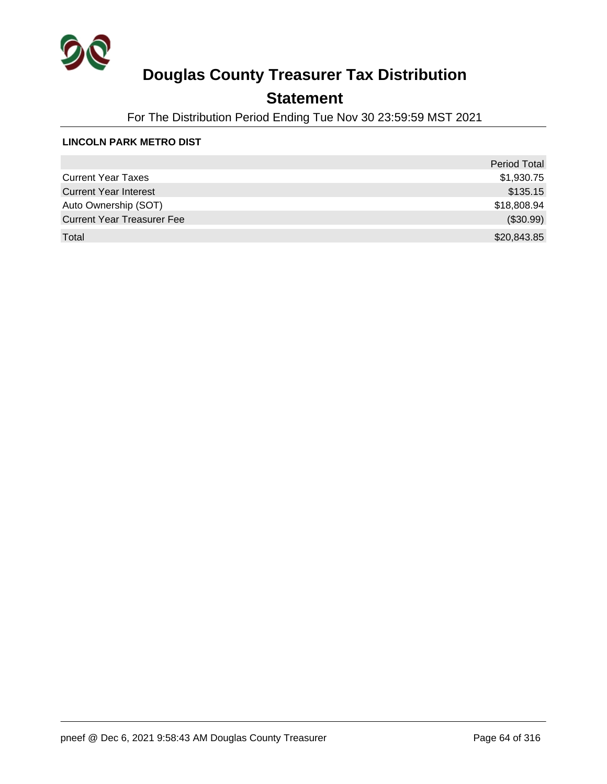

### **Statement**

For The Distribution Period Ending Tue Nov 30 23:59:59 MST 2021

#### **LINCOLN PARK METRO DIST**

|                                   | <b>Period Total</b> |
|-----------------------------------|---------------------|
| <b>Current Year Taxes</b>         | \$1,930.75          |
| <b>Current Year Interest</b>      | \$135.15            |
| Auto Ownership (SOT)              | \$18,808.94         |
| <b>Current Year Treasurer Fee</b> | (\$30.99)           |
| Total                             | \$20,843.85         |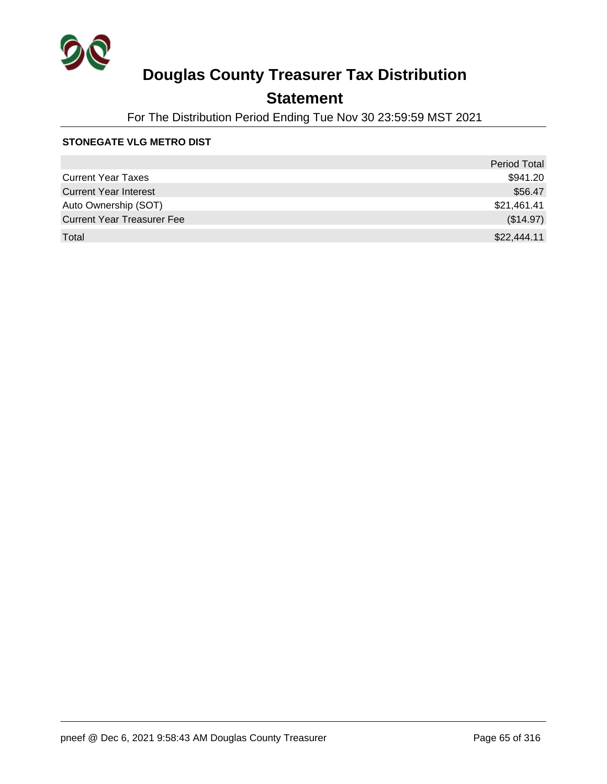

### **Statement**

For The Distribution Period Ending Tue Nov 30 23:59:59 MST 2021

#### **STONEGATE VLG METRO DIST**

|                                   | <b>Period Total</b> |
|-----------------------------------|---------------------|
| <b>Current Year Taxes</b>         | \$941.20            |
| <b>Current Year Interest</b>      | \$56.47             |
| Auto Ownership (SOT)              | \$21,461.41         |
| <b>Current Year Treasurer Fee</b> | (\$14.97)           |
| Total                             | \$22,444.11         |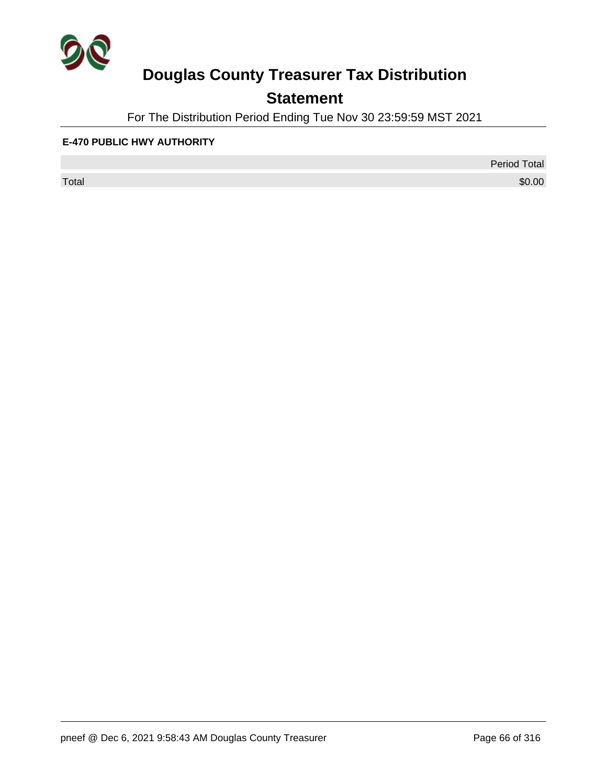

## **Statement**

For The Distribution Period Ending Tue Nov 30 23:59:59 MST 2021

#### **E-470 PUBLIC HWY AUTHORITY**

 $\sf Total$   $\$0.00$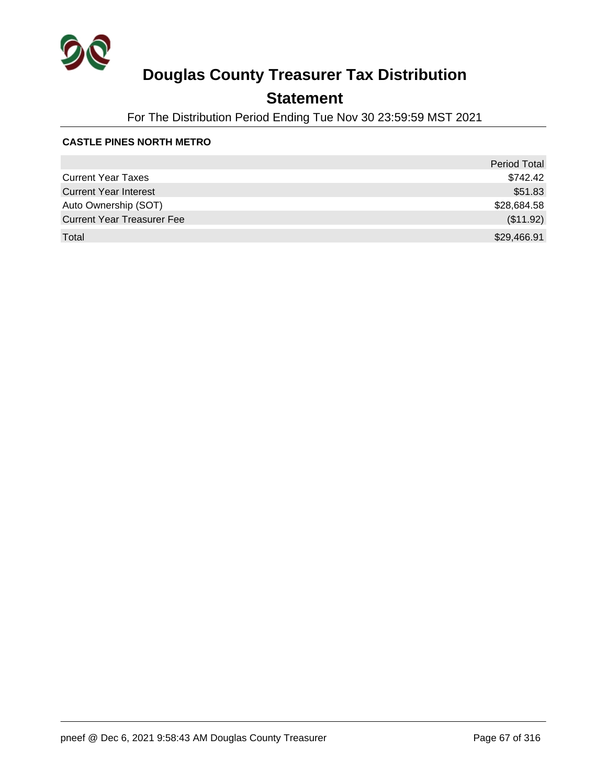

### **Statement**

For The Distribution Period Ending Tue Nov 30 23:59:59 MST 2021

#### **CASTLE PINES NORTH METRO**

|                                   | <b>Period Total</b> |
|-----------------------------------|---------------------|
| <b>Current Year Taxes</b>         | \$742.42            |
| <b>Current Year Interest</b>      | \$51.83             |
| Auto Ownership (SOT)              | \$28,684.58         |
| <b>Current Year Treasurer Fee</b> | (\$11.92)           |
| Total                             | \$29,466.91         |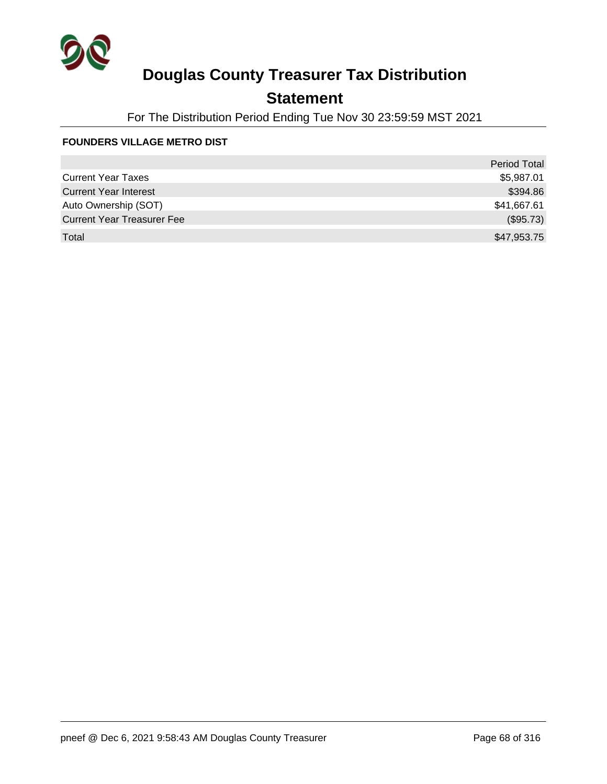

### **Statement**

For The Distribution Period Ending Tue Nov 30 23:59:59 MST 2021

#### **FOUNDERS VILLAGE METRO DIST**

|                                   | <b>Period Total</b> |
|-----------------------------------|---------------------|
| <b>Current Year Taxes</b>         | \$5,987.01          |
| <b>Current Year Interest</b>      | \$394.86            |
| Auto Ownership (SOT)              | \$41,667.61         |
| <b>Current Year Treasurer Fee</b> | (\$95.73)           |
| Total                             | \$47,953.75         |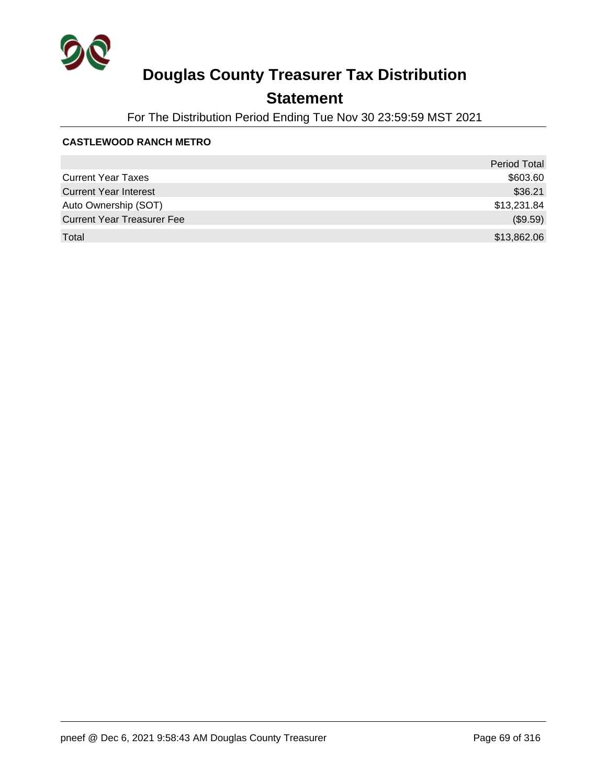

### **Statement**

For The Distribution Period Ending Tue Nov 30 23:59:59 MST 2021

#### **CASTLEWOOD RANCH METRO**

|                                   | <b>Period Total</b> |
|-----------------------------------|---------------------|
| <b>Current Year Taxes</b>         | \$603.60            |
| <b>Current Year Interest</b>      | \$36.21             |
| Auto Ownership (SOT)              | \$13,231.84         |
| <b>Current Year Treasurer Fee</b> | (\$9.59)            |
| Total                             | \$13,862.06         |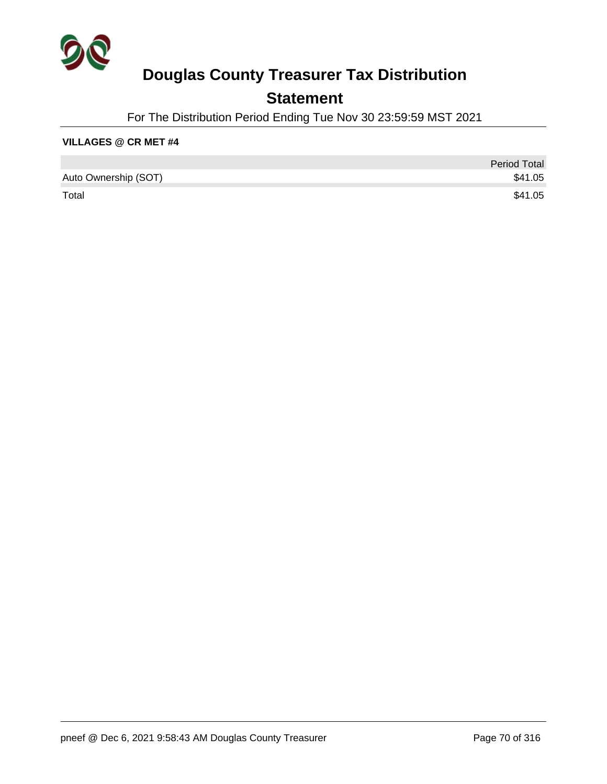

### **Statement**

For The Distribution Period Ending Tue Nov 30 23:59:59 MST 2021

#### **VILLAGES @ CR MET #4**

|                      | <b>Period Total</b> |
|----------------------|---------------------|
| Auto Ownership (SOT) | \$41.05             |
| Total                | \$41.05             |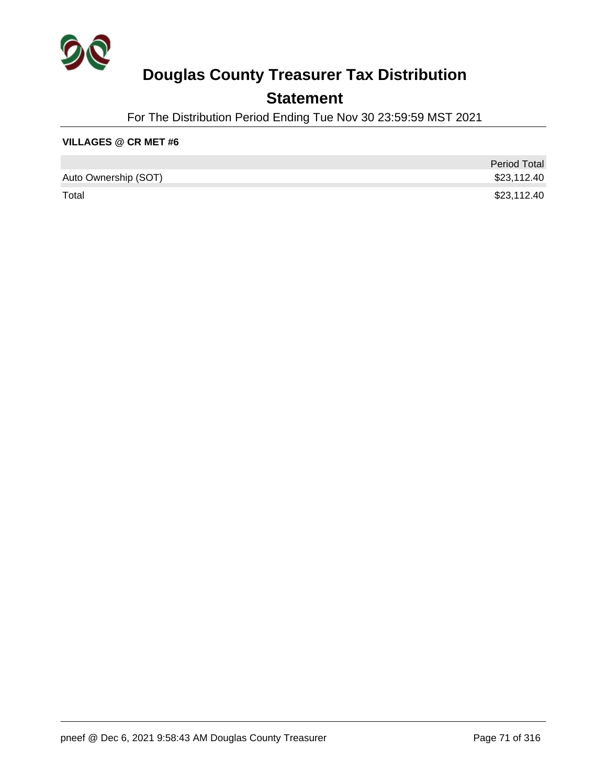

### **Statement**

For The Distribution Period Ending Tue Nov 30 23:59:59 MST 2021

#### **VILLAGES @ CR MET #6**

|                      | <b>Period Total</b> |
|----------------------|---------------------|
| Auto Ownership (SOT) | \$23,112.40         |
| Total                | \$23,112.40         |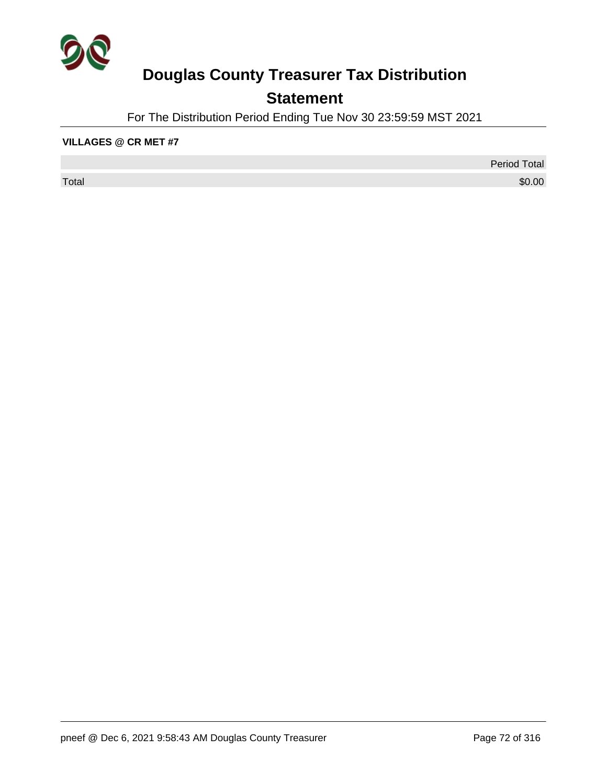

## **Statement**

For The Distribution Period Ending Tue Nov 30 23:59:59 MST 2021

#### **VILLAGES @ CR MET #7**

 $\sf Total$   $\$0.00$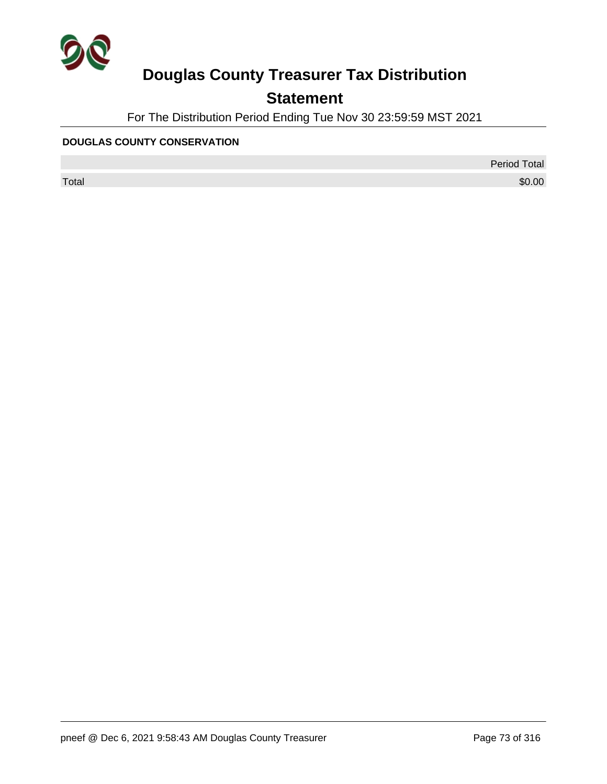

### **Statement**

For The Distribution Period Ending Tue Nov 30 23:59:59 MST 2021

#### **DOUGLAS COUNTY CONSERVATION**

Period Total

 $\sf Total$   $\$0.00$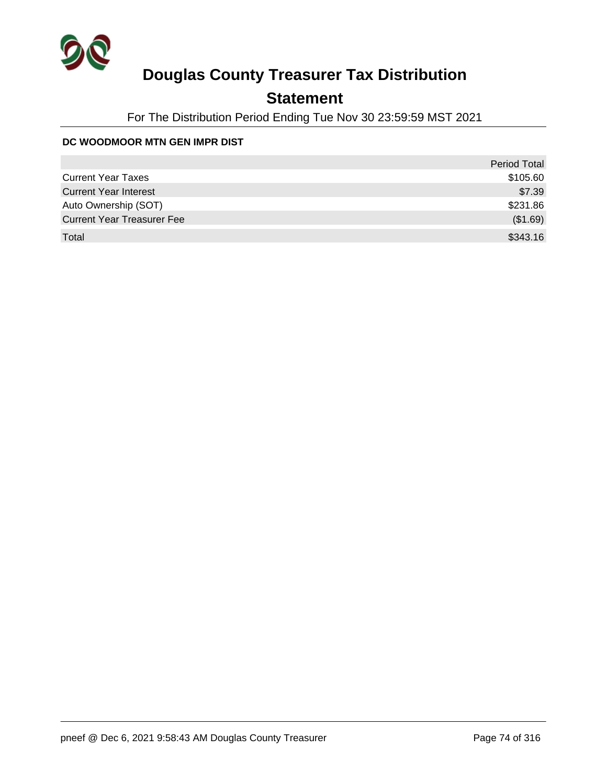

### **Statement**

For The Distribution Period Ending Tue Nov 30 23:59:59 MST 2021

#### **DC WOODMOOR MTN GEN IMPR DIST**

|                                   | <b>Period Total</b> |
|-----------------------------------|---------------------|
| <b>Current Year Taxes</b>         | \$105.60            |
| <b>Current Year Interest</b>      | \$7.39              |
| Auto Ownership (SOT)              | \$231.86            |
| <b>Current Year Treasurer Fee</b> | (\$1.69)            |
| Total                             | \$343.16            |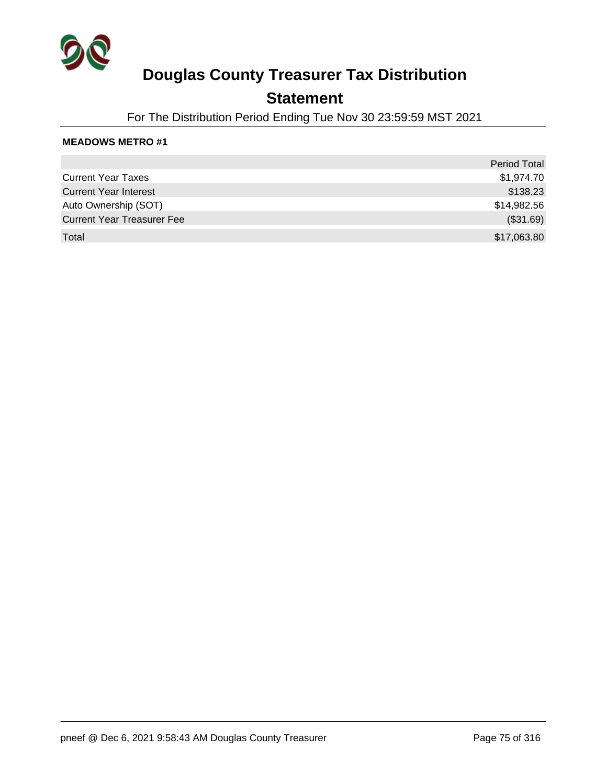

### **Statement**

For The Distribution Period Ending Tue Nov 30 23:59:59 MST 2021

|                                   | <b>Period Total</b> |
|-----------------------------------|---------------------|
| <b>Current Year Taxes</b>         | \$1,974.70          |
| <b>Current Year Interest</b>      | \$138.23            |
| Auto Ownership (SOT)              | \$14,982.56         |
| <b>Current Year Treasurer Fee</b> | (\$31.69)           |
| Total                             | \$17,063.80         |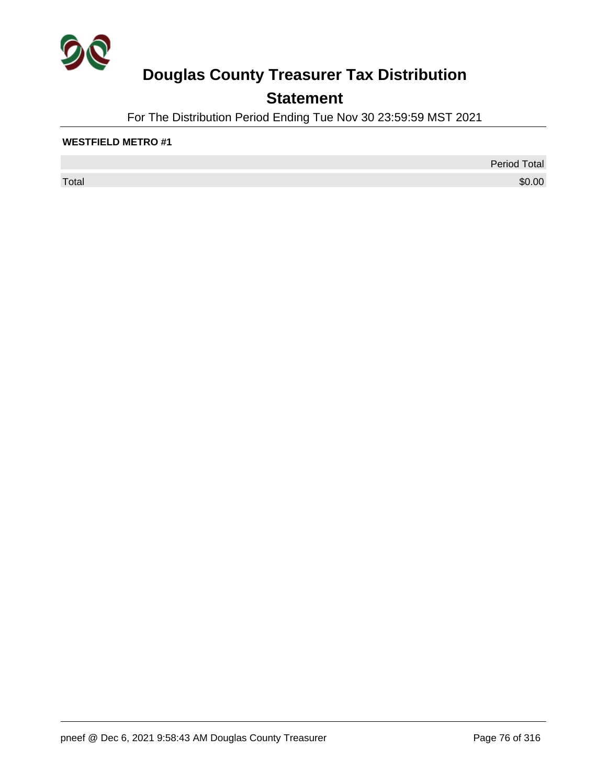

### **Statement**

For The Distribution Period Ending Tue Nov 30 23:59:59 MST 2021

#### **WESTFIELD METRO #1**

 $\sf Total$   $\$0.00$ 

Period Total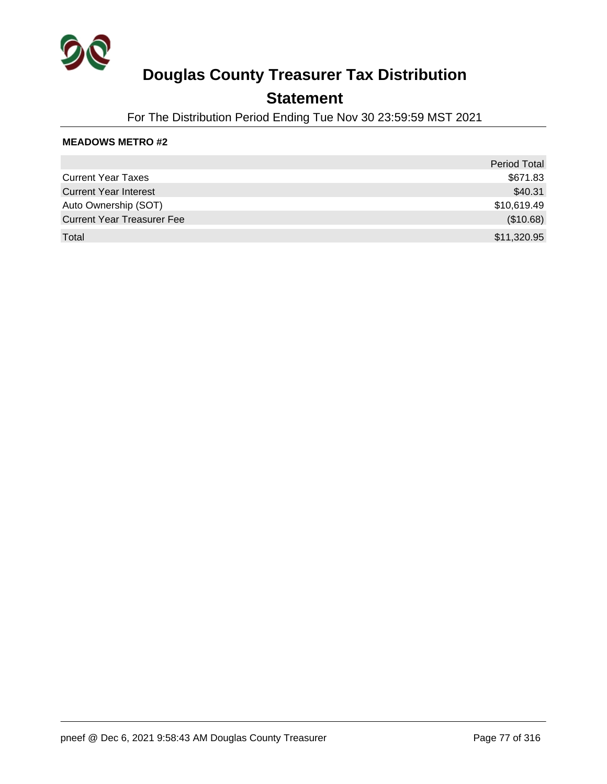

### **Statement**

For The Distribution Period Ending Tue Nov 30 23:59:59 MST 2021

|                                   | Period Total |
|-----------------------------------|--------------|
| <b>Current Year Taxes</b>         | \$671.83     |
| <b>Current Year Interest</b>      | \$40.31      |
| Auto Ownership (SOT)              | \$10,619.49  |
| <b>Current Year Treasurer Fee</b> | (\$10.68)    |
| Total                             | \$11,320.95  |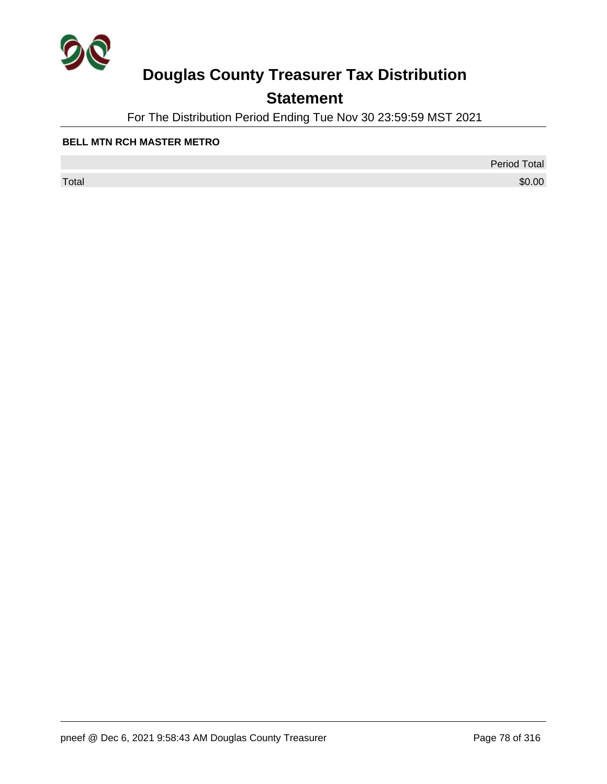

### **Statement**

For The Distribution Period Ending Tue Nov 30 23:59:59 MST 2021

#### **BELL MTN RCH MASTER METRO**

 $\sf Total$   $\$0.00$ 

Period Total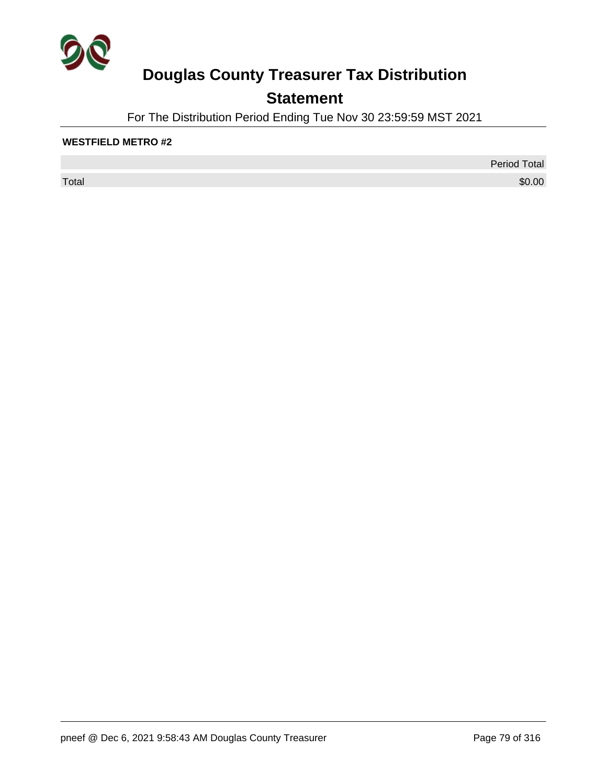

### **Statement**

For The Distribution Period Ending Tue Nov 30 23:59:59 MST 2021

#### **WESTFIELD METRO #2**

 $\sf Total$   $\$0.00$ 

Period Total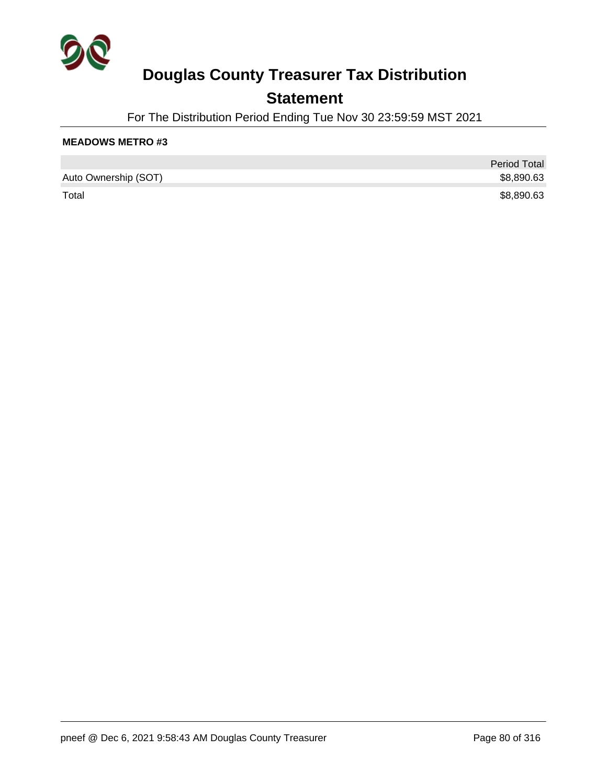

### **Statement**

For The Distribution Period Ending Tue Nov 30 23:59:59 MST 2021

|                      | <b>Period Total</b> |
|----------------------|---------------------|
| Auto Ownership (SOT) | \$8,890.63          |
| Total                | \$8,890.63          |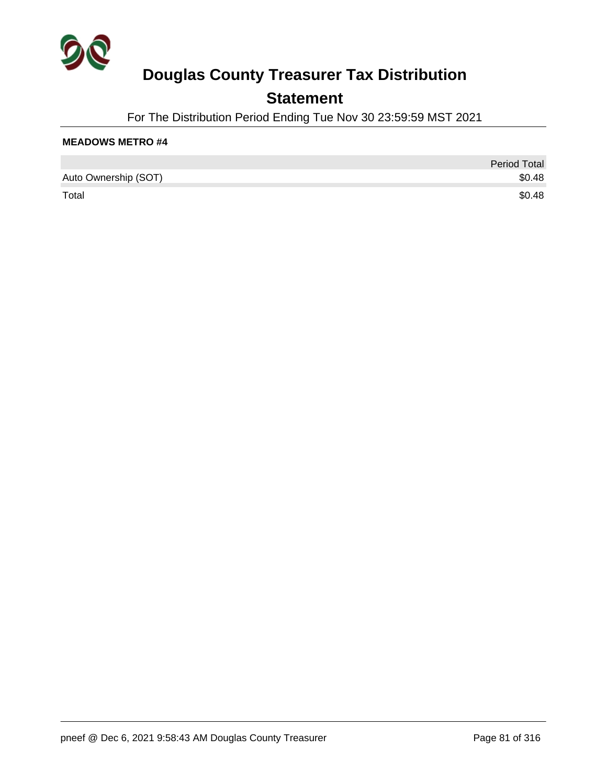

### **Statement**

For The Distribution Period Ending Tue Nov 30 23:59:59 MST 2021

|                      | <b>Period Total</b> |
|----------------------|---------------------|
| Auto Ownership (SOT) | \$0.48              |
| Total                | \$0.48              |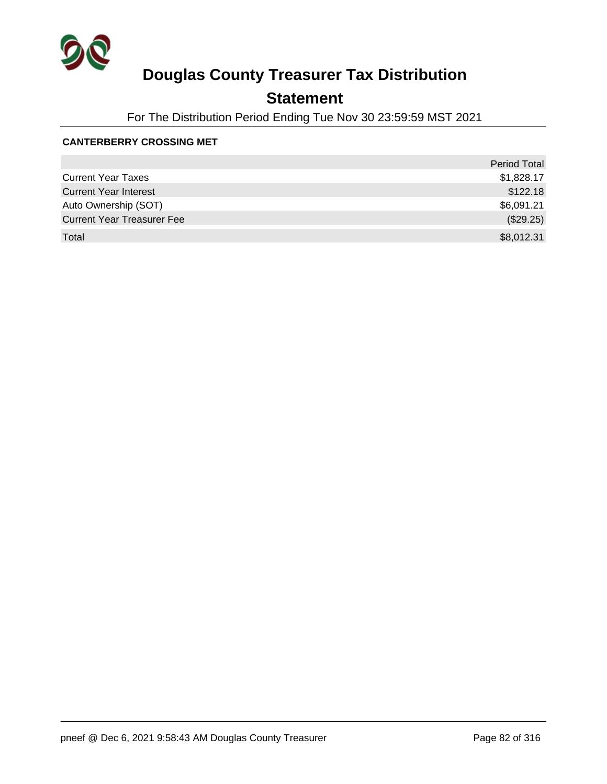

### **Statement**

For The Distribution Period Ending Tue Nov 30 23:59:59 MST 2021

#### **CANTERBERRY CROSSING MET**

|                                   | <b>Period Total</b> |
|-----------------------------------|---------------------|
| <b>Current Year Taxes</b>         | \$1,828.17          |
| <b>Current Year Interest</b>      | \$122.18            |
| Auto Ownership (SOT)              | \$6,091.21          |
| <b>Current Year Treasurer Fee</b> | (\$29.25)           |
| Total                             | \$8,012.31          |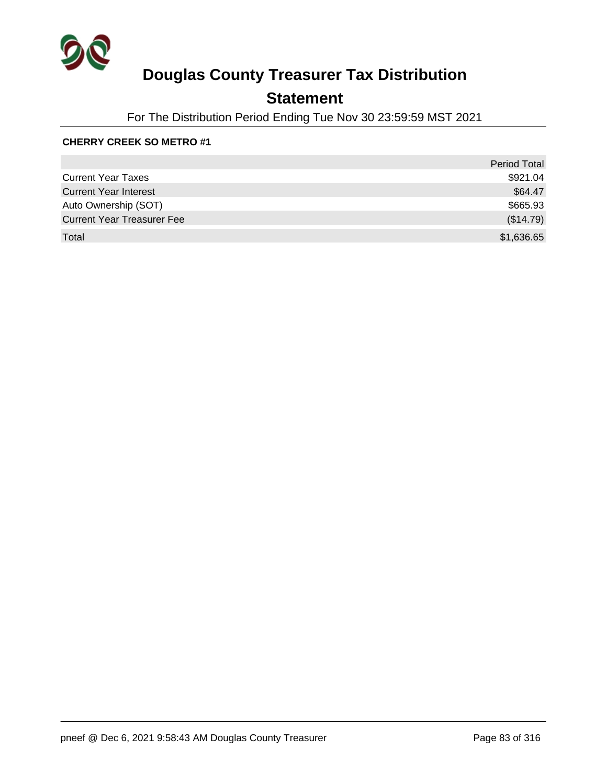

### **Statement**

For The Distribution Period Ending Tue Nov 30 23:59:59 MST 2021

#### **CHERRY CREEK SO METRO #1**

|                                   | <b>Period Total</b> |
|-----------------------------------|---------------------|
| <b>Current Year Taxes</b>         | \$921.04            |
| <b>Current Year Interest</b>      | \$64.47             |
| Auto Ownership (SOT)              | \$665.93            |
| <b>Current Year Treasurer Fee</b> | (\$14.79)           |
| Total                             | \$1,636.65          |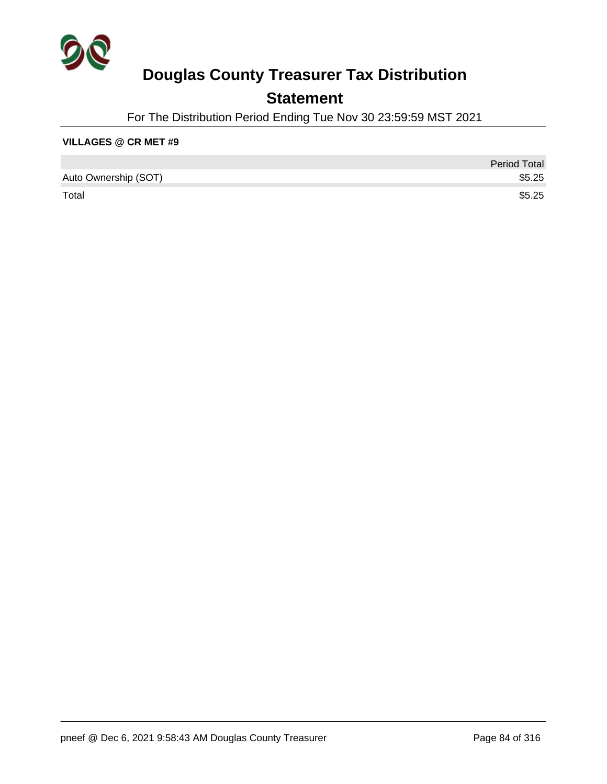

### **Statement**

For The Distribution Period Ending Tue Nov 30 23:59:59 MST 2021

#### **VILLAGES @ CR MET #9**

|                      | <b>Period Total</b> |
|----------------------|---------------------|
| Auto Ownership (SOT) | \$5.25              |
| Total                | \$5.25              |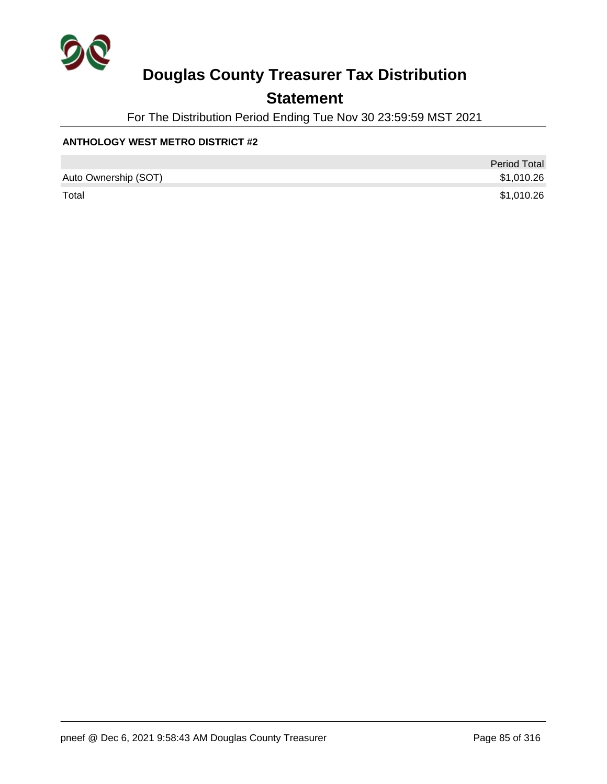

### **Statement**

For The Distribution Period Ending Tue Nov 30 23:59:59 MST 2021

#### **ANTHOLOGY WEST METRO DISTRICT #2**

|                      | <b>Period Total</b> |
|----------------------|---------------------|
| Auto Ownership (SOT) | \$1,010.26          |
| Total                | \$1,010.26          |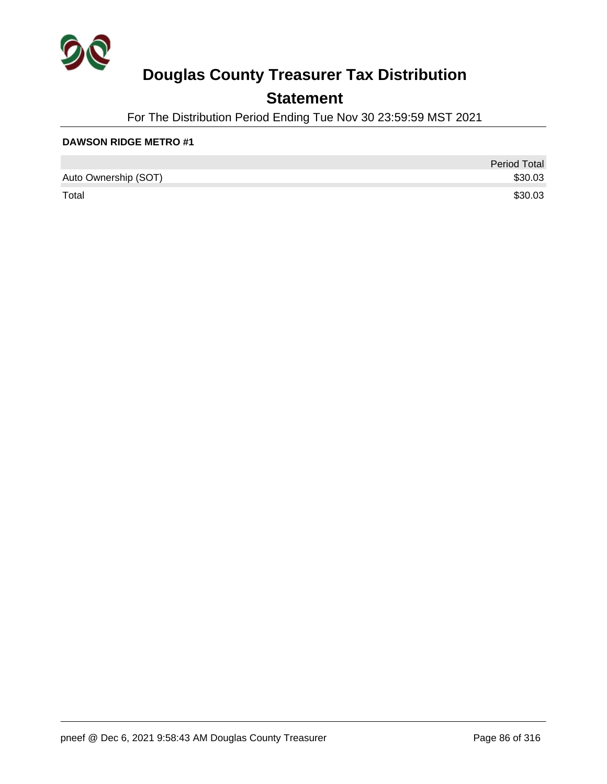

### **Statement**

For The Distribution Period Ending Tue Nov 30 23:59:59 MST 2021

|                      | <b>Period Total</b> |
|----------------------|---------------------|
| Auto Ownership (SOT) | \$30.03             |
| Total                | \$30.03             |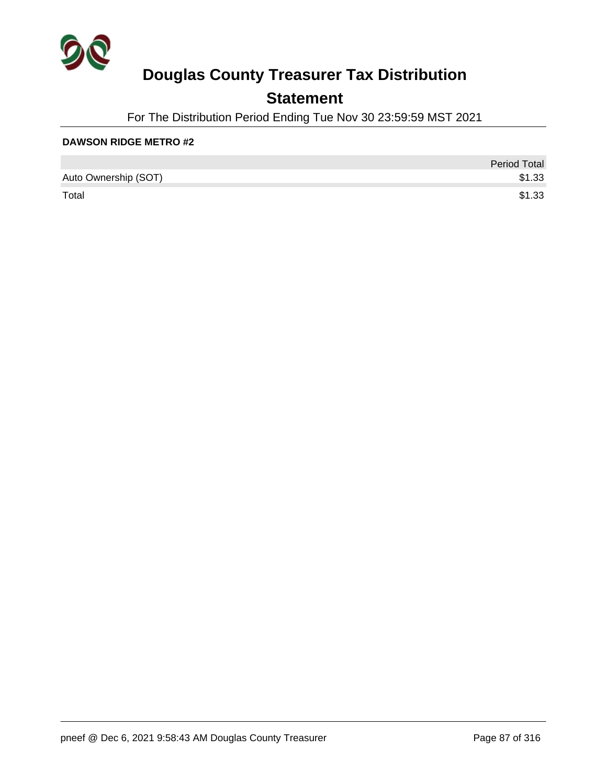

### **Statement**

For The Distribution Period Ending Tue Nov 30 23:59:59 MST 2021

|                      | <b>Period Total</b> |
|----------------------|---------------------|
| Auto Ownership (SOT) | \$1.33              |
| Total                | \$1.33              |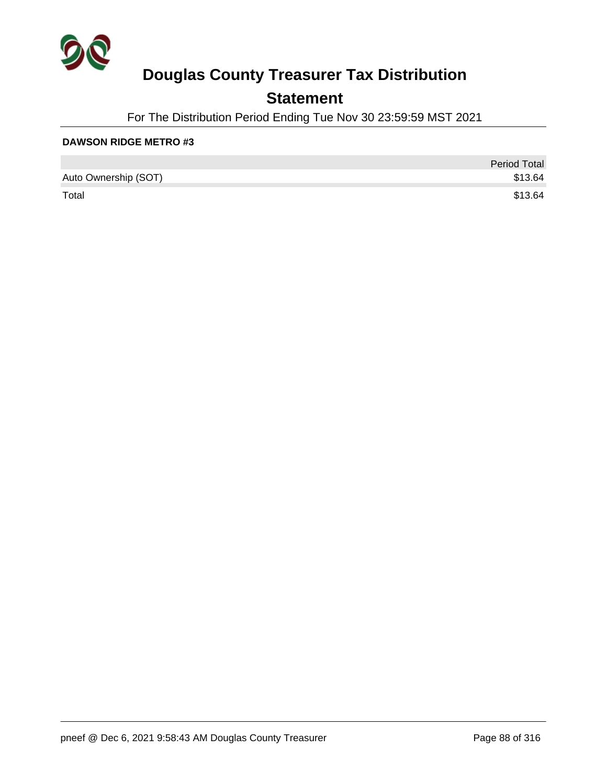

### **Statement**

For The Distribution Period Ending Tue Nov 30 23:59:59 MST 2021

|                      | <b>Period Total</b> |
|----------------------|---------------------|
| Auto Ownership (SOT) | \$13.64             |
| Total                | \$13.64             |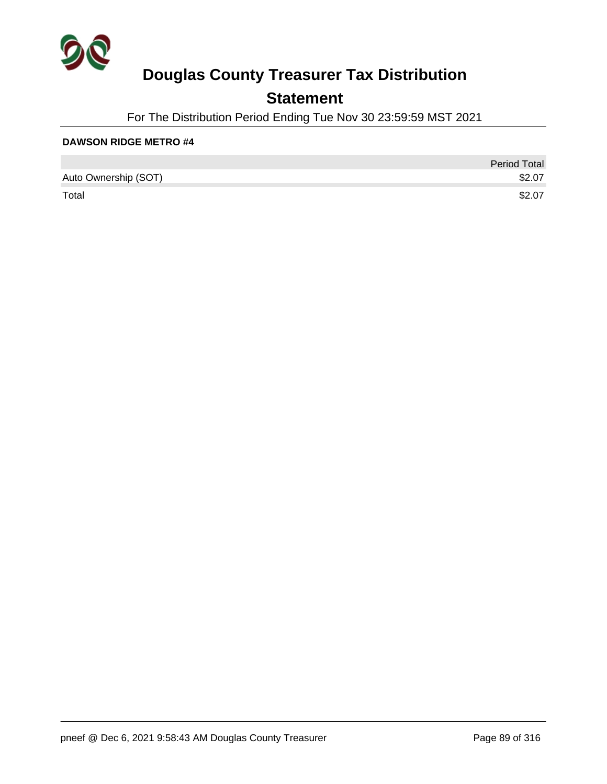

### **Statement**

For The Distribution Period Ending Tue Nov 30 23:59:59 MST 2021

|                      | <b>Period Total</b> |
|----------------------|---------------------|
| Auto Ownership (SOT) | \$2.07              |
| Total                | \$2.07              |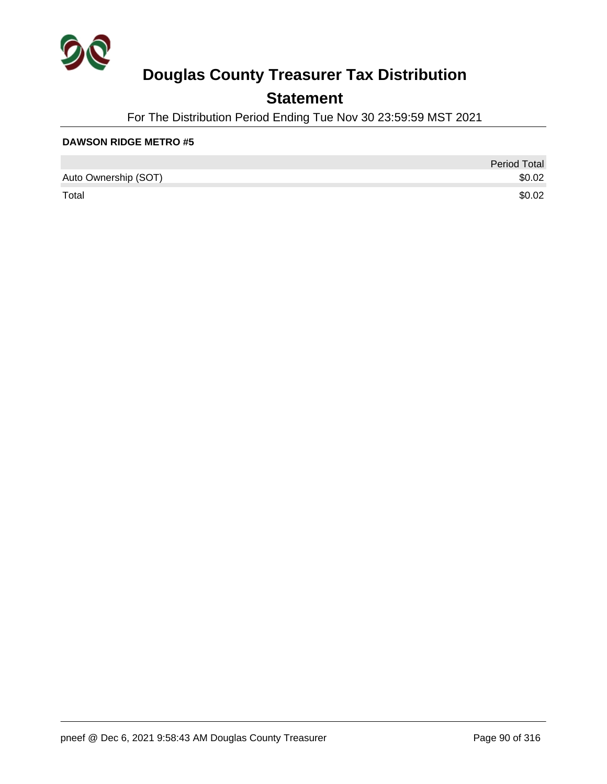

### **Statement**

For The Distribution Period Ending Tue Nov 30 23:59:59 MST 2021

|                      | <b>Period Total</b> |
|----------------------|---------------------|
| Auto Ownership (SOT) | \$0.02              |
| Total                | \$0.02              |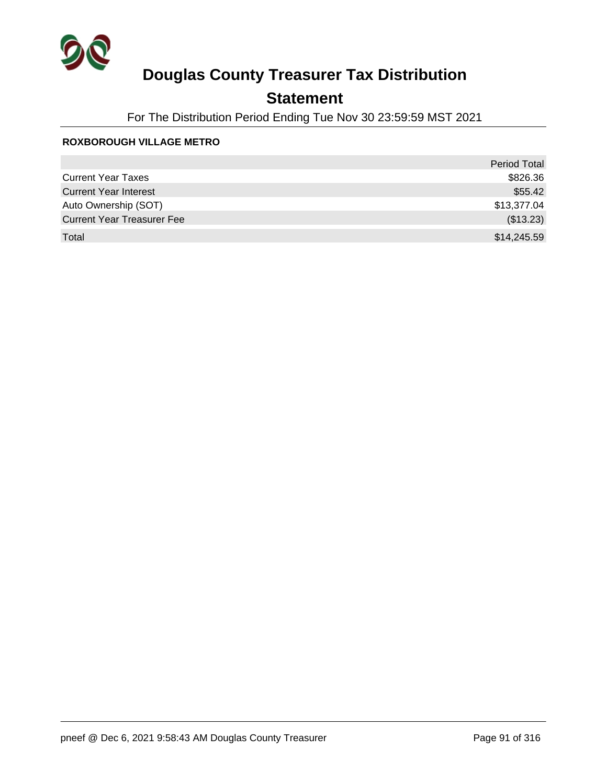

### **Statement**

For The Distribution Period Ending Tue Nov 30 23:59:59 MST 2021

#### **ROXBOROUGH VILLAGE METRO**

|                                   | <b>Period Total</b> |
|-----------------------------------|---------------------|
| <b>Current Year Taxes</b>         | \$826.36            |
| <b>Current Year Interest</b>      | \$55.42             |
| Auto Ownership (SOT)              | \$13,377.04         |
| <b>Current Year Treasurer Fee</b> | (\$13.23)           |
| Total                             | \$14,245.59         |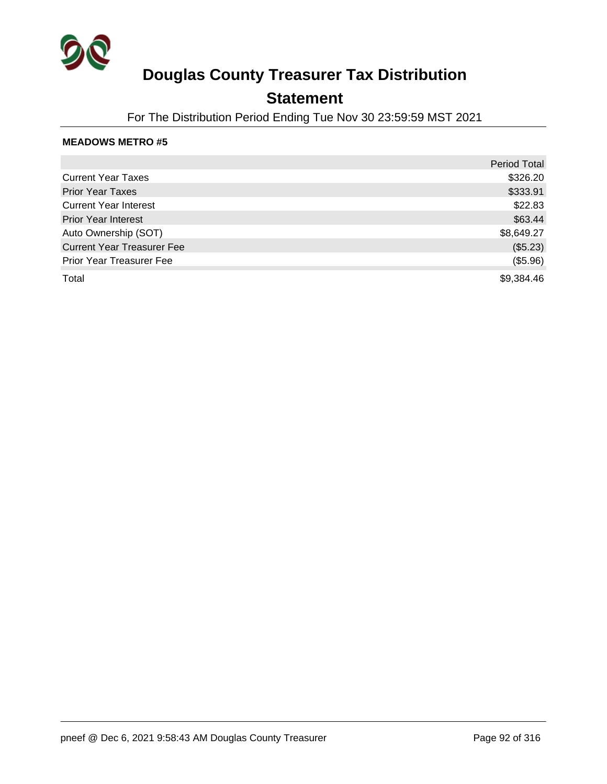

### **Statement**

For The Distribution Period Ending Tue Nov 30 23:59:59 MST 2021

|                                   | <b>Period Total</b> |
|-----------------------------------|---------------------|
| <b>Current Year Taxes</b>         | \$326.20            |
| <b>Prior Year Taxes</b>           | \$333.91            |
| <b>Current Year Interest</b>      | \$22.83             |
| <b>Prior Year Interest</b>        | \$63.44             |
| Auto Ownership (SOT)              | \$8,649.27          |
| <b>Current Year Treasurer Fee</b> | (\$5.23)            |
| <b>Prior Year Treasurer Fee</b>   | (\$5.96)            |
| Total                             | \$9,384.46          |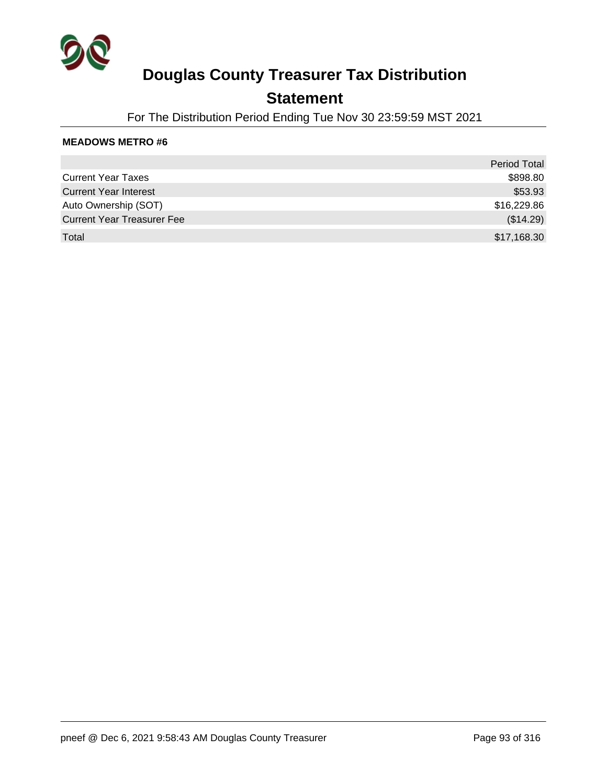

### **Statement**

For The Distribution Period Ending Tue Nov 30 23:59:59 MST 2021

|                                   | <b>Period Total</b> |
|-----------------------------------|---------------------|
| <b>Current Year Taxes</b>         | \$898.80            |
| <b>Current Year Interest</b>      | \$53.93             |
| Auto Ownership (SOT)              | \$16,229.86         |
| <b>Current Year Treasurer Fee</b> | (\$14.29)           |
| Total                             | \$17,168.30         |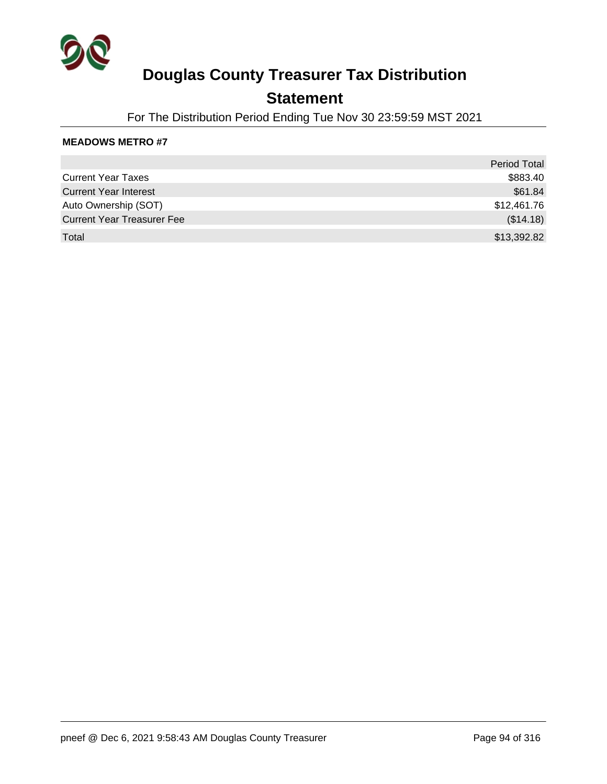

### **Statement**

For The Distribution Period Ending Tue Nov 30 23:59:59 MST 2021

|                                   | <b>Period Total</b> |
|-----------------------------------|---------------------|
| <b>Current Year Taxes</b>         | \$883.40            |
| <b>Current Year Interest</b>      | \$61.84             |
| Auto Ownership (SOT)              | \$12,461.76         |
| <b>Current Year Treasurer Fee</b> | (\$14.18)           |
| Total                             | \$13,392.82         |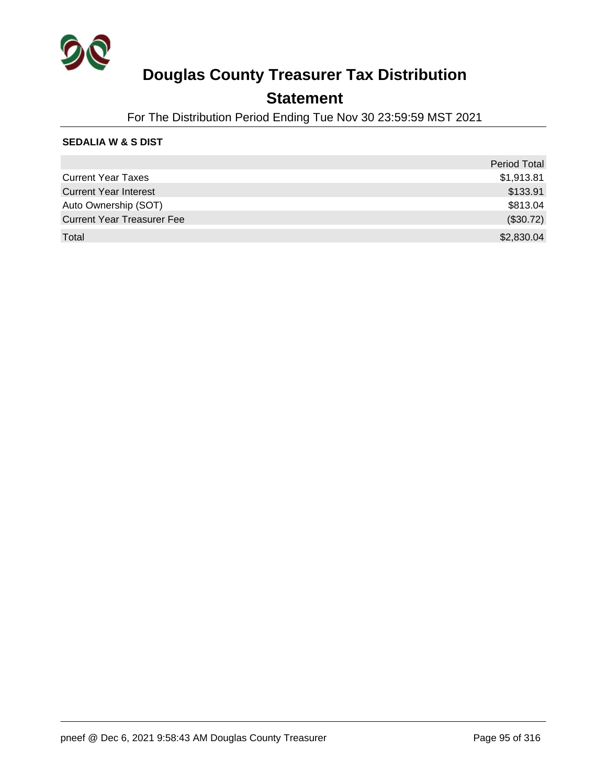

### **Statement**

For The Distribution Period Ending Tue Nov 30 23:59:59 MST 2021

#### **SEDALIA W & S DIST**

|                                   | Period Total |
|-----------------------------------|--------------|
| <b>Current Year Taxes</b>         | \$1,913.81   |
| <b>Current Year Interest</b>      | \$133.91     |
| Auto Ownership (SOT)              | \$813.04     |
| <b>Current Year Treasurer Fee</b> | (\$30.72)    |
| Total                             | \$2,830.04   |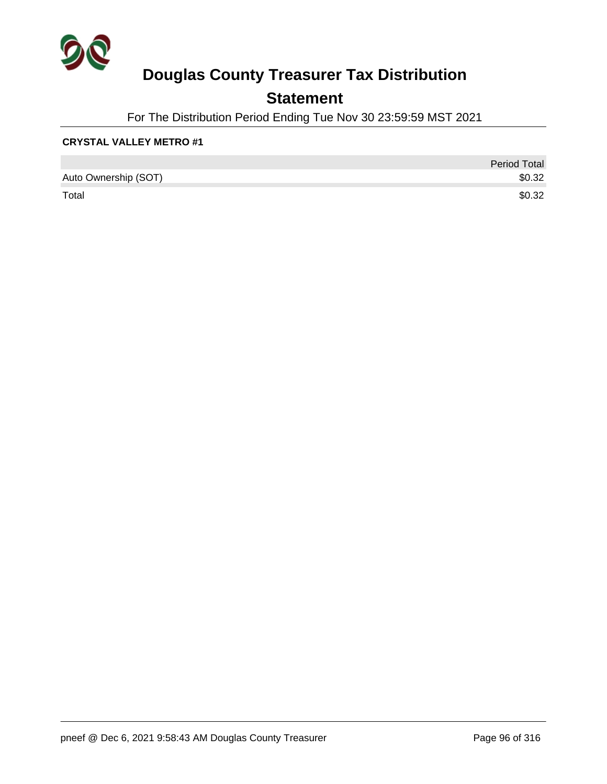

### **Statement**

For The Distribution Period Ending Tue Nov 30 23:59:59 MST 2021

#### **CRYSTAL VALLEY METRO #1**

|                      | <b>Period Total</b> |
|----------------------|---------------------|
| Auto Ownership (SOT) | \$0.32              |
| Total                | \$0.32              |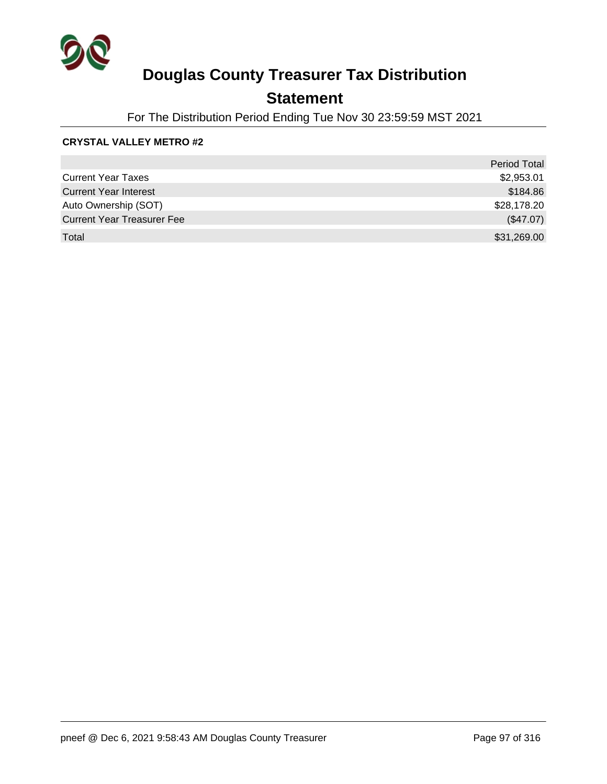

### **Statement**

For The Distribution Period Ending Tue Nov 30 23:59:59 MST 2021

#### **CRYSTAL VALLEY METRO #2**

|                                   | <b>Period Total</b> |
|-----------------------------------|---------------------|
| <b>Current Year Taxes</b>         | \$2,953.01          |
| <b>Current Year Interest</b>      | \$184.86            |
| Auto Ownership (SOT)              | \$28,178.20         |
| <b>Current Year Treasurer Fee</b> | (\$47.07)           |
| Total                             | \$31,269.00         |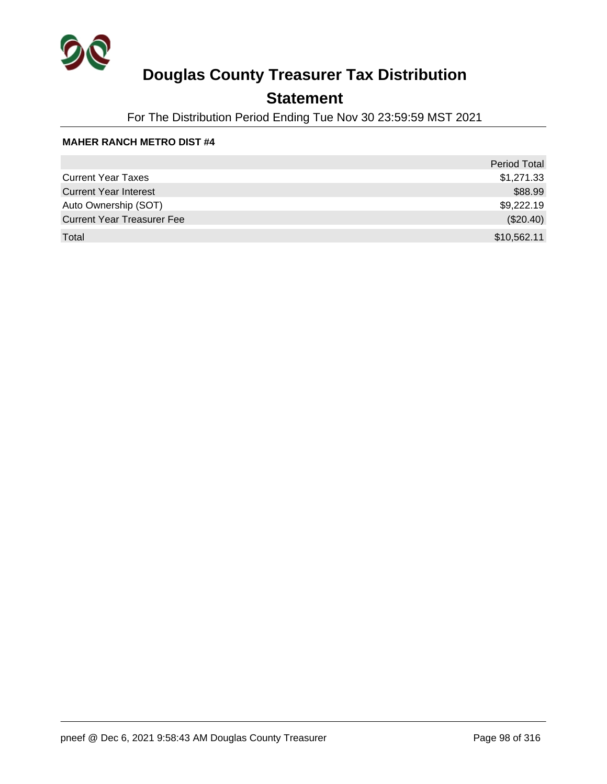

### **Statement**

For The Distribution Period Ending Tue Nov 30 23:59:59 MST 2021

#### **MAHER RANCH METRO DIST #4**

|                                   | <b>Period Total</b> |
|-----------------------------------|---------------------|
| <b>Current Year Taxes</b>         | \$1,271.33          |
| <b>Current Year Interest</b>      | \$88.99             |
| Auto Ownership (SOT)              | \$9,222.19          |
| <b>Current Year Treasurer Fee</b> | (\$20.40)           |
| Total                             | \$10,562.11         |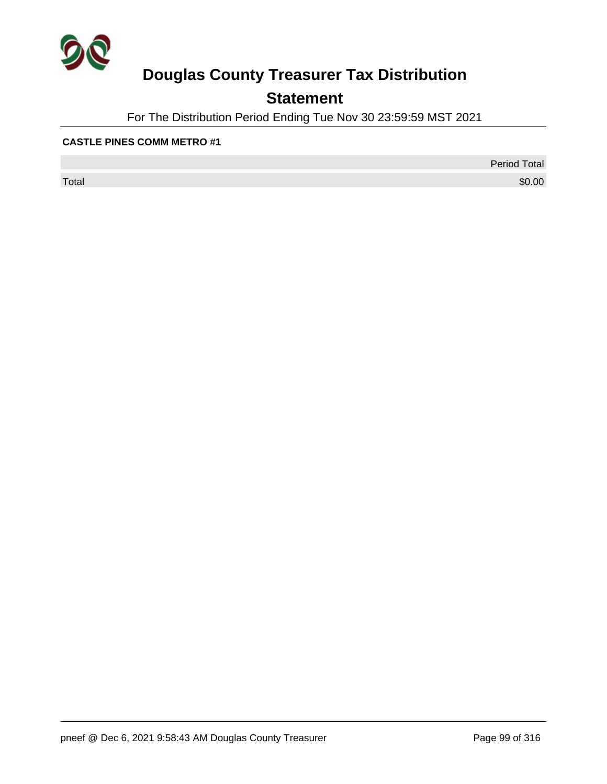

### **Statement**

For The Distribution Period Ending Tue Nov 30 23:59:59 MST 2021

#### **CASTLE PINES COMM METRO #1**

 $\sf Total$   $\$0.00$ 

Period Total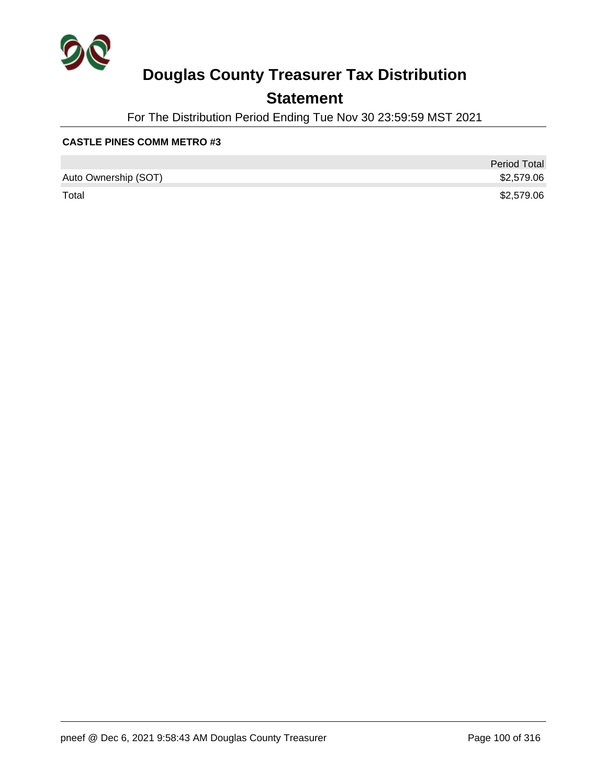

### **Statement**

For The Distribution Period Ending Tue Nov 30 23:59:59 MST 2021

#### **CASTLE PINES COMM METRO #3**

|                      | <b>Period Total</b> |
|----------------------|---------------------|
| Auto Ownership (SOT) | \$2,579.06          |
| Total                | \$2,579.06          |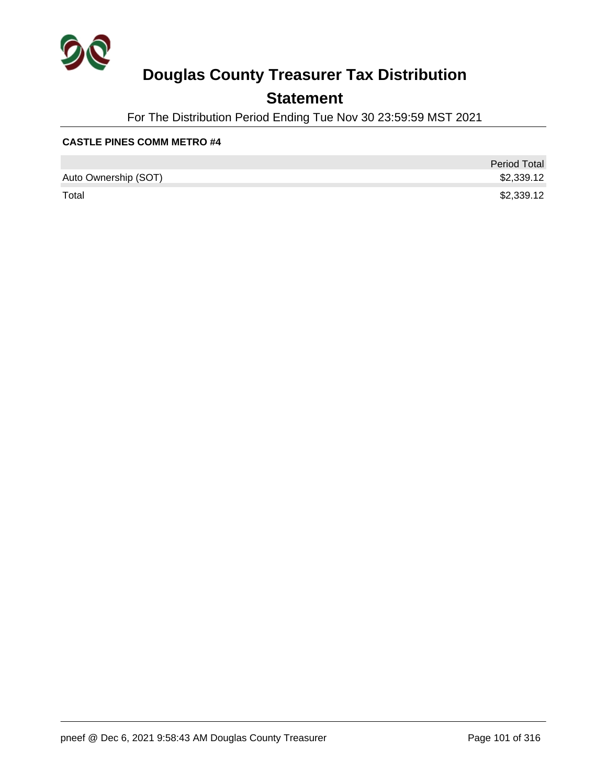

### **Statement**

For The Distribution Period Ending Tue Nov 30 23:59:59 MST 2021

#### **CASTLE PINES COMM METRO #4**

|                      | <b>Period Total</b> |
|----------------------|---------------------|
| Auto Ownership (SOT) | \$2,339.12          |
| Total                | \$2,339.12          |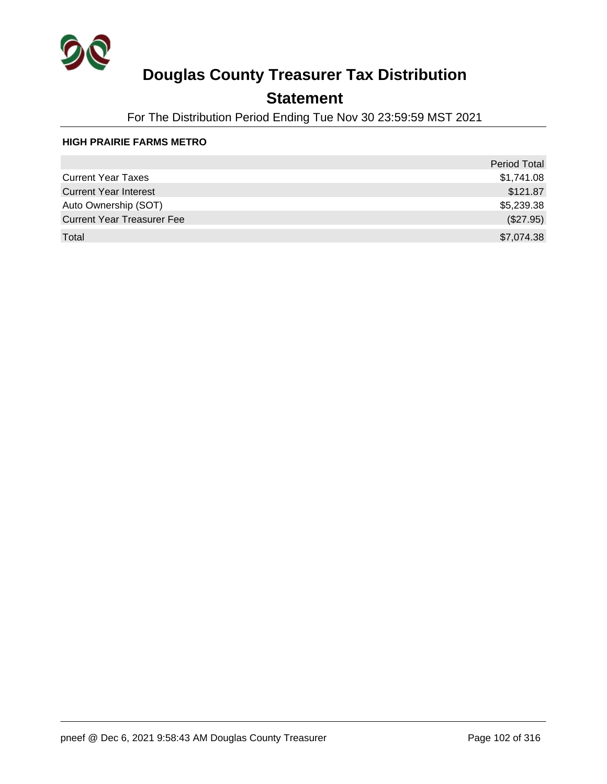

### **Statement**

For The Distribution Period Ending Tue Nov 30 23:59:59 MST 2021

#### **HIGH PRAIRIE FARMS METRO**

|                                   | <b>Period Total</b> |
|-----------------------------------|---------------------|
| <b>Current Year Taxes</b>         | \$1,741.08          |
| <b>Current Year Interest</b>      | \$121.87            |
| Auto Ownership (SOT)              | \$5,239.38          |
| <b>Current Year Treasurer Fee</b> | (\$27.95)           |
| Total                             | \$7,074.38          |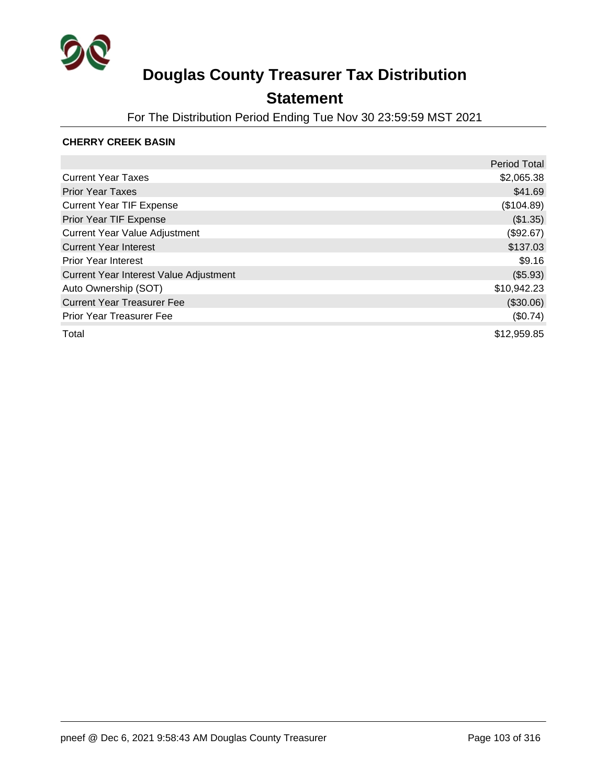

### **Statement**

For The Distribution Period Ending Tue Nov 30 23:59:59 MST 2021

#### **CHERRY CREEK BASIN**

|                                        | <b>Period Total</b> |
|----------------------------------------|---------------------|
| <b>Current Year Taxes</b>              | \$2,065.38          |
| <b>Prior Year Taxes</b>                | \$41.69             |
| <b>Current Year TIF Expense</b>        | (\$104.89)          |
| Prior Year TIF Expense                 | (\$1.35)            |
| <b>Current Year Value Adjustment</b>   | (\$92.67)           |
| <b>Current Year Interest</b>           | \$137.03            |
| <b>Prior Year Interest</b>             | \$9.16              |
| Current Year Interest Value Adjustment | (\$5.93)            |
| Auto Ownership (SOT)                   | \$10,942.23         |
| <b>Current Year Treasurer Fee</b>      | (\$30.06)           |
| <b>Prior Year Treasurer Fee</b>        | (\$0.74)            |
| Total                                  | \$12,959.85         |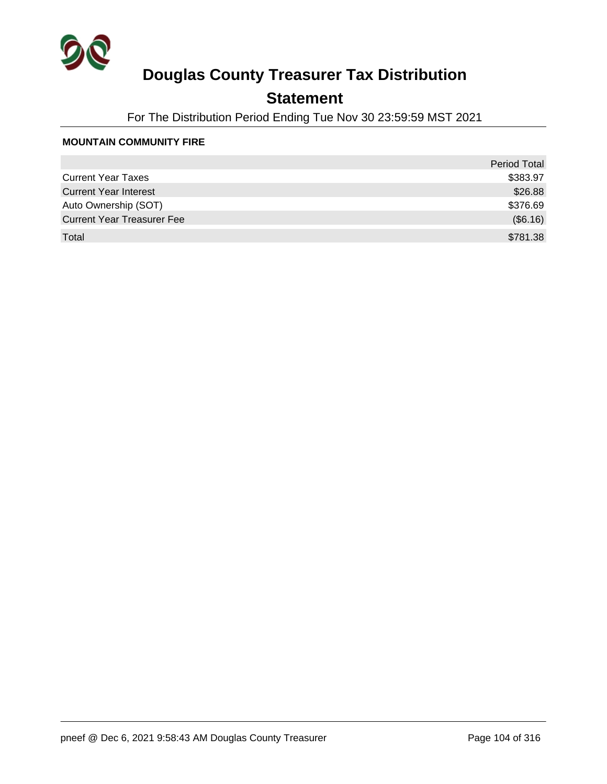

### **Statement**

For The Distribution Period Ending Tue Nov 30 23:59:59 MST 2021

#### **MOUNTAIN COMMUNITY FIRE**

|                                   | <b>Period Total</b> |
|-----------------------------------|---------------------|
| <b>Current Year Taxes</b>         | \$383.97            |
| <b>Current Year Interest</b>      | \$26.88             |
| Auto Ownership (SOT)              | \$376.69            |
| <b>Current Year Treasurer Fee</b> | (\$6.16)            |
| Total                             | \$781.38            |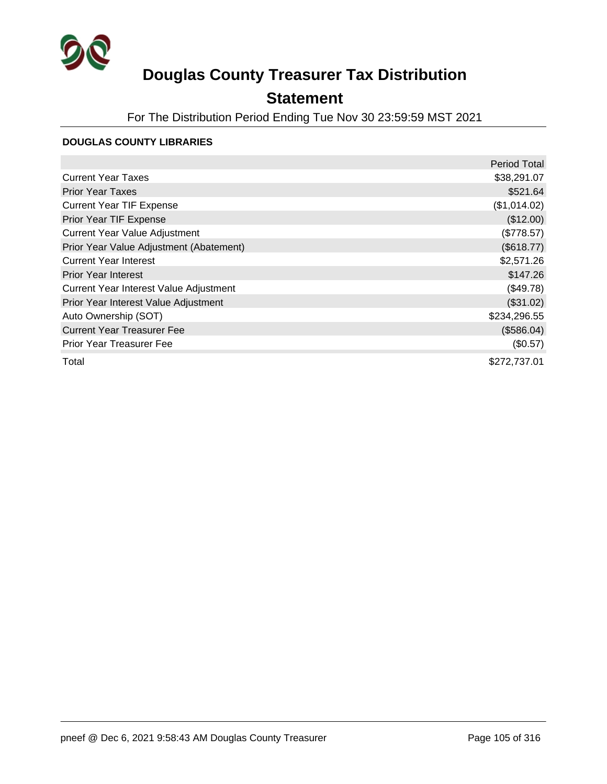

### **Statement**

For The Distribution Period Ending Tue Nov 30 23:59:59 MST 2021

#### **DOUGLAS COUNTY LIBRARIES**

|                                         | <b>Period Total</b> |
|-----------------------------------------|---------------------|
| <b>Current Year Taxes</b>               | \$38,291.07         |
| <b>Prior Year Taxes</b>                 | \$521.64            |
| <b>Current Year TIF Expense</b>         | (\$1,014.02)        |
| Prior Year TIF Expense                  | (\$12.00)           |
| <b>Current Year Value Adjustment</b>    | (\$778.57)          |
| Prior Year Value Adjustment (Abatement) | (\$618.77)          |
| <b>Current Year Interest</b>            | \$2,571.26          |
| <b>Prior Year Interest</b>              | \$147.26            |
| Current Year Interest Value Adjustment  | (\$49.78)           |
| Prior Year Interest Value Adjustment    | (\$31.02)           |
| Auto Ownership (SOT)                    | \$234,296.55        |
| <b>Current Year Treasurer Fee</b>       | (\$586.04)          |
| <b>Prior Year Treasurer Fee</b>         | (\$0.57)            |
| Total                                   | \$272,737.01        |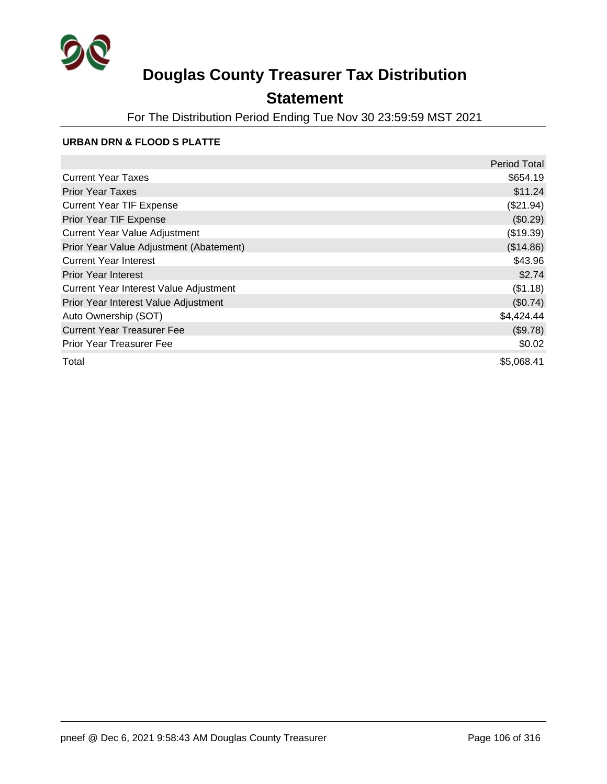

### **Statement**

For The Distribution Period Ending Tue Nov 30 23:59:59 MST 2021

#### **URBAN DRN & FLOOD S PLATTE**

|                                         | <b>Period Total</b> |
|-----------------------------------------|---------------------|
| <b>Current Year Taxes</b>               | \$654.19            |
| <b>Prior Year Taxes</b>                 | \$11.24             |
| <b>Current Year TIF Expense</b>         | (\$21.94)           |
| Prior Year TIF Expense                  | (\$0.29)            |
| <b>Current Year Value Adjustment</b>    | (\$19.39)           |
| Prior Year Value Adjustment (Abatement) | (\$14.86)           |
| <b>Current Year Interest</b>            | \$43.96             |
| <b>Prior Year Interest</b>              | \$2.74              |
| Current Year Interest Value Adjustment  | (\$1.18)            |
| Prior Year Interest Value Adjustment    | (\$0.74)            |
| Auto Ownership (SOT)                    | \$4,424.44          |
| <b>Current Year Treasurer Fee</b>       | (\$9.78)            |
| <b>Prior Year Treasurer Fee</b>         | \$0.02              |
| Total                                   | \$5,068.41          |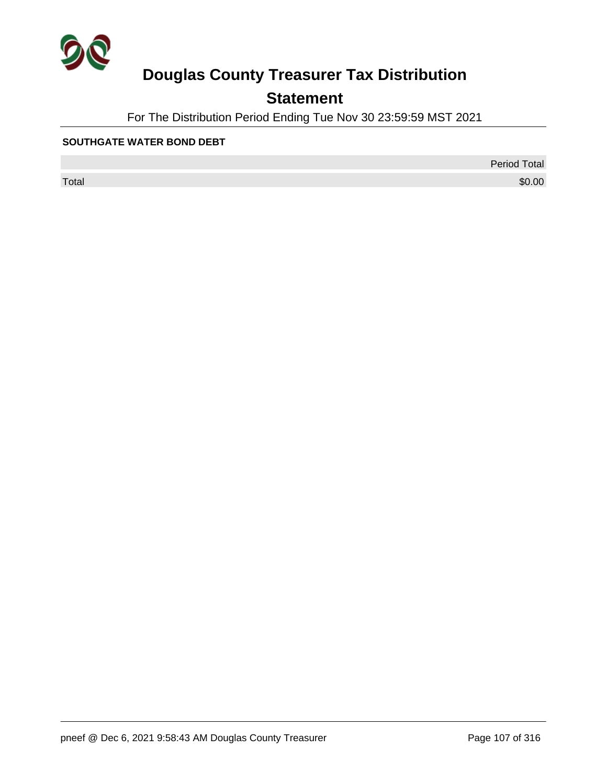

### **Statement**

For The Distribution Period Ending Tue Nov 30 23:59:59 MST 2021

#### **SOUTHGATE WATER BOND DEBT**

Period Total

 $\sf Total$   $\$0.00$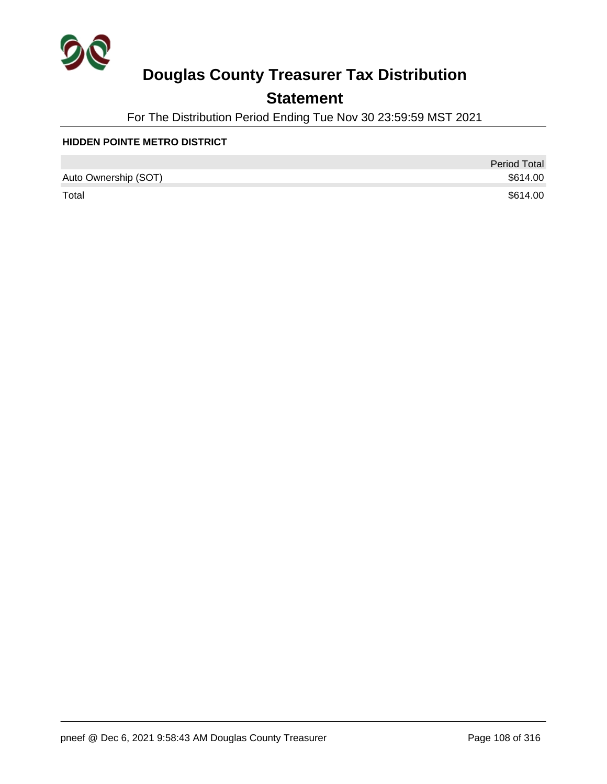

### **Statement**

For The Distribution Period Ending Tue Nov 30 23:59:59 MST 2021

#### **HIDDEN POINTE METRO DISTRICT**

|                      | <b>Period Total</b> |
|----------------------|---------------------|
| Auto Ownership (SOT) | \$614.00            |
| Total                | \$614.00            |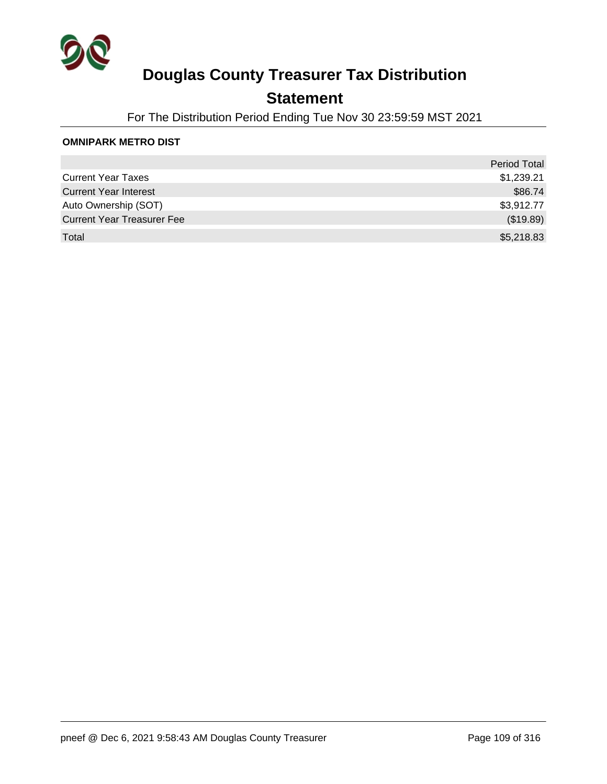

### **Statement**

For The Distribution Period Ending Tue Nov 30 23:59:59 MST 2021

#### **OMNIPARK METRO DIST**

|                                   | Period Total |
|-----------------------------------|--------------|
| <b>Current Year Taxes</b>         | \$1,239.21   |
| <b>Current Year Interest</b>      | \$86.74      |
| Auto Ownership (SOT)              | \$3,912.77   |
| <b>Current Year Treasurer Fee</b> | (\$19.89)    |
| Total                             | \$5,218.83   |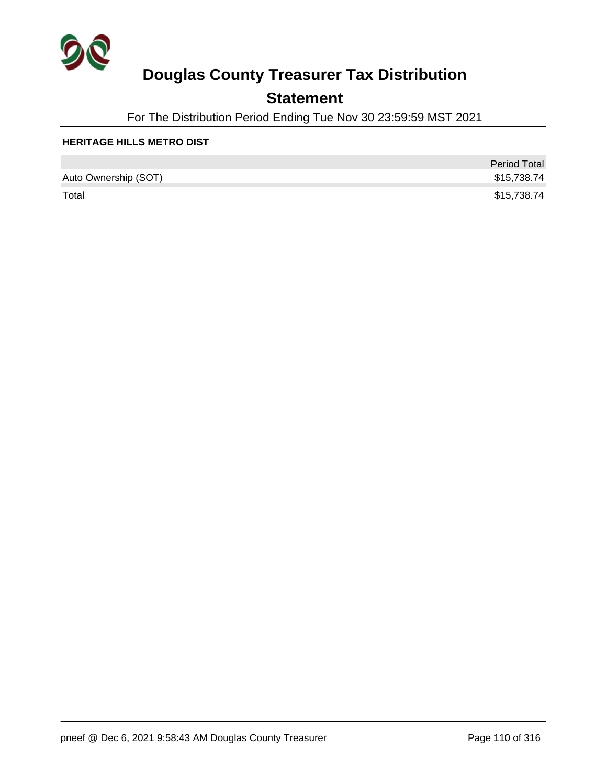

### **Statement**

For The Distribution Period Ending Tue Nov 30 23:59:59 MST 2021

#### **HERITAGE HILLS METRO DIST**

|                      | <b>Period Total</b> |
|----------------------|---------------------|
| Auto Ownership (SOT) | \$15,738.74         |
| Total                | \$15,738.74         |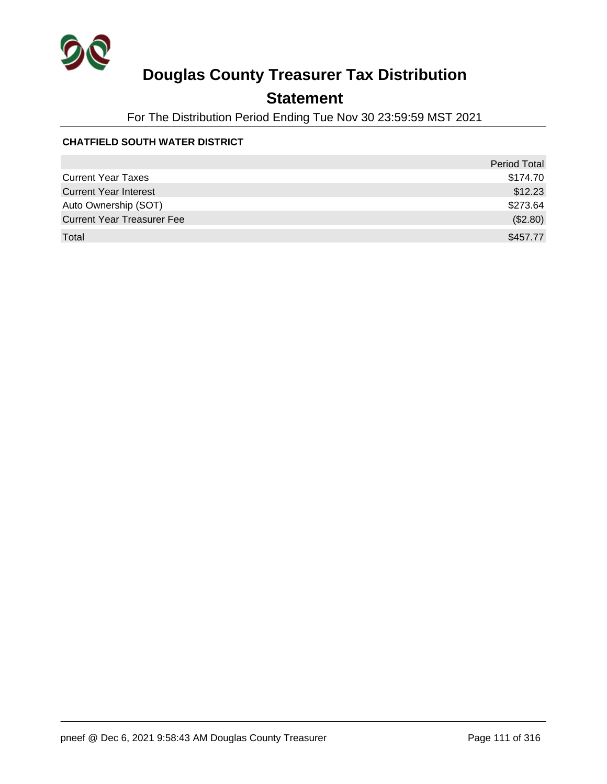

## **Statement**

For The Distribution Period Ending Tue Nov 30 23:59:59 MST 2021

### **CHATFIELD SOUTH WATER DISTRICT**

|                                   | <b>Period Total</b> |
|-----------------------------------|---------------------|
| <b>Current Year Taxes</b>         | \$174.70            |
| <b>Current Year Interest</b>      | \$12.23             |
| Auto Ownership (SOT)              | \$273.64            |
| <b>Current Year Treasurer Fee</b> | (\$2.80)            |
| Total                             | \$457.77            |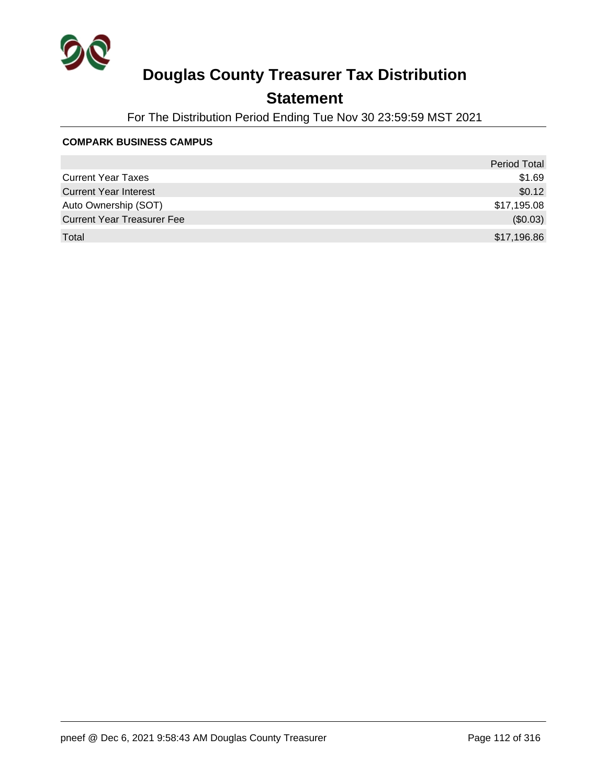

### **Statement**

For The Distribution Period Ending Tue Nov 30 23:59:59 MST 2021

#### **COMPARK BUSINESS CAMPUS**

|                                   | <b>Period Total</b> |
|-----------------------------------|---------------------|
| <b>Current Year Taxes</b>         | \$1.69              |
| <b>Current Year Interest</b>      | \$0.12              |
| Auto Ownership (SOT)              | \$17,195.08         |
| <b>Current Year Treasurer Fee</b> | (\$0.03)            |
| Total                             | \$17,196.86         |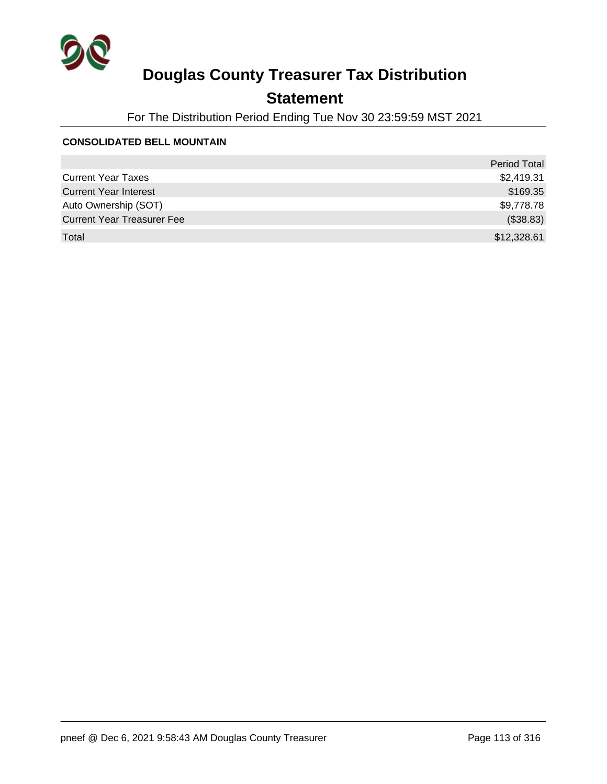

## **Statement**

For The Distribution Period Ending Tue Nov 30 23:59:59 MST 2021

#### **CONSOLIDATED BELL MOUNTAIN**

|                                   | <b>Period Total</b> |
|-----------------------------------|---------------------|
| <b>Current Year Taxes</b>         | \$2,419.31          |
| <b>Current Year Interest</b>      | \$169.35            |
| Auto Ownership (SOT)              | \$9,778.78          |
| <b>Current Year Treasurer Fee</b> | (\$38.83)           |
| Total                             | \$12,328.61         |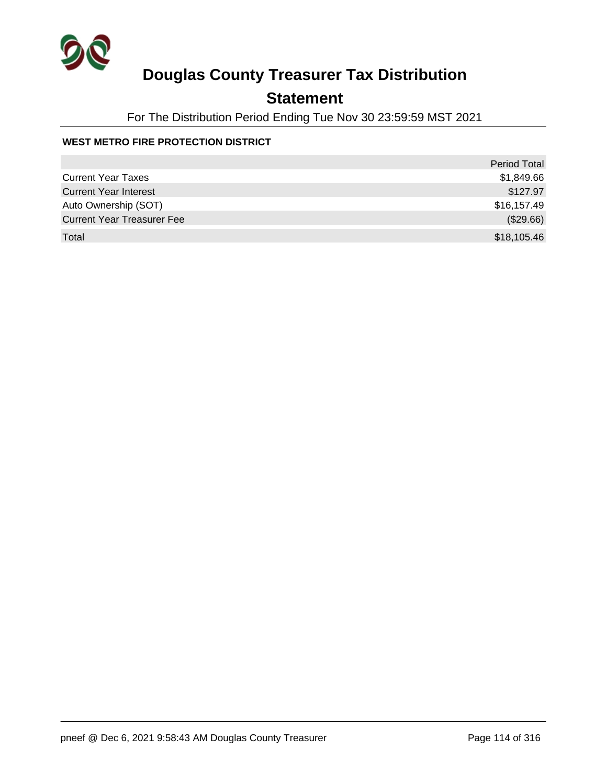

## **Statement**

For The Distribution Period Ending Tue Nov 30 23:59:59 MST 2021

### **WEST METRO FIRE PROTECTION DISTRICT**

|                                   | <b>Period Total</b> |
|-----------------------------------|---------------------|
| <b>Current Year Taxes</b>         | \$1,849.66          |
| <b>Current Year Interest</b>      | \$127.97            |
| Auto Ownership (SOT)              | \$16,157.49         |
| <b>Current Year Treasurer Fee</b> | (\$29.66)           |
| Total                             | \$18,105.46         |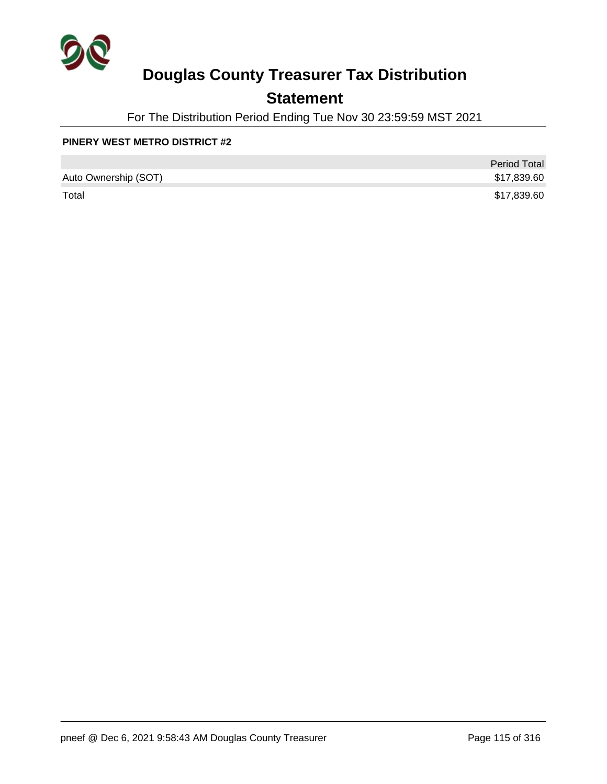

## **Statement**

For The Distribution Period Ending Tue Nov 30 23:59:59 MST 2021

#### **PINERY WEST METRO DISTRICT #2**

|                      | <b>Period Total</b> |
|----------------------|---------------------|
| Auto Ownership (SOT) | \$17,839.60         |
| Total                | \$17,839.60         |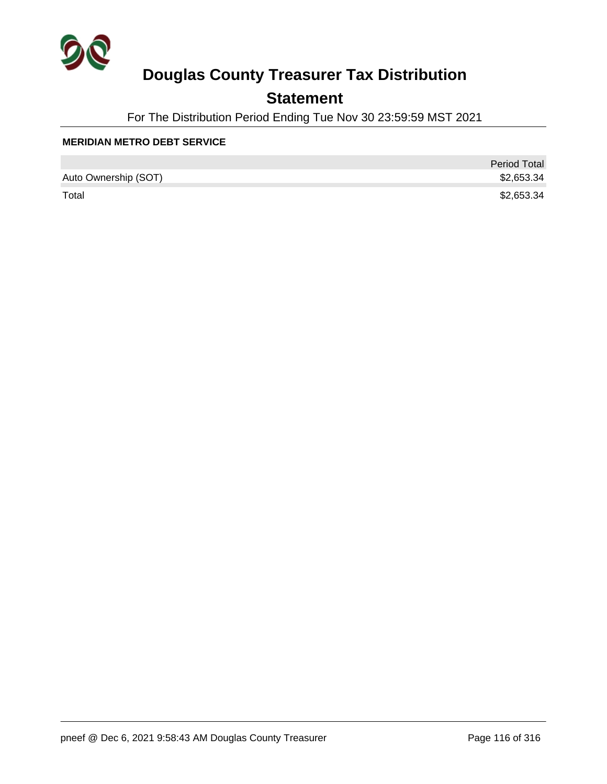

### **Statement**

For The Distribution Period Ending Tue Nov 30 23:59:59 MST 2021

#### **MERIDIAN METRO DEBT SERVICE**

|                      | <b>Period Total</b> |
|----------------------|---------------------|
| Auto Ownership (SOT) | \$2,653.34          |
| Total                | \$2,653.34          |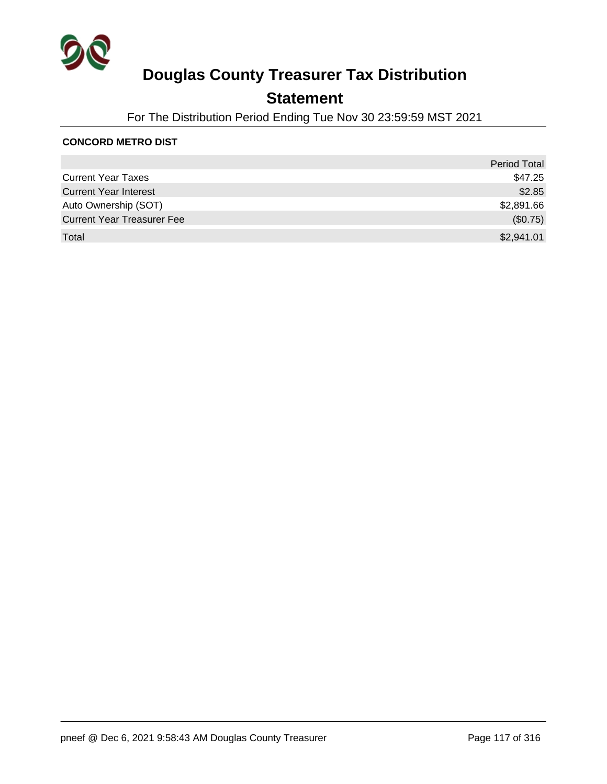

### **Statement**

For The Distribution Period Ending Tue Nov 30 23:59:59 MST 2021

#### **CONCORD METRO DIST**

|                                   | <b>Period Total</b> |
|-----------------------------------|---------------------|
| <b>Current Year Taxes</b>         | \$47.25             |
| <b>Current Year Interest</b>      | \$2.85              |
| Auto Ownership (SOT)              | \$2,891.66          |
| <b>Current Year Treasurer Fee</b> | (\$0.75)            |
| Total                             | \$2,941.01          |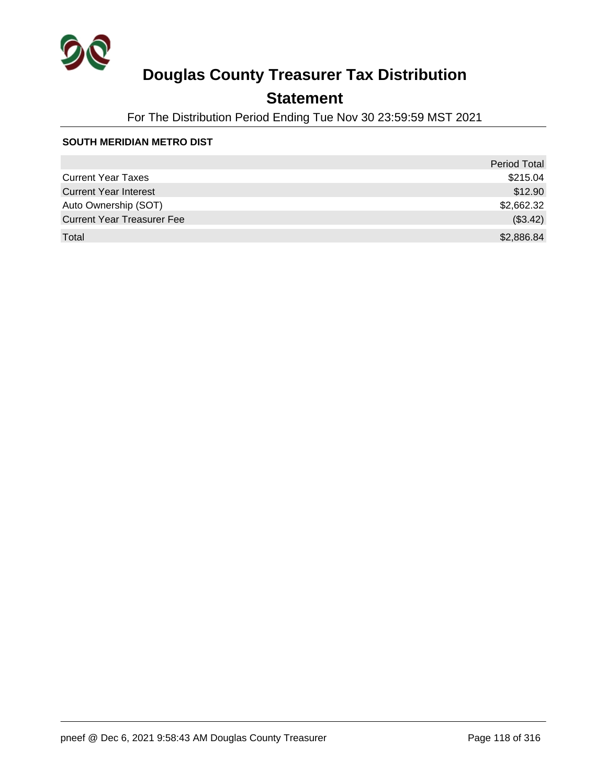

### **Statement**

For The Distribution Period Ending Tue Nov 30 23:59:59 MST 2021

#### **SOUTH MERIDIAN METRO DIST**

|                                   | <b>Period Total</b> |
|-----------------------------------|---------------------|
| <b>Current Year Taxes</b>         | \$215.04            |
| <b>Current Year Interest</b>      | \$12.90             |
| Auto Ownership (SOT)              | \$2,662.32          |
| <b>Current Year Treasurer Fee</b> | (\$3.42)            |
| Total                             | \$2,886.84          |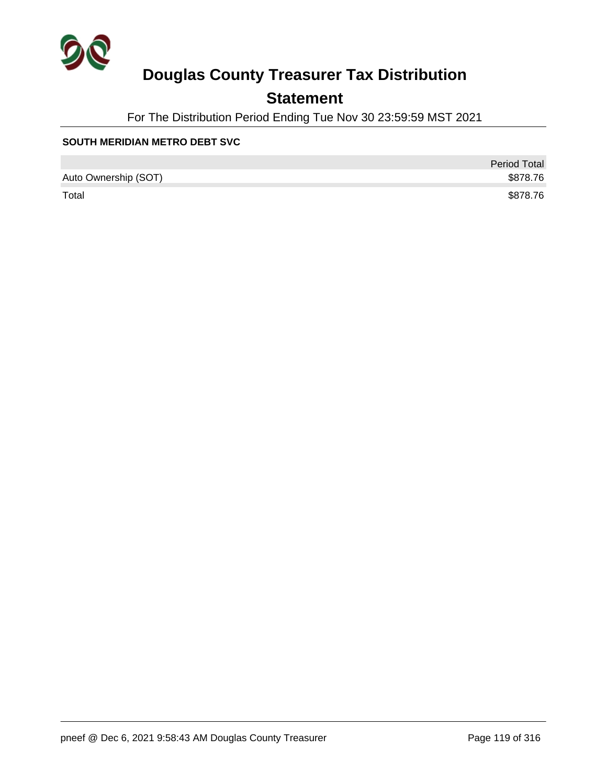

## **Statement**

For The Distribution Period Ending Tue Nov 30 23:59:59 MST 2021

#### **SOUTH MERIDIAN METRO DEBT SVC**

|                      | <b>Period Total</b> |
|----------------------|---------------------|
| Auto Ownership (SOT) | \$878.76            |
| Total                | \$878.76            |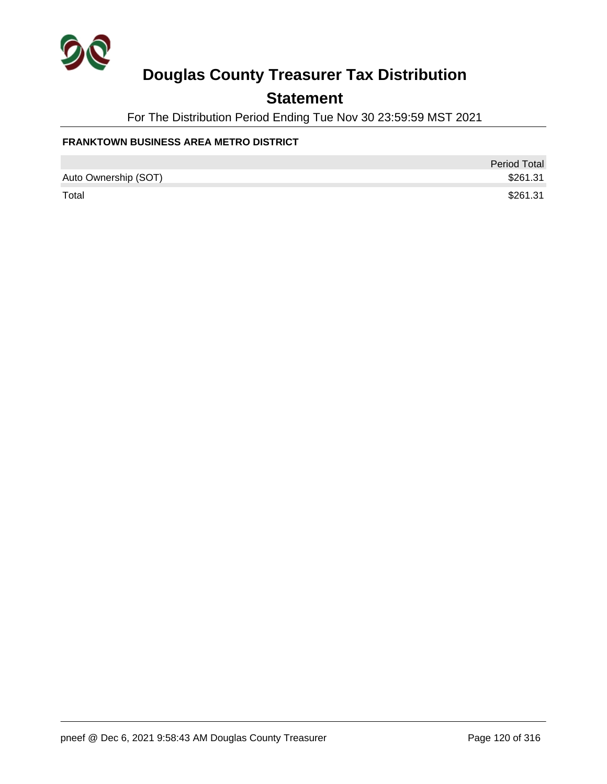

### **Statement**

For The Distribution Period Ending Tue Nov 30 23:59:59 MST 2021

#### **FRANKTOWN BUSINESS AREA METRO DISTRICT**

|                      | <b>Period Total</b> |
|----------------------|---------------------|
| Auto Ownership (SOT) | \$261.31            |
| Total                | \$261.31            |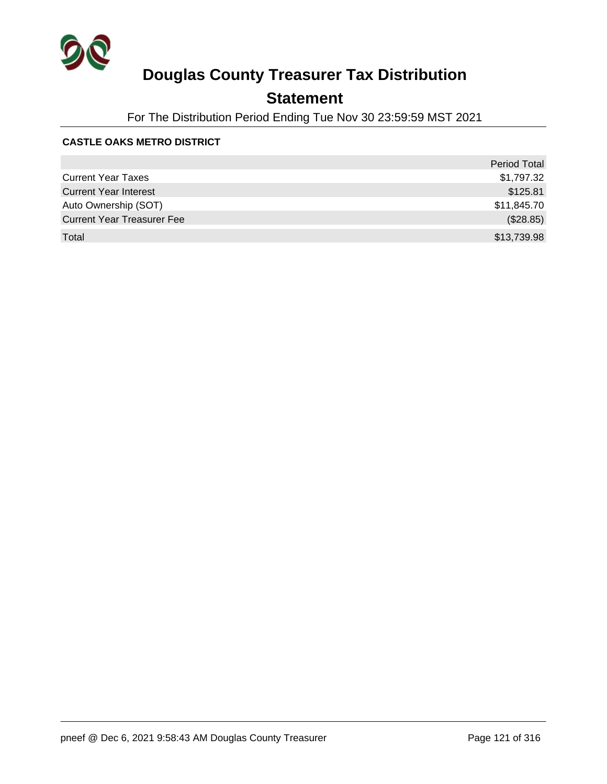

## **Statement**

For The Distribution Period Ending Tue Nov 30 23:59:59 MST 2021

#### **CASTLE OAKS METRO DISTRICT**

|                                   | Period Total |
|-----------------------------------|--------------|
| <b>Current Year Taxes</b>         | \$1,797.32   |
| <b>Current Year Interest</b>      | \$125.81     |
| Auto Ownership (SOT)              | \$11,845.70  |
| <b>Current Year Treasurer Fee</b> | (\$28.85)    |
| Total                             | \$13,739.98  |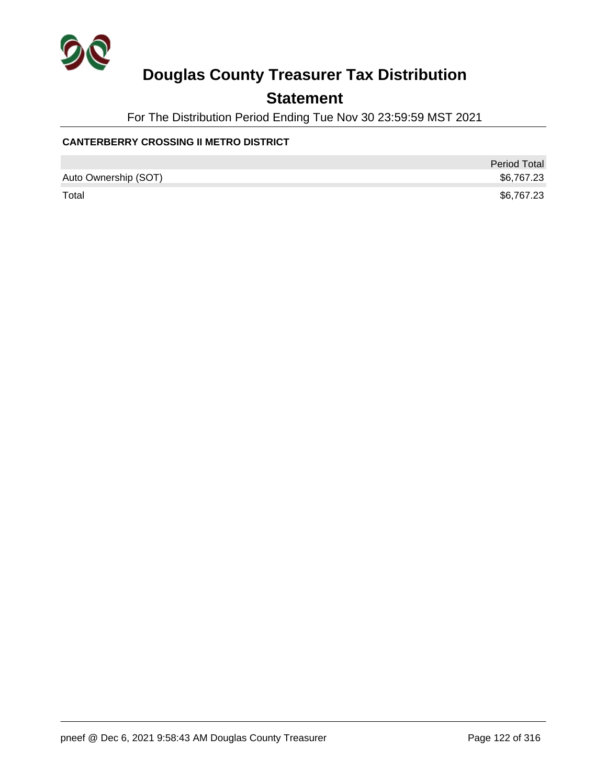

### **Statement**

For The Distribution Period Ending Tue Nov 30 23:59:59 MST 2021

### **CANTERBERRY CROSSING II METRO DISTRICT**

|                      | <b>Period Total</b> |
|----------------------|---------------------|
| Auto Ownership (SOT) | \$6,767.23          |
| Total                | \$6,767.23          |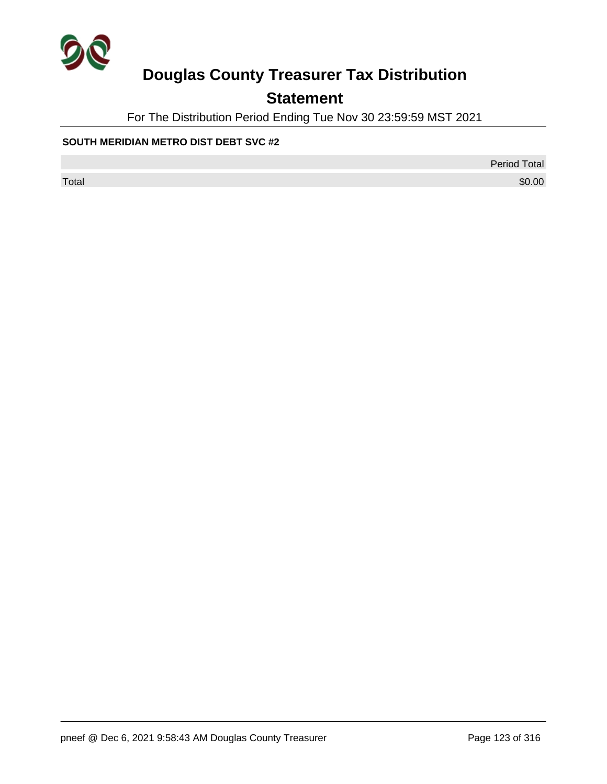

## **Statement**

For The Distribution Period Ending Tue Nov 30 23:59:59 MST 2021

#### **SOUTH MERIDIAN METRO DIST DEBT SVC #2**

Period Total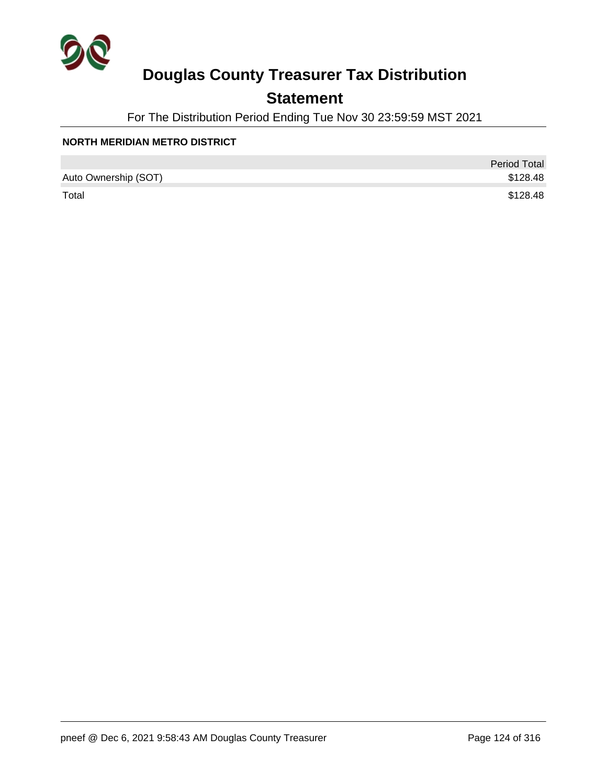

### **Statement**

For The Distribution Period Ending Tue Nov 30 23:59:59 MST 2021

#### **NORTH MERIDIAN METRO DISTRICT**

|                      | <b>Period Total</b> |
|----------------------|---------------------|
| Auto Ownership (SOT) | \$128.48            |
| Total                | \$128.48            |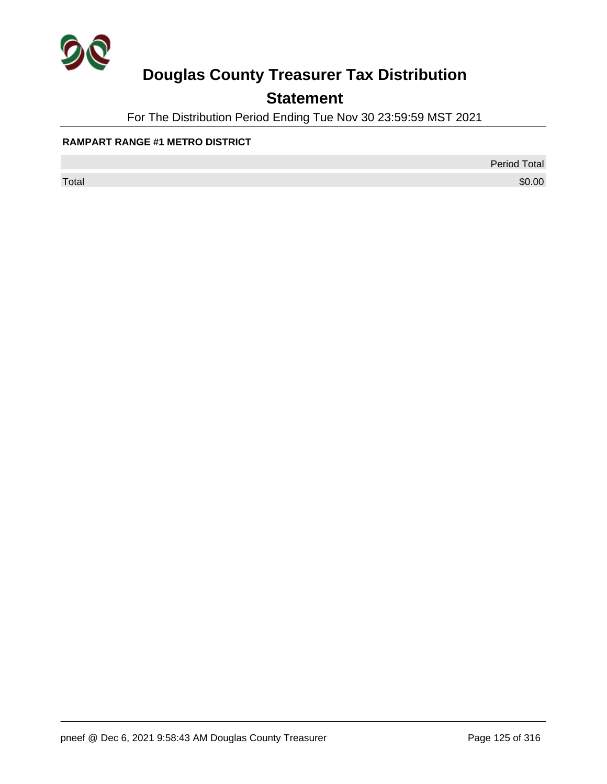

## **Statement**

For The Distribution Period Ending Tue Nov 30 23:59:59 MST 2021

#### **RAMPART RANGE #1 METRO DISTRICT**

Period Total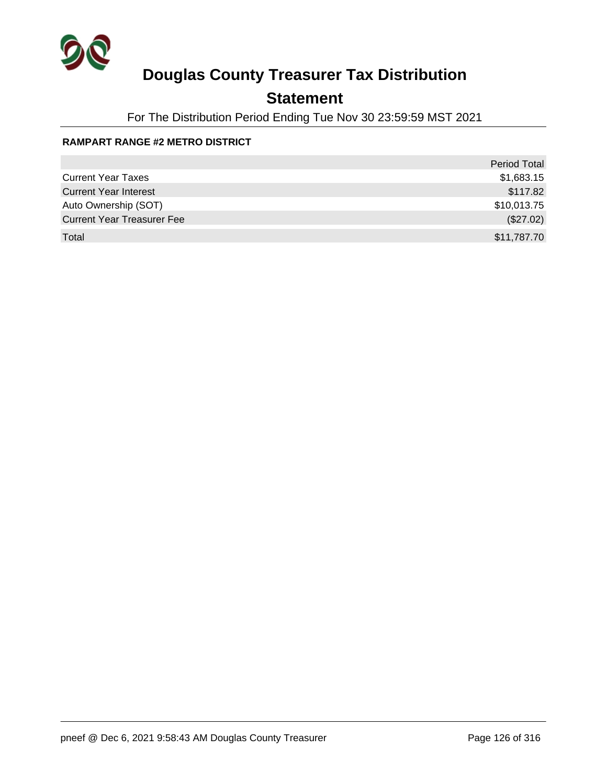

## **Statement**

For The Distribution Period Ending Tue Nov 30 23:59:59 MST 2021

### **RAMPART RANGE #2 METRO DISTRICT**

|                                   | <b>Period Total</b> |
|-----------------------------------|---------------------|
| <b>Current Year Taxes</b>         | \$1,683.15          |
| <b>Current Year Interest</b>      | \$117.82            |
| Auto Ownership (SOT)              | \$10,013.75         |
| <b>Current Year Treasurer Fee</b> | (\$27.02)           |
| Total                             | \$11,787.70         |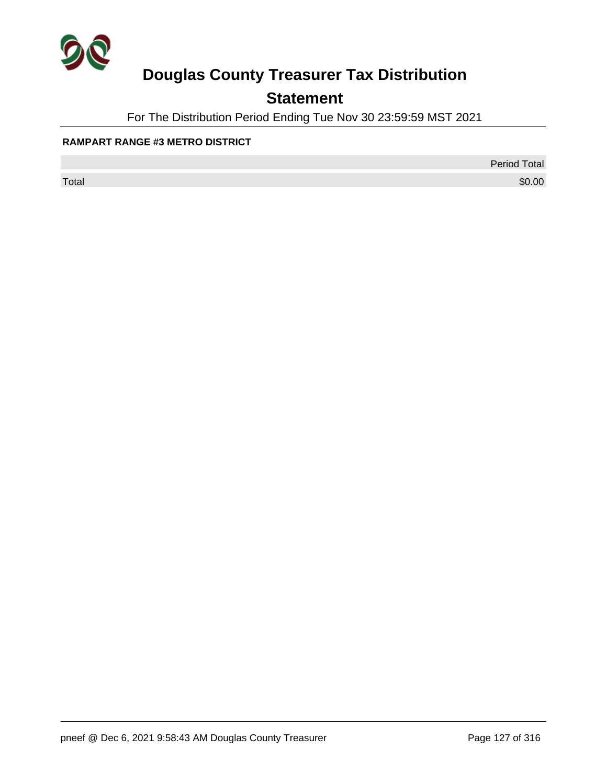

## **Statement**

For The Distribution Period Ending Tue Nov 30 23:59:59 MST 2021

#### **RAMPART RANGE #3 METRO DISTRICT**

Period Total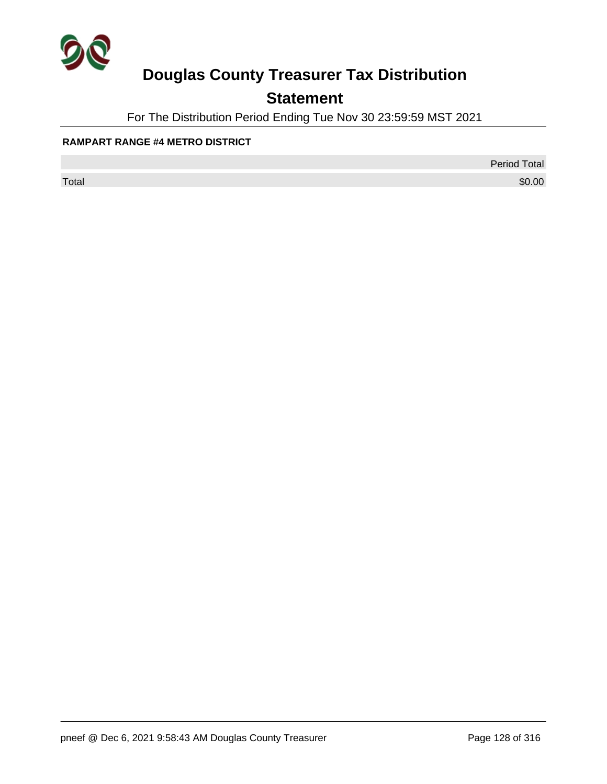

## **Statement**

For The Distribution Period Ending Tue Nov 30 23:59:59 MST 2021

#### **RAMPART RANGE #4 METRO DISTRICT**

Period Total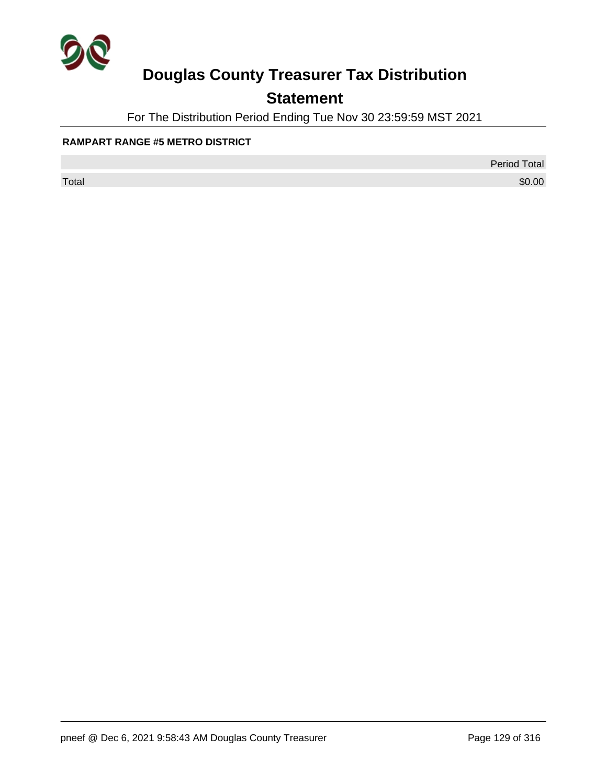

## **Statement**

For The Distribution Period Ending Tue Nov 30 23:59:59 MST 2021

#### **RAMPART RANGE #5 METRO DISTRICT**

Period Total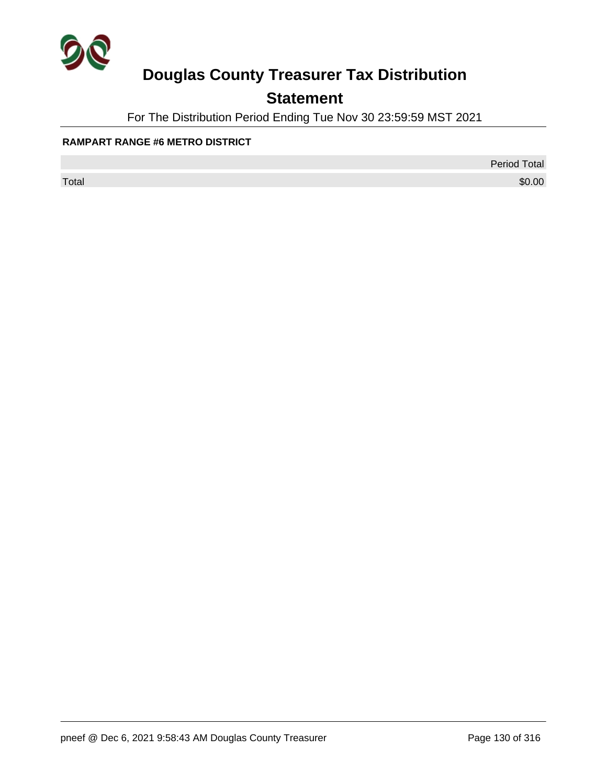

## **Statement**

For The Distribution Period Ending Tue Nov 30 23:59:59 MST 2021

#### **RAMPART RANGE #6 METRO DISTRICT**

Period Total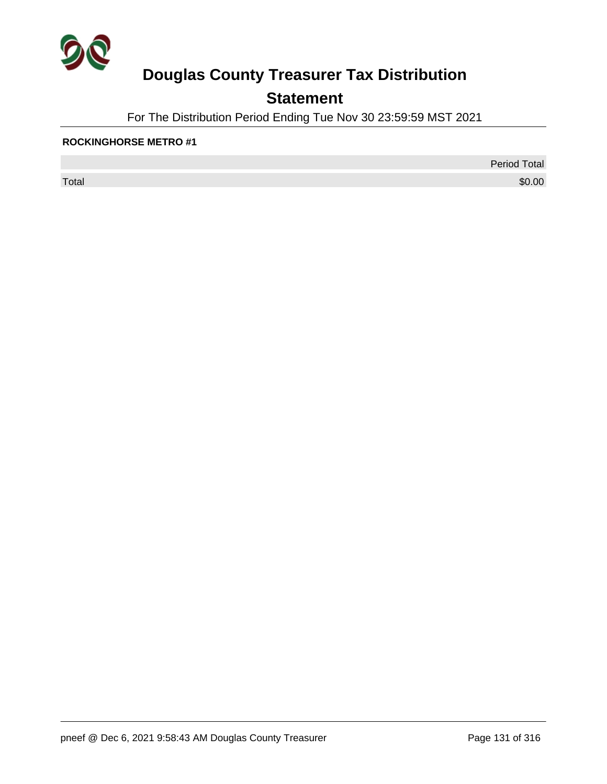

## **Statement**

For The Distribution Period Ending Tue Nov 30 23:59:59 MST 2021

#### **ROCKINGHORSE METRO #1**

 $\sf Total$   $\$0.00$ 

Period Total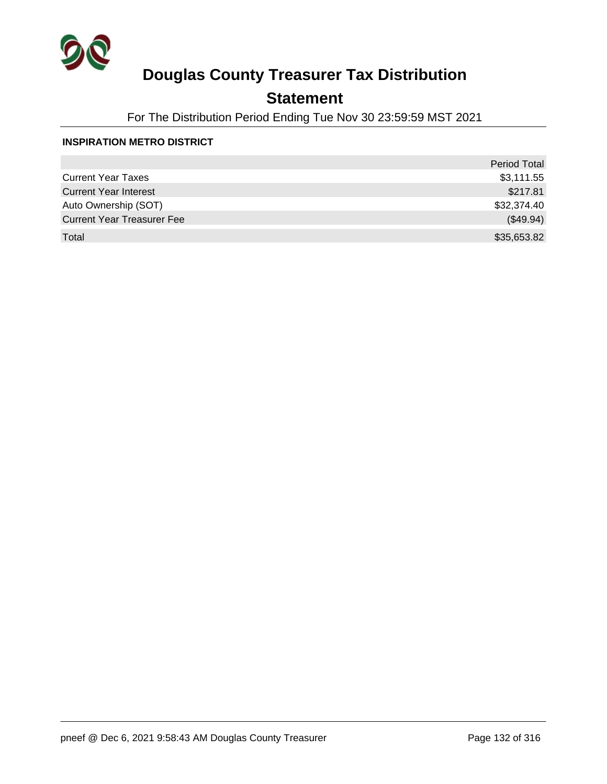

### **Statement**

For The Distribution Period Ending Tue Nov 30 23:59:59 MST 2021

#### **INSPIRATION METRO DISTRICT**

|                                   | <b>Period Total</b> |
|-----------------------------------|---------------------|
| <b>Current Year Taxes</b>         | \$3,111.55          |
| <b>Current Year Interest</b>      | \$217.81            |
| Auto Ownership (SOT)              | \$32,374.40         |
| <b>Current Year Treasurer Fee</b> | (\$49.94)           |
| Total                             | \$35,653.82         |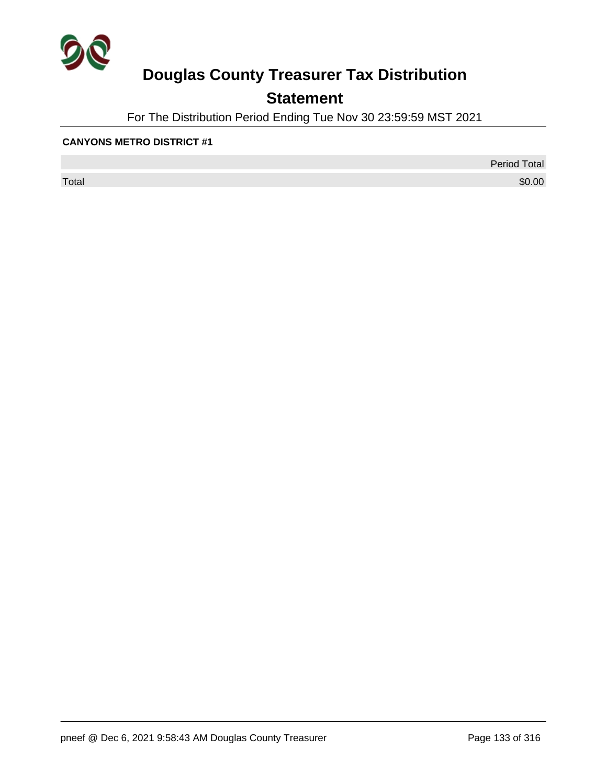

## **Statement**

For The Distribution Period Ending Tue Nov 30 23:59:59 MST 2021

#### **CANYONS METRO DISTRICT #1**

 $\sf Total$   $\$0.00$ 

Period Total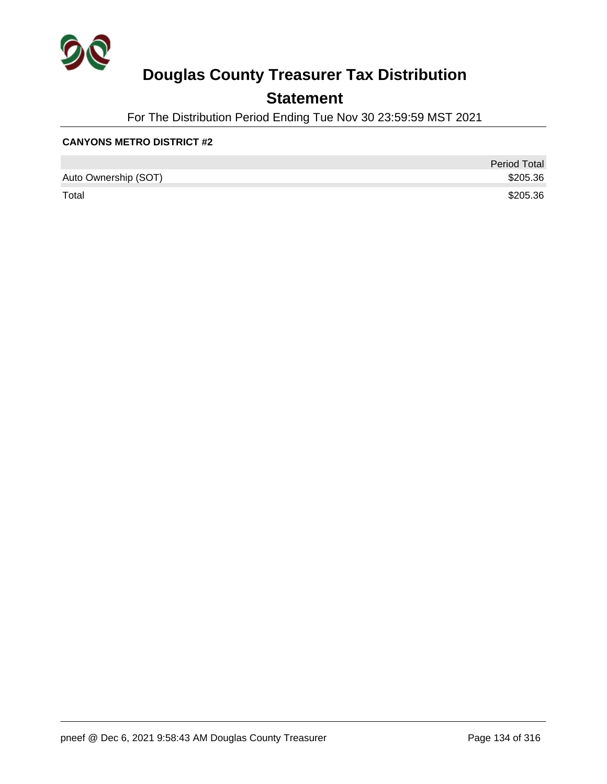

### **Statement**

For The Distribution Period Ending Tue Nov 30 23:59:59 MST 2021

#### **CANYONS METRO DISTRICT #2**

|                      | <b>Period Total</b> |
|----------------------|---------------------|
| Auto Ownership (SOT) | \$205.36            |
| Total                | \$205.36            |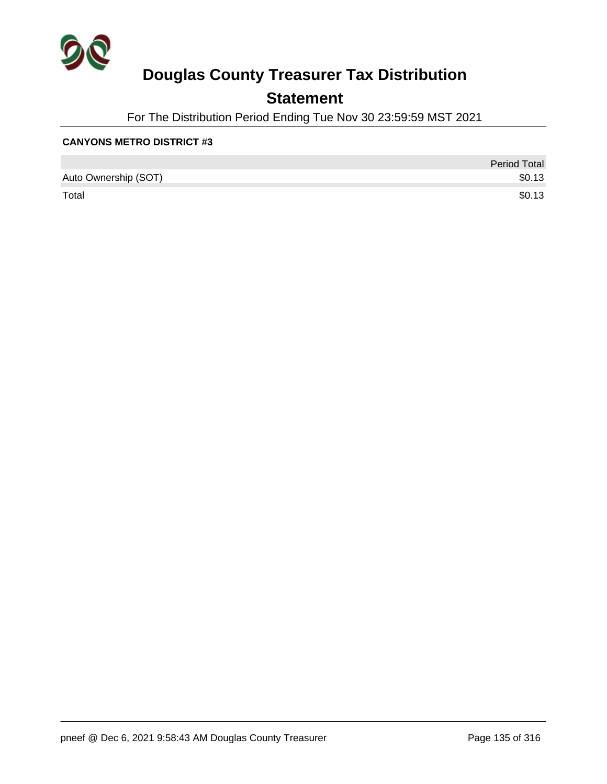

### **Statement**

For The Distribution Period Ending Tue Nov 30 23:59:59 MST 2021

#### **CANYONS METRO DISTRICT #3**

|                      | <b>Period Total</b> |
|----------------------|---------------------|
| Auto Ownership (SOT) | \$0.13              |
| Total                | \$0.13              |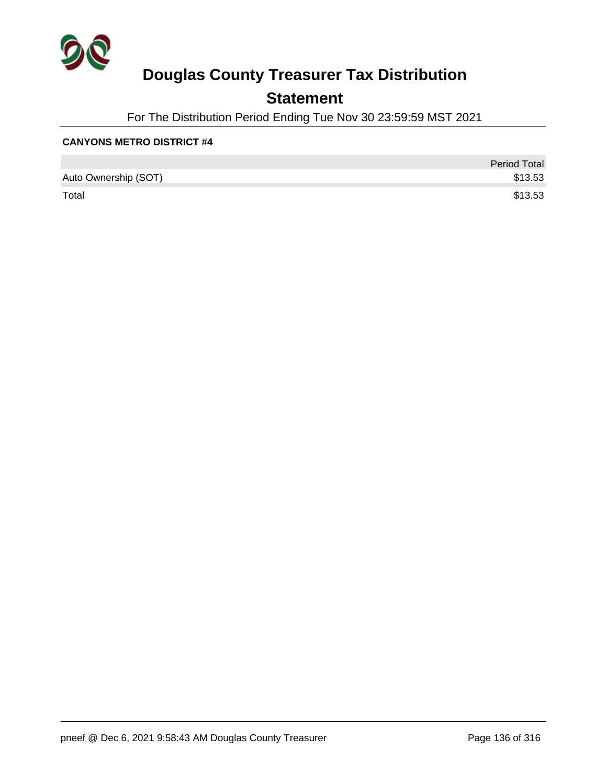

### **Statement**

For The Distribution Period Ending Tue Nov 30 23:59:59 MST 2021

#### **CANYONS METRO DISTRICT #4**

|                      | <b>Period Total</b> |
|----------------------|---------------------|
| Auto Ownership (SOT) | \$13.53             |
| Total                | \$13.53             |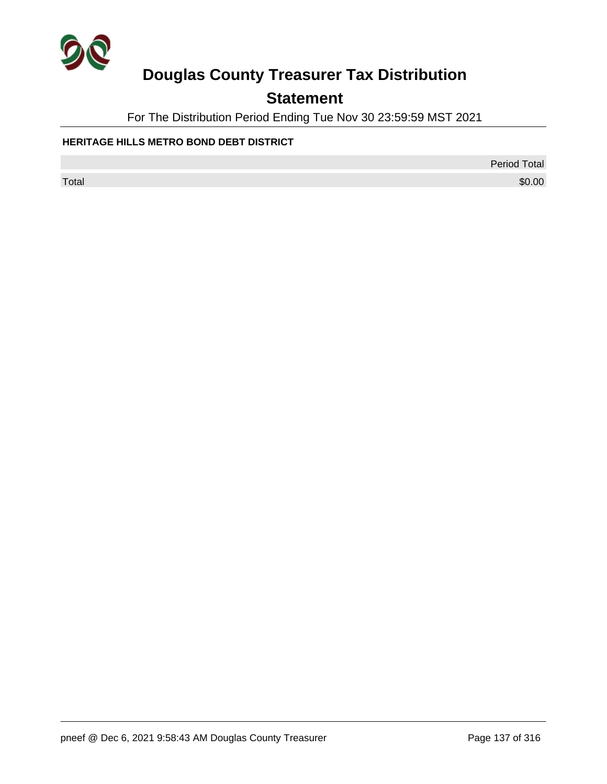

## **Statement**

For The Distribution Period Ending Tue Nov 30 23:59:59 MST 2021

### **HERITAGE HILLS METRO BOND DEBT DISTRICT**

Period Total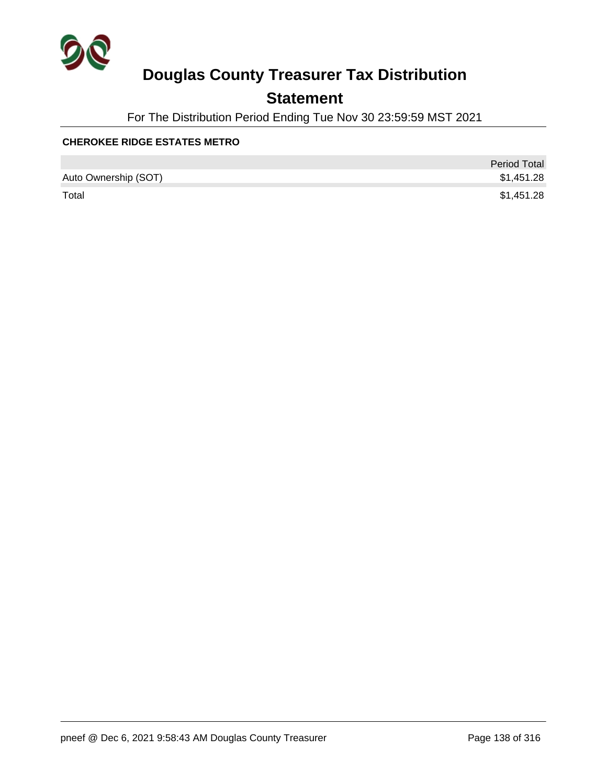

### **Statement**

For The Distribution Period Ending Tue Nov 30 23:59:59 MST 2021

#### **CHEROKEE RIDGE ESTATES METRO**

|                      | <b>Period Total</b> |
|----------------------|---------------------|
| Auto Ownership (SOT) | \$1,451.28          |
| Total                | \$1,451.28          |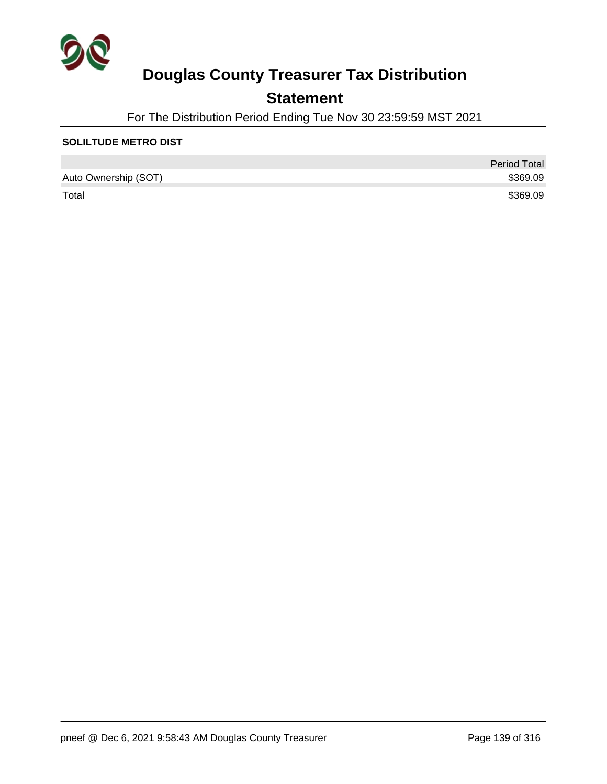

### **Statement**

For The Distribution Period Ending Tue Nov 30 23:59:59 MST 2021

#### **SOLILTUDE METRO DIST**

|                      | <b>Period Total</b> |
|----------------------|---------------------|
| Auto Ownership (SOT) | \$369.09            |
| Total                | \$369.09            |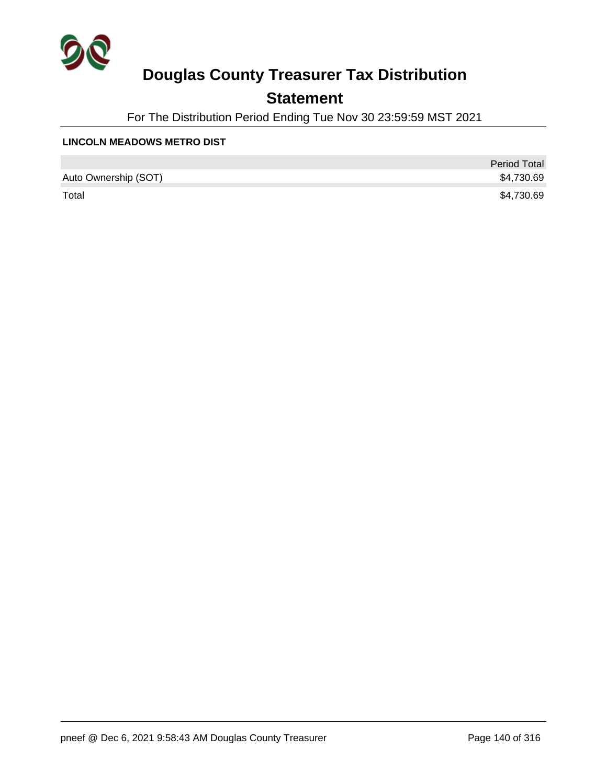

### **Statement**

For The Distribution Period Ending Tue Nov 30 23:59:59 MST 2021

#### **LINCOLN MEADOWS METRO DIST**

|                      | <b>Period Total</b> |
|----------------------|---------------------|
| Auto Ownership (SOT) | \$4,730.69          |
| Total                | \$4,730.69          |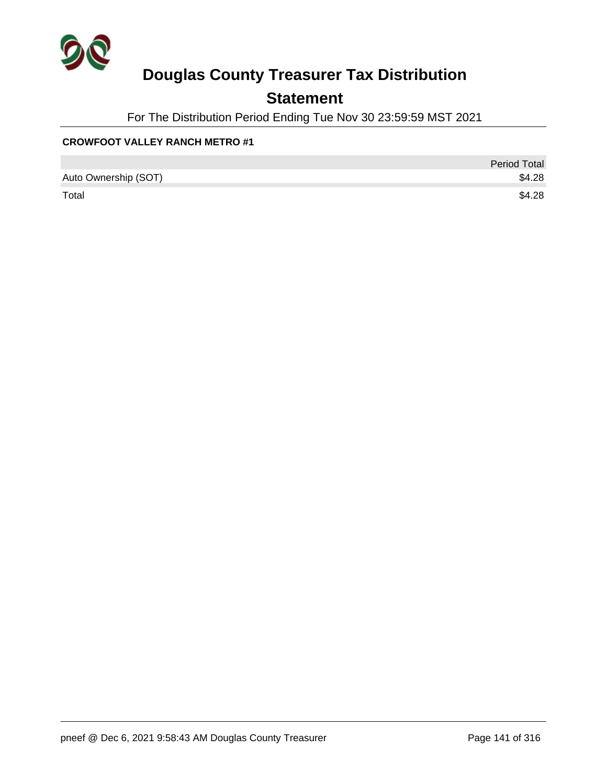

### **Statement**

For The Distribution Period Ending Tue Nov 30 23:59:59 MST 2021

### **CROWFOOT VALLEY RANCH METRO #1**

|                      | <b>Period Total</b> |
|----------------------|---------------------|
| Auto Ownership (SOT) | \$4.28              |
| Total                | \$4.28              |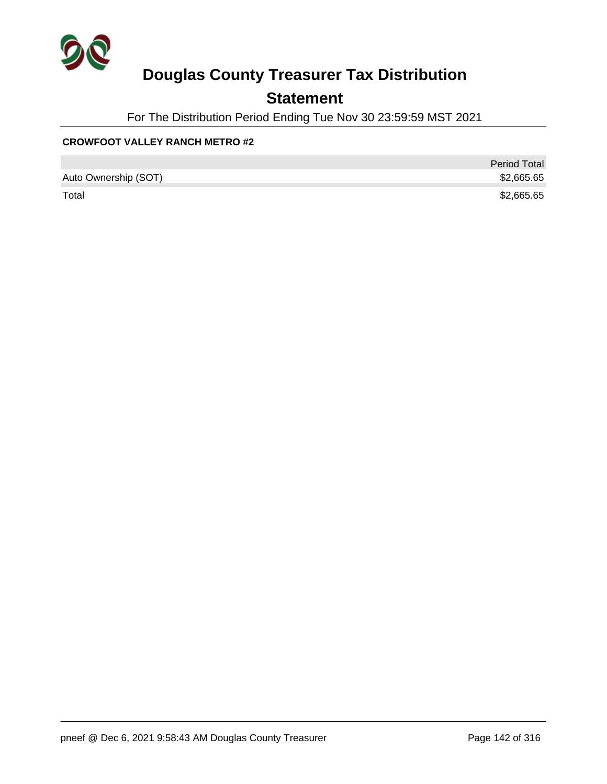

### **Statement**

For The Distribution Period Ending Tue Nov 30 23:59:59 MST 2021

### **CROWFOOT VALLEY RANCH METRO #2**

|                      | <b>Period Total</b> |
|----------------------|---------------------|
| Auto Ownership (SOT) | \$2,665.65          |
| Total                | \$2,665.65          |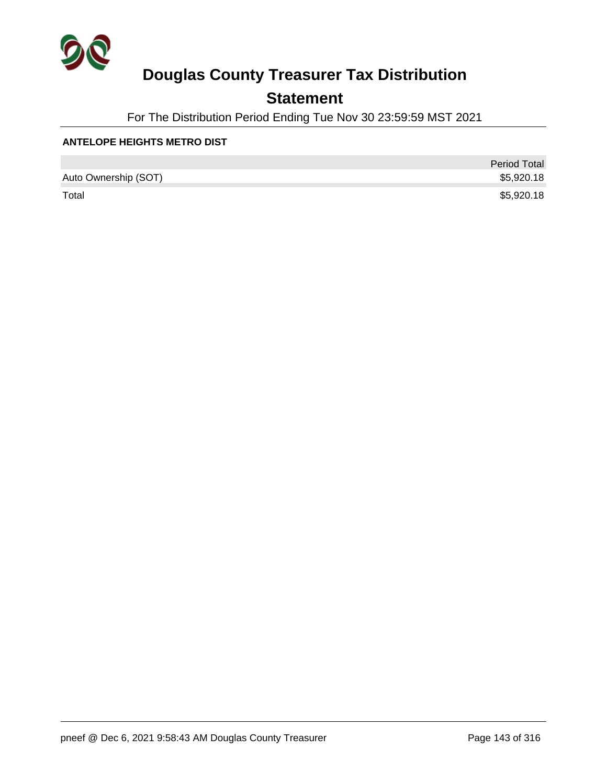

### **Statement**

For The Distribution Period Ending Tue Nov 30 23:59:59 MST 2021

#### **ANTELOPE HEIGHTS METRO DIST**

|                      | <b>Period Total</b> |
|----------------------|---------------------|
| Auto Ownership (SOT) | \$5,920.18          |
| Total                | \$5,920.18          |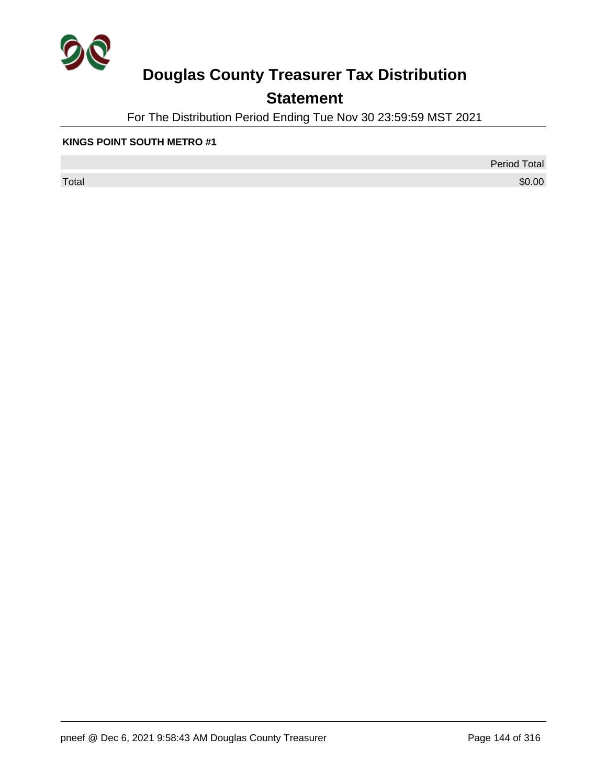

## **Statement**

For The Distribution Period Ending Tue Nov 30 23:59:59 MST 2021

#### **KINGS POINT SOUTH METRO #1**

 $\sf Total$   $\$0.00$ 

Period Total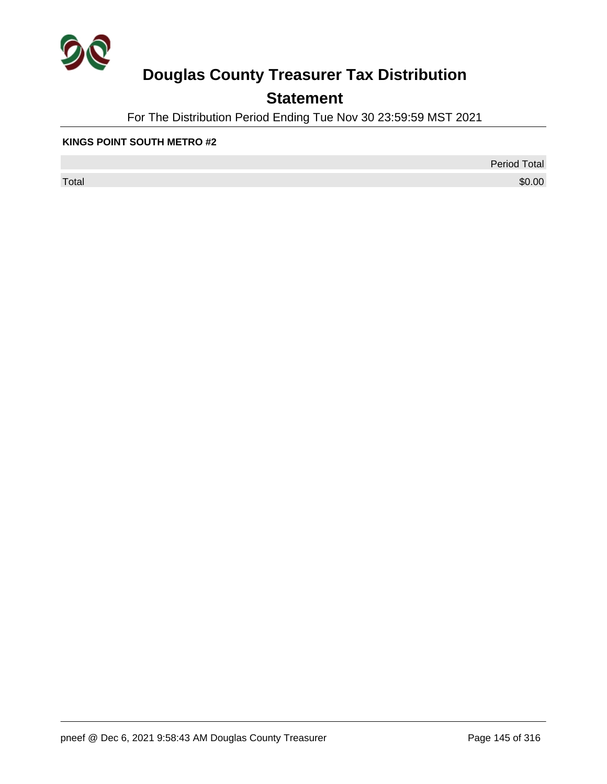

## **Statement**

For The Distribution Period Ending Tue Nov 30 23:59:59 MST 2021

#### **KINGS POINT SOUTH METRO #2**

 $\sf Total$   $\$0.00$ 

Period Total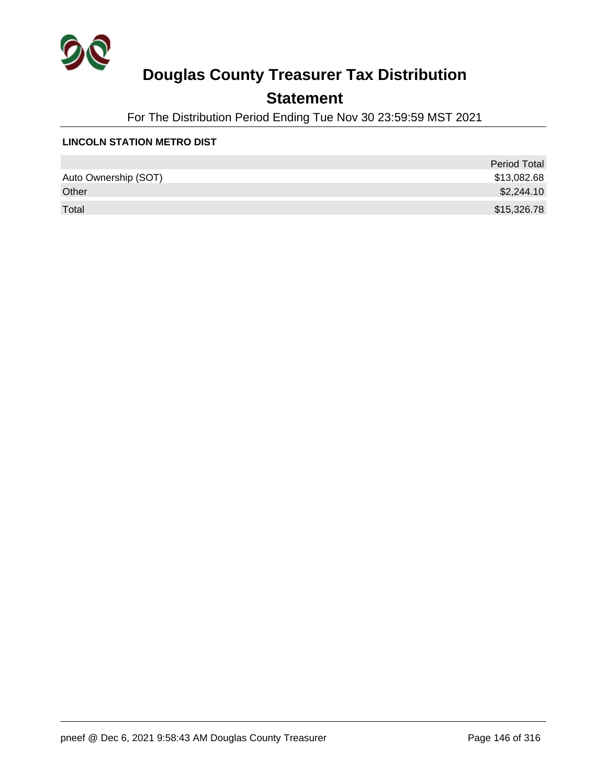

## **Statement**

For The Distribution Period Ending Tue Nov 30 23:59:59 MST 2021

#### **LINCOLN STATION METRO DIST**

|                      | <b>Period Total</b> |
|----------------------|---------------------|
| Auto Ownership (SOT) | \$13,082.68         |
| Other                | \$2,244.10          |
| Total                | \$15,326.78         |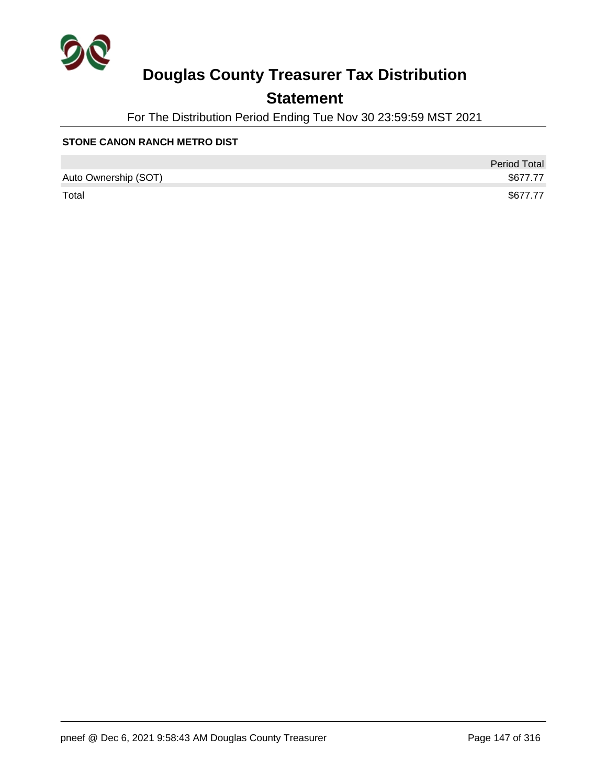

## **Statement**

For The Distribution Period Ending Tue Nov 30 23:59:59 MST 2021

#### **STONE CANON RANCH METRO DIST**

|                      | <b>Period Total</b> |
|----------------------|---------------------|
| Auto Ownership (SOT) | \$677.77            |
| Total                | \$677.77            |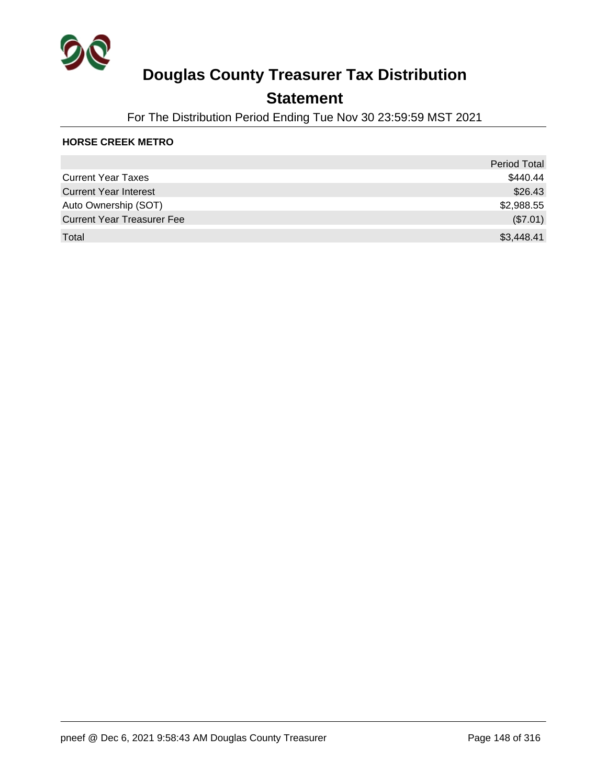

## **Statement**

For The Distribution Period Ending Tue Nov 30 23:59:59 MST 2021

#### **HORSE CREEK METRO**

|                                   | <b>Period Total</b> |
|-----------------------------------|---------------------|
| <b>Current Year Taxes</b>         | \$440.44            |
| <b>Current Year Interest</b>      | \$26.43             |
| Auto Ownership (SOT)              | \$2,988.55          |
| <b>Current Year Treasurer Fee</b> | (\$7.01)            |
| Total                             | \$3,448.41          |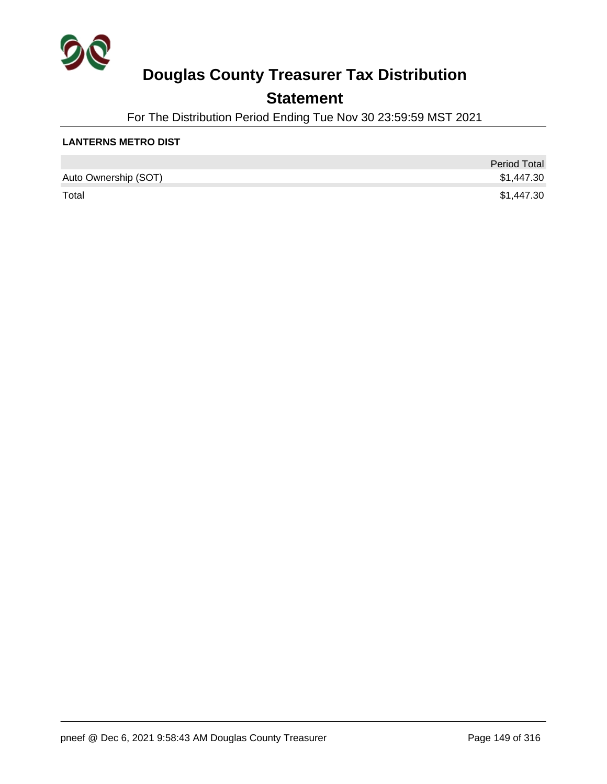

## **Statement**

For The Distribution Period Ending Tue Nov 30 23:59:59 MST 2021

#### **LANTERNS METRO DIST**

|                      | <b>Period Total</b> |
|----------------------|---------------------|
| Auto Ownership (SOT) | \$1,447.30          |
| Total                | \$1,447.30          |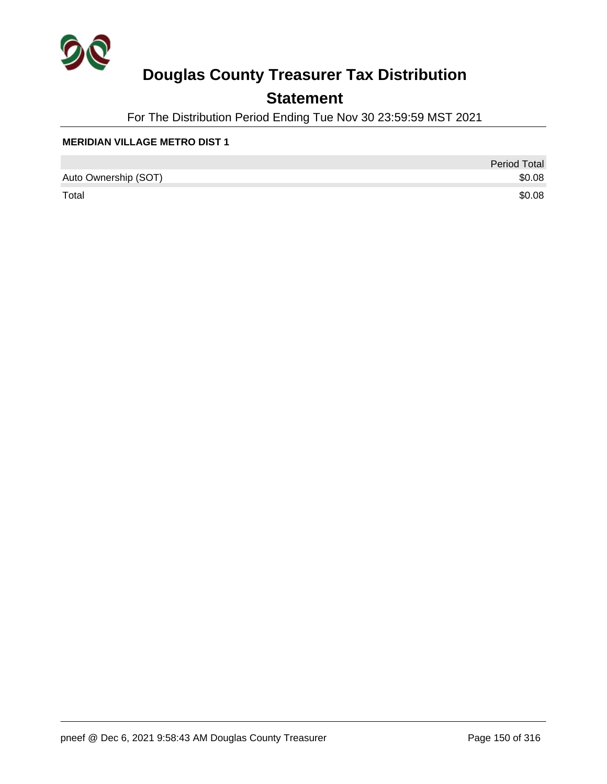

## **Statement**

For The Distribution Period Ending Tue Nov 30 23:59:59 MST 2021

#### **MERIDIAN VILLAGE METRO DIST 1**

|                      | <b>Period Total</b> |
|----------------------|---------------------|
| Auto Ownership (SOT) | \$0.08              |
| Total                | \$0.08              |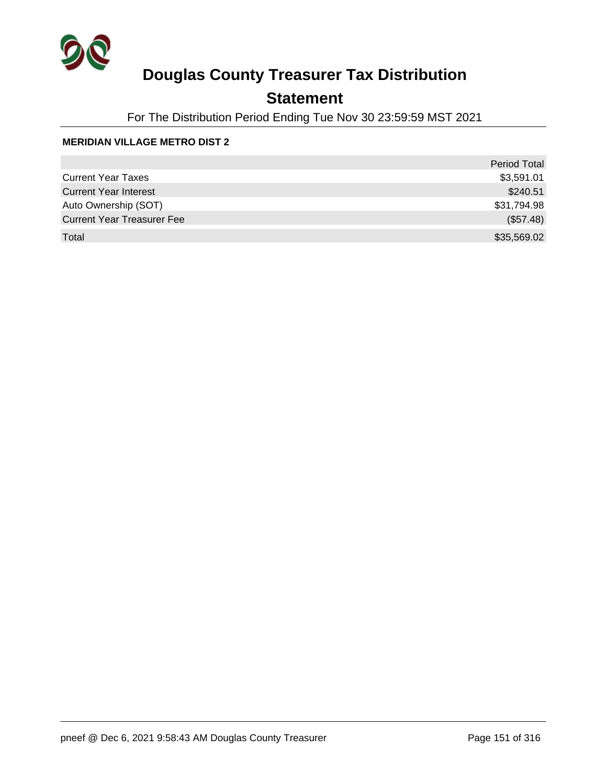

## **Statement**

For The Distribution Period Ending Tue Nov 30 23:59:59 MST 2021

#### **MERIDIAN VILLAGE METRO DIST 2**

|                                   | <b>Period Total</b> |
|-----------------------------------|---------------------|
| <b>Current Year Taxes</b>         | \$3,591.01          |
| <b>Current Year Interest</b>      | \$240.51            |
| Auto Ownership (SOT)              | \$31,794.98         |
| <b>Current Year Treasurer Fee</b> | (\$57.48)           |
| Total                             | \$35,569.02         |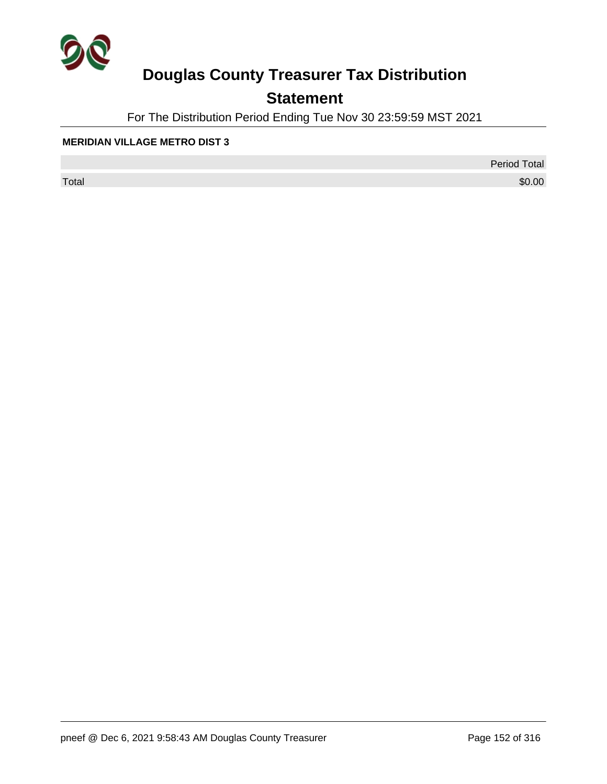

## **Statement**

For The Distribution Period Ending Tue Nov 30 23:59:59 MST 2021

#### **MERIDIAN VILLAGE METRO DIST 3**

 $\sf Total$   $\$0.00$ 

Period Total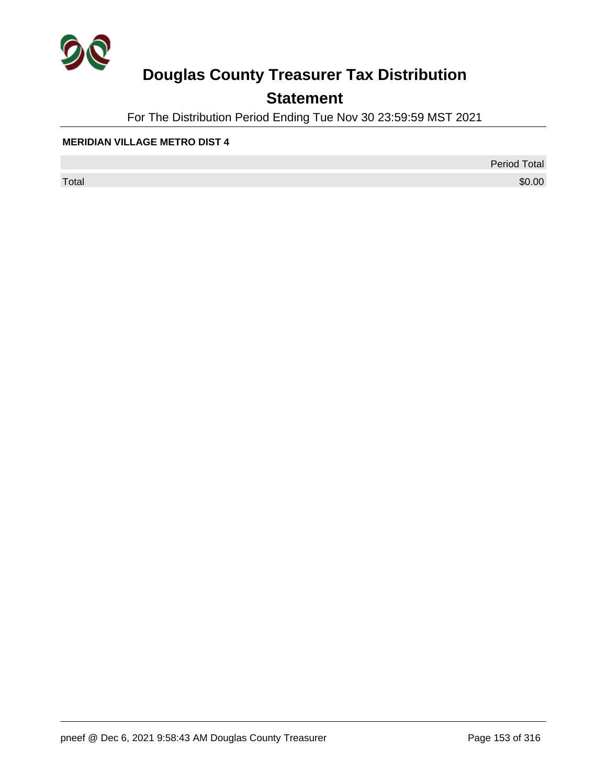

## **Statement**

For The Distribution Period Ending Tue Nov 30 23:59:59 MST 2021

#### **MERIDIAN VILLAGE METRO DIST 4**

 $\sf Total$   $\$0.00$ 

Period Total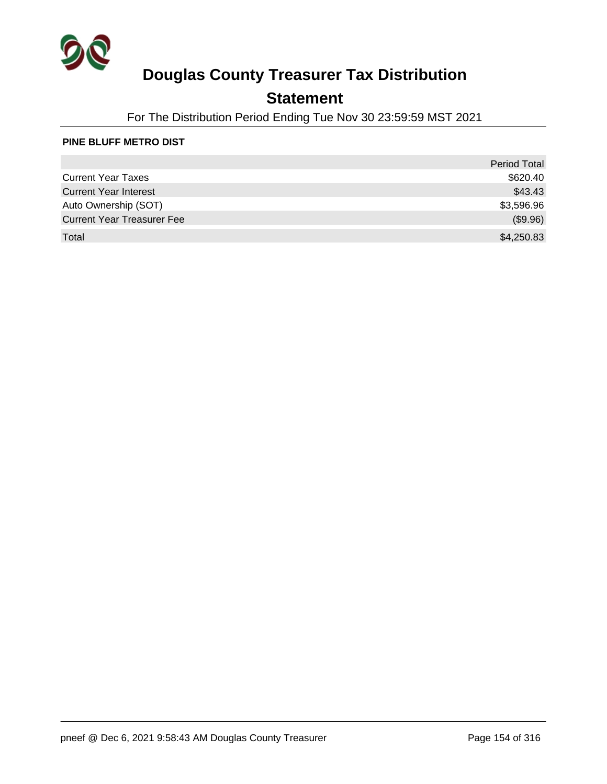

## **Statement**

For The Distribution Period Ending Tue Nov 30 23:59:59 MST 2021

#### **PINE BLUFF METRO DIST**

|                                   | <b>Period Total</b> |
|-----------------------------------|---------------------|
| <b>Current Year Taxes</b>         | \$620.40            |
| <b>Current Year Interest</b>      | \$43.43             |
| Auto Ownership (SOT)              | \$3,596.96          |
| <b>Current Year Treasurer Fee</b> | (\$9.96)            |
| Total                             | \$4,250.83          |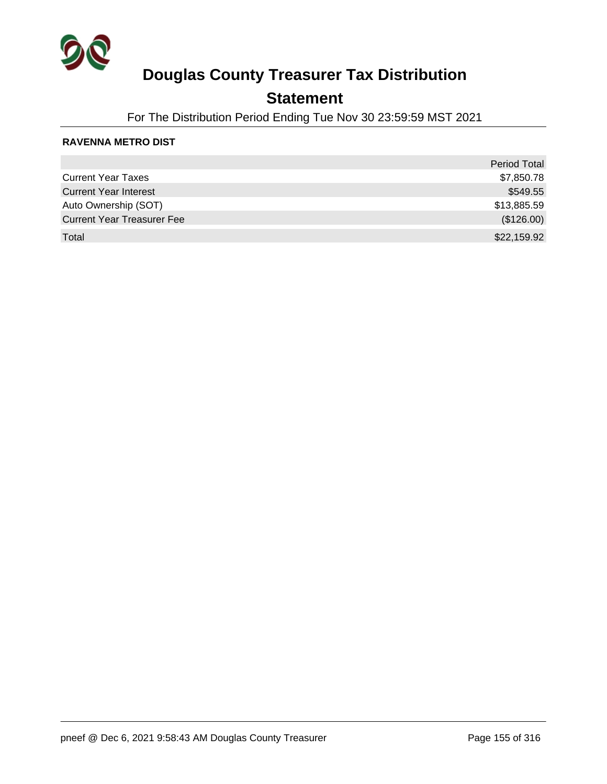

## **Statement**

For The Distribution Period Ending Tue Nov 30 23:59:59 MST 2021

#### **RAVENNA METRO DIST**

|                                   | Period Total |
|-----------------------------------|--------------|
| <b>Current Year Taxes</b>         | \$7,850.78   |
| <b>Current Year Interest</b>      | \$549.55     |
| Auto Ownership (SOT)              | \$13,885.59  |
| <b>Current Year Treasurer Fee</b> | (\$126.00)   |
| Total                             | \$22,159.92  |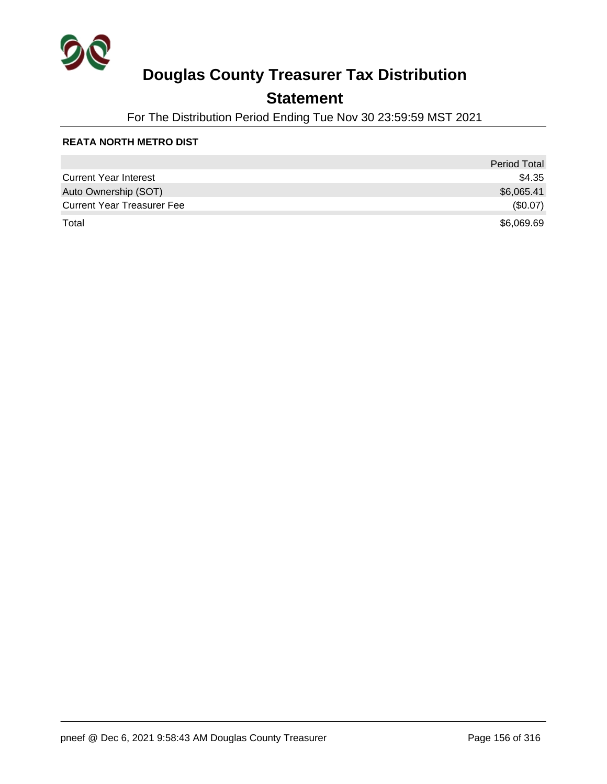

## **Statement**

For The Distribution Period Ending Tue Nov 30 23:59:59 MST 2021

#### **REATA NORTH METRO DIST**

|                                   | <b>Period Total</b> |
|-----------------------------------|---------------------|
| <b>Current Year Interest</b>      | \$4.35              |
| Auto Ownership (SOT)              | \$6,065.41          |
| <b>Current Year Treasurer Fee</b> | (\$0.07)            |
| Total                             | \$6,069.69          |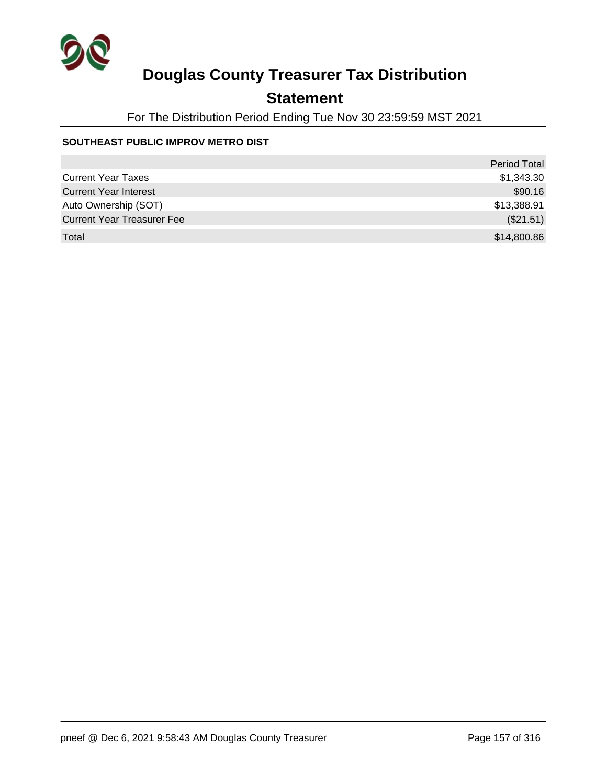

## **Statement**

For The Distribution Period Ending Tue Nov 30 23:59:59 MST 2021

#### **SOUTHEAST PUBLIC IMPROV METRO DIST**

|                                   | <b>Period Total</b> |
|-----------------------------------|---------------------|
| <b>Current Year Taxes</b>         | \$1,343.30          |
| <b>Current Year Interest</b>      | \$90.16             |
| Auto Ownership (SOT)              | \$13,388.91         |
| <b>Current Year Treasurer Fee</b> | (\$21.51)           |
| Total                             | \$14,800.86         |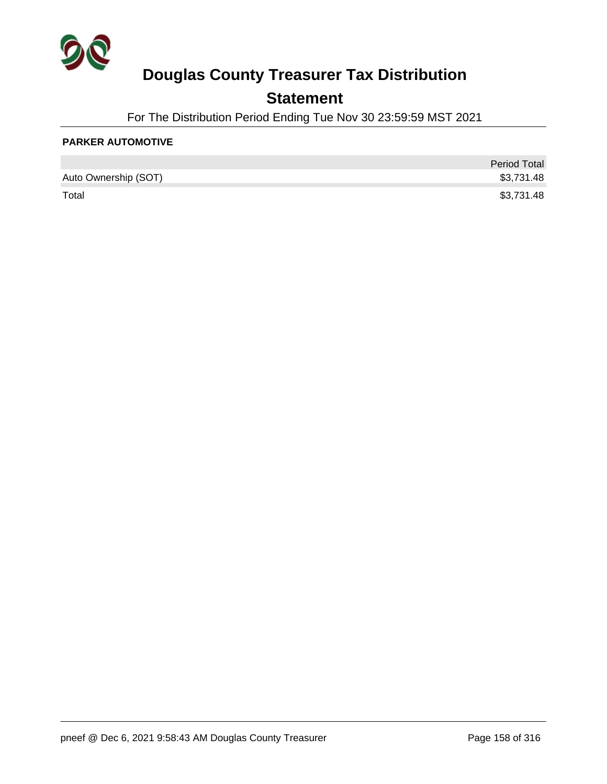

## **Statement**

For The Distribution Period Ending Tue Nov 30 23:59:59 MST 2021

#### **PARKER AUTOMOTIVE**

|                      | <b>Period Total</b> |
|----------------------|---------------------|
| Auto Ownership (SOT) | \$3,731.48          |
| Total                | \$3,731.48          |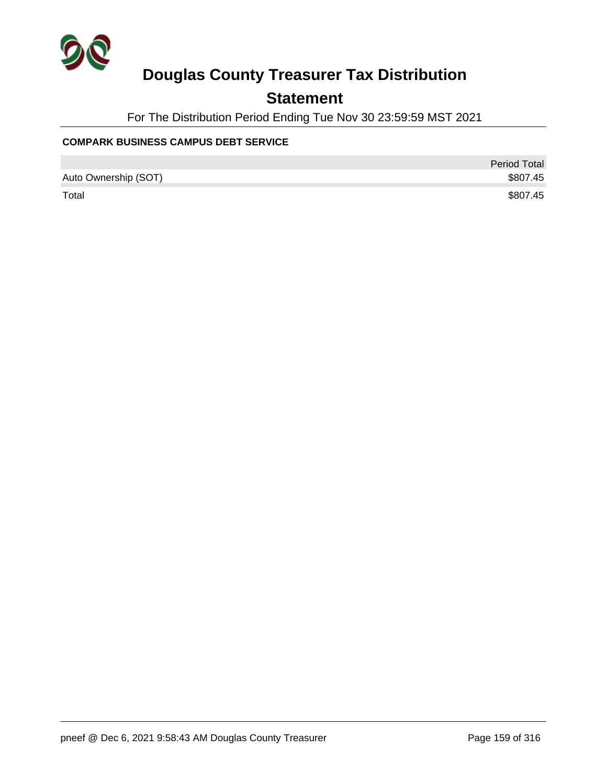

## **Statement**

For The Distribution Period Ending Tue Nov 30 23:59:59 MST 2021

#### **COMPARK BUSINESS CAMPUS DEBT SERVICE**

|                      | Period Total |
|----------------------|--------------|
| Auto Ownership (SOT) | \$807.45     |
| Total                | \$807.45     |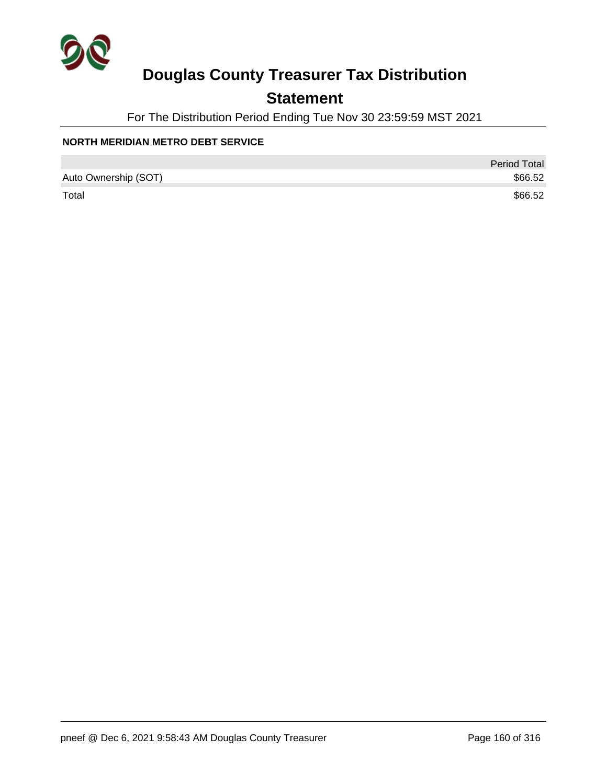

## **Statement**

For The Distribution Period Ending Tue Nov 30 23:59:59 MST 2021

#### **NORTH MERIDIAN METRO DEBT SERVICE**

|                      | <b>Period Total</b> |
|----------------------|---------------------|
| Auto Ownership (SOT) | \$66.52             |
| Total                | \$66.52             |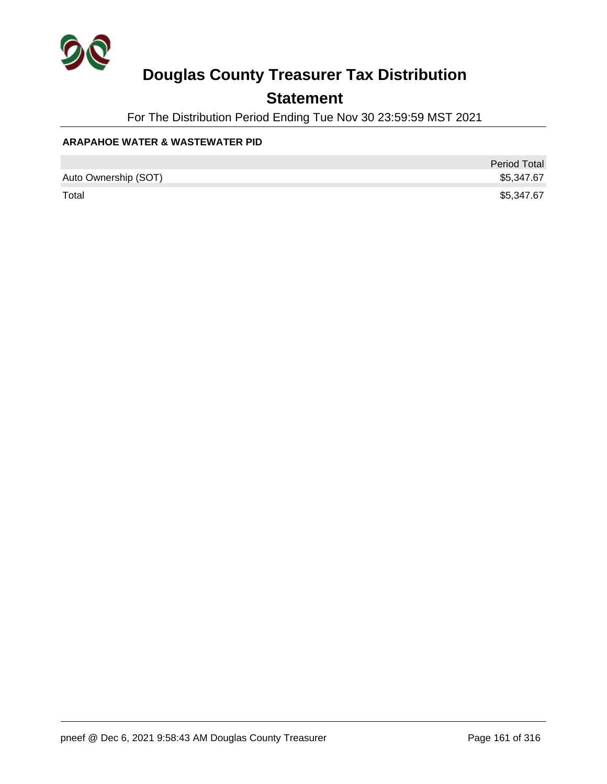

## **Statement**

For The Distribution Period Ending Tue Nov 30 23:59:59 MST 2021

#### **ARAPAHOE WATER & WASTEWATER PID**

|                      | <b>Period Total</b> |
|----------------------|---------------------|
| Auto Ownership (SOT) | \$5,347.67          |
| Total                | \$5,347.67          |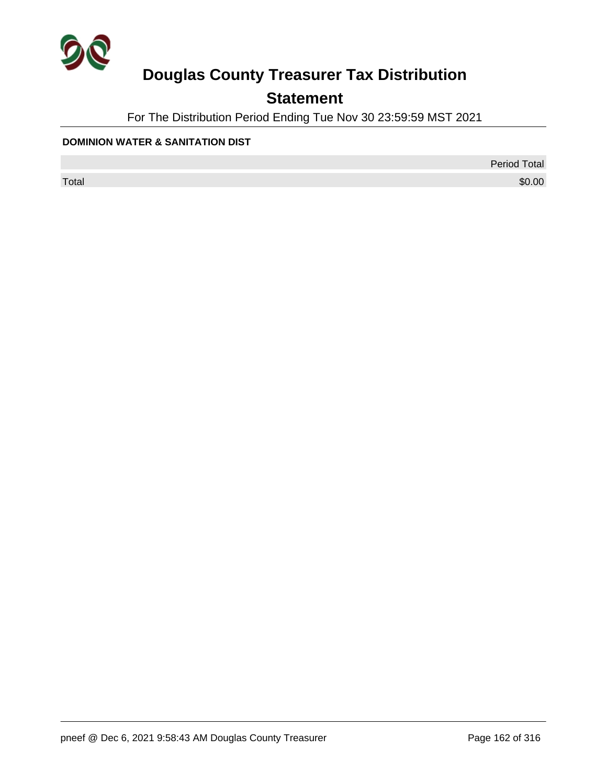

## **Statement**

For The Distribution Period Ending Tue Nov 30 23:59:59 MST 2021

#### **DOMINION WATER & SANITATION DIST**

Period Total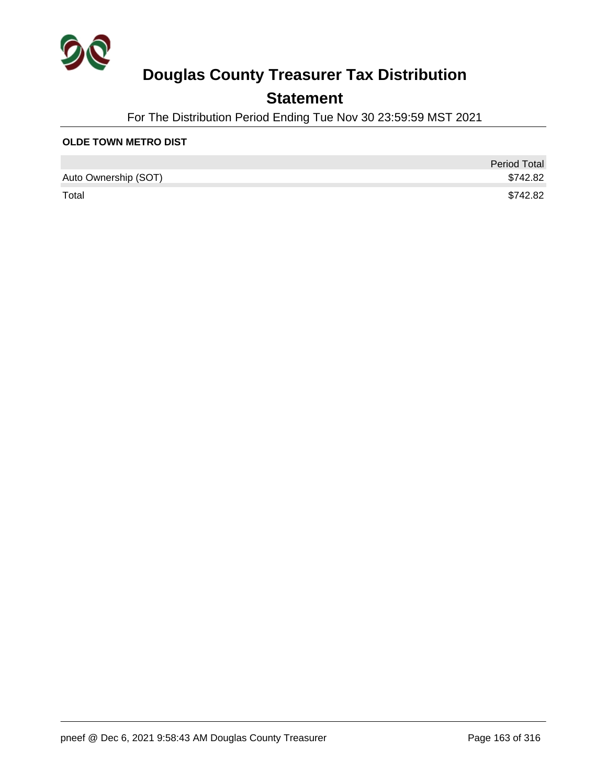

## **Statement**

For The Distribution Period Ending Tue Nov 30 23:59:59 MST 2021

#### **OLDE TOWN METRO DIST**

|                      | <b>Period Total</b> |
|----------------------|---------------------|
| Auto Ownership (SOT) | \$742.82            |
| Total                | \$742.82            |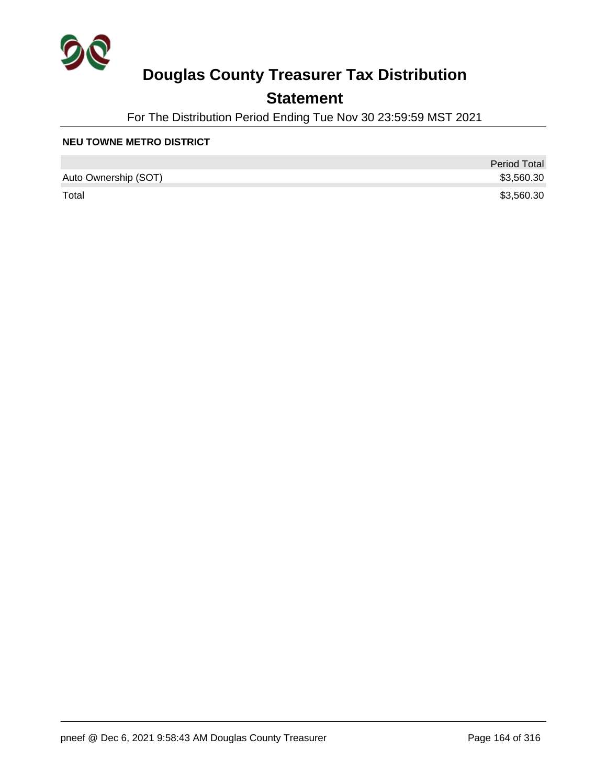

## **Statement**

For The Distribution Period Ending Tue Nov 30 23:59:59 MST 2021

#### **NEU TOWNE METRO DISTRICT**

|                      | <b>Period Total</b> |
|----------------------|---------------------|
| Auto Ownership (SOT) | \$3,560.30          |
| Total                | \$3,560.30          |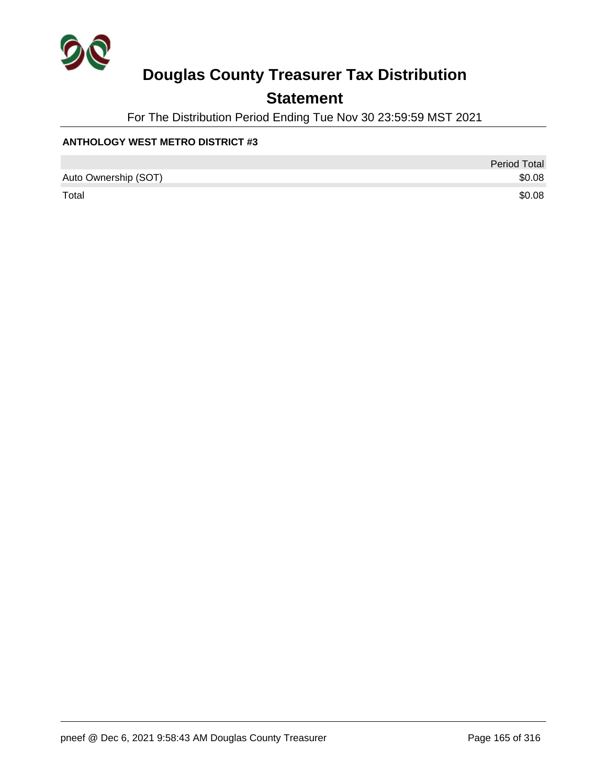

## **Statement**

For The Distribution Period Ending Tue Nov 30 23:59:59 MST 2021

#### **ANTHOLOGY WEST METRO DISTRICT #3**

|                      | <b>Period Total</b> |
|----------------------|---------------------|
| Auto Ownership (SOT) | \$0.08              |
| Total                | \$0.08              |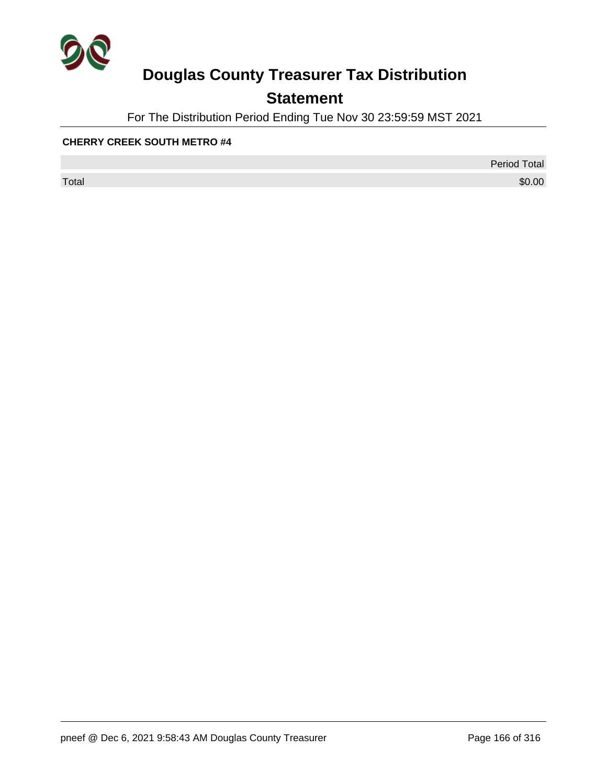

## **Statement**

For The Distribution Period Ending Tue Nov 30 23:59:59 MST 2021

#### **CHERRY CREEK SOUTH METRO #4**

Period Total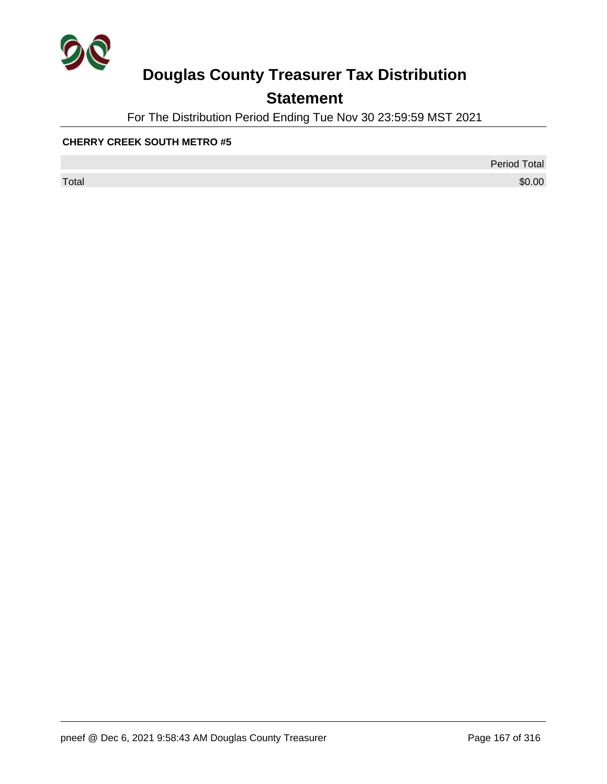

## **Statement**

For The Distribution Period Ending Tue Nov 30 23:59:59 MST 2021

#### **CHERRY CREEK SOUTH METRO #5**

Period Total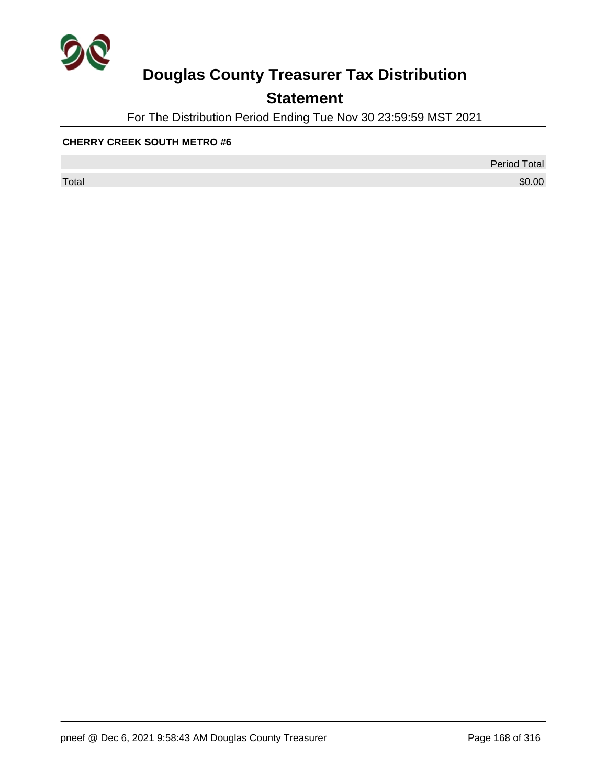

## **Statement**

For The Distribution Period Ending Tue Nov 30 23:59:59 MST 2021

#### **CHERRY CREEK SOUTH METRO #6**

Period Total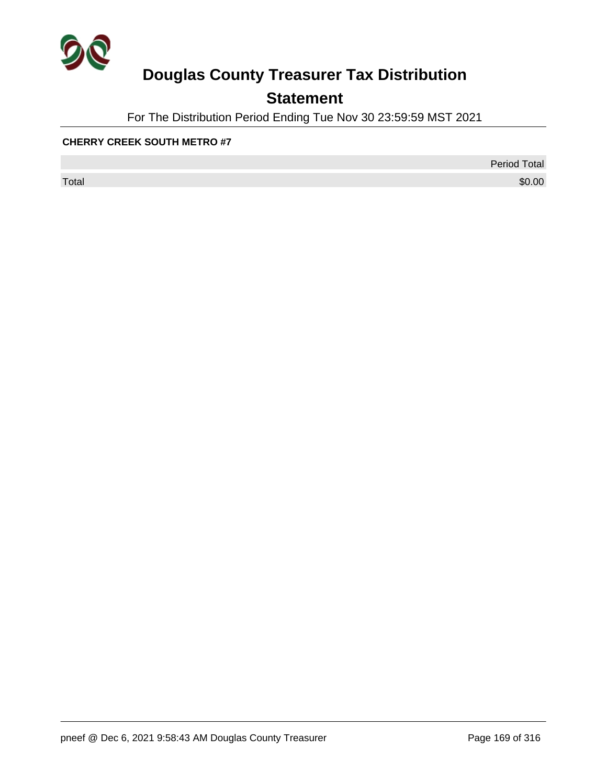

## **Statement**

For The Distribution Period Ending Tue Nov 30 23:59:59 MST 2021

#### **CHERRY CREEK SOUTH METRO #7**

Period Total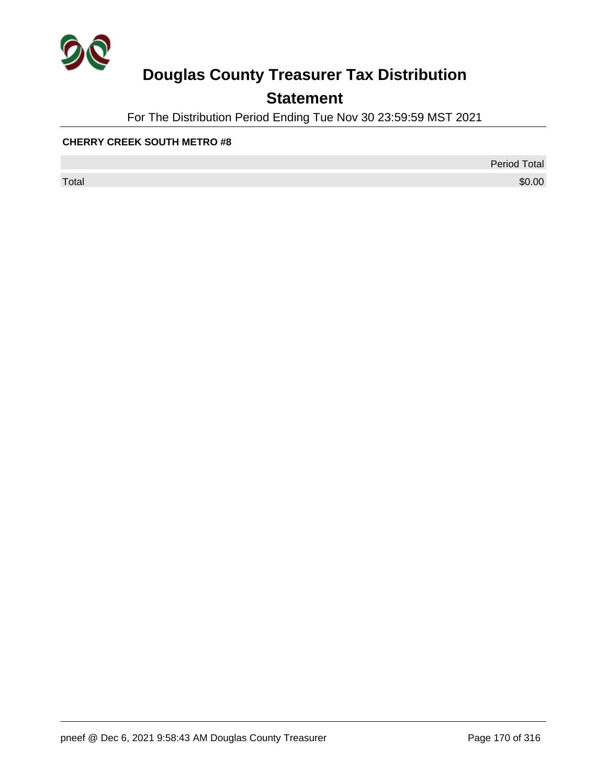

## **Statement**

For The Distribution Period Ending Tue Nov 30 23:59:59 MST 2021

#### **CHERRY CREEK SOUTH METRO #8**

Period Total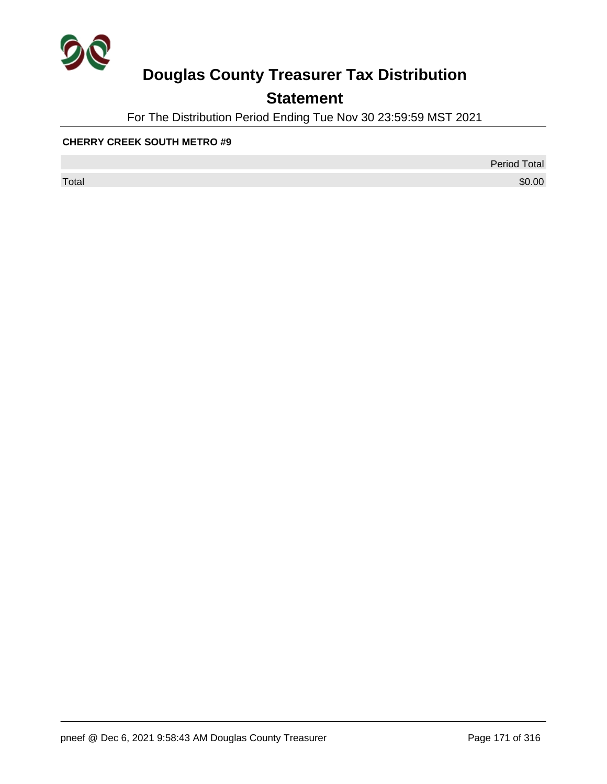

## **Statement**

For The Distribution Period Ending Tue Nov 30 23:59:59 MST 2021

#### **CHERRY CREEK SOUTH METRO #9**

Period Total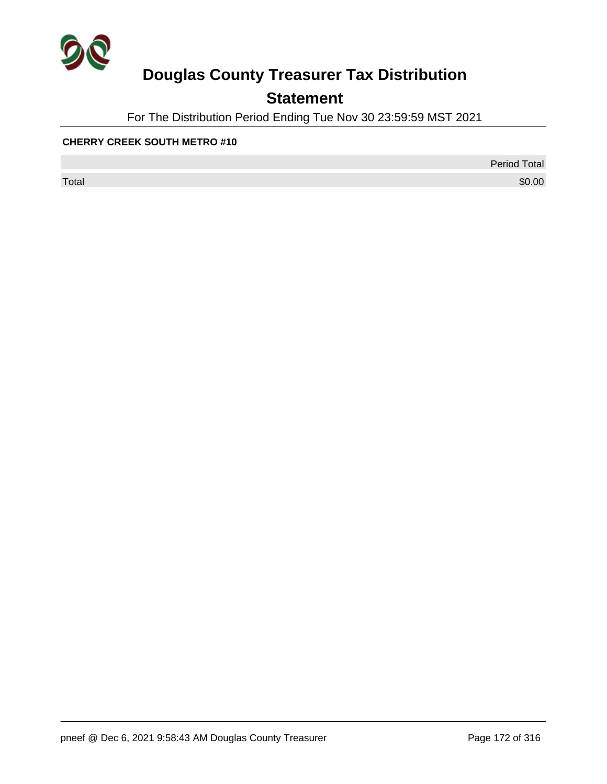

## **Statement**

For The Distribution Period Ending Tue Nov 30 23:59:59 MST 2021

#### **CHERRY CREEK SOUTH METRO #10**

Period Total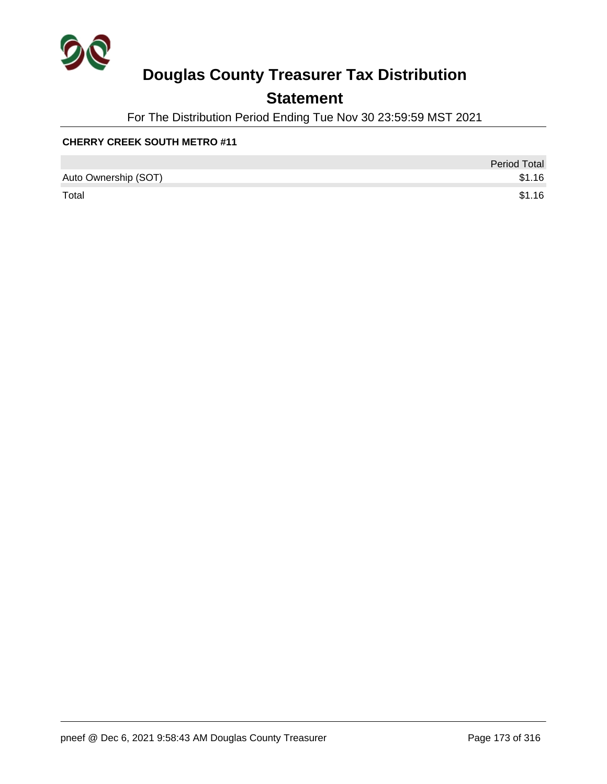

## **Statement**

For The Distribution Period Ending Tue Nov 30 23:59:59 MST 2021

#### **CHERRY CREEK SOUTH METRO #11**

|                      | <b>Period Total</b> |
|----------------------|---------------------|
| Auto Ownership (SOT) | \$1.16              |
| Total                | \$1.16              |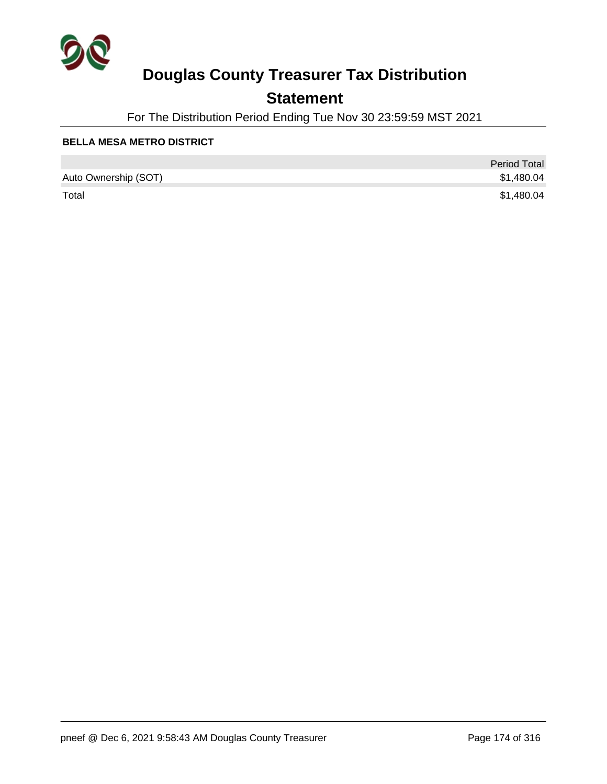

## **Statement**

For The Distribution Period Ending Tue Nov 30 23:59:59 MST 2021

#### **BELLA MESA METRO DISTRICT**

|                      | <b>Period Total</b> |
|----------------------|---------------------|
| Auto Ownership (SOT) | \$1,480.04          |
| Total                | \$1,480.04          |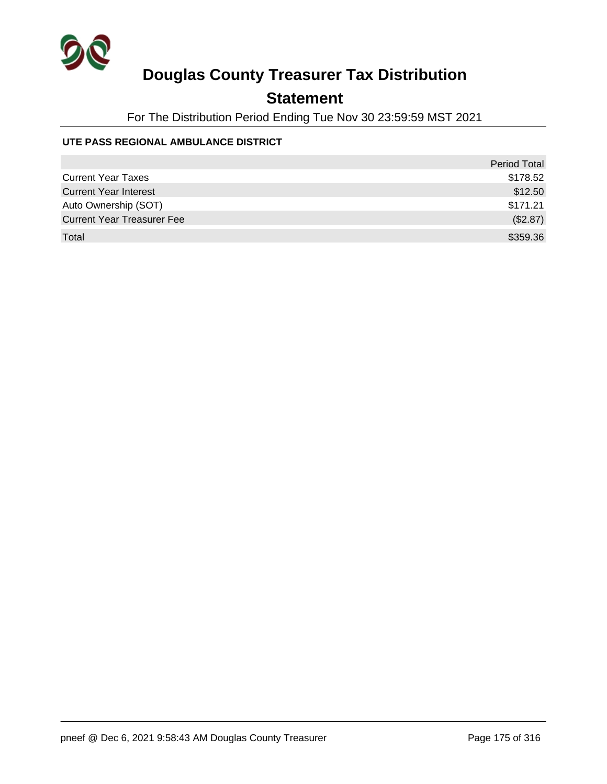

## **Statement**

For The Distribution Period Ending Tue Nov 30 23:59:59 MST 2021

#### **UTE PASS REGIONAL AMBULANCE DISTRICT**

|                                   | <b>Period Total</b> |
|-----------------------------------|---------------------|
| <b>Current Year Taxes</b>         | \$178.52            |
| <b>Current Year Interest</b>      | \$12.50             |
| Auto Ownership (SOT)              | \$171.21            |
| <b>Current Year Treasurer Fee</b> | (\$2.87)            |
| Total                             | \$359.36            |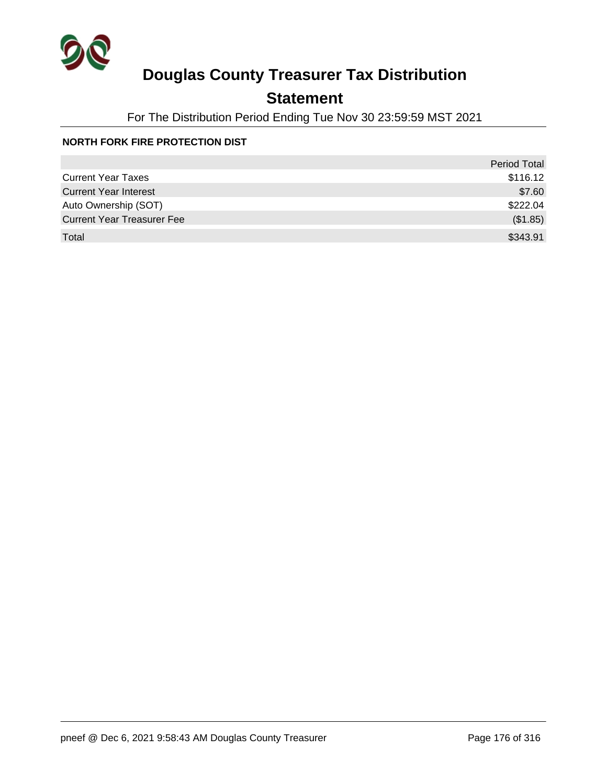

## **Statement**

For The Distribution Period Ending Tue Nov 30 23:59:59 MST 2021

#### **NORTH FORK FIRE PROTECTION DIST**

|                                   | <b>Period Total</b> |
|-----------------------------------|---------------------|
| <b>Current Year Taxes</b>         | \$116.12            |
| <b>Current Year Interest</b>      | \$7.60              |
| Auto Ownership (SOT)              | \$222.04            |
| <b>Current Year Treasurer Fee</b> | (\$1.85)            |
| Total                             | \$343.91            |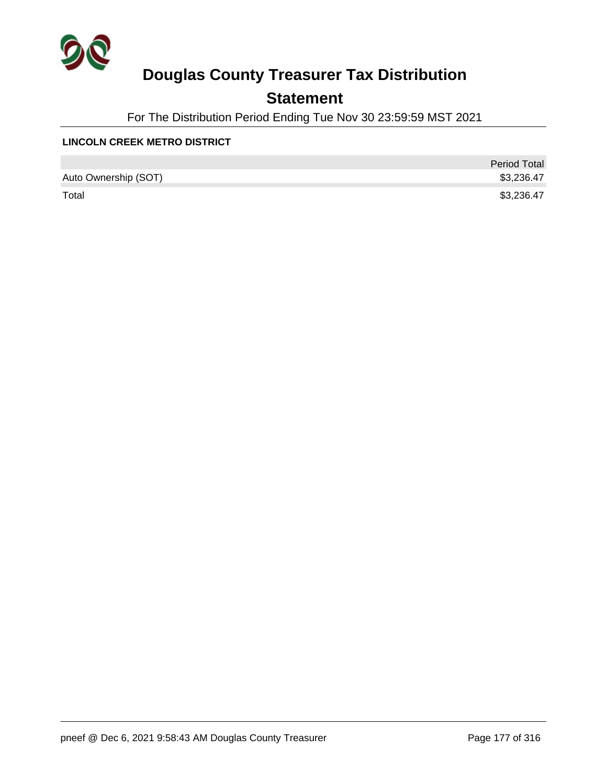

## **Statement**

For The Distribution Period Ending Tue Nov 30 23:59:59 MST 2021

#### **LINCOLN CREEK METRO DISTRICT**

|                      | <b>Period Total</b> |
|----------------------|---------------------|
| Auto Ownership (SOT) | \$3,236.47          |
| Total                | \$3,236.47          |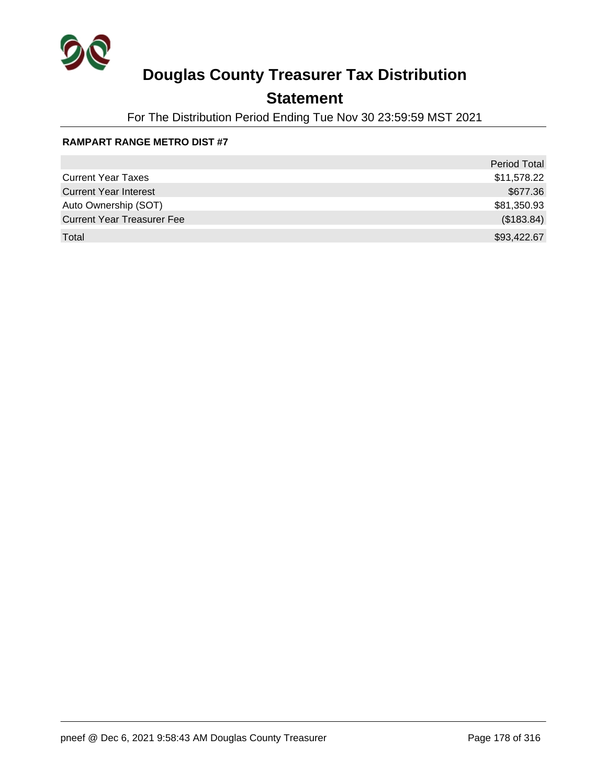

## **Statement**

For The Distribution Period Ending Tue Nov 30 23:59:59 MST 2021

#### **RAMPART RANGE METRO DIST #7**

|                                   | <b>Period Total</b> |
|-----------------------------------|---------------------|
| <b>Current Year Taxes</b>         | \$11,578.22         |
| <b>Current Year Interest</b>      | \$677.36            |
| Auto Ownership (SOT)              | \$81,350.93         |
| <b>Current Year Treasurer Fee</b> | (\$183.84)          |
| Total                             | \$93,422.67         |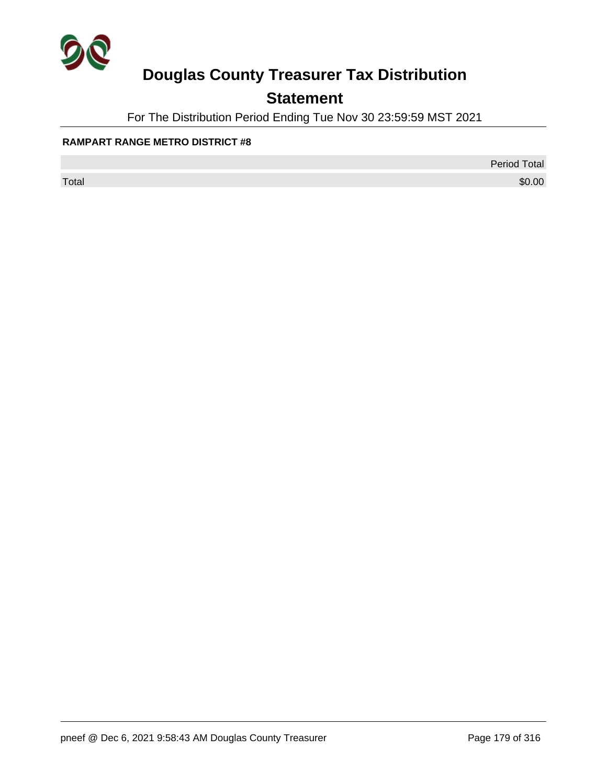

## **Statement**

For The Distribution Period Ending Tue Nov 30 23:59:59 MST 2021

#### **RAMPART RANGE METRO DISTRICT #8**

Period Total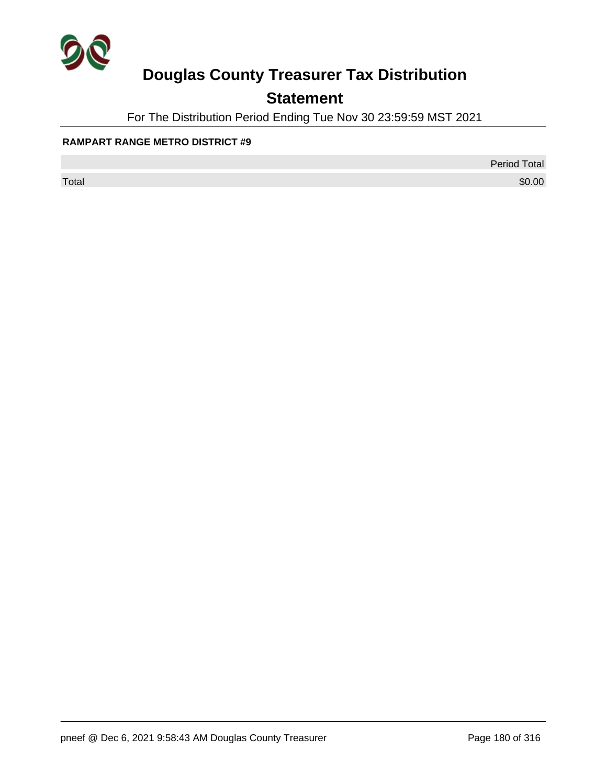

## **Statement**

For The Distribution Period Ending Tue Nov 30 23:59:59 MST 2021

#### **RAMPART RANGE METRO DISTRICT #9**

Period Total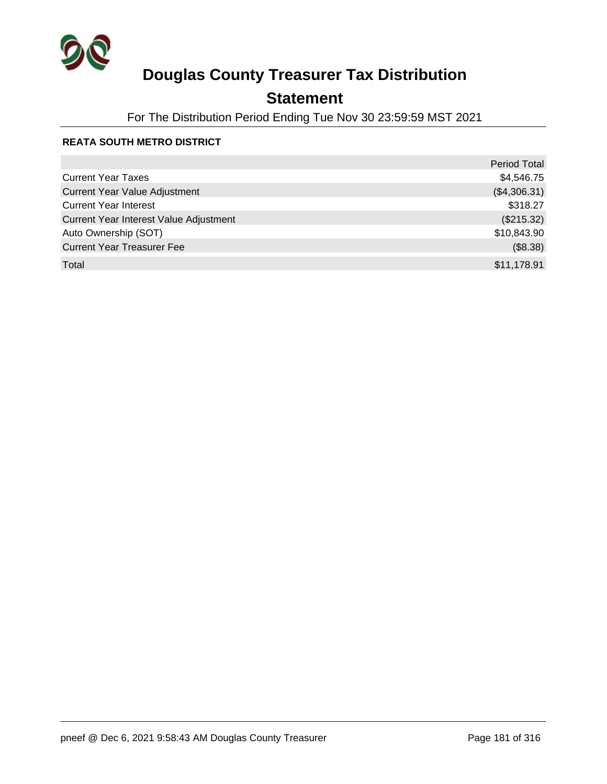

## **Statement**

For The Distribution Period Ending Tue Nov 30 23:59:59 MST 2021

#### **REATA SOUTH METRO DISTRICT**

|                                        | <b>Period Total</b> |
|----------------------------------------|---------------------|
| <b>Current Year Taxes</b>              | \$4,546.75          |
| <b>Current Year Value Adjustment</b>   | (\$4,306.31)        |
| <b>Current Year Interest</b>           | \$318.27            |
| Current Year Interest Value Adjustment | (\$215.32)          |
| Auto Ownership (SOT)                   | \$10,843.90         |
| <b>Current Year Treasurer Fee</b>      | (\$8.38)            |
| Total                                  | \$11,178.91         |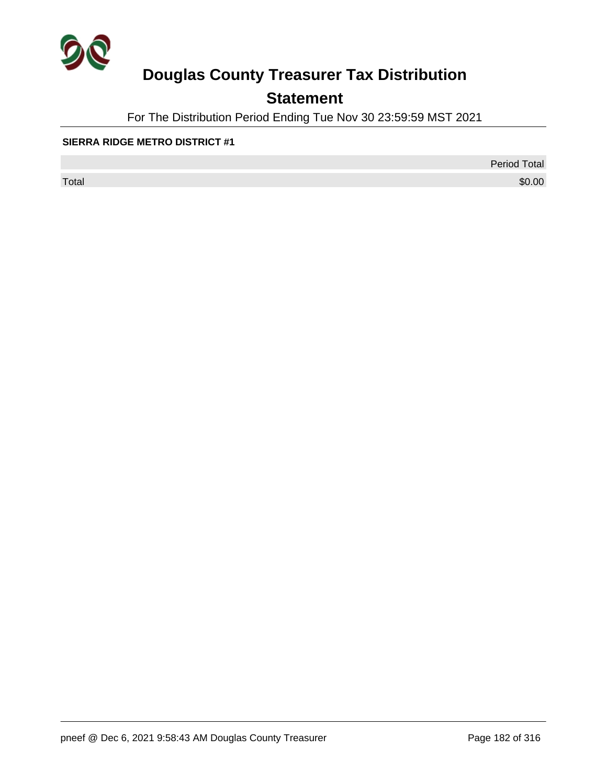

## **Statement**

For The Distribution Period Ending Tue Nov 30 23:59:59 MST 2021

#### **SIERRA RIDGE METRO DISTRICT #1**

Period Total

 $\sf Total$   $\$0.00$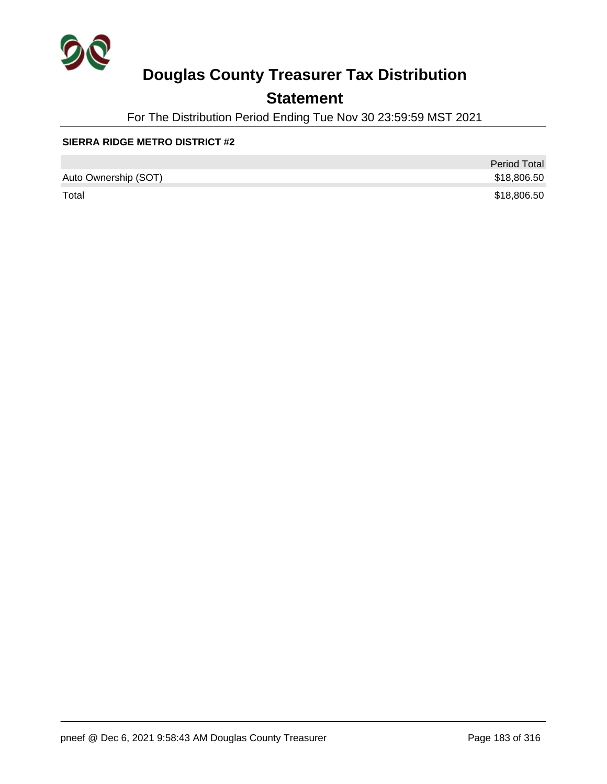

## **Statement**

For The Distribution Period Ending Tue Nov 30 23:59:59 MST 2021

#### **SIERRA RIDGE METRO DISTRICT #2**

|                      | <b>Period Total</b> |
|----------------------|---------------------|
| Auto Ownership (SOT) | \$18,806.50         |
| Total                | \$18,806.50         |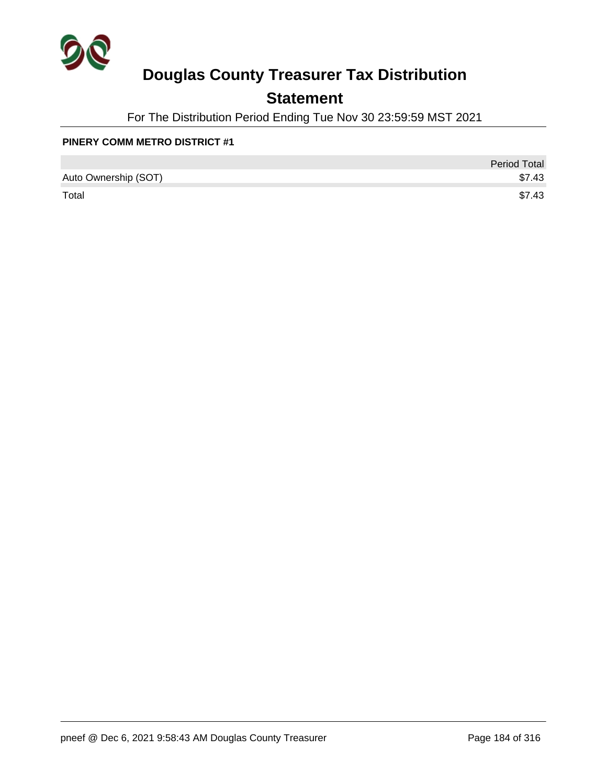

## **Statement**

For The Distribution Period Ending Tue Nov 30 23:59:59 MST 2021

#### **PINERY COMM METRO DISTRICT #1**

|                      | <b>Period Total</b> |
|----------------------|---------------------|
| Auto Ownership (SOT) | \$7.43              |
| Total                | \$7.43              |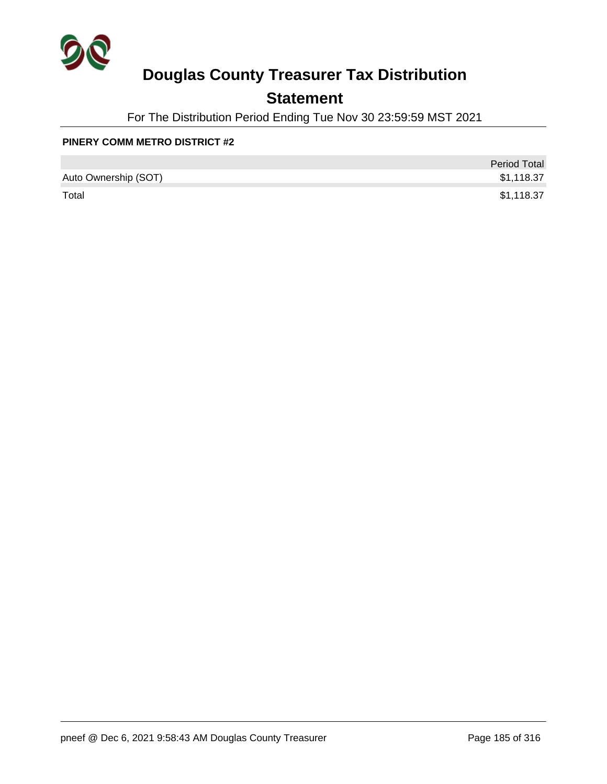

## **Statement**

For The Distribution Period Ending Tue Nov 30 23:59:59 MST 2021

#### **PINERY COMM METRO DISTRICT #2**

|                      | <b>Period Total</b> |
|----------------------|---------------------|
| Auto Ownership (SOT) | \$1,118.37          |
| Total                | \$1,118.37          |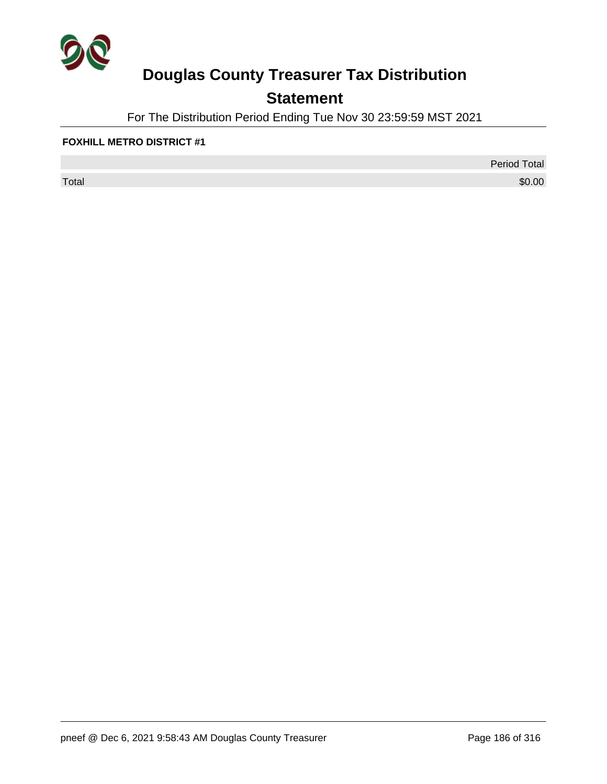

## **Statement**

For The Distribution Period Ending Tue Nov 30 23:59:59 MST 2021

#### **FOXHILL METRO DISTRICT #1**

 $\sf Total$   $\$0.00$ 

Period Total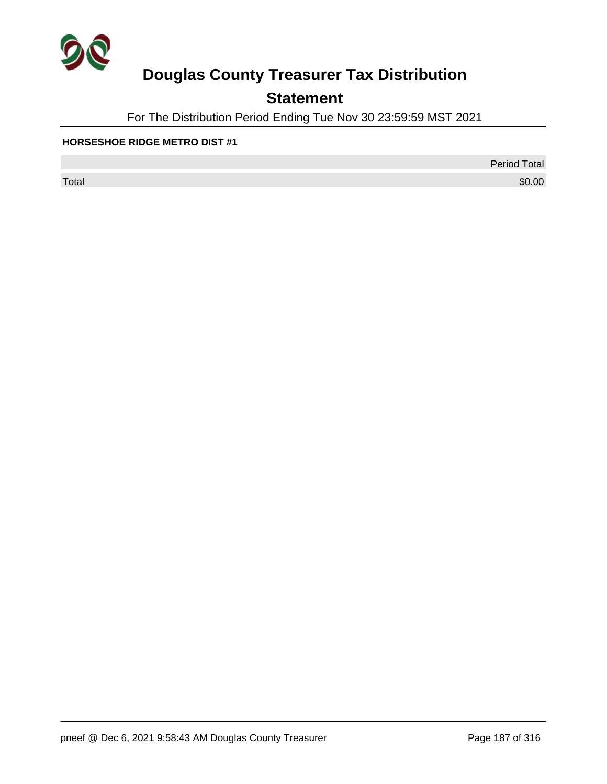

## **Statement**

For The Distribution Period Ending Tue Nov 30 23:59:59 MST 2021

#### **HORSESHOE RIDGE METRO DIST #1**

Period Total

 $\sf Total$   $\$0.00$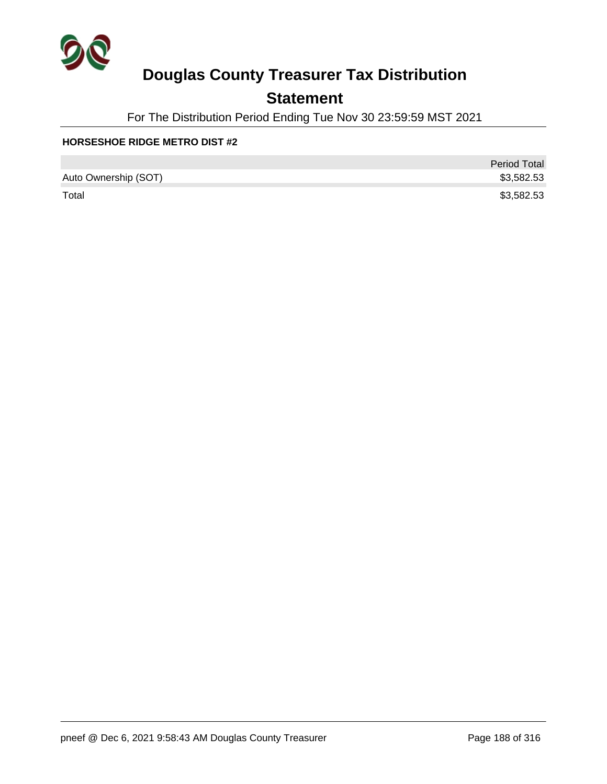

## **Statement**

For The Distribution Period Ending Tue Nov 30 23:59:59 MST 2021

#### **HORSESHOE RIDGE METRO DIST #2**

|                      | <b>Period Total</b> |
|----------------------|---------------------|
| Auto Ownership (SOT) | \$3,582.53          |
| Total                | \$3,582.53          |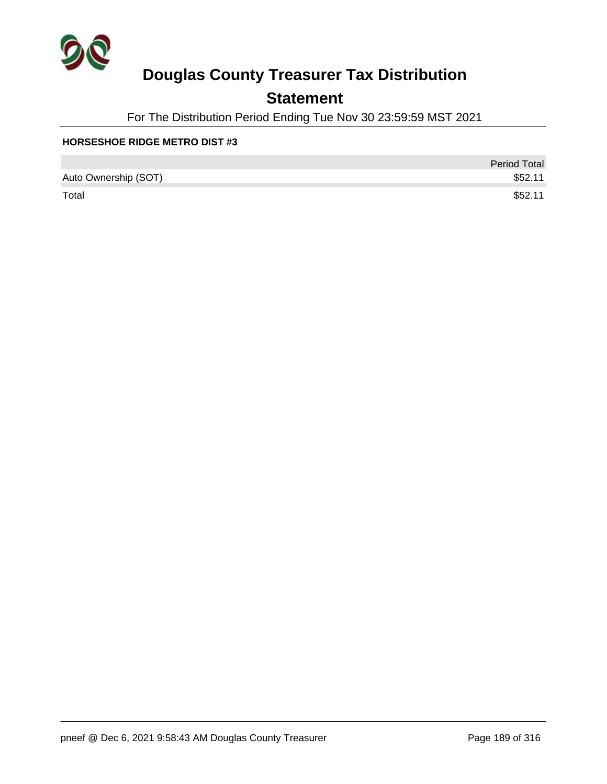

## **Statement**

For The Distribution Period Ending Tue Nov 30 23:59:59 MST 2021

#### **HORSESHOE RIDGE METRO DIST #3**

|                      | <b>Period Total</b> |
|----------------------|---------------------|
| Auto Ownership (SOT) | \$52.11             |
| Total                | \$52.11             |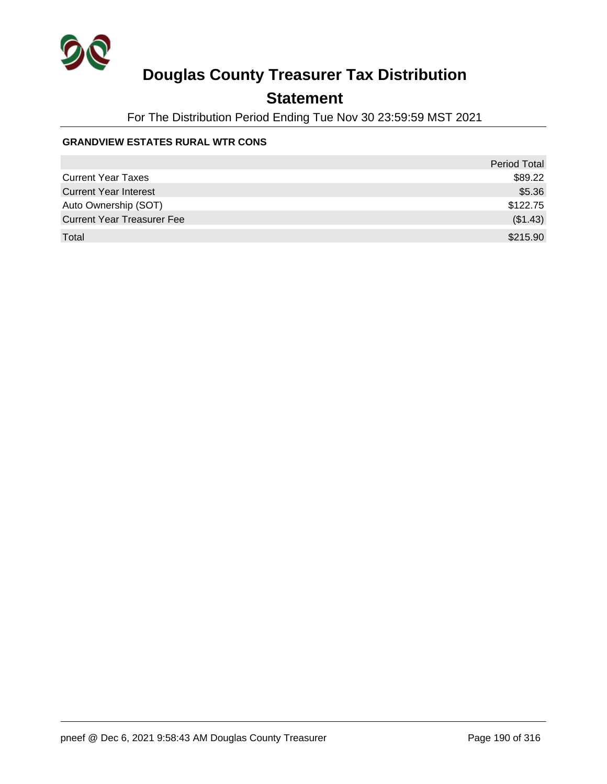

## **Statement**

For The Distribution Period Ending Tue Nov 30 23:59:59 MST 2021

#### **GRANDVIEW ESTATES RURAL WTR CONS**

|                                   | <b>Period Total</b> |
|-----------------------------------|---------------------|
| <b>Current Year Taxes</b>         | \$89.22             |
| <b>Current Year Interest</b>      | \$5.36              |
| Auto Ownership (SOT)              | \$122.75            |
| <b>Current Year Treasurer Fee</b> | (\$1.43)            |
| Total                             | \$215.90            |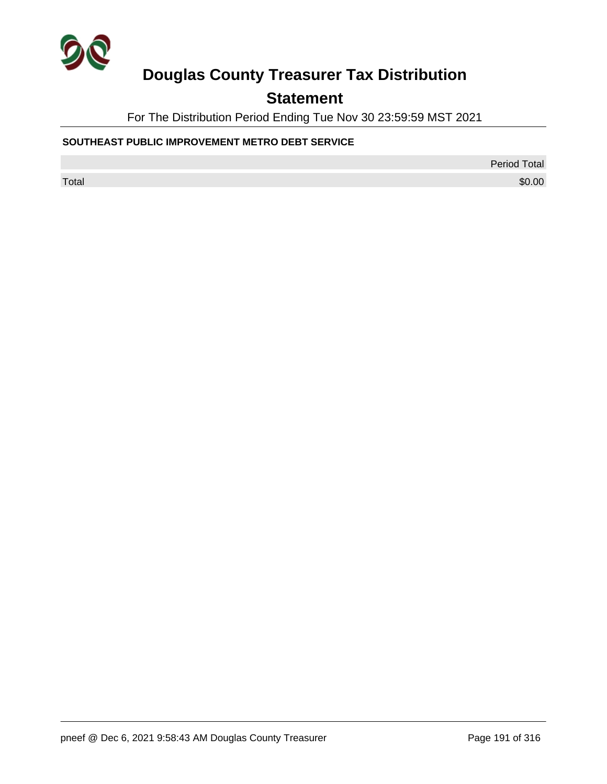

## **Statement**

For The Distribution Period Ending Tue Nov 30 23:59:59 MST 2021

#### **SOUTHEAST PUBLIC IMPROVEMENT METRO DEBT SERVICE**

Period Total

 $\sf Total$   $\$0.00$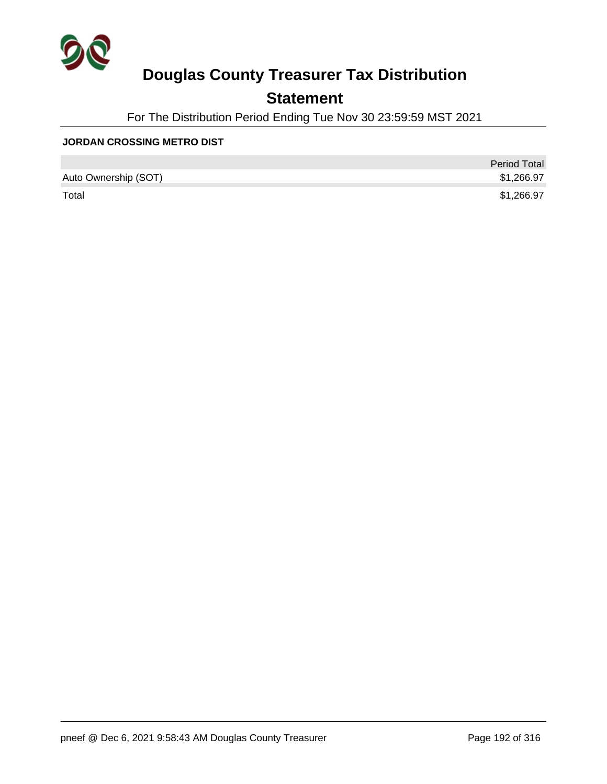

## **Statement**

For The Distribution Period Ending Tue Nov 30 23:59:59 MST 2021

#### **JORDAN CROSSING METRO DIST**

|                      | <b>Period Total</b> |
|----------------------|---------------------|
| Auto Ownership (SOT) | \$1,266.97          |
| Total                | \$1,266.97          |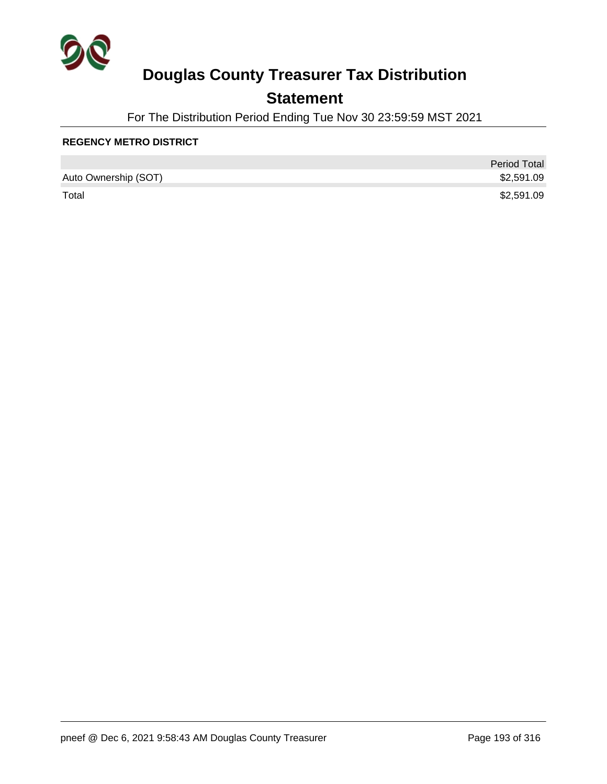

## **Statement**

For The Distribution Period Ending Tue Nov 30 23:59:59 MST 2021

#### **REGENCY METRO DISTRICT**

|                      | <b>Period Total</b> |
|----------------------|---------------------|
| Auto Ownership (SOT) | \$2,591.09          |
| Total                | \$2,591.09          |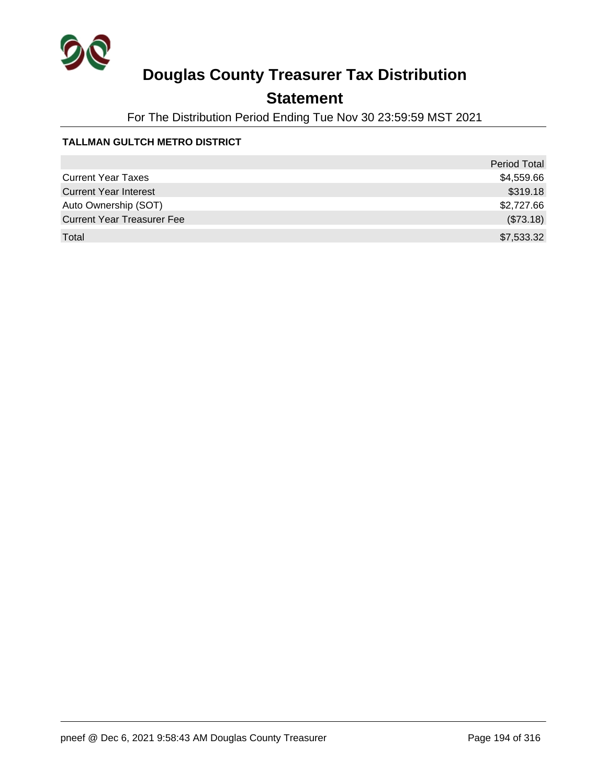

## **Statement**

For The Distribution Period Ending Tue Nov 30 23:59:59 MST 2021

#### **TALLMAN GULTCH METRO DISTRICT**

|                                   | <b>Period Total</b> |
|-----------------------------------|---------------------|
| <b>Current Year Taxes</b>         | \$4,559.66          |
| <b>Current Year Interest</b>      | \$319.18            |
| Auto Ownership (SOT)              | \$2,727.66          |
| <b>Current Year Treasurer Fee</b> | (\$73.18)           |
| Total                             | \$7,533.32          |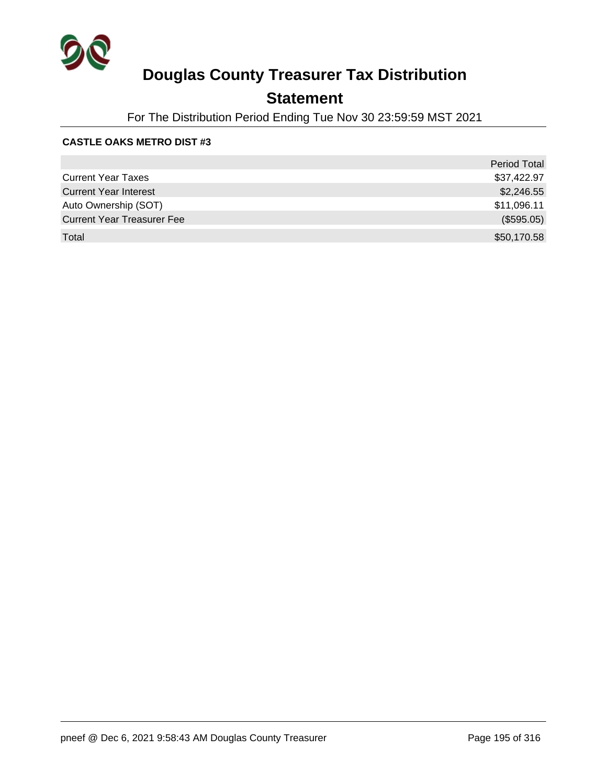

## **Statement**

For The Distribution Period Ending Tue Nov 30 23:59:59 MST 2021

#### **CASTLE OAKS METRO DIST #3**

|                                   | <b>Period Total</b> |
|-----------------------------------|---------------------|
| <b>Current Year Taxes</b>         | \$37,422.97         |
| <b>Current Year Interest</b>      | \$2,246.55          |
| Auto Ownership (SOT)              | \$11,096.11         |
| <b>Current Year Treasurer Fee</b> | (\$595.05)          |
| Total                             | \$50,170.58         |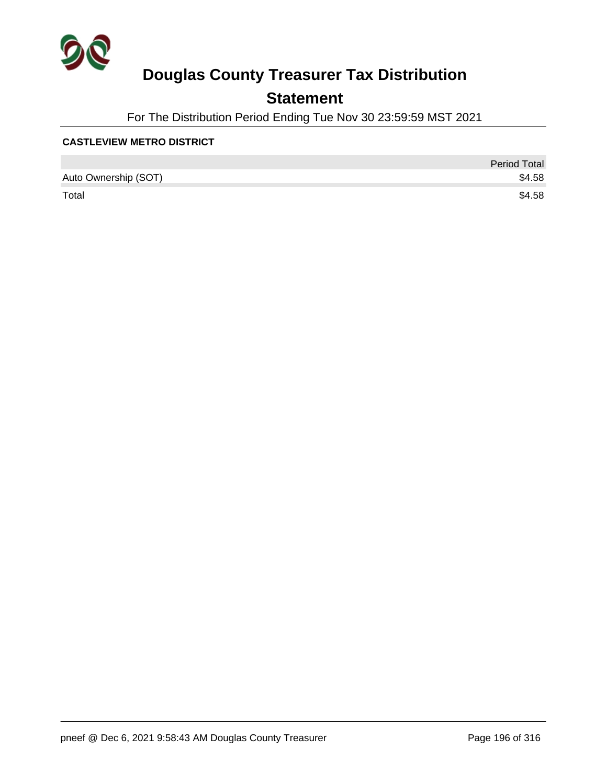

## **Statement**

For The Distribution Period Ending Tue Nov 30 23:59:59 MST 2021

#### **CASTLEVIEW METRO DISTRICT**

|                      | <b>Period Total</b> |
|----------------------|---------------------|
| Auto Ownership (SOT) | \$4.58              |
| Total                | \$4.58              |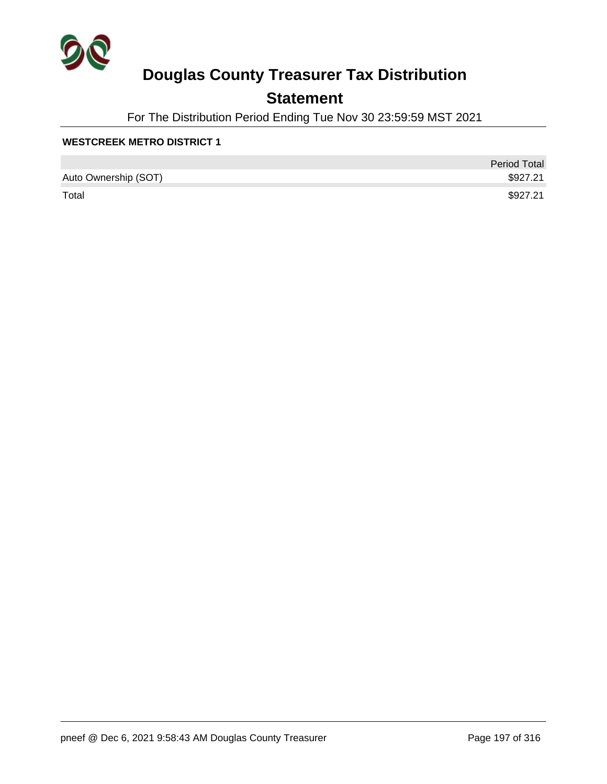

## **Statement**

For The Distribution Period Ending Tue Nov 30 23:59:59 MST 2021

#### **WESTCREEK METRO DISTRICT 1**

|                      | <b>Period Total</b> |
|----------------------|---------------------|
| Auto Ownership (SOT) | \$927.21            |
| Total                | \$927.21            |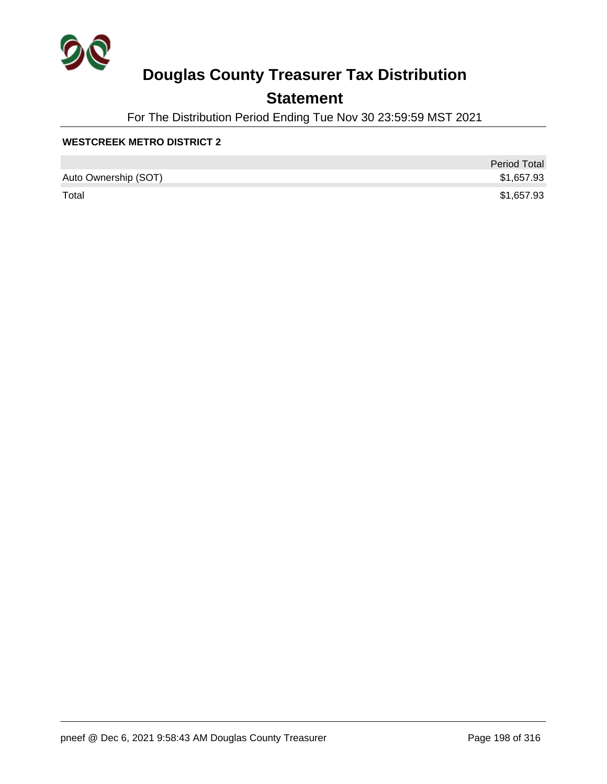

## **Statement**

For The Distribution Period Ending Tue Nov 30 23:59:59 MST 2021

#### **WESTCREEK METRO DISTRICT 2**

|                      | <b>Period Total</b> |
|----------------------|---------------------|
| Auto Ownership (SOT) | \$1,657.93          |
| Total                | \$1,657.93          |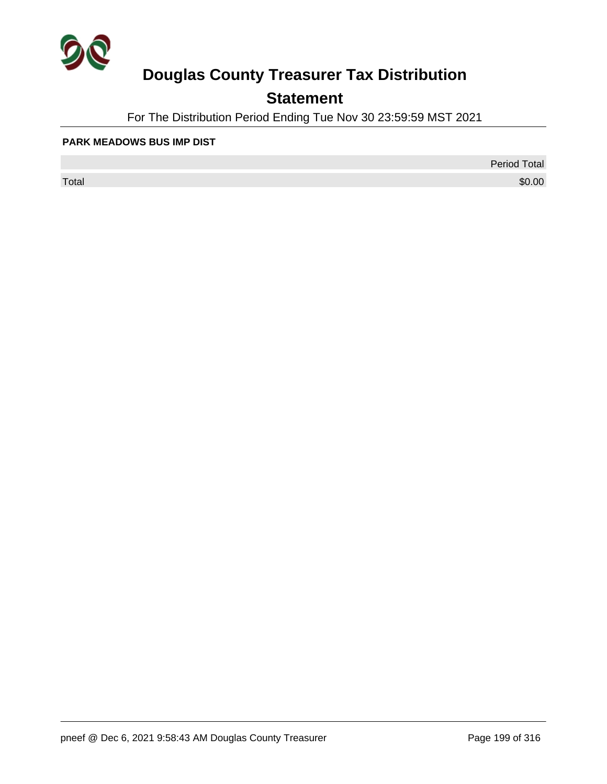

## **Statement**

For The Distribution Period Ending Tue Nov 30 23:59:59 MST 2021

#### **PARK MEADOWS BUS IMP DIST**

 $\sf Total$   $\$0.00$ 

Period Total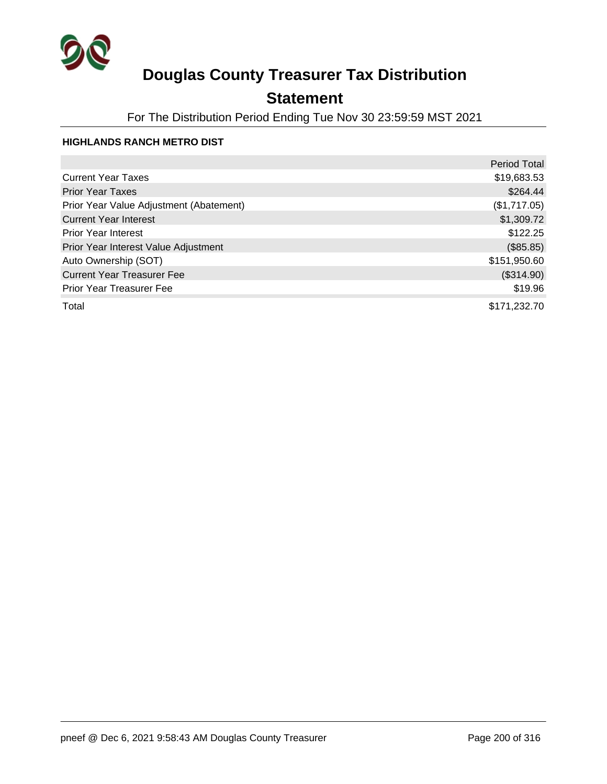

## **Statement**

For The Distribution Period Ending Tue Nov 30 23:59:59 MST 2021

#### **HIGHLANDS RANCH METRO DIST**

|                                         | <b>Period Total</b> |
|-----------------------------------------|---------------------|
| <b>Current Year Taxes</b>               | \$19,683.53         |
| <b>Prior Year Taxes</b>                 | \$264.44            |
| Prior Year Value Adjustment (Abatement) | (\$1,717.05)        |
| <b>Current Year Interest</b>            | \$1,309.72          |
| <b>Prior Year Interest</b>              | \$122.25            |
| Prior Year Interest Value Adjustment    | (\$85.85)           |
| Auto Ownership (SOT)                    | \$151,950.60        |
| <b>Current Year Treasurer Fee</b>       | (\$314.90)          |
| <b>Prior Year Treasurer Fee</b>         | \$19.96             |
| Total                                   | \$171,232.70        |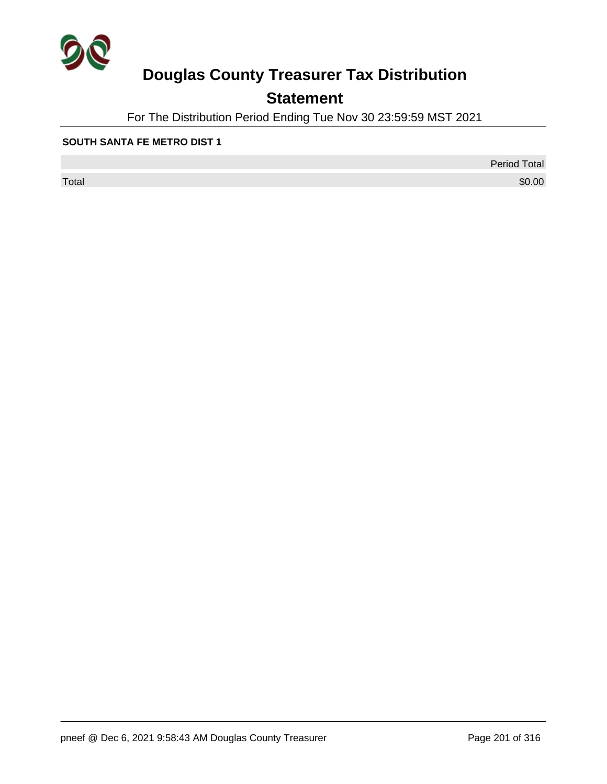

## **Statement**

For The Distribution Period Ending Tue Nov 30 23:59:59 MST 2021

#### **SOUTH SANTA FE METRO DIST 1**

 $\sf Total$   $\$0.00$ 

Period Total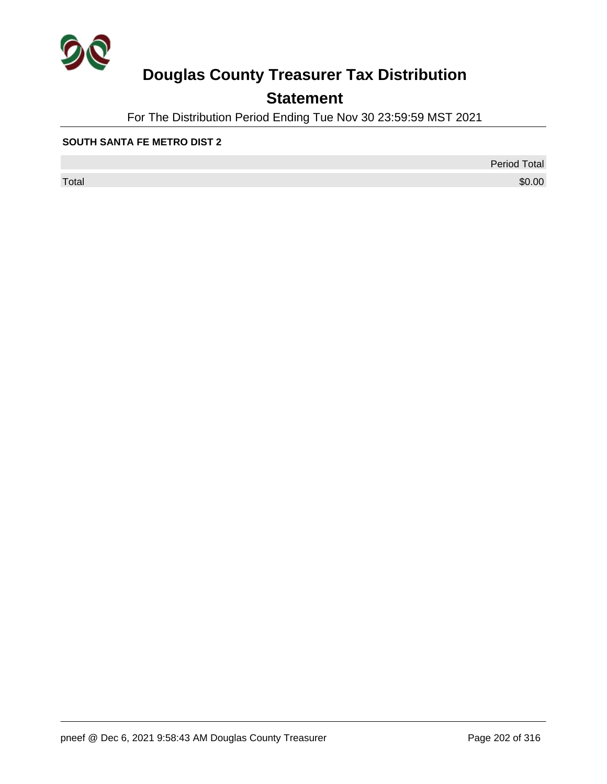

## **Statement**

For The Distribution Period Ending Tue Nov 30 23:59:59 MST 2021

#### **SOUTH SANTA FE METRO DIST 2**

 $\sf Total$   $\$0.00$ 

Period Total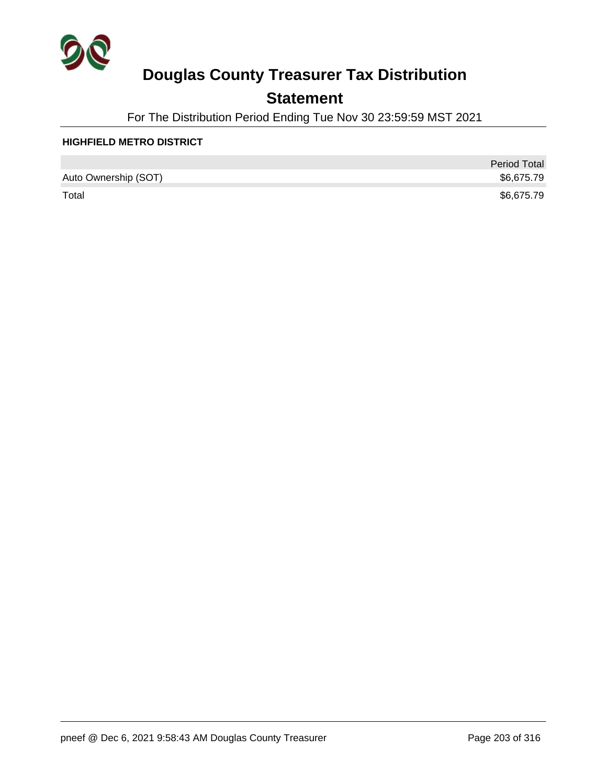

## **Statement**

For The Distribution Period Ending Tue Nov 30 23:59:59 MST 2021

#### **HIGHFIELD METRO DISTRICT**

|                      | <b>Period Total</b> |
|----------------------|---------------------|
| Auto Ownership (SOT) | \$6,675.79          |
| Total                | \$6,675.79          |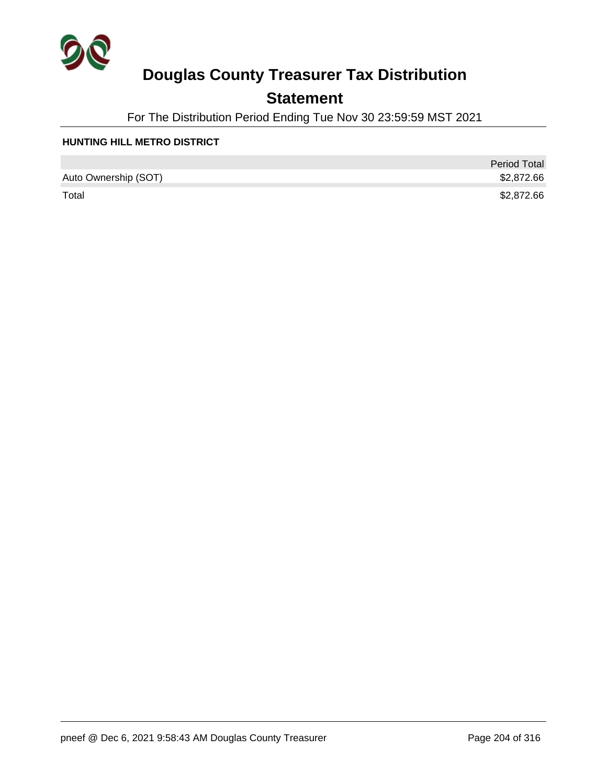

## **Statement**

For The Distribution Period Ending Tue Nov 30 23:59:59 MST 2021

#### **HUNTING HILL METRO DISTRICT**

|                      | <b>Period Total</b> |
|----------------------|---------------------|
| Auto Ownership (SOT) | \$2,872.66          |
| Total                | \$2,872.66          |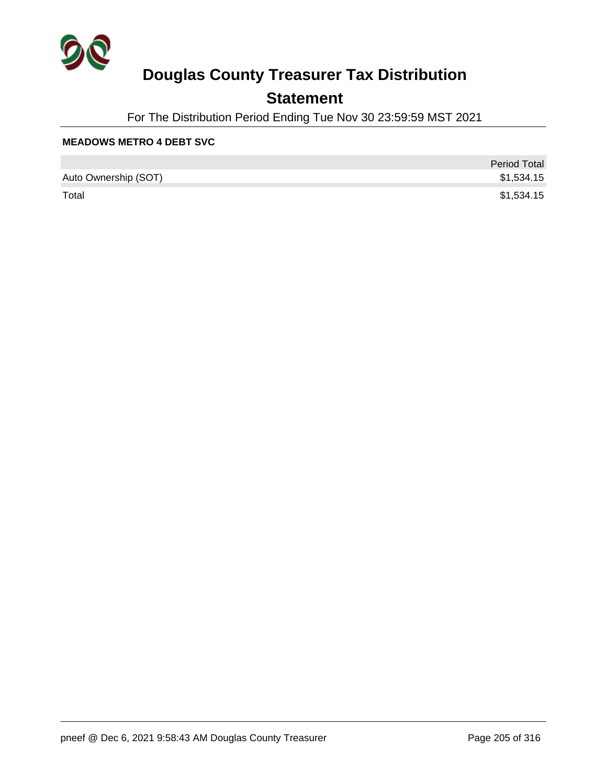

## **Statement**

For The Distribution Period Ending Tue Nov 30 23:59:59 MST 2021

#### **MEADOWS METRO 4 DEBT SVC**

|                      | <b>Period Total</b> |
|----------------------|---------------------|
| Auto Ownership (SOT) | \$1,534.15          |
| Total                | \$1,534.15          |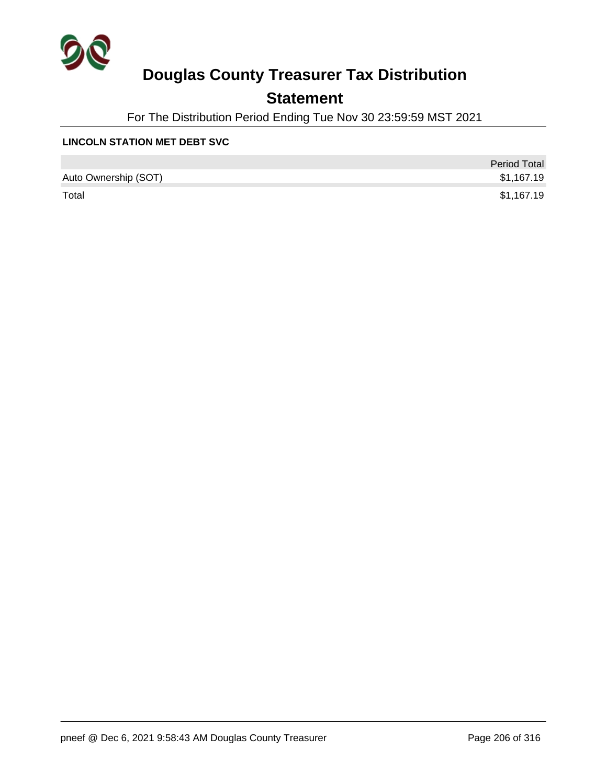

## **Statement**

For The Distribution Period Ending Tue Nov 30 23:59:59 MST 2021

#### **LINCOLN STATION MET DEBT SVC**

|                      | <b>Period Total</b> |
|----------------------|---------------------|
| Auto Ownership (SOT) | \$1,167.19          |
| Total                | \$1,167.19          |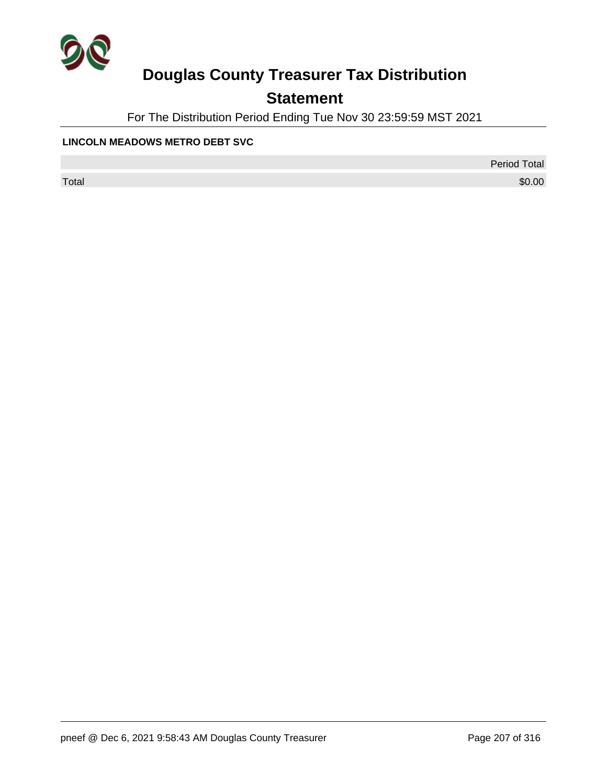

## **Statement**

For The Distribution Period Ending Tue Nov 30 23:59:59 MST 2021

#### **LINCOLN MEADOWS METRO DEBT SVC**

Period Total

 $\sf Total$   $\$0.00$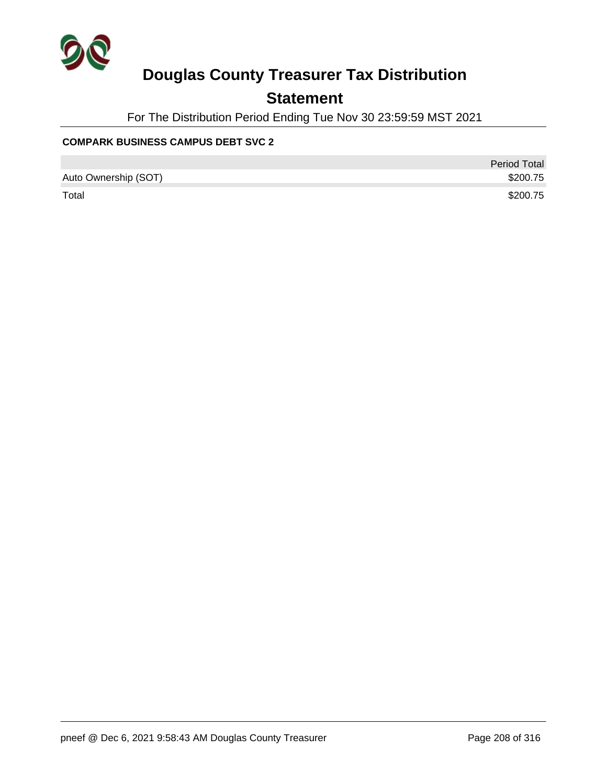

## **Statement**

For The Distribution Period Ending Tue Nov 30 23:59:59 MST 2021

#### **COMPARK BUSINESS CAMPUS DEBT SVC 2**

|                      | <b>Period Total</b> |
|----------------------|---------------------|
| Auto Ownership (SOT) | \$200.75            |
| Total                | \$200.75            |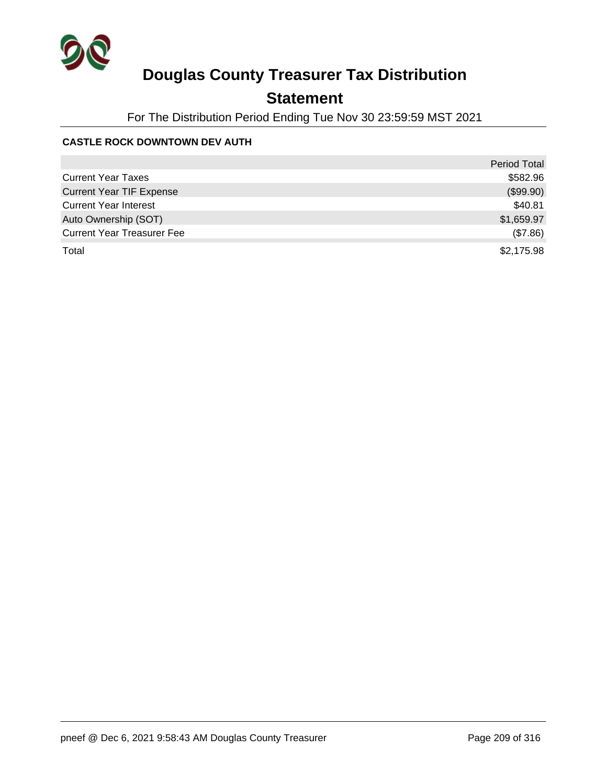

## **Statement**

For The Distribution Period Ending Tue Nov 30 23:59:59 MST 2021

#### **CASTLE ROCK DOWNTOWN DEV AUTH**

|                                   | <b>Period Total</b> |
|-----------------------------------|---------------------|
| <b>Current Year Taxes</b>         | \$582.96            |
| <b>Current Year TIF Expense</b>   | (\$99.90)           |
| <b>Current Year Interest</b>      | \$40.81             |
| Auto Ownership (SOT)              | \$1,659.97          |
| <b>Current Year Treasurer Fee</b> | (\$7.86)            |
| Total                             | \$2,175.98          |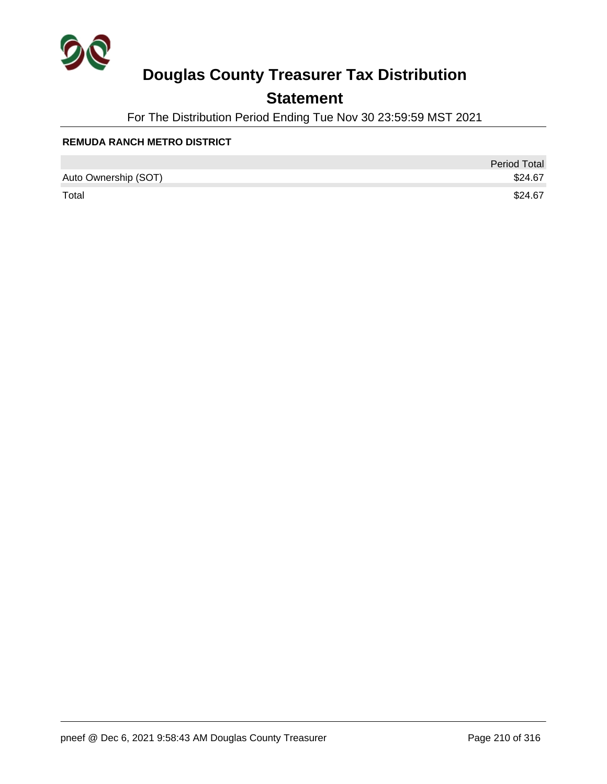

## **Statement**

For The Distribution Period Ending Tue Nov 30 23:59:59 MST 2021

#### **REMUDA RANCH METRO DISTRICT**

|                      | <b>Period Total</b> |
|----------------------|---------------------|
| Auto Ownership (SOT) | \$24.67             |
| Total                | \$24.67             |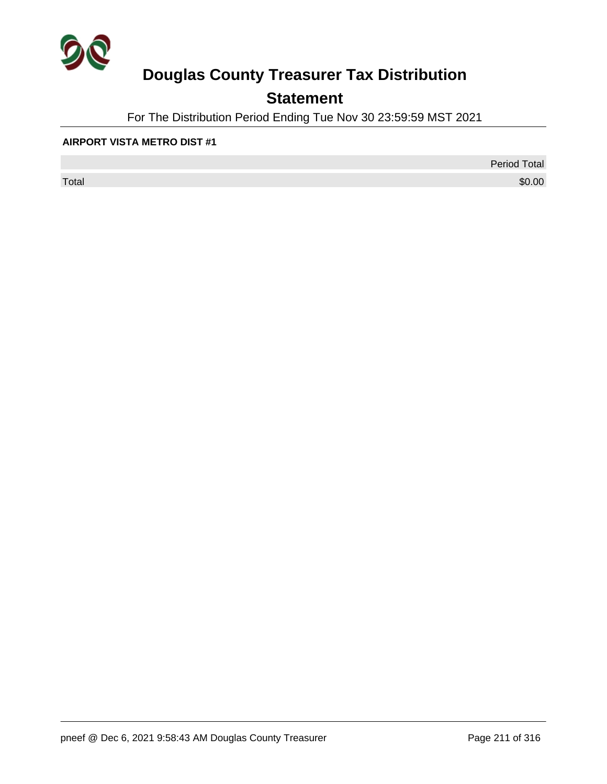

## **Statement**

For The Distribution Period Ending Tue Nov 30 23:59:59 MST 2021

#### **AIRPORT VISTA METRO DIST #1**

 $\sf Total$   $\$0.00$ 

Period Total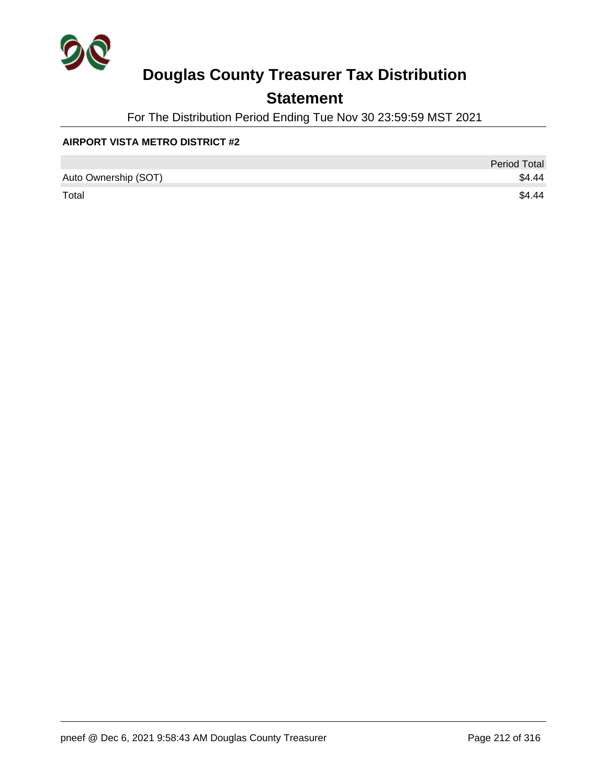

## **Statement**

For The Distribution Period Ending Tue Nov 30 23:59:59 MST 2021

#### **AIRPORT VISTA METRO DISTRICT #2**

|                      | <b>Period Total</b> |
|----------------------|---------------------|
| Auto Ownership (SOT) | \$4.44              |
| Total                | \$4.44              |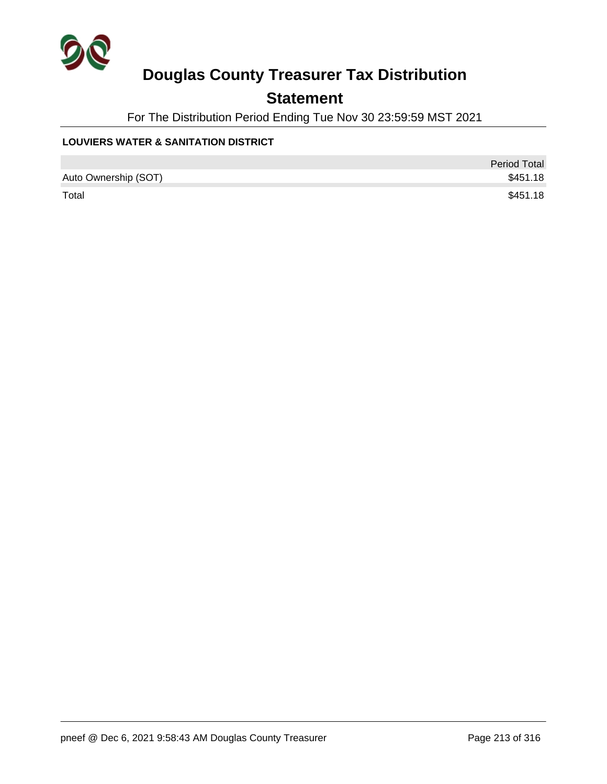

## **Statement**

For The Distribution Period Ending Tue Nov 30 23:59:59 MST 2021

#### **LOUVIERS WATER & SANITATION DISTRICT**

|                      | <b>Period Total</b> |
|----------------------|---------------------|
| Auto Ownership (SOT) | \$451.18            |
| Total                | \$451.18            |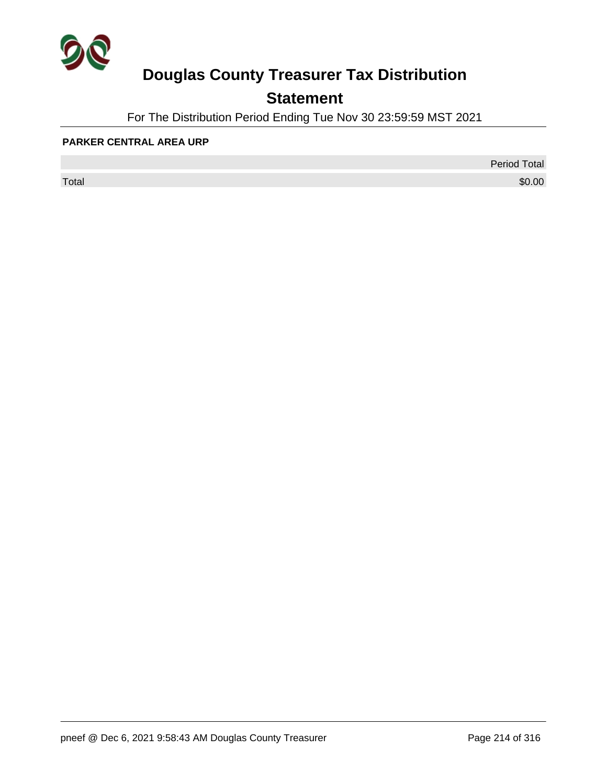

## **Statement**

For The Distribution Period Ending Tue Nov 30 23:59:59 MST 2021

#### **PARKER CENTRAL AREA URP**

 $\sf Total$   $\$0.00$ 

Period Total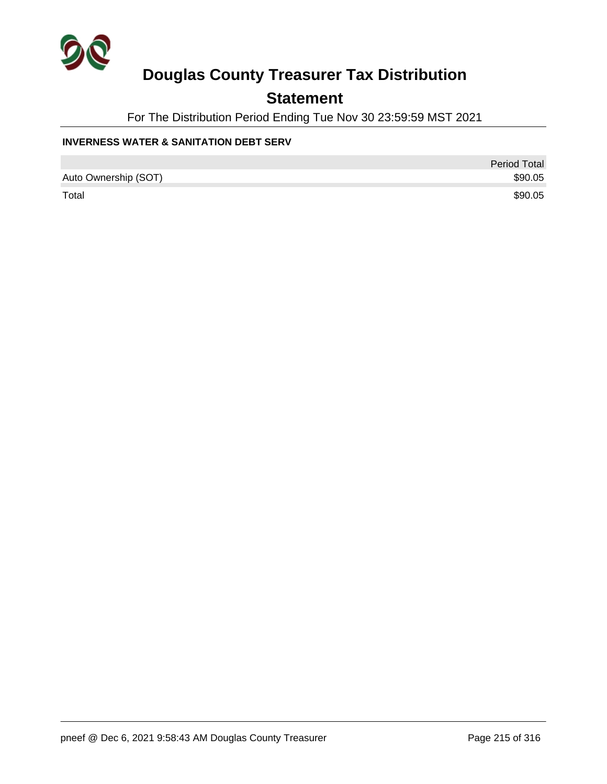

## **Statement**

For The Distribution Period Ending Tue Nov 30 23:59:59 MST 2021

#### **INVERNESS WATER & SANITATION DEBT SERV**

|                      | Period Total |
|----------------------|--------------|
| Auto Ownership (SOT) | \$90.05      |
| Total                | \$90.05      |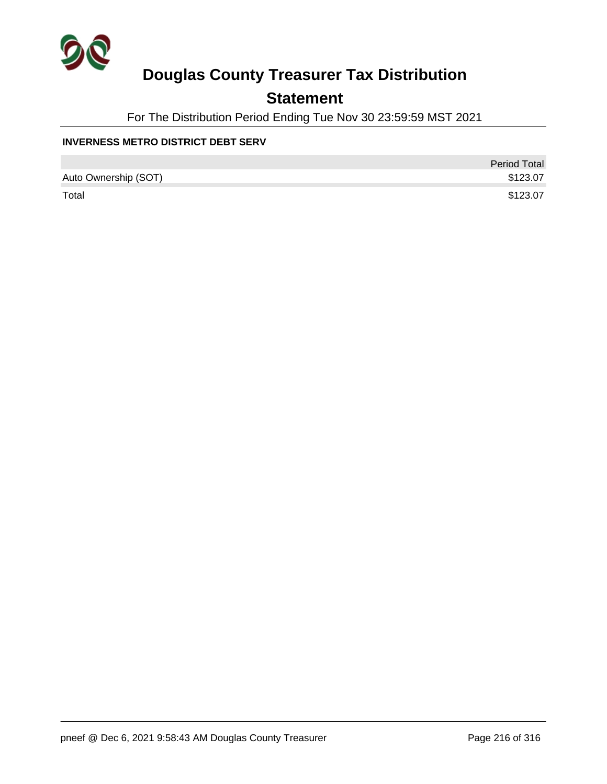

## **Statement**

For The Distribution Period Ending Tue Nov 30 23:59:59 MST 2021

#### **INVERNESS METRO DISTRICT DEBT SERV**

|                      | <b>Period Total</b> |
|----------------------|---------------------|
| Auto Ownership (SOT) | \$123.07            |
| Total                | \$123.07            |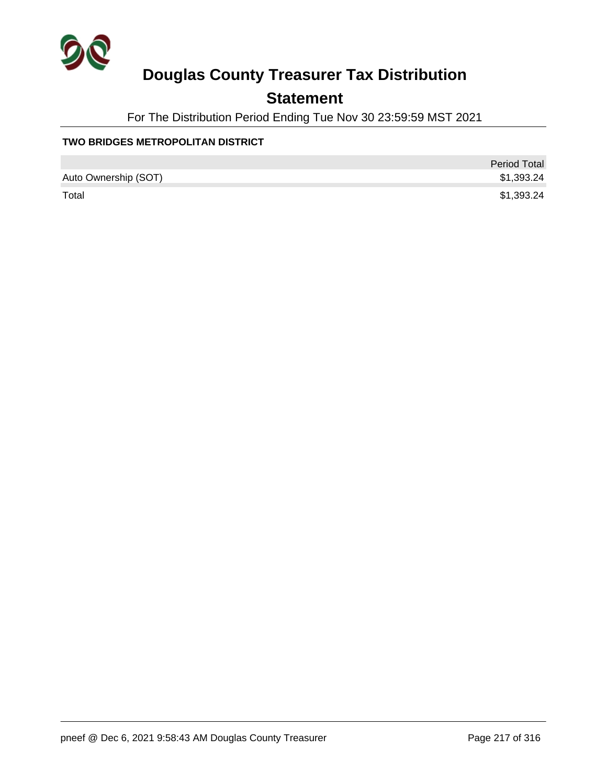

## **Statement**

For The Distribution Period Ending Tue Nov 30 23:59:59 MST 2021

#### **TWO BRIDGES METROPOLITAN DISTRICT**

|                      | <b>Period Total</b> |
|----------------------|---------------------|
| Auto Ownership (SOT) | \$1,393.24          |
| Total                | \$1,393.24          |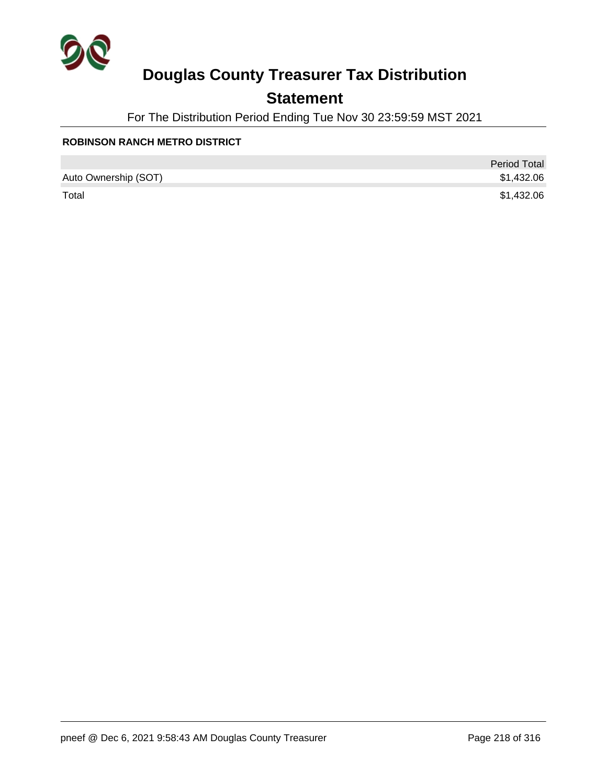

## **Statement**

For The Distribution Period Ending Tue Nov 30 23:59:59 MST 2021

#### **ROBINSON RANCH METRO DISTRICT**

|                      | <b>Period Total</b> |
|----------------------|---------------------|
| Auto Ownership (SOT) | \$1,432.06          |
| Total                | \$1,432.06          |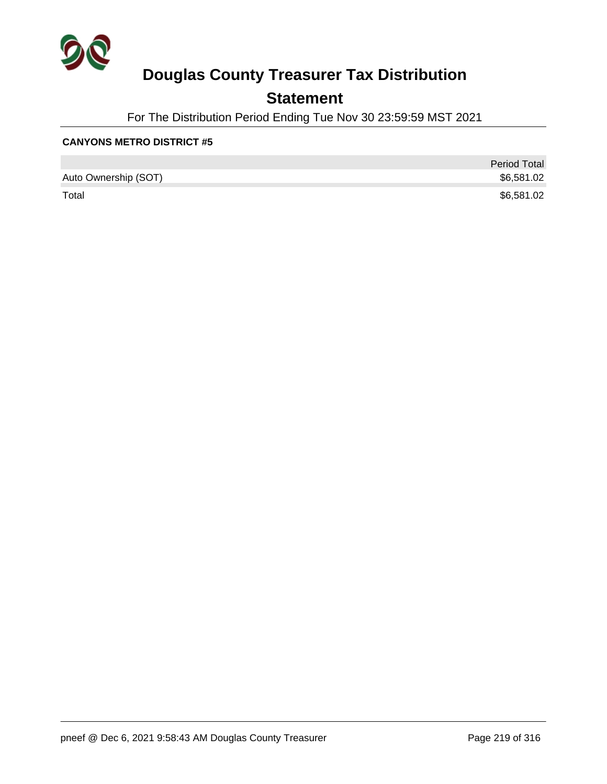

## **Statement**

For The Distribution Period Ending Tue Nov 30 23:59:59 MST 2021

#### **CANYONS METRO DISTRICT #5**

|                      | <b>Period Total</b> |
|----------------------|---------------------|
| Auto Ownership (SOT) | \$6,581.02          |
| Total                | \$6,581.02          |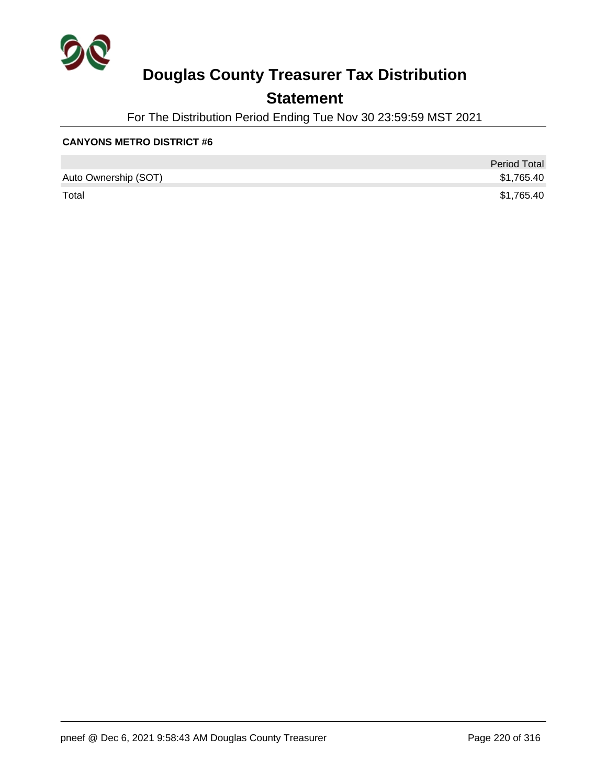

## **Statement**

For The Distribution Period Ending Tue Nov 30 23:59:59 MST 2021

#### **CANYONS METRO DISTRICT #6**

|                      | <b>Period Total</b> |
|----------------------|---------------------|
| Auto Ownership (SOT) | \$1,765.40          |
| Total                | \$1,765.40          |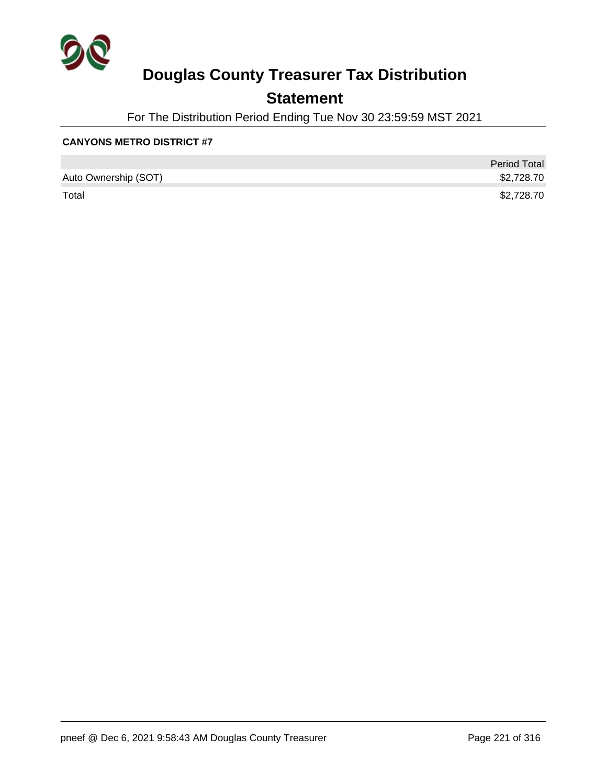

## **Statement**

For The Distribution Period Ending Tue Nov 30 23:59:59 MST 2021

#### **CANYONS METRO DISTRICT #7**

|                      | <b>Period Total</b> |
|----------------------|---------------------|
| Auto Ownership (SOT) | \$2,728.70          |
| Total                | \$2,728.70          |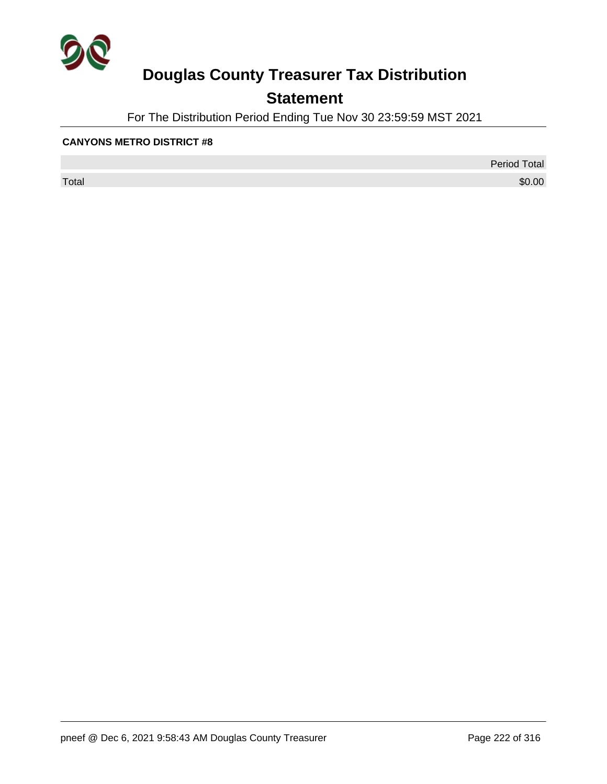

## **Statement**

For The Distribution Period Ending Tue Nov 30 23:59:59 MST 2021

#### **CANYONS METRO DISTRICT #8**

 $\sf Total$   $\$0.00$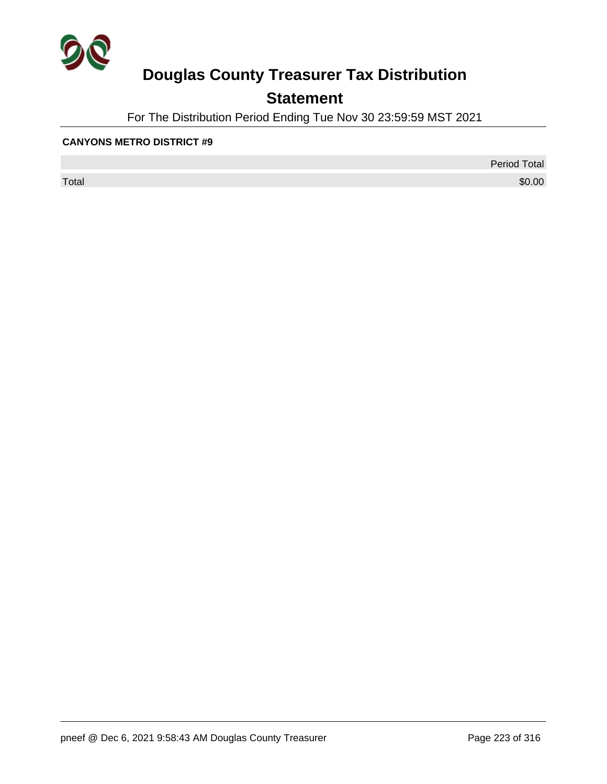

## **Statement**

For The Distribution Period Ending Tue Nov 30 23:59:59 MST 2021

#### **CANYONS METRO DISTRICT #9**

 $\sf Total$   $\$0.00$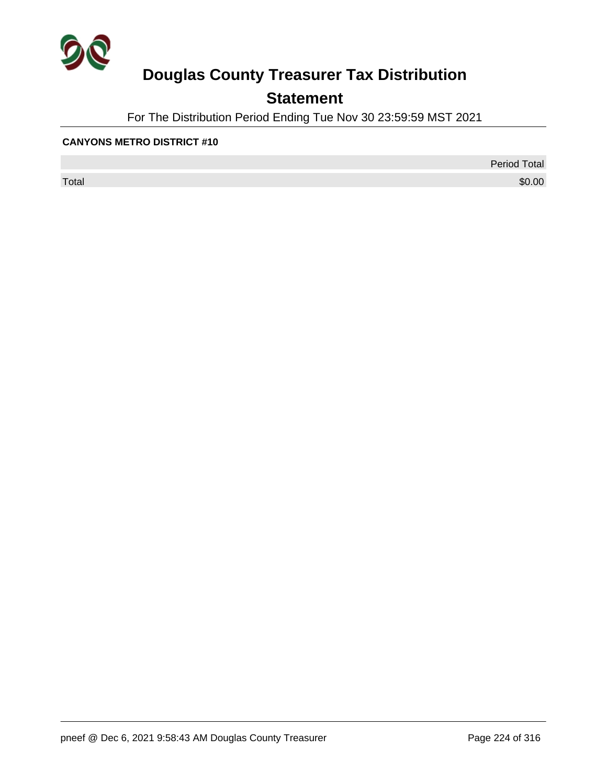

## **Statement**

For The Distribution Period Ending Tue Nov 30 23:59:59 MST 2021

#### **CANYONS METRO DISTRICT #10**

 $\sf Total$   $\$0.00$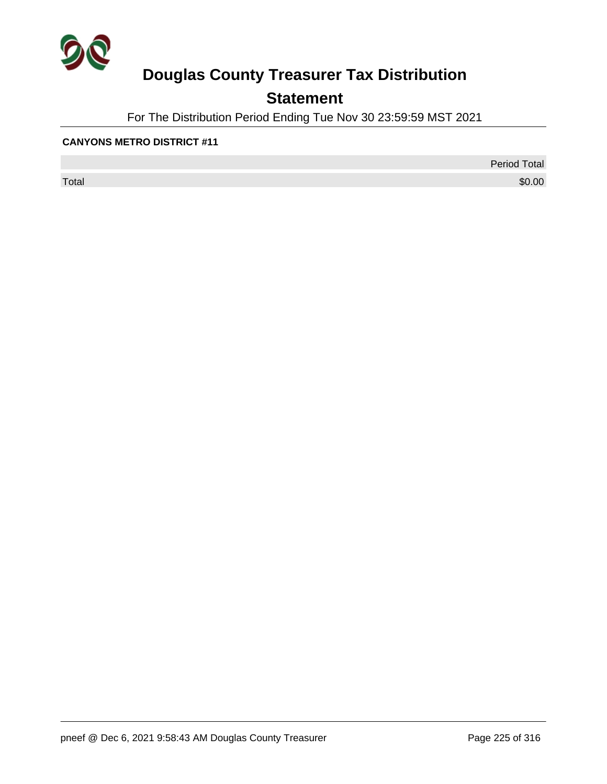

## **Statement**

For The Distribution Period Ending Tue Nov 30 23:59:59 MST 2021

#### **CANYONS METRO DISTRICT #11**

 $\sf Total$   $\$0.00$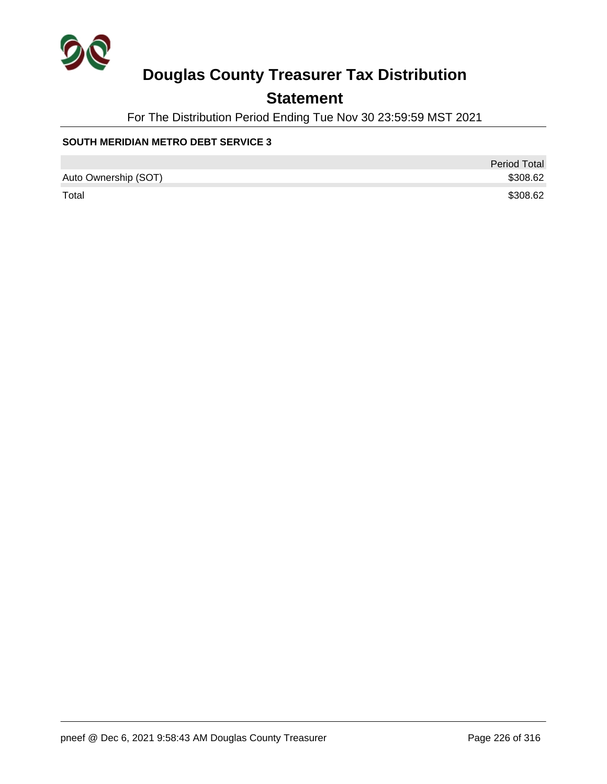

## **Statement**

For The Distribution Period Ending Tue Nov 30 23:59:59 MST 2021

#### **SOUTH MERIDIAN METRO DEBT SERVICE 3**

|                      | <b>Period Total</b> |
|----------------------|---------------------|
| Auto Ownership (SOT) | \$308.62            |
| Total                | \$308.62            |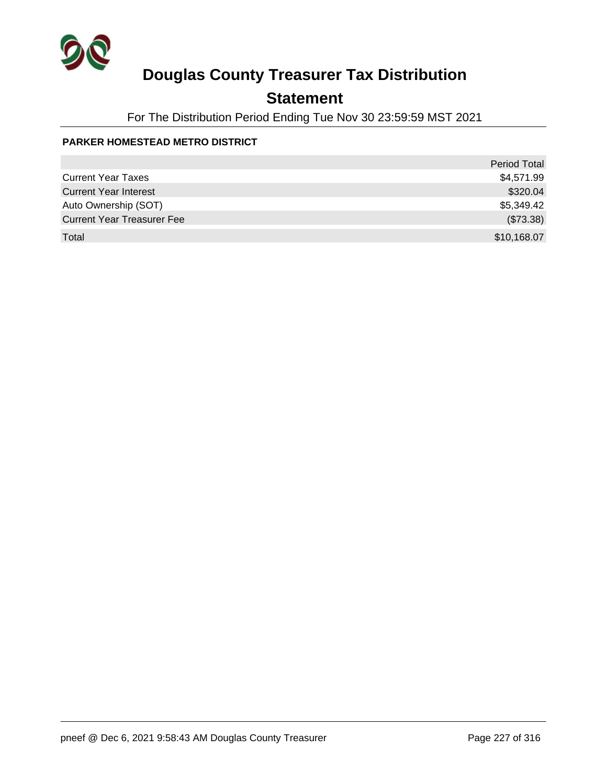

## **Statement**

For The Distribution Period Ending Tue Nov 30 23:59:59 MST 2021

#### **PARKER HOMESTEAD METRO DISTRICT**

|                                   | <b>Period Total</b> |
|-----------------------------------|---------------------|
| <b>Current Year Taxes</b>         | \$4,571.99          |
| <b>Current Year Interest</b>      | \$320.04            |
| Auto Ownership (SOT)              | \$5,349.42          |
| <b>Current Year Treasurer Fee</b> | (\$73.38)           |
| Total                             | \$10,168.07         |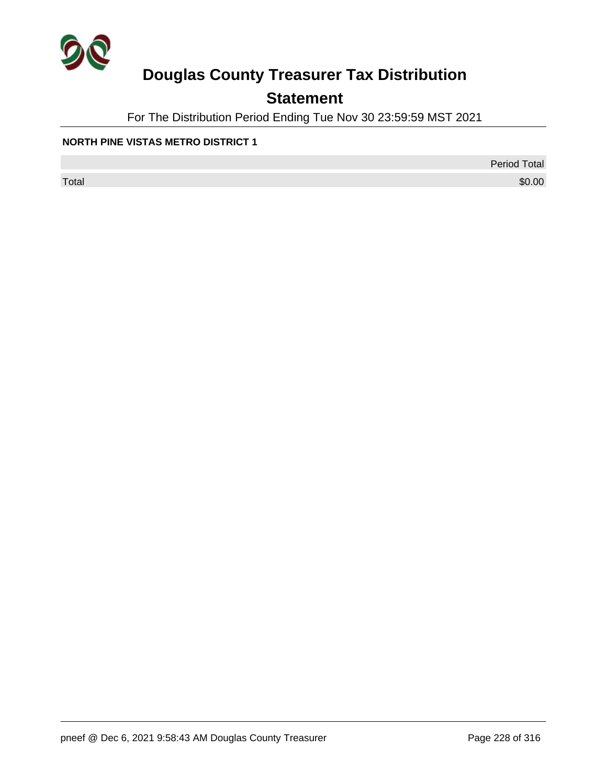

## **Statement**

For The Distribution Period Ending Tue Nov 30 23:59:59 MST 2021

#### **NORTH PINE VISTAS METRO DISTRICT 1**

Period Total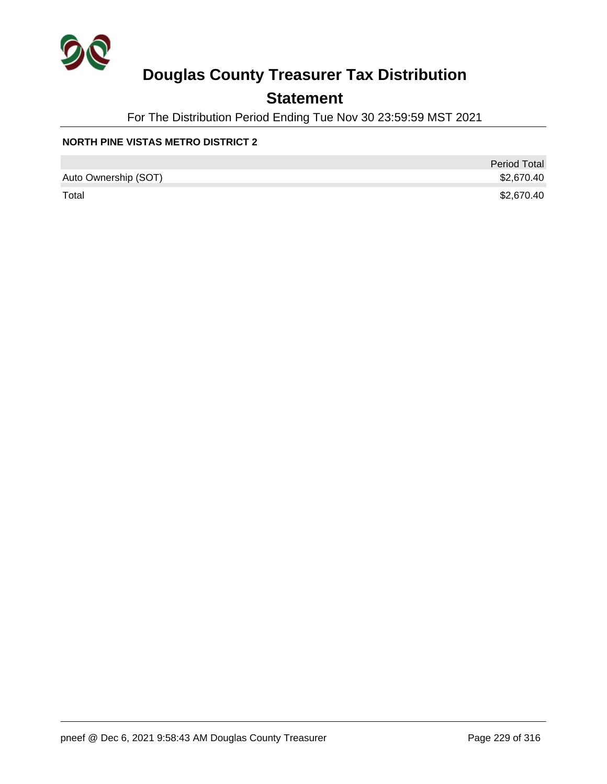

## **Statement**

For The Distribution Period Ending Tue Nov 30 23:59:59 MST 2021

#### **NORTH PINE VISTAS METRO DISTRICT 2**

|                      | <b>Period Total</b> |
|----------------------|---------------------|
| Auto Ownership (SOT) | \$2,670.40          |
| Total                | \$2,670.40          |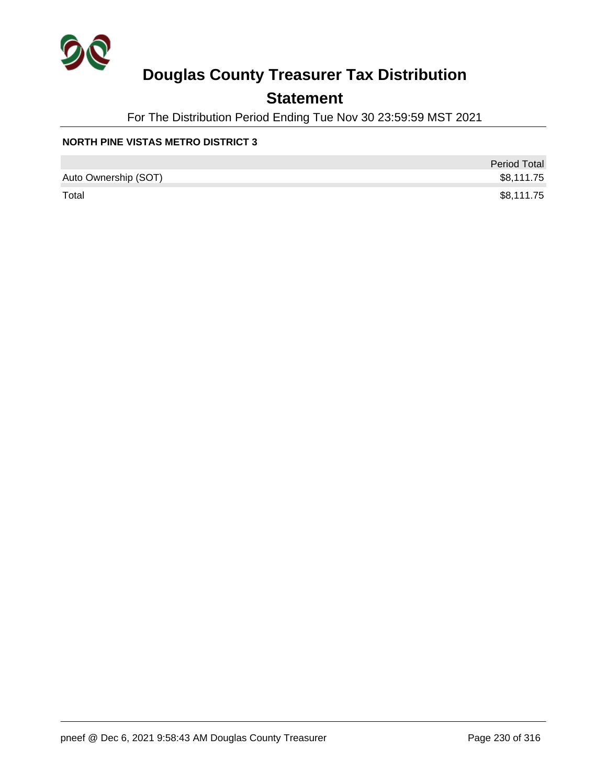

## **Statement**

For The Distribution Period Ending Tue Nov 30 23:59:59 MST 2021

#### **NORTH PINE VISTAS METRO DISTRICT 3**

|                      | <b>Period Total</b> |
|----------------------|---------------------|
| Auto Ownership (SOT) | \$8,111.75          |
| Total                | \$8,111.75          |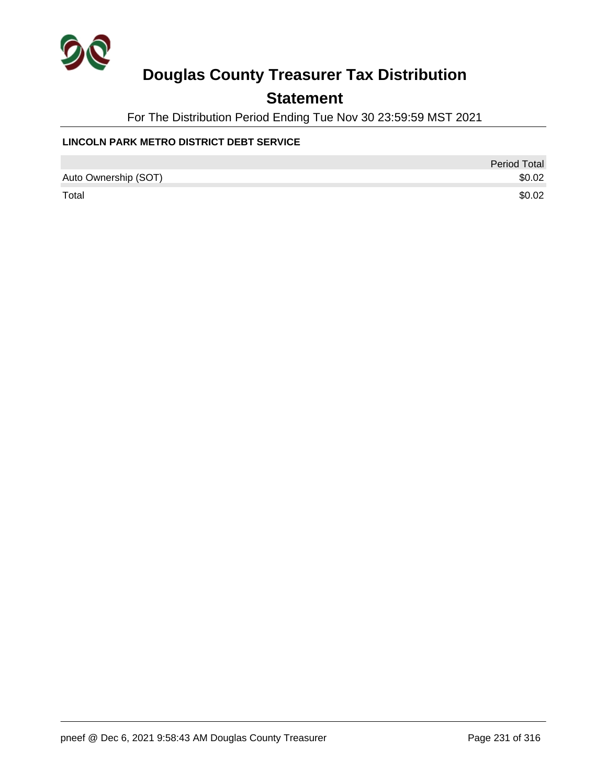

## **Statement**

For The Distribution Period Ending Tue Nov 30 23:59:59 MST 2021

#### **LINCOLN PARK METRO DISTRICT DEBT SERVICE**

|                      | Period Total |
|----------------------|--------------|
| Auto Ownership (SOT) | \$0.02       |
| Total                | \$0.02       |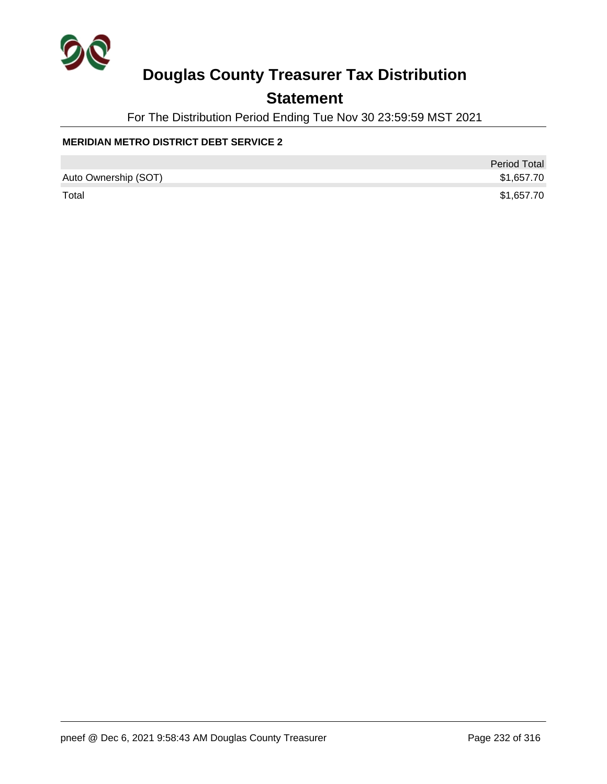

## **Statement**

For The Distribution Period Ending Tue Nov 30 23:59:59 MST 2021

#### **MERIDIAN METRO DISTRICT DEBT SERVICE 2**

|                      | <b>Period Total</b> |
|----------------------|---------------------|
| Auto Ownership (SOT) | \$1,657.70          |
| Total                | \$1,657.70          |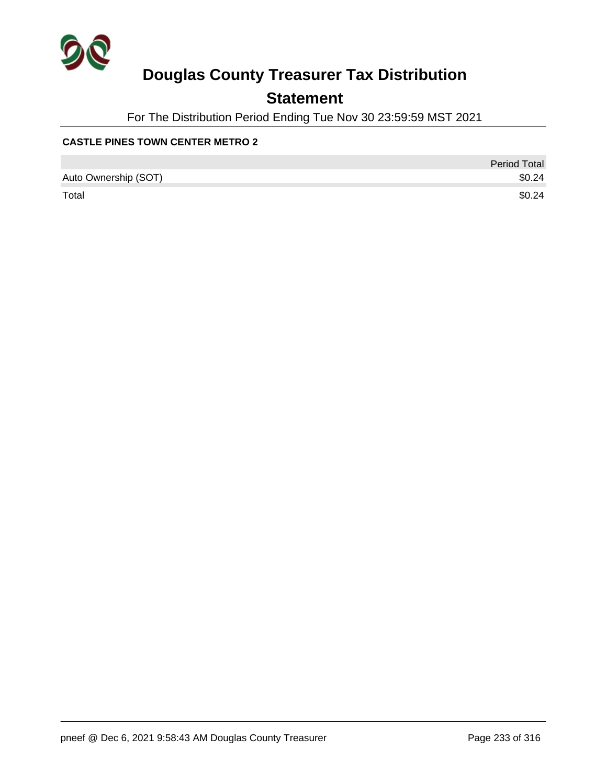

## **Statement**

For The Distribution Period Ending Tue Nov 30 23:59:59 MST 2021

#### **CASTLE PINES TOWN CENTER METRO 2**

|                      | <b>Period Total</b> |
|----------------------|---------------------|
| Auto Ownership (SOT) | \$0.24              |
| Total                | \$0.24              |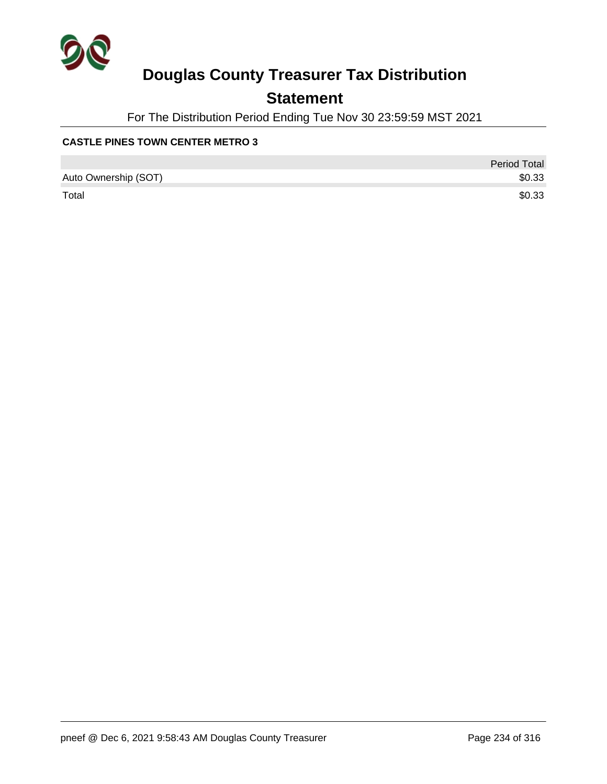

## **Statement**

For The Distribution Period Ending Tue Nov 30 23:59:59 MST 2021

#### **CASTLE PINES TOWN CENTER METRO 3**

|                      | <b>Period Total</b> |
|----------------------|---------------------|
| Auto Ownership (SOT) | \$0.33              |
| Total                | \$0.33              |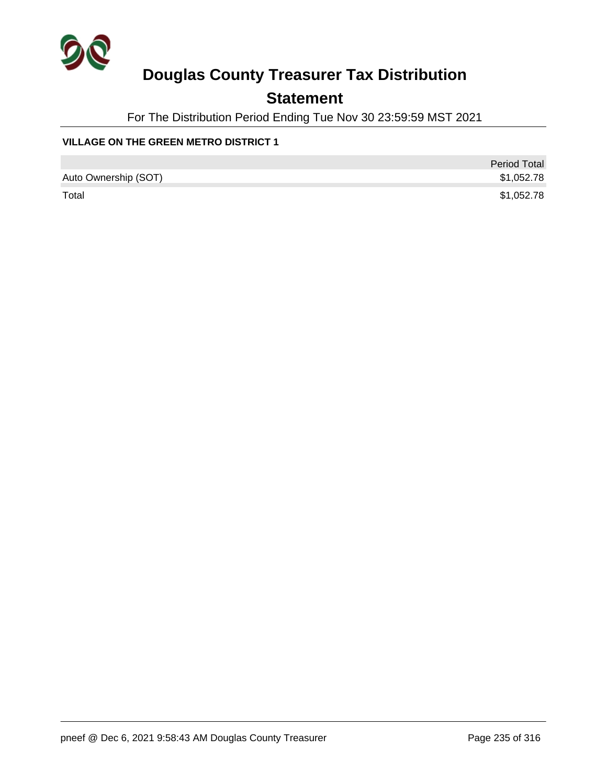

## **Statement**

For The Distribution Period Ending Tue Nov 30 23:59:59 MST 2021

#### **VILLAGE ON THE GREEN METRO DISTRICT 1**

|                      | <b>Period Total</b> |
|----------------------|---------------------|
| Auto Ownership (SOT) | \$1,052.78          |
| Total                | \$1,052.78          |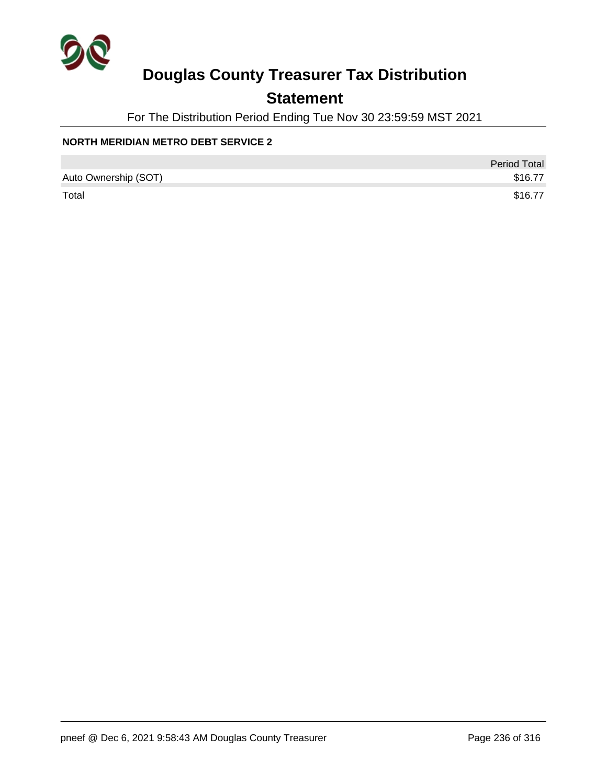

## **Statement**

For The Distribution Period Ending Tue Nov 30 23:59:59 MST 2021

#### **NORTH MERIDIAN METRO DEBT SERVICE 2**

|                      | <b>Period Total</b> |
|----------------------|---------------------|
| Auto Ownership (SOT) | \$16.77             |
| Total                | \$16.77             |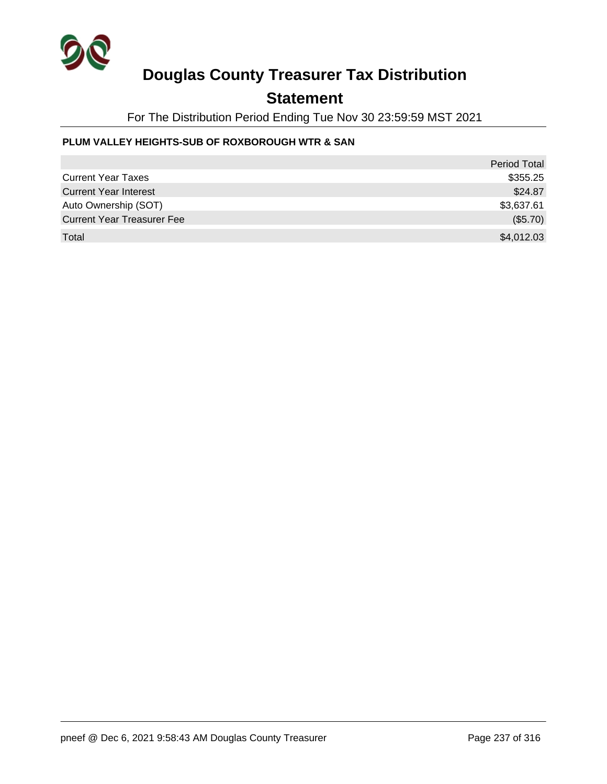

## **Statement**

For The Distribution Period Ending Tue Nov 30 23:59:59 MST 2021

#### **PLUM VALLEY HEIGHTS-SUB OF ROXBOROUGH WTR & SAN**

|                                   | <b>Period Total</b> |
|-----------------------------------|---------------------|
| <b>Current Year Taxes</b>         | \$355.25            |
| <b>Current Year Interest</b>      | \$24.87             |
| Auto Ownership (SOT)              | \$3,637.61          |
| <b>Current Year Treasurer Fee</b> | (\$5.70)            |
| Total                             | \$4,012.03          |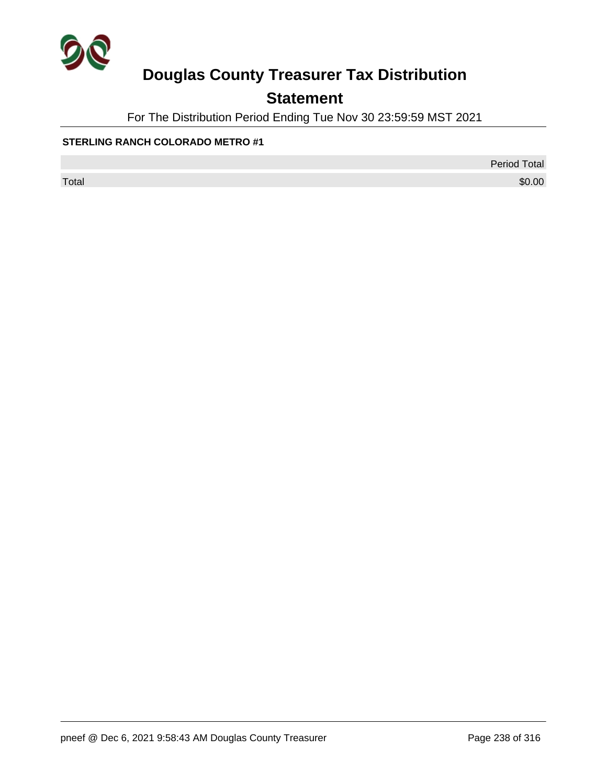

## **Statement**

For The Distribution Period Ending Tue Nov 30 23:59:59 MST 2021

#### **STERLING RANCH COLORADO METRO #1**

Period Total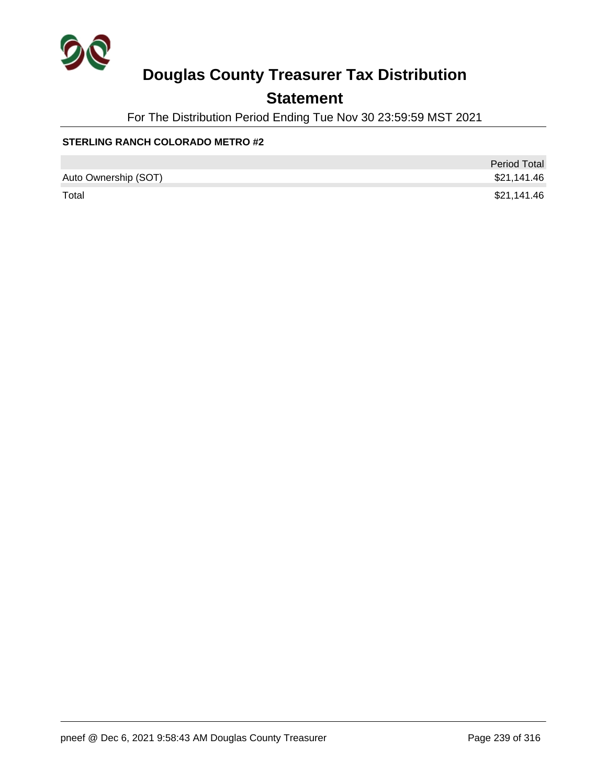

## **Statement**

For The Distribution Period Ending Tue Nov 30 23:59:59 MST 2021

#### **STERLING RANCH COLORADO METRO #2**

|                      | <b>Period Total</b> |
|----------------------|---------------------|
| Auto Ownership (SOT) | \$21,141.46         |
| Total                | \$21,141.46         |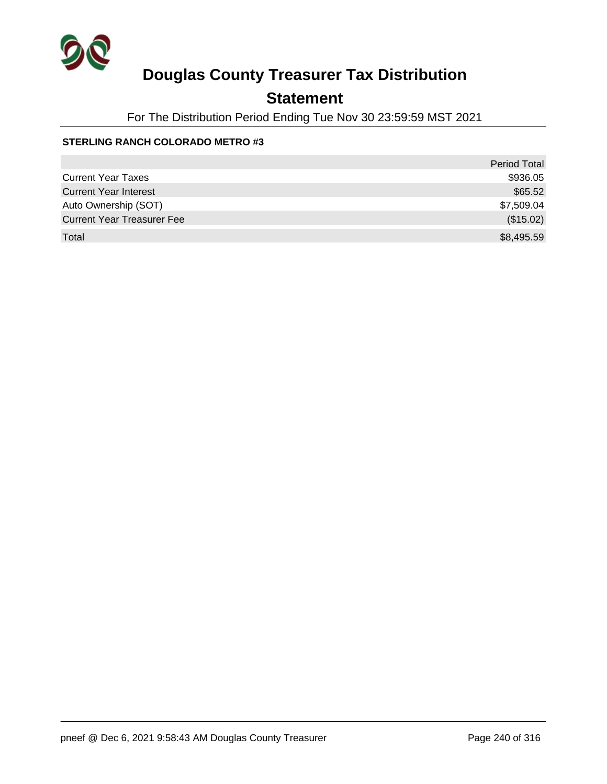

## **Statement**

For The Distribution Period Ending Tue Nov 30 23:59:59 MST 2021

#### **STERLING RANCH COLORADO METRO #3**

|                                   | <b>Period Total</b> |
|-----------------------------------|---------------------|
| <b>Current Year Taxes</b>         | \$936.05            |
| <b>Current Year Interest</b>      | \$65.52             |
| Auto Ownership (SOT)              | \$7,509.04          |
| <b>Current Year Treasurer Fee</b> | (\$15.02)           |
| Total                             | \$8,495.59          |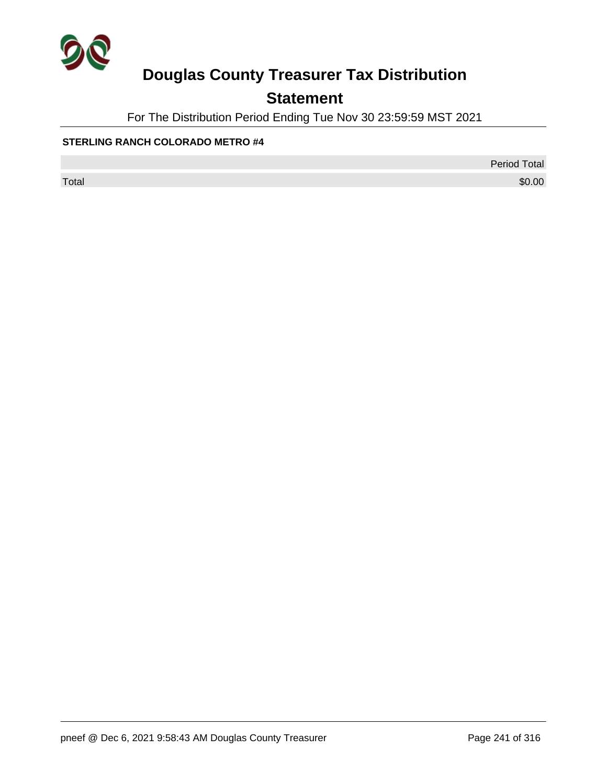

## **Statement**

For The Distribution Period Ending Tue Nov 30 23:59:59 MST 2021

#### **STERLING RANCH COLORADO METRO #4**

Period Total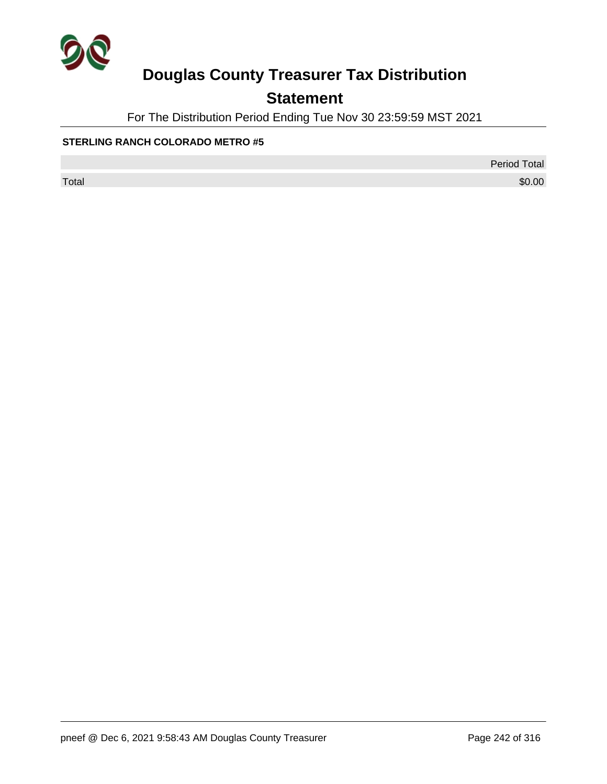

## **Statement**

For The Distribution Period Ending Tue Nov 30 23:59:59 MST 2021

#### **STERLING RANCH COLORADO METRO #5**

Period Total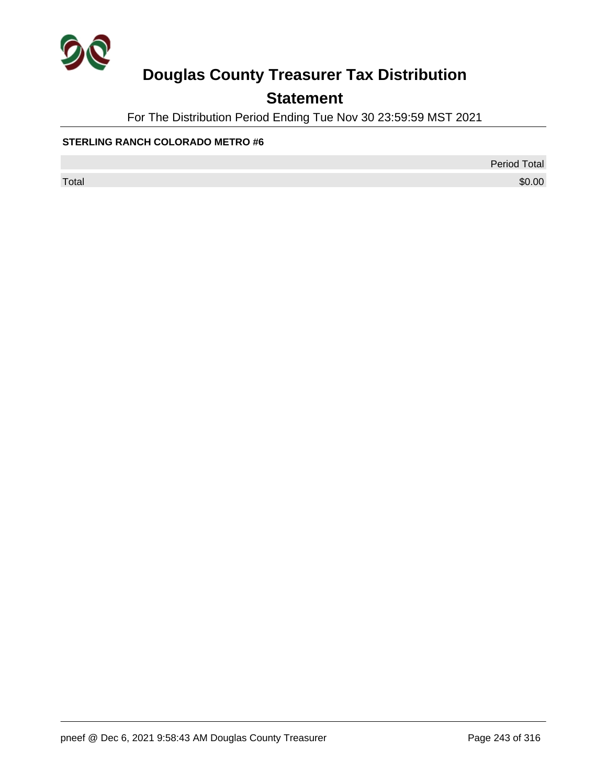

## **Statement**

For The Distribution Period Ending Tue Nov 30 23:59:59 MST 2021

#### **STERLING RANCH COLORADO METRO #6**

Period Total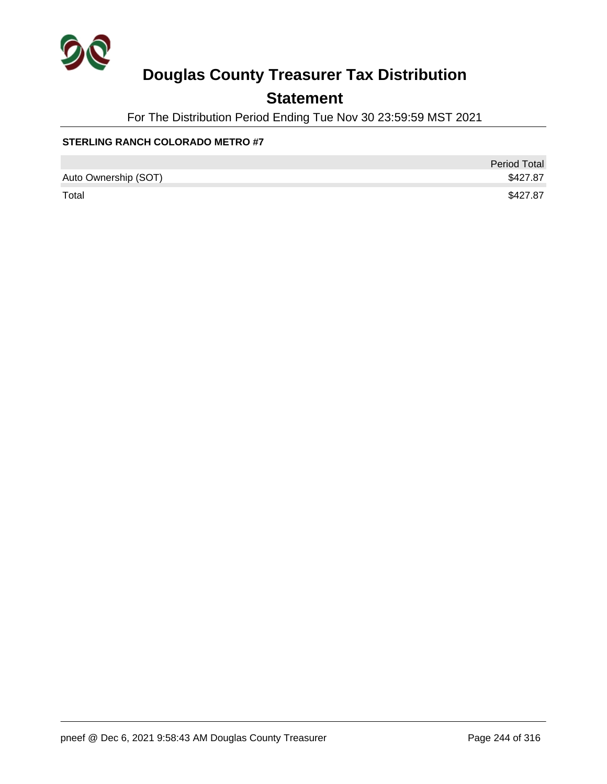

## **Statement**

For The Distribution Period Ending Tue Nov 30 23:59:59 MST 2021

#### **STERLING RANCH COLORADO METRO #7**

|                      | <b>Period Total</b> |
|----------------------|---------------------|
| Auto Ownership (SOT) | \$427.87            |
| Total                | \$427.87            |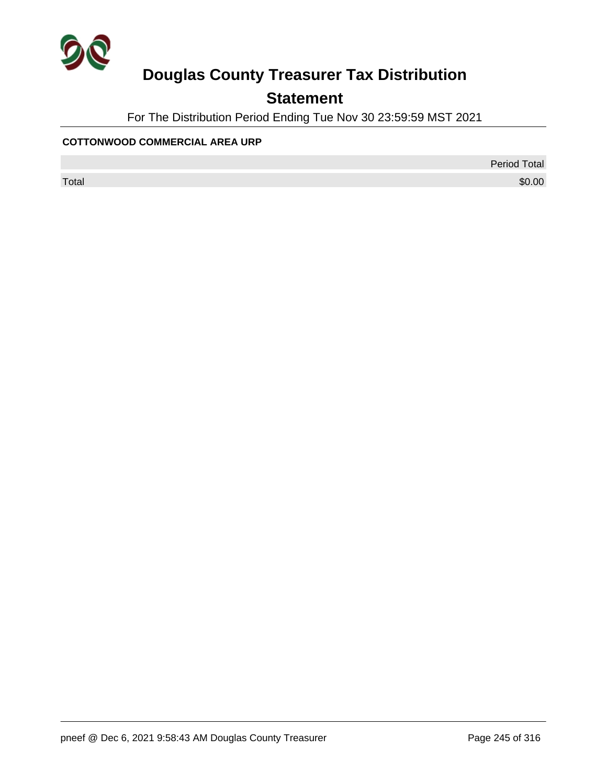

## **Statement**

For The Distribution Period Ending Tue Nov 30 23:59:59 MST 2021

#### **COTTONWOOD COMMERCIAL AREA URP**

Period Total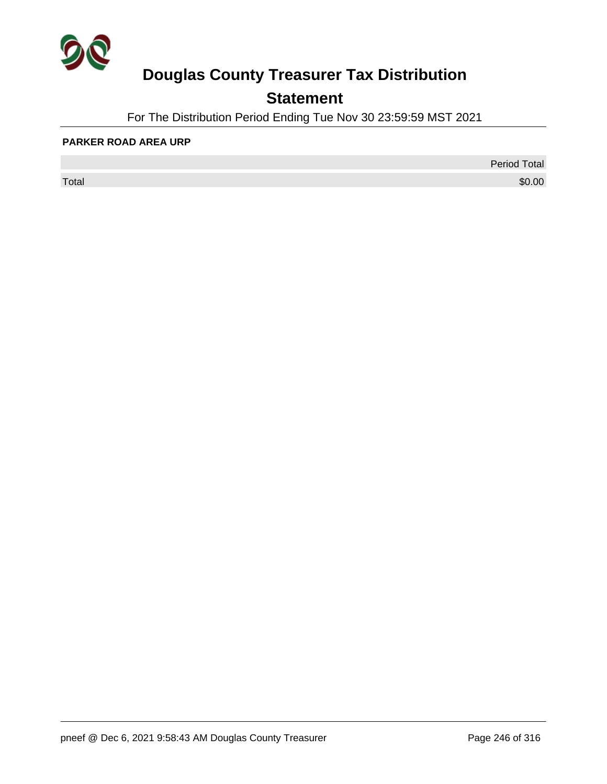

## **Statement**

For The Distribution Period Ending Tue Nov 30 23:59:59 MST 2021

#### **PARKER ROAD AREA URP**

 $\sf Total$   $\$0.00$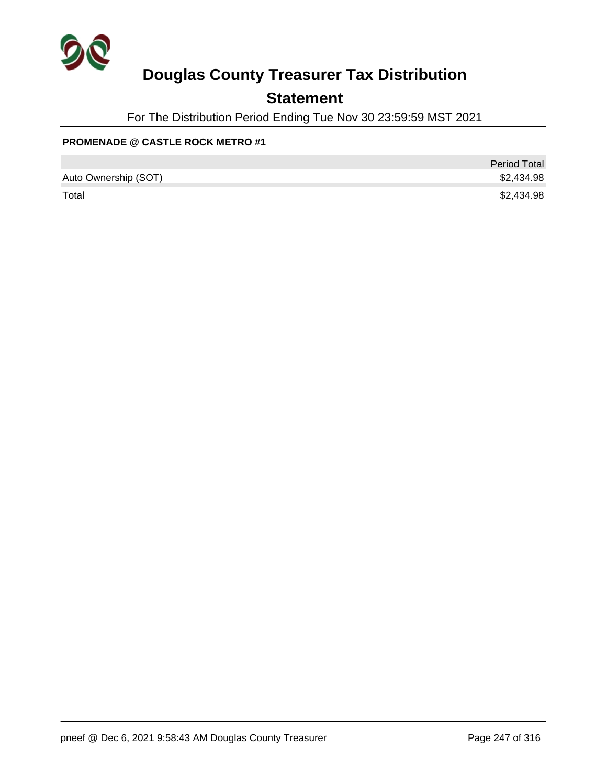

## **Statement**

For The Distribution Period Ending Tue Nov 30 23:59:59 MST 2021

#### **PROMENADE @ CASTLE ROCK METRO #1**

|                      | <b>Period Total</b> |
|----------------------|---------------------|
| Auto Ownership (SOT) | \$2,434.98          |
| Total                | \$2,434.98          |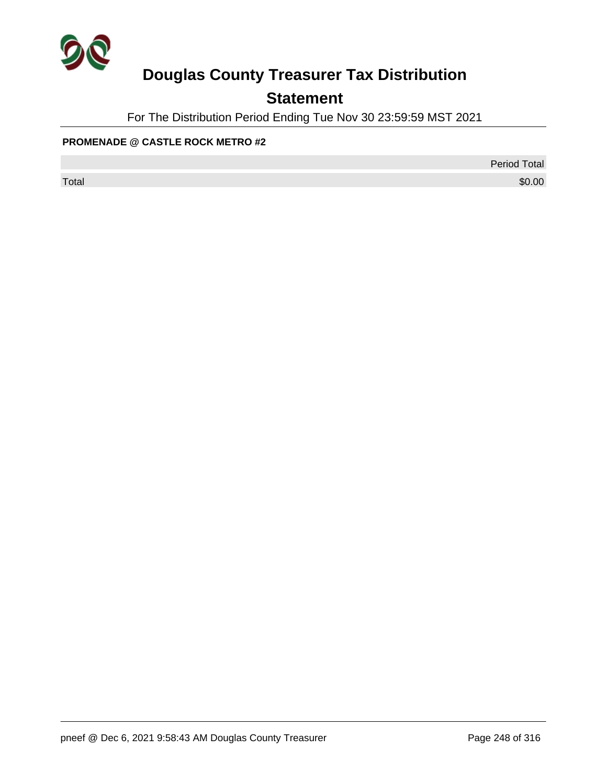

## **Statement**

For The Distribution Period Ending Tue Nov 30 23:59:59 MST 2021

#### **PROMENADE @ CASTLE ROCK METRO #2**

Period Total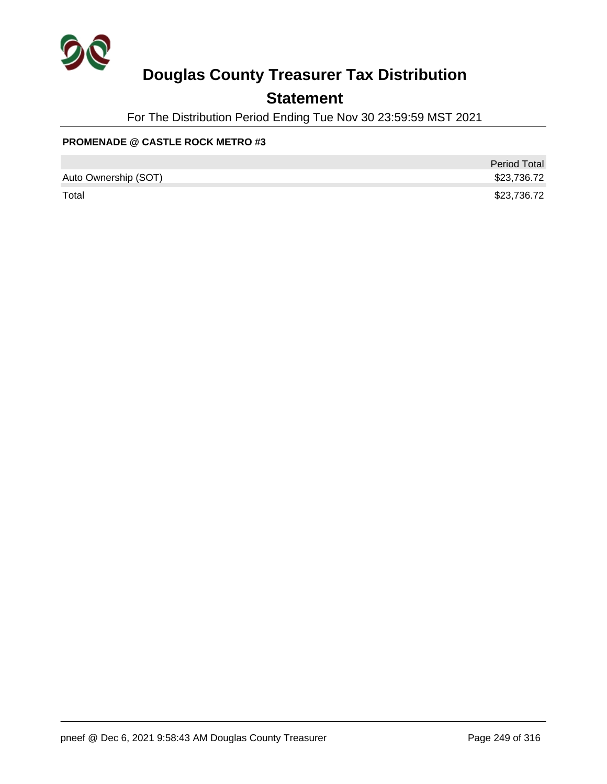

## **Statement**

For The Distribution Period Ending Tue Nov 30 23:59:59 MST 2021

#### **PROMENADE @ CASTLE ROCK METRO #3**

|                      | <b>Period Total</b> |
|----------------------|---------------------|
| Auto Ownership (SOT) | \$23,736.72         |
| Total                | \$23,736.72         |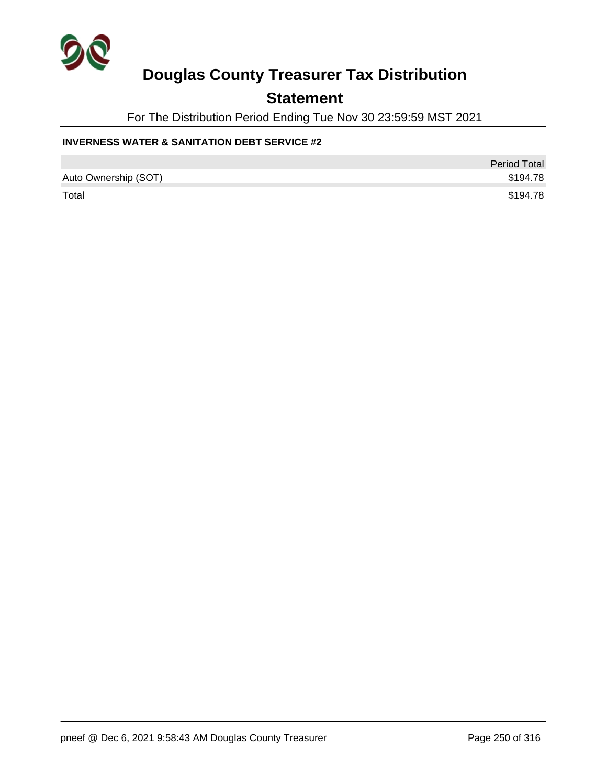

### **Statement**

For The Distribution Period Ending Tue Nov 30 23:59:59 MST 2021

#### **INVERNESS WATER & SANITATION DEBT SERVICE #2**

|                      | <b>Period Total</b> |
|----------------------|---------------------|
| Auto Ownership (SOT) | \$194.78            |
| Total                | \$194.78            |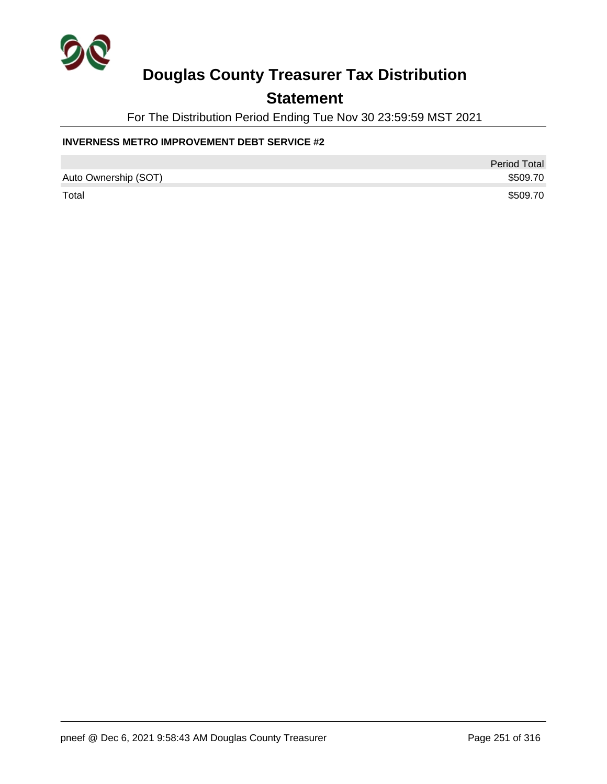

### **Statement**

For The Distribution Period Ending Tue Nov 30 23:59:59 MST 2021

#### **INVERNESS METRO IMPROVEMENT DEBT SERVICE #2**

|                      | <b>Period Total</b> |
|----------------------|---------------------|
| Auto Ownership (SOT) | \$509.70            |
| Total                | \$509.70            |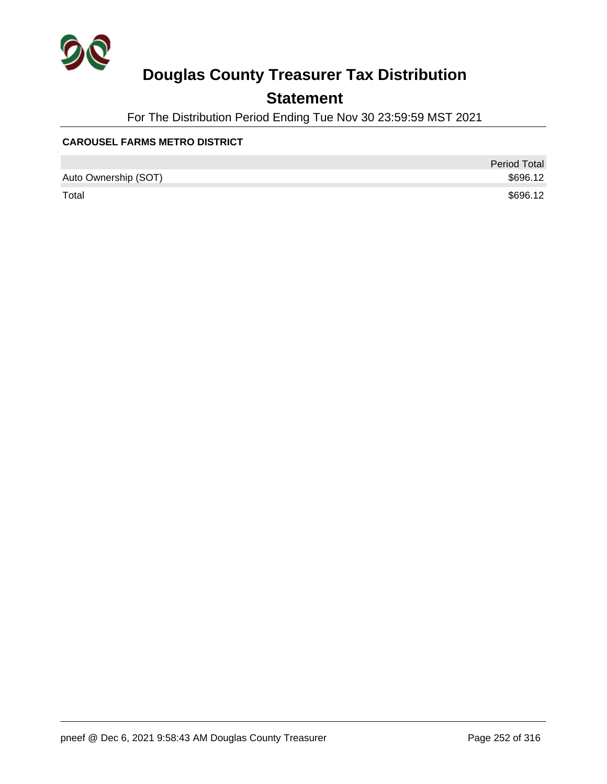

## **Statement**

For The Distribution Period Ending Tue Nov 30 23:59:59 MST 2021

#### **CAROUSEL FARMS METRO DISTRICT**

|                      | <b>Period Total</b> |
|----------------------|---------------------|
| Auto Ownership (SOT) | \$696.12            |
| Total                | \$696.12            |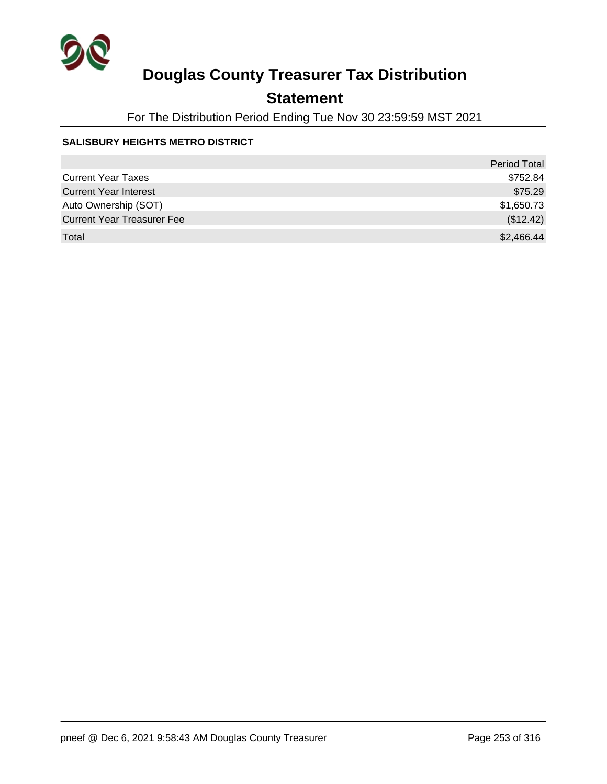

## **Statement**

For The Distribution Period Ending Tue Nov 30 23:59:59 MST 2021

### **SALISBURY HEIGHTS METRO DISTRICT**

|                                   | <b>Period Total</b> |
|-----------------------------------|---------------------|
| <b>Current Year Taxes</b>         | \$752.84            |
| <b>Current Year Interest</b>      | \$75.29             |
| Auto Ownership (SOT)              | \$1,650.73          |
| <b>Current Year Treasurer Fee</b> | (\$12.42)           |
| Total                             | \$2,466.44          |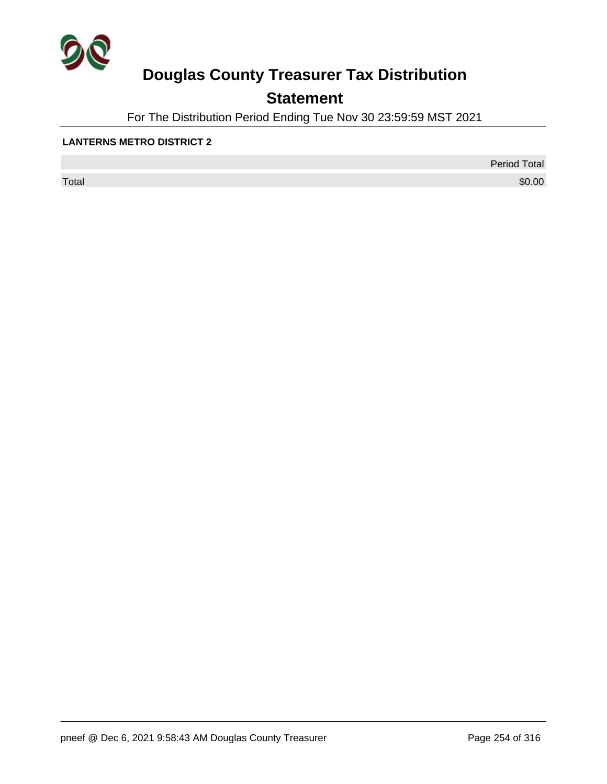

## **Statement**

For The Distribution Period Ending Tue Nov 30 23:59:59 MST 2021

### **LANTERNS METRO DISTRICT 2**

 $\sf Total$   $\$0.00$ 

Period Total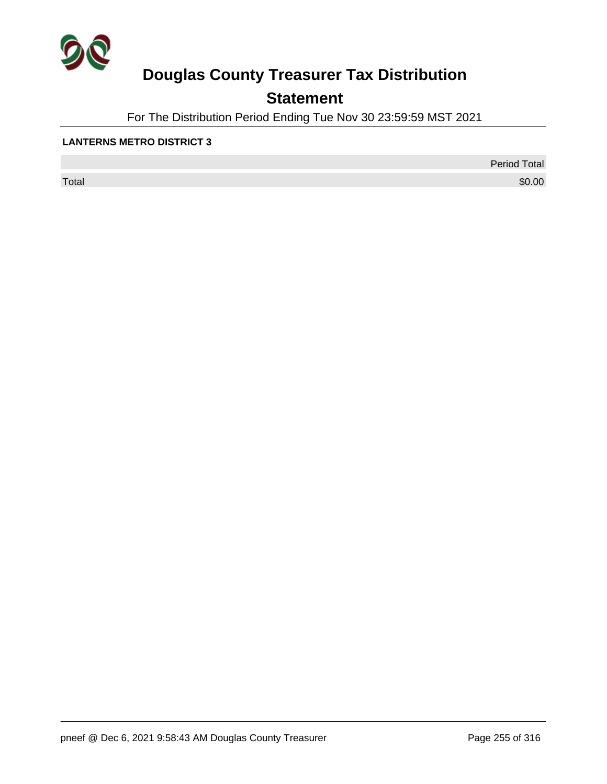

## **Statement**

For The Distribution Period Ending Tue Nov 30 23:59:59 MST 2021

### **LANTERNS METRO DISTRICT 3**

 $\sf Total$   $\$0.00$ 

Period Total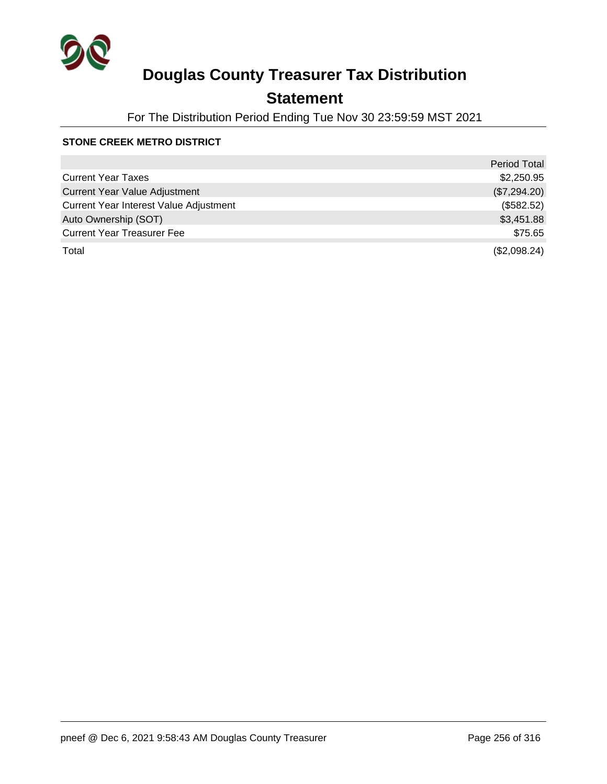

## **Statement**

For The Distribution Period Ending Tue Nov 30 23:59:59 MST 2021

### **STONE CREEK METRO DISTRICT**

|                                        | <b>Period Total</b> |
|----------------------------------------|---------------------|
| <b>Current Year Taxes</b>              | \$2,250.95          |
| <b>Current Year Value Adjustment</b>   | (\$7,294.20)        |
| Current Year Interest Value Adjustment | (\$582.52)          |
| Auto Ownership (SOT)                   | \$3,451.88          |
| <b>Current Year Treasurer Fee</b>      | \$75.65             |
| Total                                  | (\$2,098.24)        |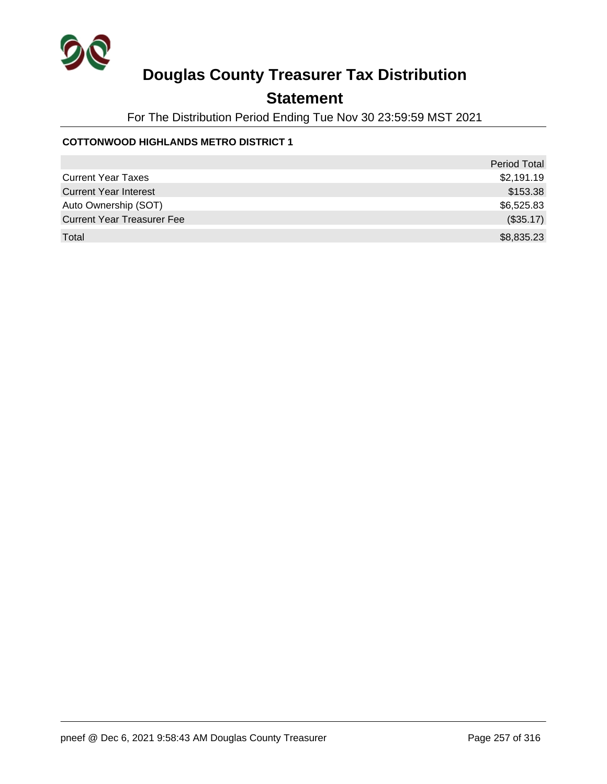

## **Statement**

For The Distribution Period Ending Tue Nov 30 23:59:59 MST 2021

### **COTTONWOOD HIGHLANDS METRO DISTRICT 1**

|                                   | <b>Period Total</b> |
|-----------------------------------|---------------------|
| <b>Current Year Taxes</b>         | \$2,191.19          |
| <b>Current Year Interest</b>      | \$153.38            |
| Auto Ownership (SOT)              | \$6,525.83          |
| <b>Current Year Treasurer Fee</b> | (\$35.17)           |
| Total                             | \$8,835.23          |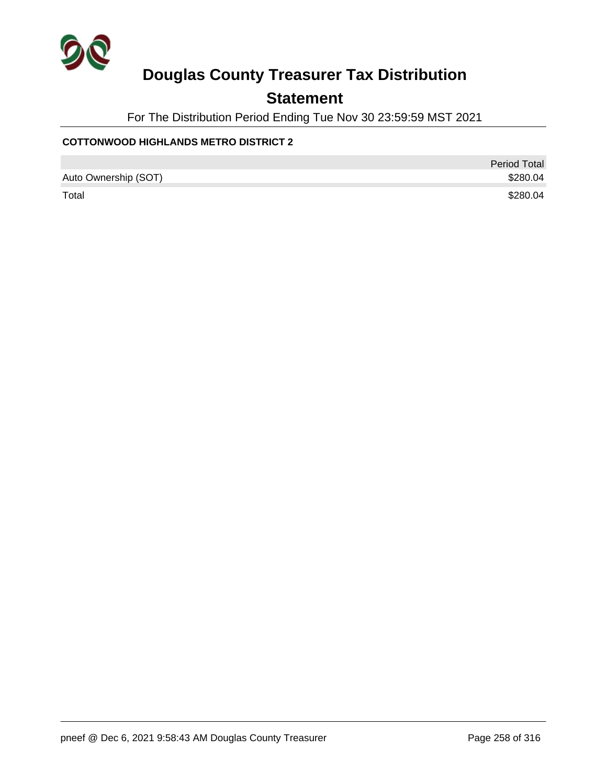

## **Statement**

For The Distribution Period Ending Tue Nov 30 23:59:59 MST 2021

### **COTTONWOOD HIGHLANDS METRO DISTRICT 2**

|                      | <b>Period Total</b> |
|----------------------|---------------------|
| Auto Ownership (SOT) | \$280.04            |
| Total                | \$280.04            |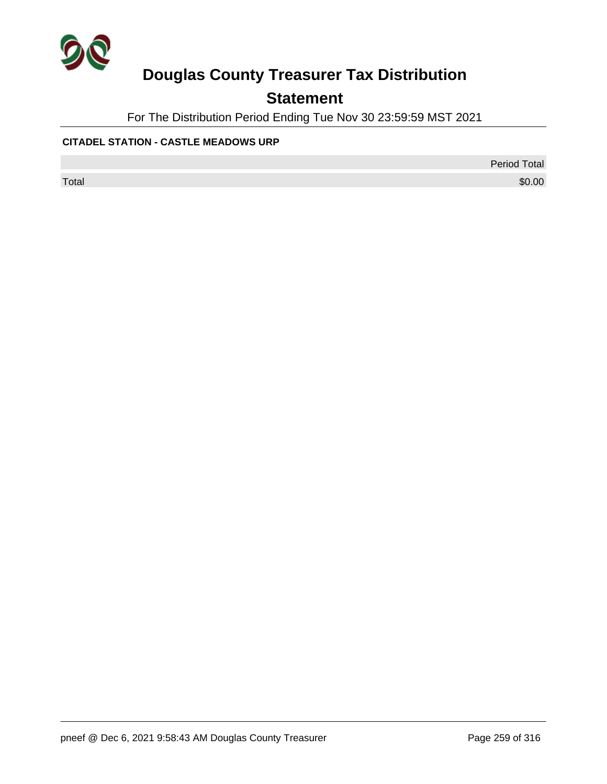

## **Statement**

For The Distribution Period Ending Tue Nov 30 23:59:59 MST 2021

### **CITADEL STATION - CASTLE MEADOWS URP**

Period Total

 $\sf Total$   $\$0.00$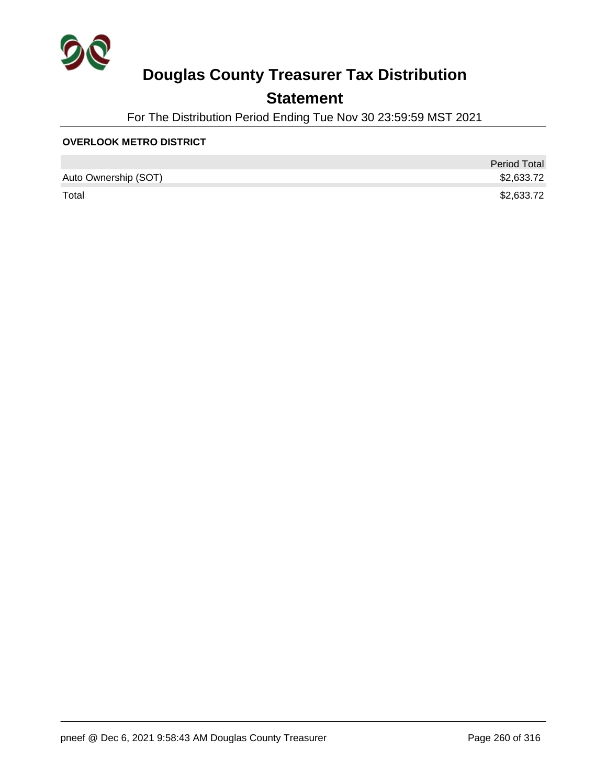

## **Statement**

For The Distribution Period Ending Tue Nov 30 23:59:59 MST 2021

### **OVERLOOK METRO DISTRICT**

|                      | <b>Period Total</b> |
|----------------------|---------------------|
| Auto Ownership (SOT) | \$2,633.72          |
| Total                | \$2,633.72          |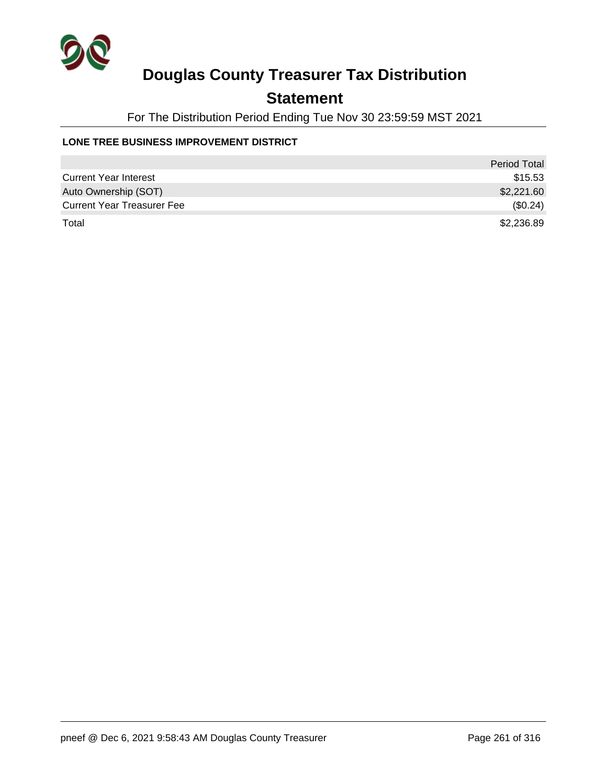

## **Statement**

For The Distribution Period Ending Tue Nov 30 23:59:59 MST 2021

### **LONE TREE BUSINESS IMPROVEMENT DISTRICT**

|                                   | <b>Period Total</b> |
|-----------------------------------|---------------------|
| <b>Current Year Interest</b>      | \$15.53             |
| Auto Ownership (SOT)              | \$2,221.60          |
| <b>Current Year Treasurer Fee</b> | (\$0.24)            |
| Total                             | \$2,236.89          |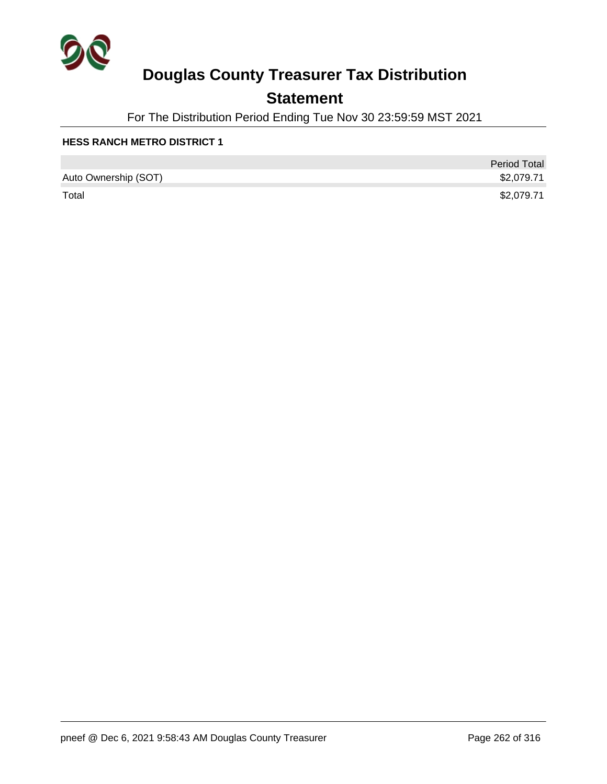

## **Statement**

For The Distribution Period Ending Tue Nov 30 23:59:59 MST 2021

|                      | <b>Period Total</b> |
|----------------------|---------------------|
| Auto Ownership (SOT) | \$2,079.71          |
| Total                | \$2,079.71          |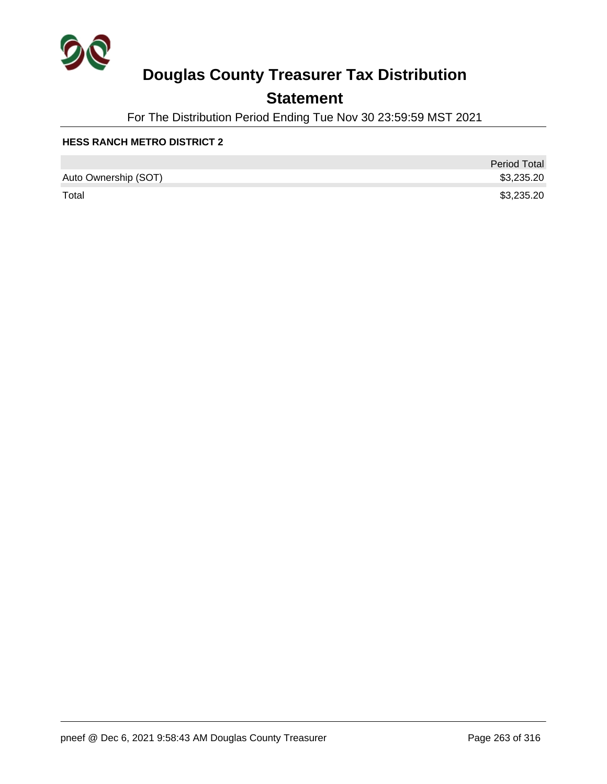

## **Statement**

For The Distribution Period Ending Tue Nov 30 23:59:59 MST 2021

|                      | <b>Period Total</b> |
|----------------------|---------------------|
| Auto Ownership (SOT) | \$3,235.20          |
| Total                | \$3,235.20          |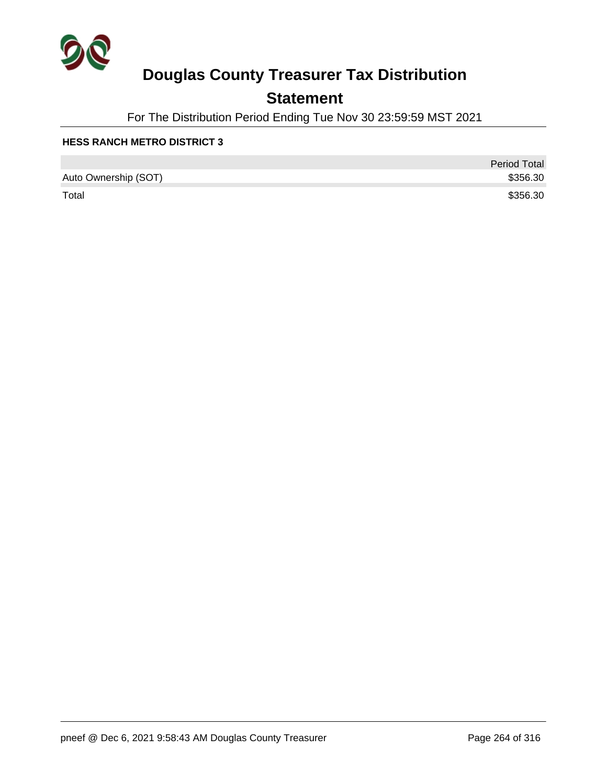

## **Statement**

For The Distribution Period Ending Tue Nov 30 23:59:59 MST 2021

|                      | <b>Period Total</b> |
|----------------------|---------------------|
| Auto Ownership (SOT) | \$356.30            |
| Total                | \$356.30            |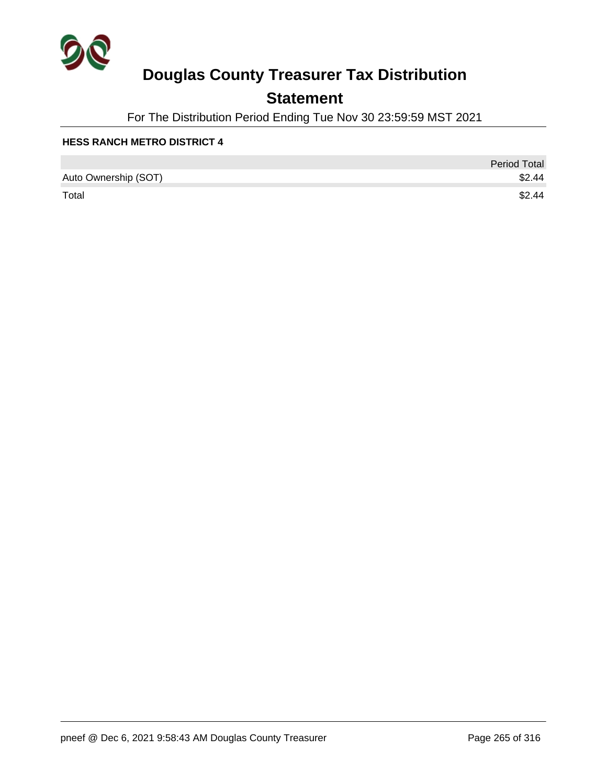

## **Statement**

For The Distribution Period Ending Tue Nov 30 23:59:59 MST 2021

|                      | <b>Period Total</b> |
|----------------------|---------------------|
| Auto Ownership (SOT) | \$2.44              |
| Total                | \$2.44              |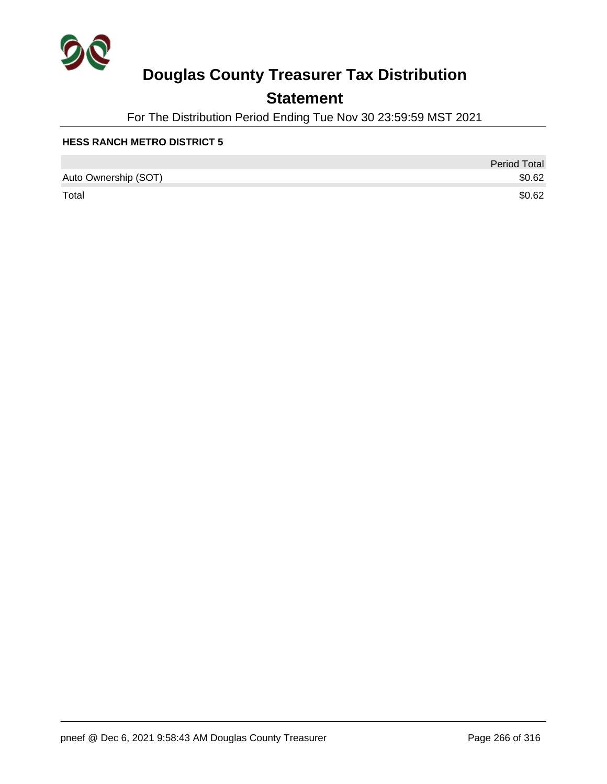

## **Statement**

For The Distribution Period Ending Tue Nov 30 23:59:59 MST 2021

|                      | <b>Period Total</b> |
|----------------------|---------------------|
| Auto Ownership (SOT) | \$0.62              |
| Total                | \$0.62              |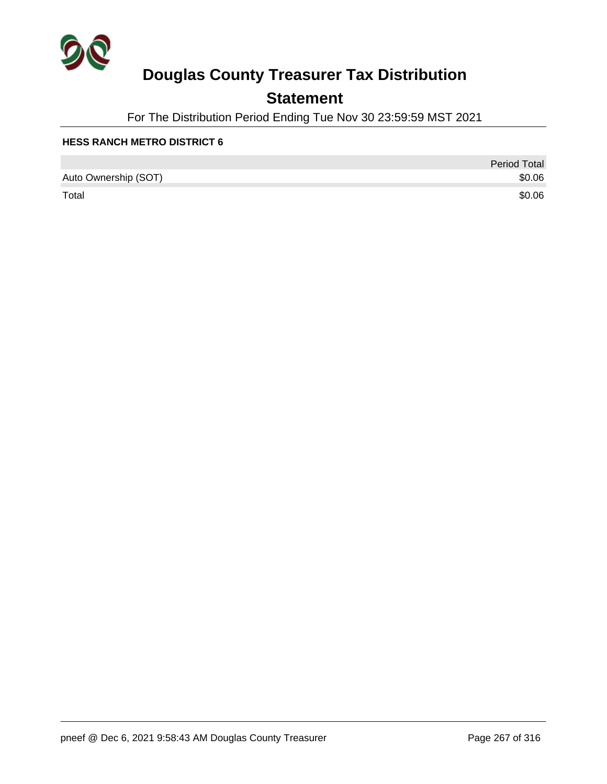

## **Statement**

For The Distribution Period Ending Tue Nov 30 23:59:59 MST 2021

|                      | <b>Period Total</b> |
|----------------------|---------------------|
| Auto Ownership (SOT) | \$0.06              |
| Total                | \$0.06              |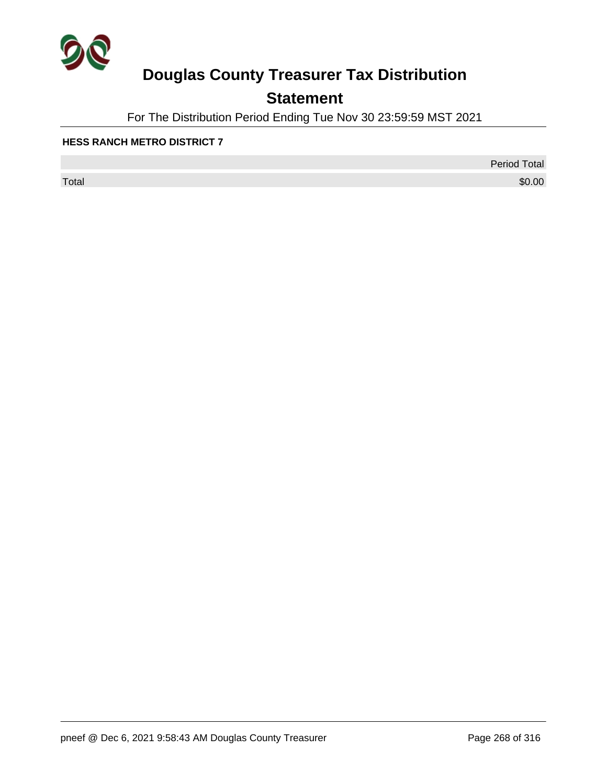

## **Statement**

For The Distribution Period Ending Tue Nov 30 23:59:59 MST 2021

### **HESS RANCH METRO DISTRICT 7**

 $\sf Total$   $\$0.00$ 

Period Total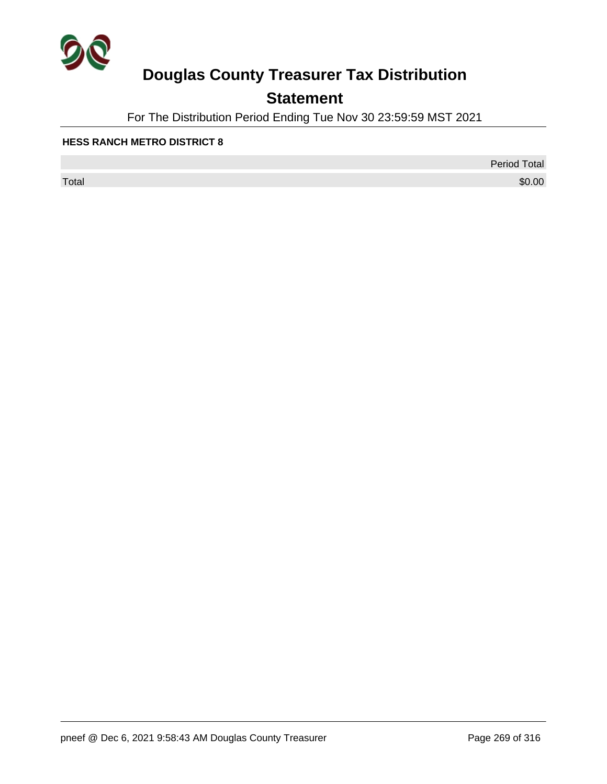

## **Statement**

For The Distribution Period Ending Tue Nov 30 23:59:59 MST 2021

### **HESS RANCH METRO DISTRICT 8**

 $\sf Total$   $\$0.00$ 

Period Total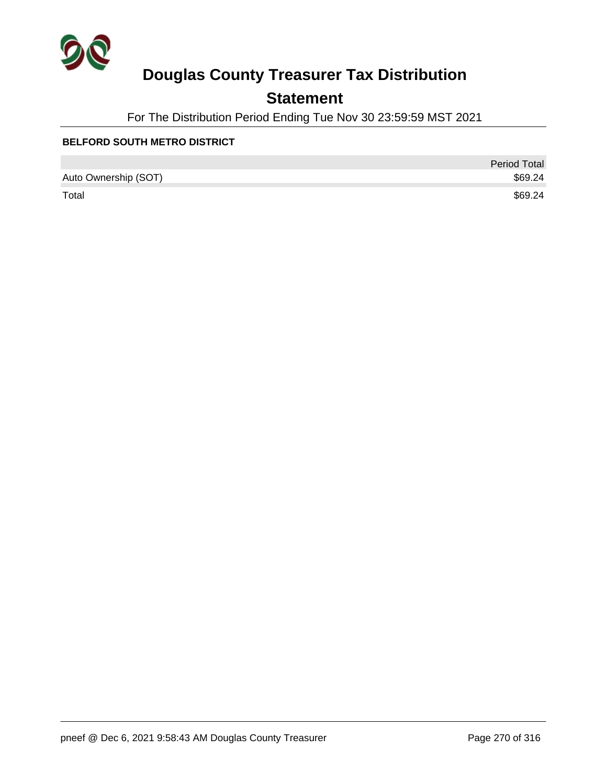

## **Statement**

For The Distribution Period Ending Tue Nov 30 23:59:59 MST 2021

### **BELFORD SOUTH METRO DISTRICT**

|                      | <b>Period Total</b> |
|----------------------|---------------------|
| Auto Ownership (SOT) | \$69.24             |
| Total                | \$69.24             |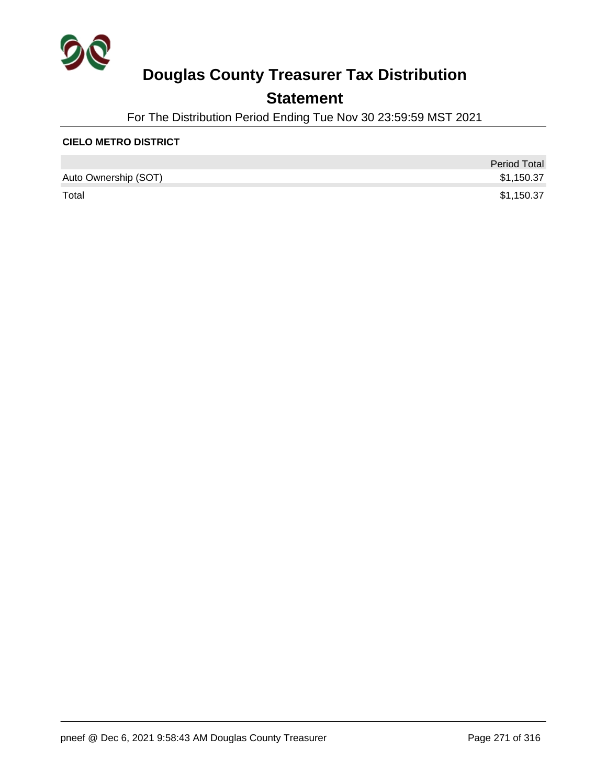

## **Statement**

For The Distribution Period Ending Tue Nov 30 23:59:59 MST 2021

### **CIELO METRO DISTRICT**

|                      | <b>Period Total</b> |
|----------------------|---------------------|
| Auto Ownership (SOT) | \$1,150.37          |
| Total                | \$1,150.37          |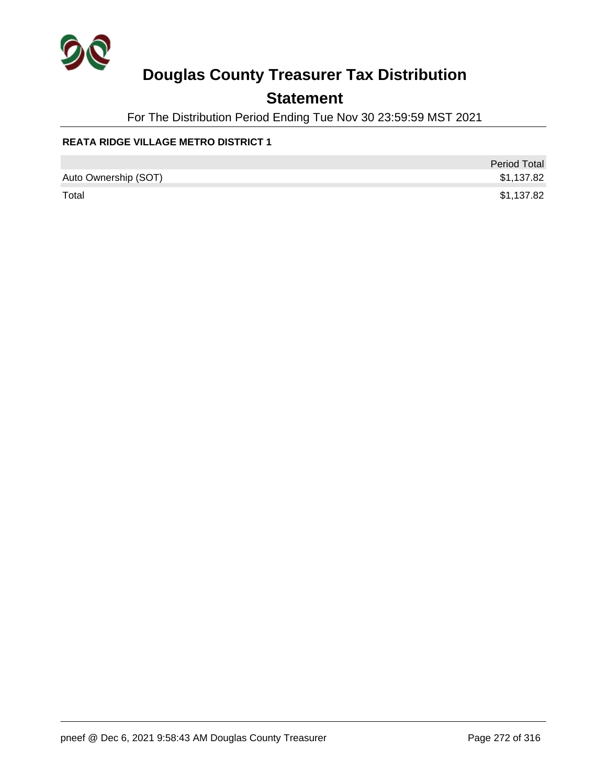

## **Statement**

For The Distribution Period Ending Tue Nov 30 23:59:59 MST 2021

### **REATA RIDGE VILLAGE METRO DISTRICT 1**

|                      | <b>Period Total</b> |
|----------------------|---------------------|
| Auto Ownership (SOT) | \$1,137.82          |
| Total                | \$1,137.82          |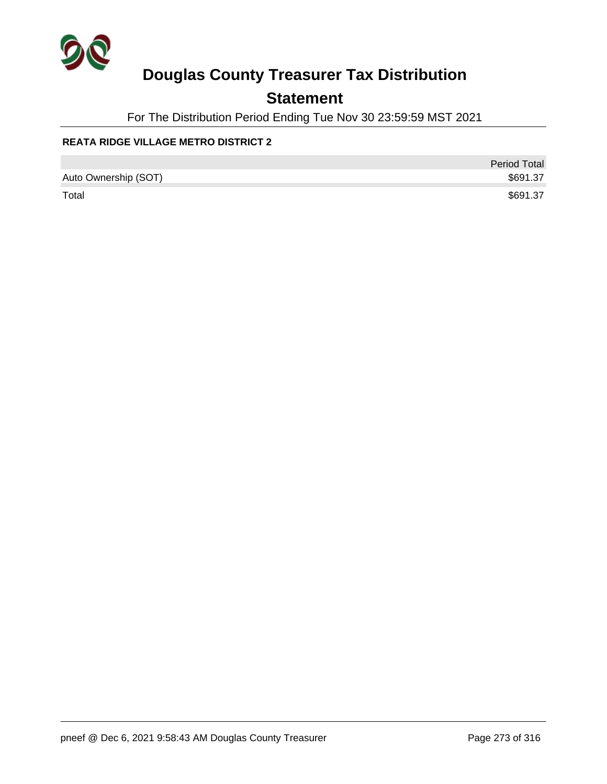

## **Statement**

For The Distribution Period Ending Tue Nov 30 23:59:59 MST 2021

### **REATA RIDGE VILLAGE METRO DISTRICT 2**

|                      | <b>Period Total</b> |
|----------------------|---------------------|
| Auto Ownership (SOT) | \$691.37            |
| Total                | \$691.37            |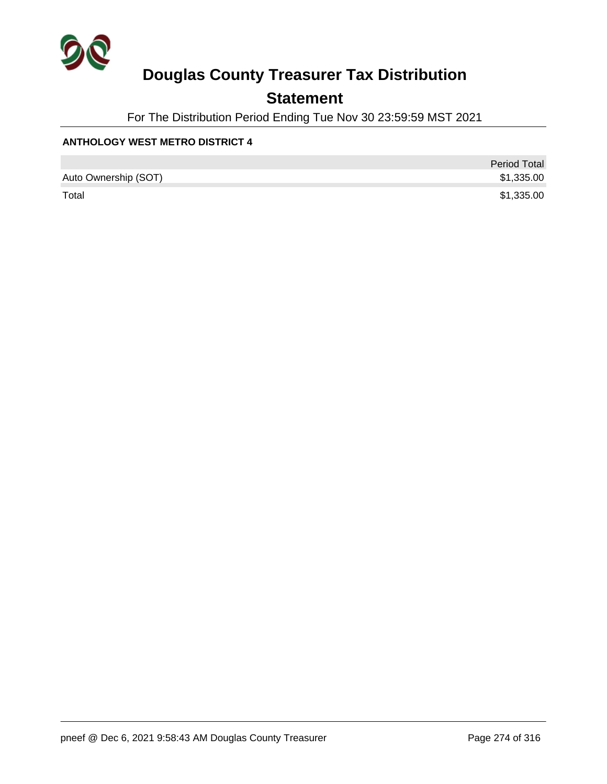

## **Statement**

For The Distribution Period Ending Tue Nov 30 23:59:59 MST 2021

### **ANTHOLOGY WEST METRO DISTRICT 4**

|                      | <b>Period Total</b> |
|----------------------|---------------------|
| Auto Ownership (SOT) | \$1,335.00          |
| Total                | \$1,335.00          |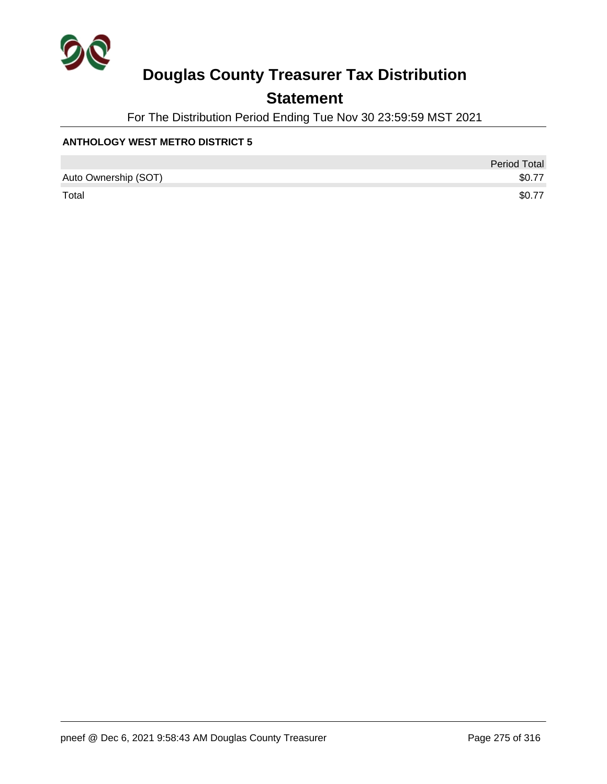

## **Statement**

For The Distribution Period Ending Tue Nov 30 23:59:59 MST 2021

### **ANTHOLOGY WEST METRO DISTRICT 5**

|                      | <b>Period Total</b> |
|----------------------|---------------------|
| Auto Ownership (SOT) | \$0.77              |
| Total                | \$0.77              |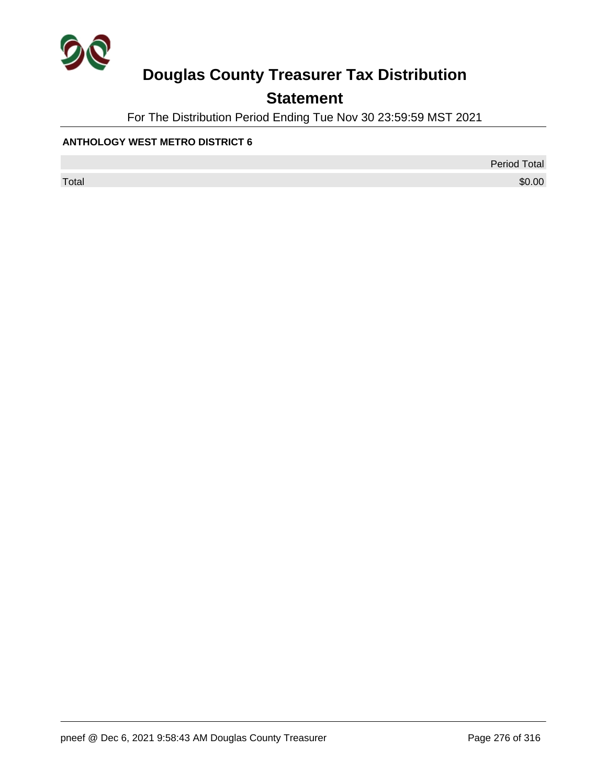

## **Statement**

For The Distribution Period Ending Tue Nov 30 23:59:59 MST 2021

### **ANTHOLOGY WEST METRO DISTRICT 6**

Period Total

 $\sf Total$   $\$0.00$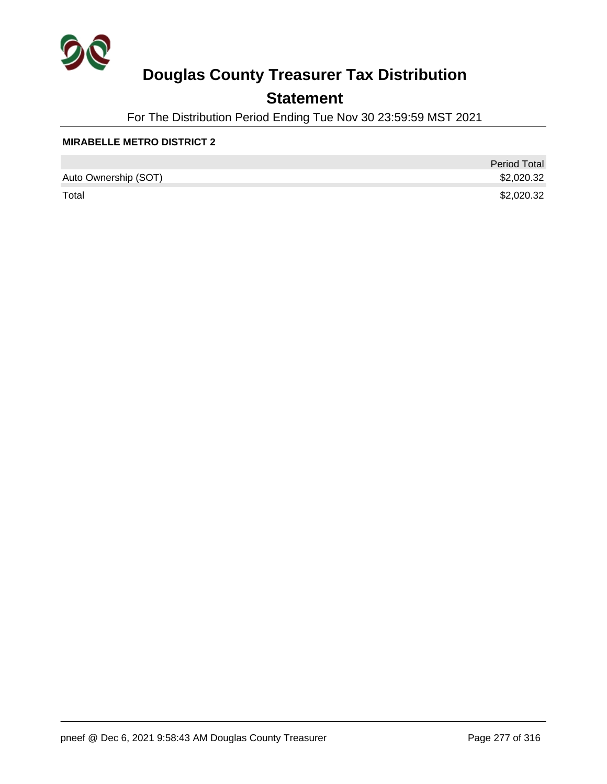

## **Statement**

For The Distribution Period Ending Tue Nov 30 23:59:59 MST 2021

### **MIRABELLE METRO DISTRICT 2**

|                      | <b>Period Total</b> |
|----------------------|---------------------|
| Auto Ownership (SOT) | \$2,020.32          |
| Total                | \$2,020.32          |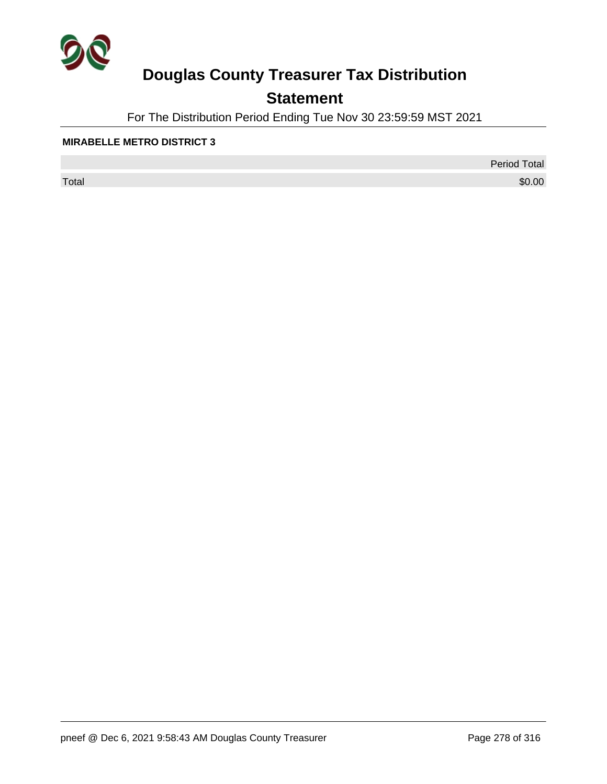

## **Statement**

For The Distribution Period Ending Tue Nov 30 23:59:59 MST 2021

### **MIRABELLE METRO DISTRICT 3**

 $\sf Total$   $\$0.00$ 

Period Total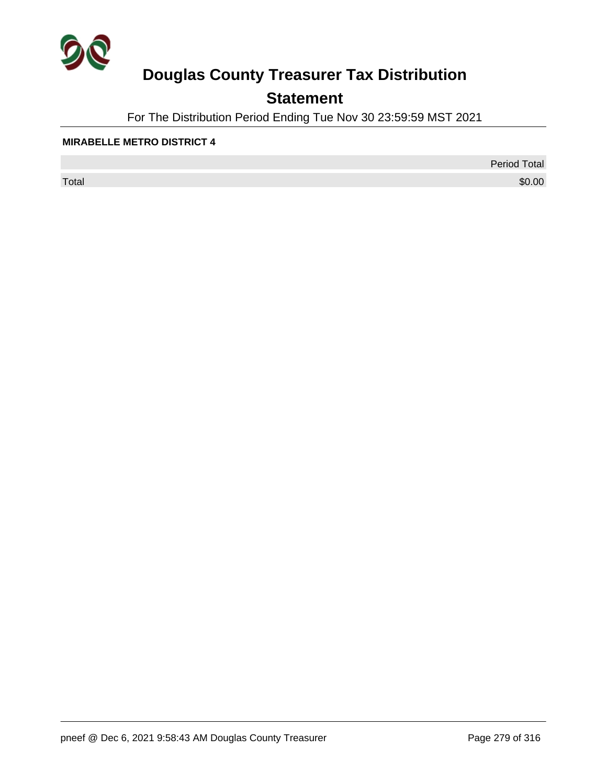

## **Statement**

For The Distribution Period Ending Tue Nov 30 23:59:59 MST 2021

#### **MIRABELLE METRO DISTRICT 4**

 $\sf Total$   $\$0.00$ 

Period Total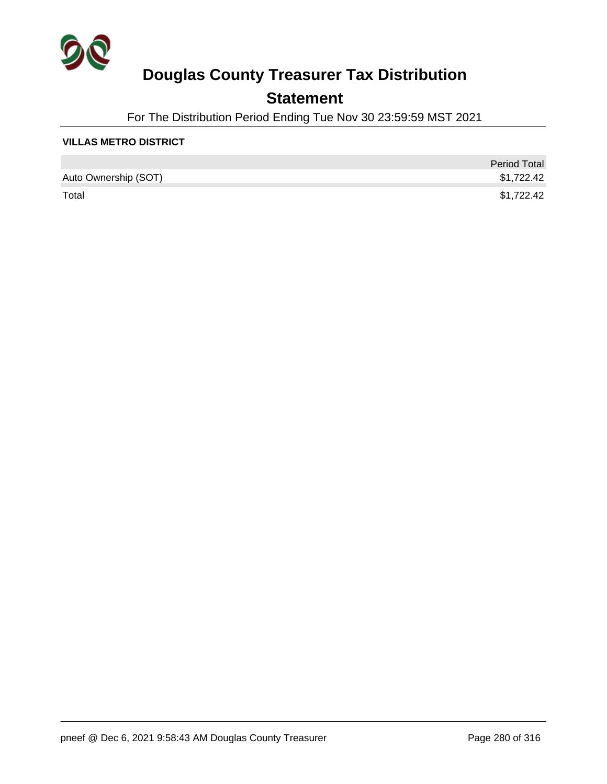

## **Statement**

For The Distribution Period Ending Tue Nov 30 23:59:59 MST 2021

### **VILLAS METRO DISTRICT**

|                      | <b>Period Total</b> |
|----------------------|---------------------|
| Auto Ownership (SOT) | \$1,722.42          |
| Total                | \$1,722.42          |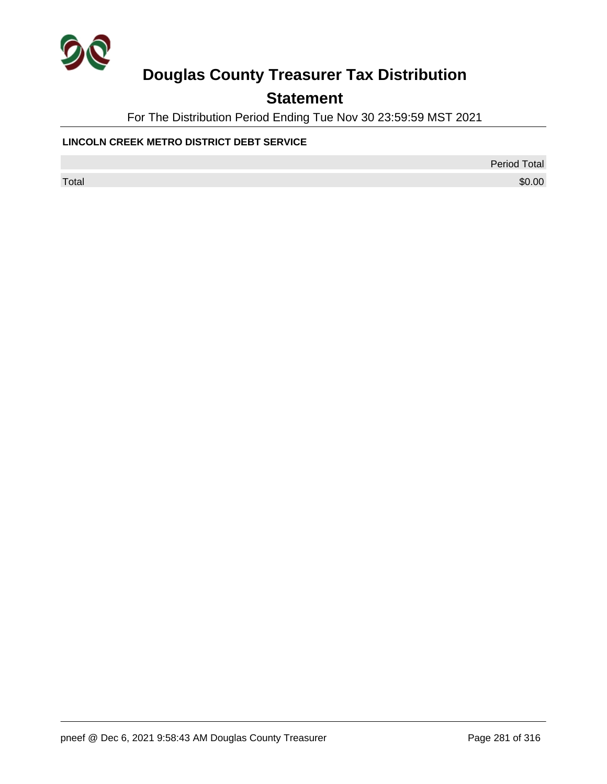

## **Statement**

For The Distribution Period Ending Tue Nov 30 23:59:59 MST 2021

### **LINCOLN CREEK METRO DISTRICT DEBT SERVICE**

Period Total

 $\sf Total$   $\$0.00$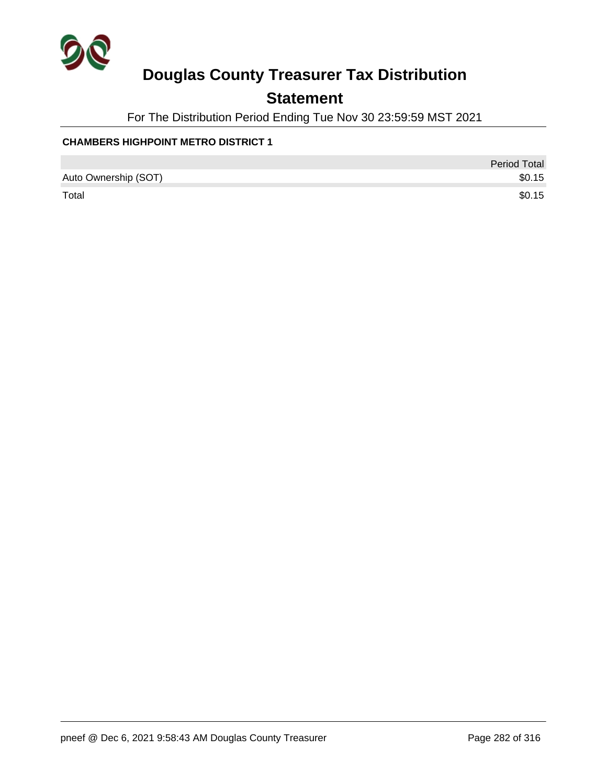

## **Statement**

For The Distribution Period Ending Tue Nov 30 23:59:59 MST 2021

### **CHAMBERS HIGHPOINT METRO DISTRICT 1**

|                      | <b>Period Total</b> |
|----------------------|---------------------|
| Auto Ownership (SOT) | \$0.15              |
| Total                | \$0.15              |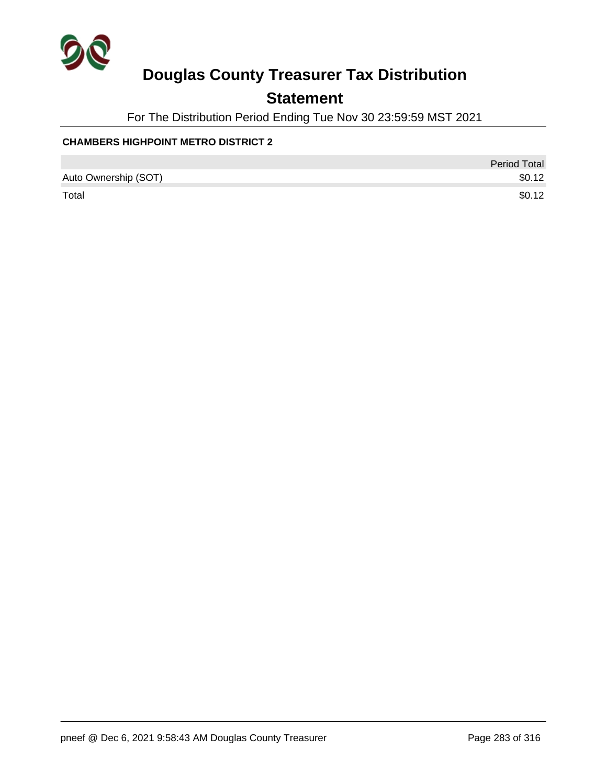

## **Statement**

For The Distribution Period Ending Tue Nov 30 23:59:59 MST 2021

### **CHAMBERS HIGHPOINT METRO DISTRICT 2**

|                      | Period Total |
|----------------------|--------------|
| Auto Ownership (SOT) | \$0.12       |
| Total                | \$0.12       |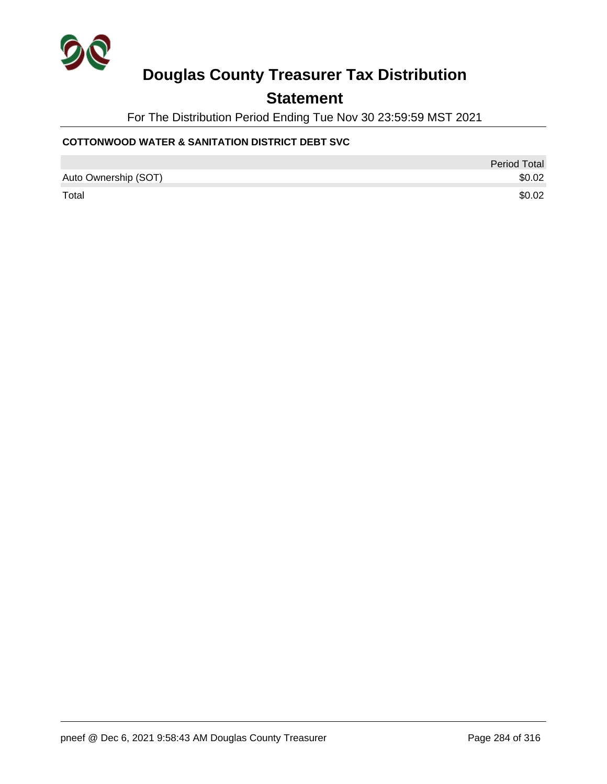

### **Statement**

For The Distribution Period Ending Tue Nov 30 23:59:59 MST 2021

### **COTTONWOOD WATER & SANITATION DISTRICT DEBT SVC**

|                      | <b>Period Total</b> |
|----------------------|---------------------|
| Auto Ownership (SOT) | \$0.02              |
| Total                | \$0.02              |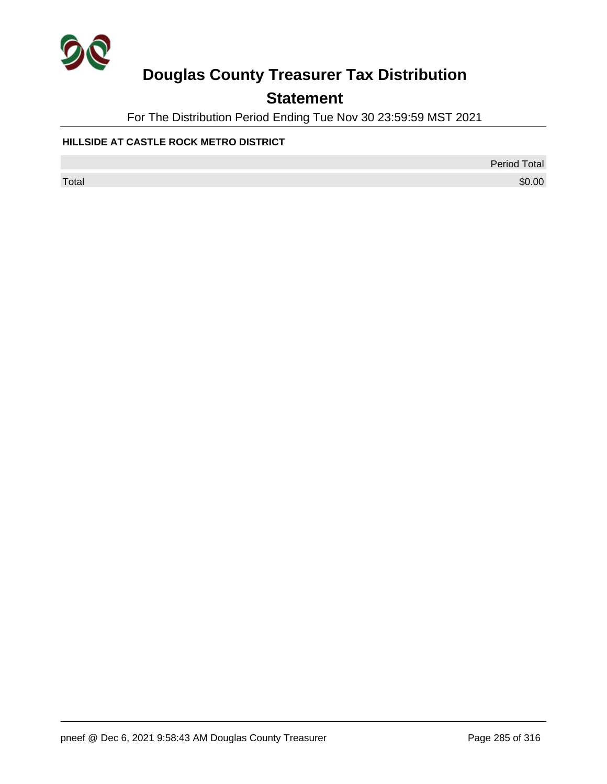

## **Statement**

For The Distribution Period Ending Tue Nov 30 23:59:59 MST 2021

### **HILLSIDE AT CASTLE ROCK METRO DISTRICT**

Period Total

 $\sf Total$   $\$0.00$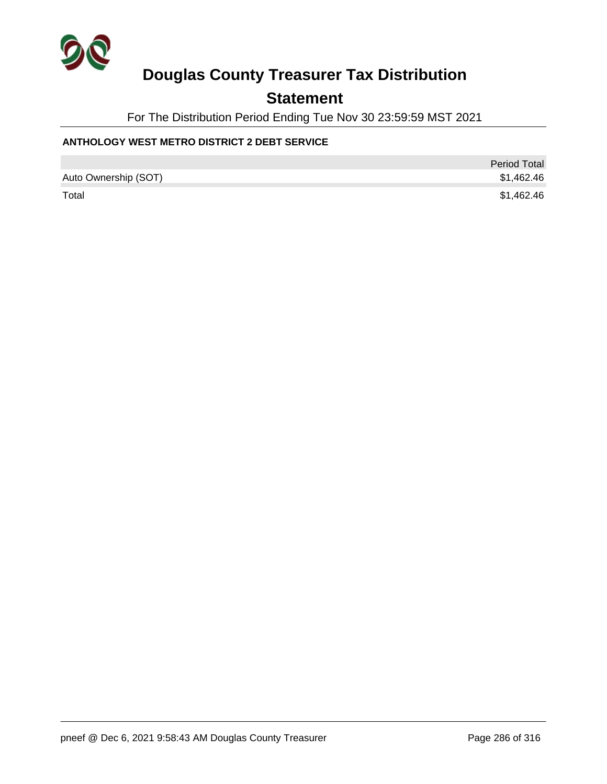

### **Statement**

For The Distribution Period Ending Tue Nov 30 23:59:59 MST 2021

### **ANTHOLOGY WEST METRO DISTRICT 2 DEBT SERVICE**

|                      | <b>Period Total</b> |
|----------------------|---------------------|
| Auto Ownership (SOT) | \$1,462.46          |
| Total                | \$1,462.46          |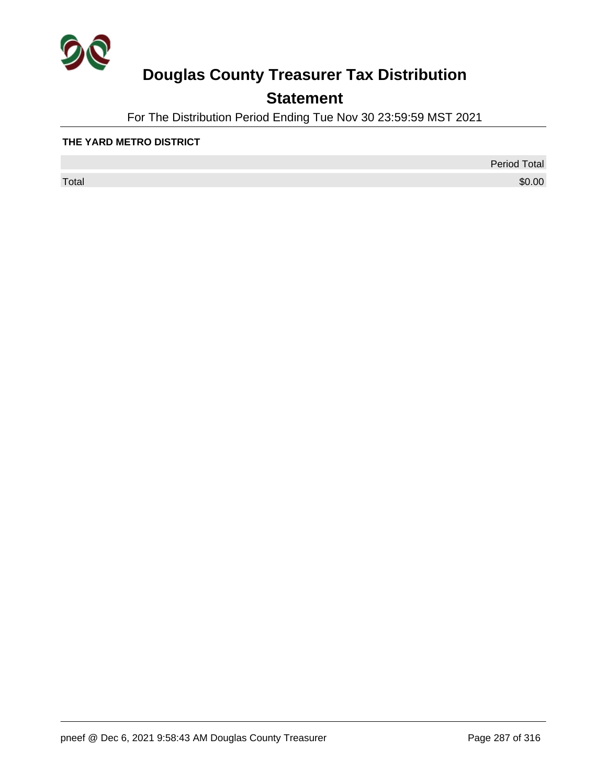

## **Statement**

For The Distribution Period Ending Tue Nov 30 23:59:59 MST 2021

### **THE YARD METRO DISTRICT**

 $\sf Total$   $\$0.00$ 

Period Total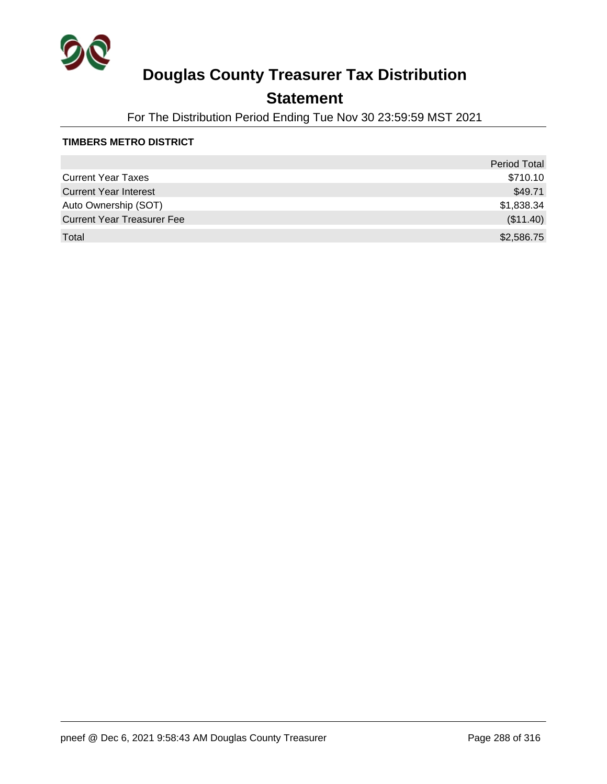

## **Statement**

For The Distribution Period Ending Tue Nov 30 23:59:59 MST 2021

### **TIMBERS METRO DISTRICT**

|                                   | <b>Period Total</b> |
|-----------------------------------|---------------------|
| <b>Current Year Taxes</b>         | \$710.10            |
| <b>Current Year Interest</b>      | \$49.71             |
| Auto Ownership (SOT)              | \$1,838.34          |
| <b>Current Year Treasurer Fee</b> | (\$11.40)           |
| Total                             | \$2,586.75          |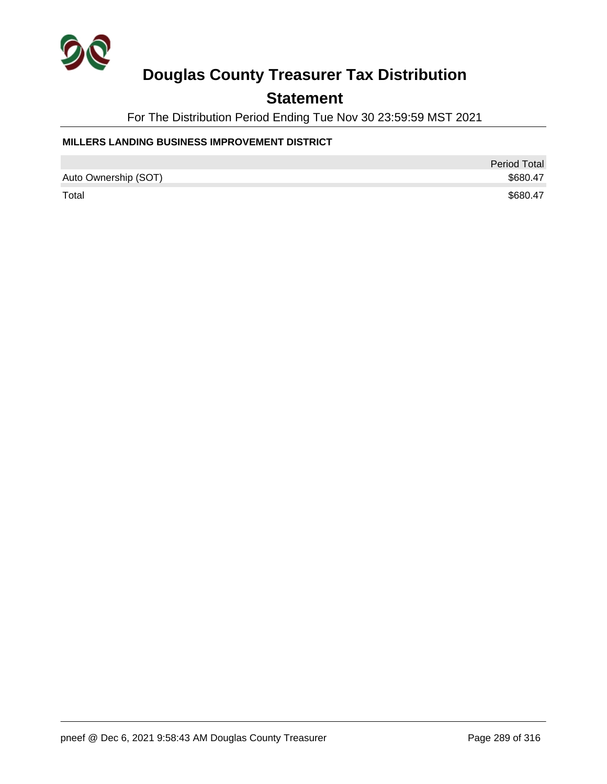

### **Statement**

For The Distribution Period Ending Tue Nov 30 23:59:59 MST 2021

### **MILLERS LANDING BUSINESS IMPROVEMENT DISTRICT**

|                      | <b>Period Total</b> |
|----------------------|---------------------|
| Auto Ownership (SOT) | \$680.47            |
| Total                | \$680.47            |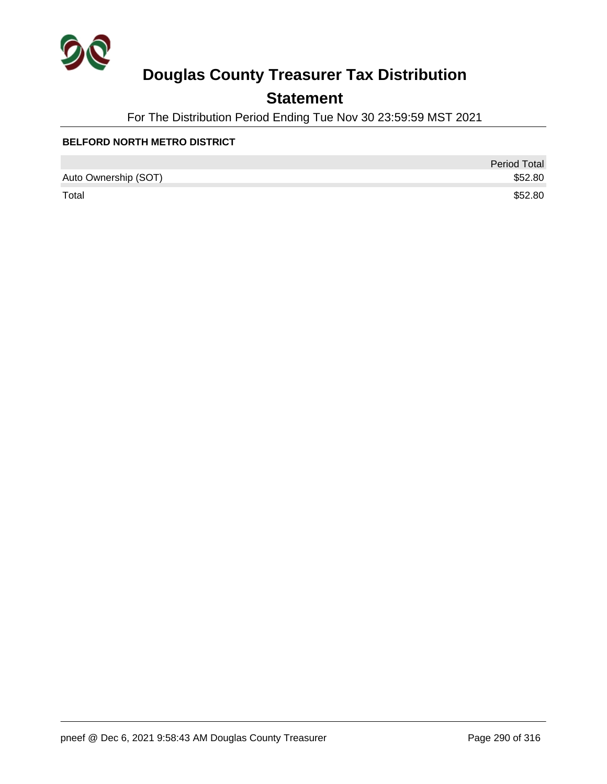

### **Statement**

For The Distribution Period Ending Tue Nov 30 23:59:59 MST 2021

#### **BELFORD NORTH METRO DISTRICT**

|                      | <b>Period Total</b> |
|----------------------|---------------------|
| Auto Ownership (SOT) | \$52.80             |
| Total                | \$52.80             |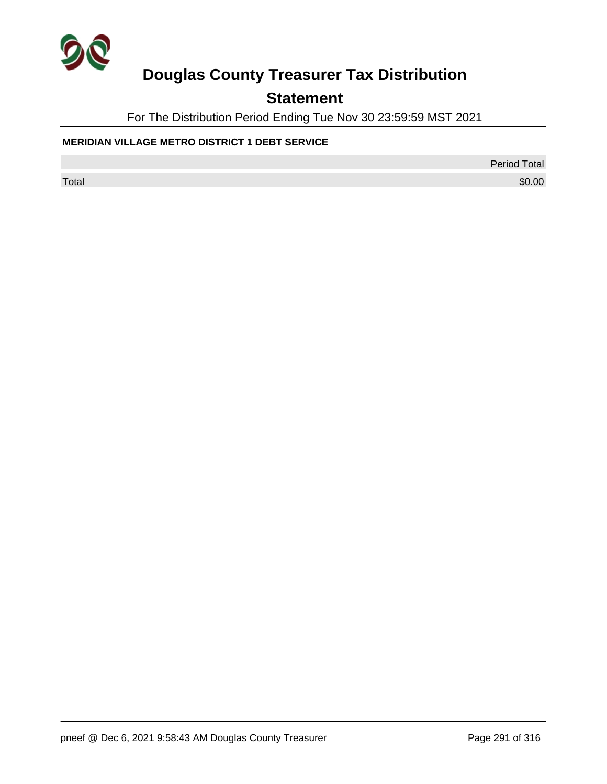

## **Statement**

For The Distribution Period Ending Tue Nov 30 23:59:59 MST 2021

### **MERIDIAN VILLAGE METRO DISTRICT 1 DEBT SERVICE**

Period Total

 $\sf Total$   $\$0.00$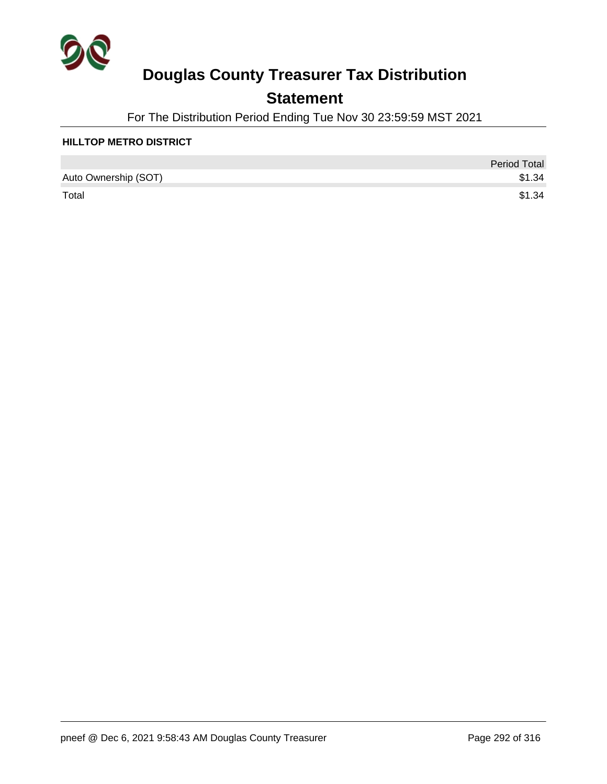

### **Statement**

For The Distribution Period Ending Tue Nov 30 23:59:59 MST 2021

#### **HILLTOP METRO DISTRICT**

|                      | <b>Period Total</b> |
|----------------------|---------------------|
| Auto Ownership (SOT) | \$1.34              |
| Total                | \$1.34              |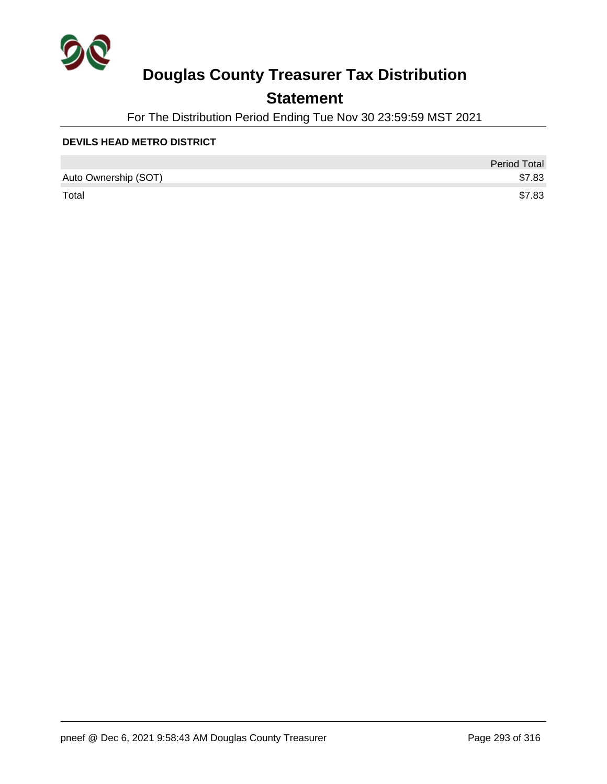

### **Statement**

For The Distribution Period Ending Tue Nov 30 23:59:59 MST 2021

#### **DEVILS HEAD METRO DISTRICT**

|                      | <b>Period Total</b> |
|----------------------|---------------------|
| Auto Ownership (SOT) | \$7.83              |
| Total                | \$7.83              |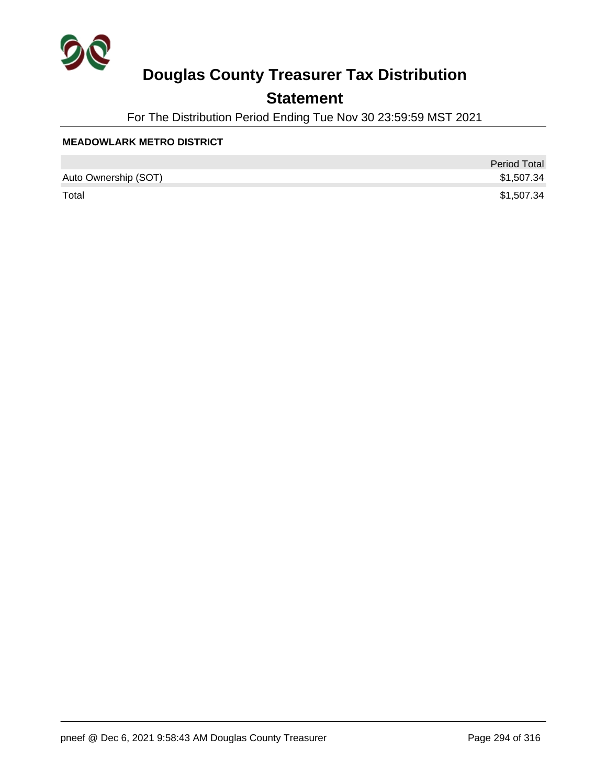

### **Statement**

For The Distribution Period Ending Tue Nov 30 23:59:59 MST 2021

#### **MEADOWLARK METRO DISTRICT**

|                      | <b>Period Total</b> |
|----------------------|---------------------|
| Auto Ownership (SOT) | \$1,507.34          |
| Total                | \$1,507.34          |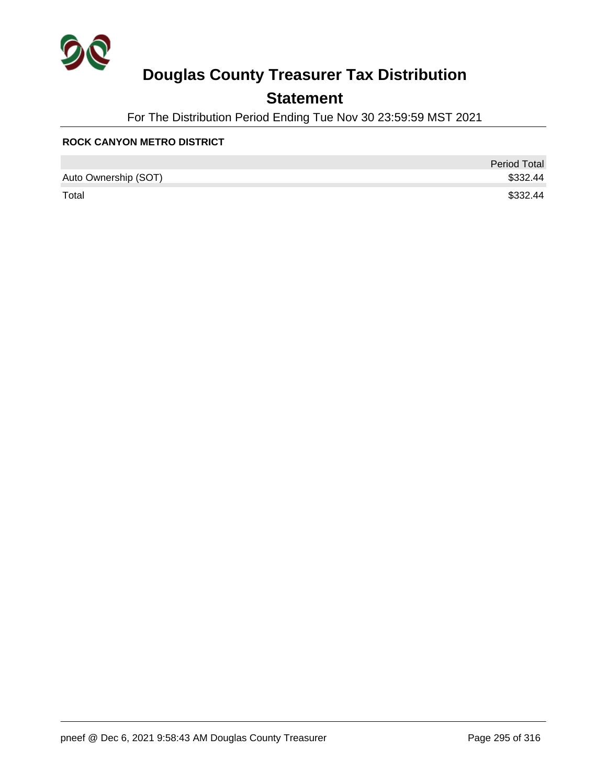

### **Statement**

For The Distribution Period Ending Tue Nov 30 23:59:59 MST 2021

#### **ROCK CANYON METRO DISTRICT**

|                      | <b>Period Total</b> |
|----------------------|---------------------|
| Auto Ownership (SOT) | \$332.44            |
| Total                | \$332.44            |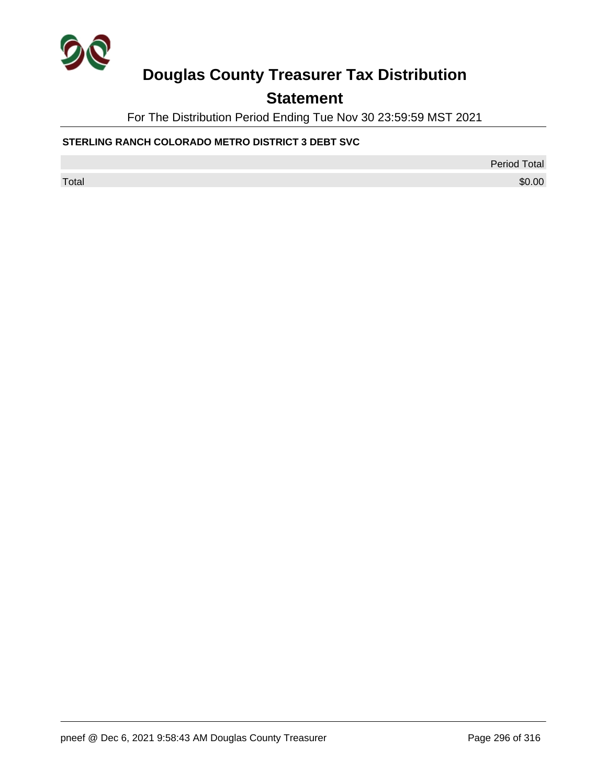

## **Statement**

For The Distribution Period Ending Tue Nov 30 23:59:59 MST 2021

### **STERLING RANCH COLORADO METRO DISTRICT 3 DEBT SVC**

Period Total

 $\sf Total$   $\$0.00$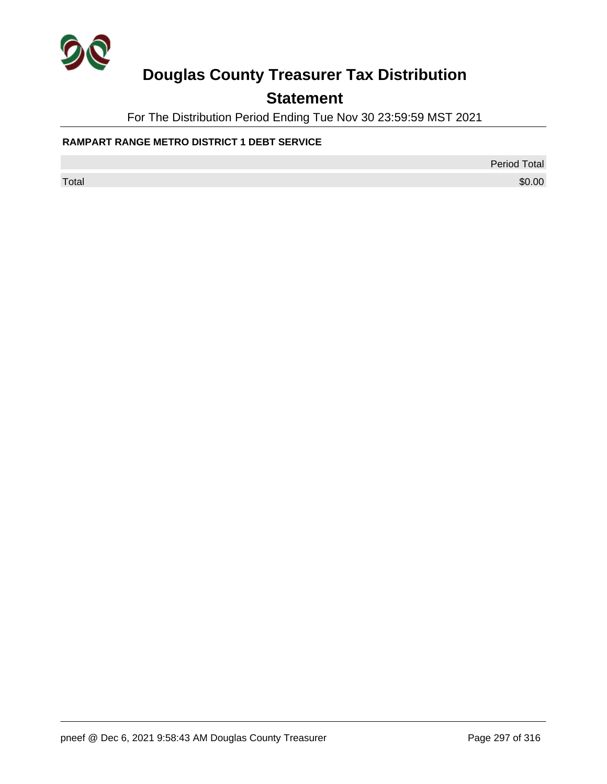

## **Statement**

For The Distribution Period Ending Tue Nov 30 23:59:59 MST 2021

### **RAMPART RANGE METRO DISTRICT 1 DEBT SERVICE**

Period Total

 $\sf Total$   $\$0.00$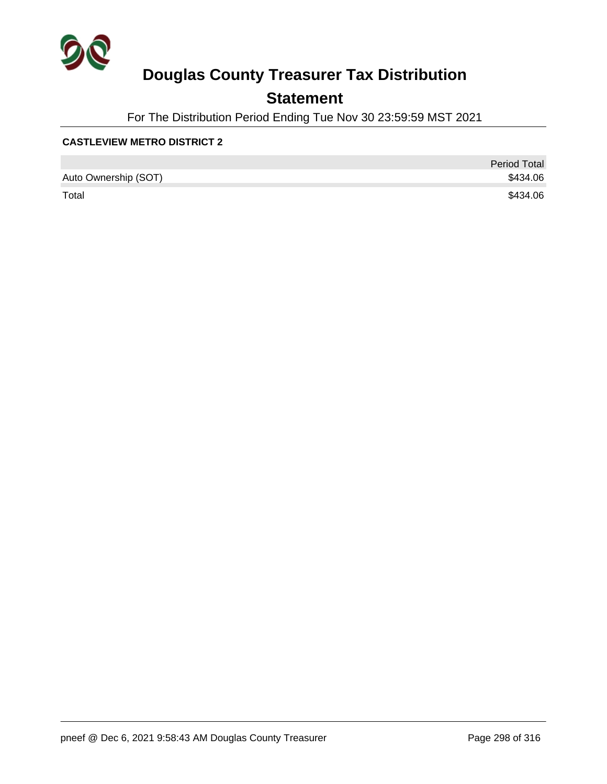

### **Statement**

For The Distribution Period Ending Tue Nov 30 23:59:59 MST 2021

### **CASTLEVIEW METRO DISTRICT 2**

|                      | <b>Period Total</b> |
|----------------------|---------------------|
| Auto Ownership (SOT) | \$434.06            |
| Total                | \$434.06            |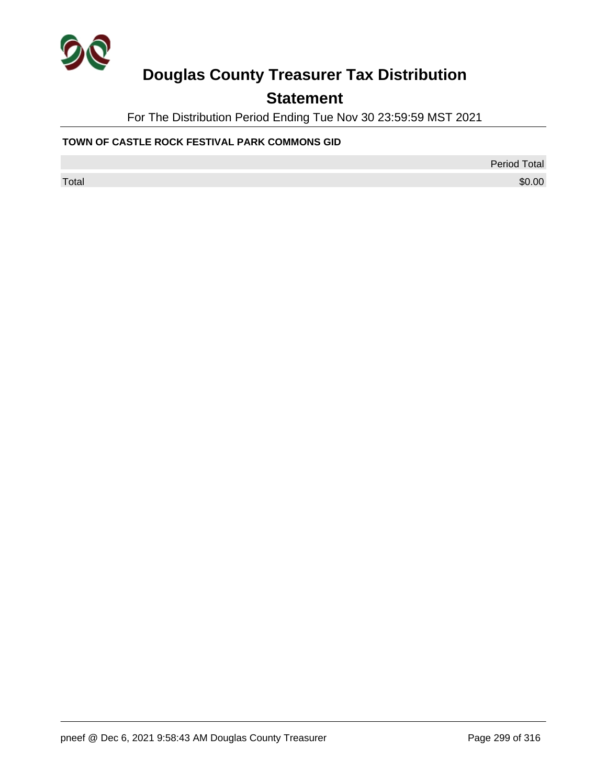

### **Statement**

For The Distribution Period Ending Tue Nov 30 23:59:59 MST 2021

#### **TOWN OF CASTLE ROCK FESTIVAL PARK COMMONS GID**

Period Total

 $\sf Total$   $\$0.00$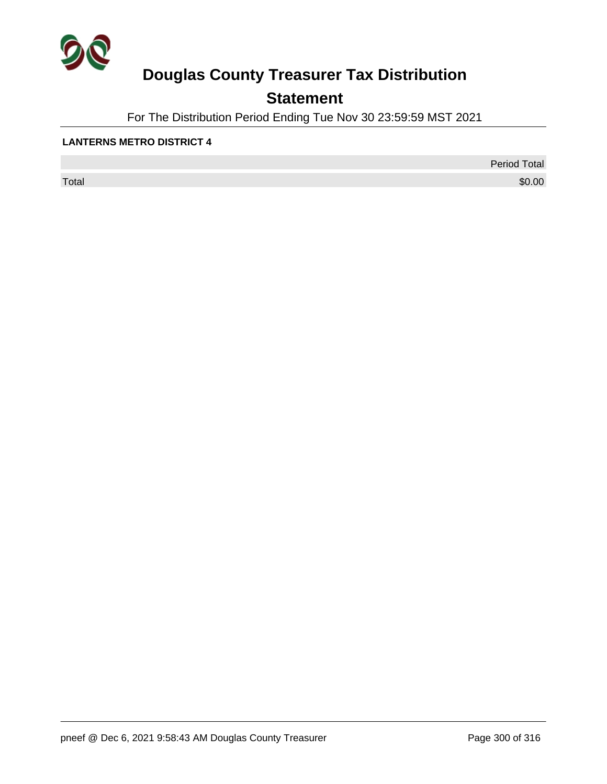

## **Statement**

For The Distribution Period Ending Tue Nov 30 23:59:59 MST 2021

#### **LANTERNS METRO DISTRICT 4**

 $\sf Total$   $\$0.00$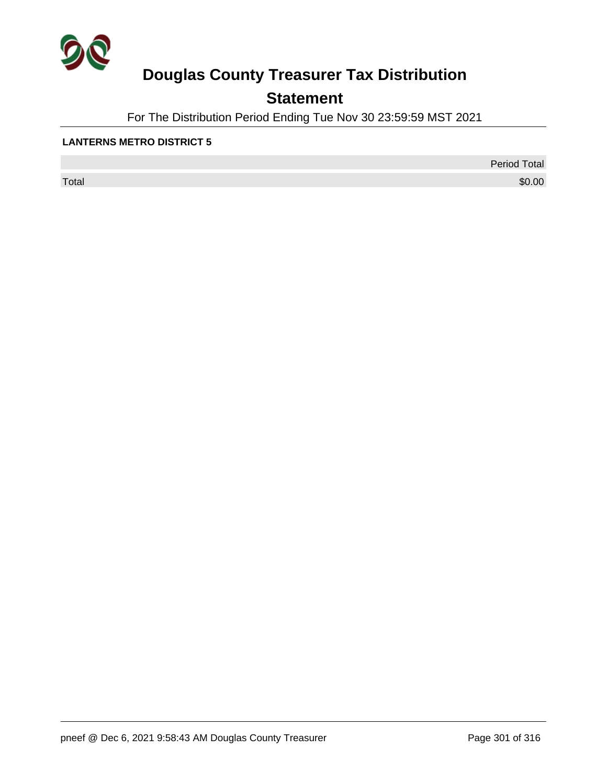

## **Statement**

For The Distribution Period Ending Tue Nov 30 23:59:59 MST 2021

### **LANTERNS METRO DISTRICT 5**

 $\sf Total$   $\$0.00$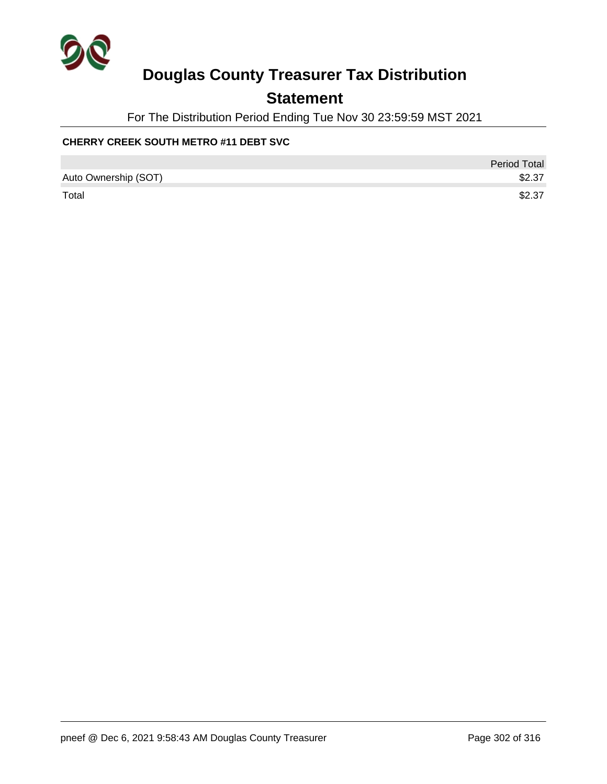

### **Statement**

For The Distribution Period Ending Tue Nov 30 23:59:59 MST 2021

### **CHERRY CREEK SOUTH METRO #11 DEBT SVC**

|                      | <b>Period Total</b> |
|----------------------|---------------------|
| Auto Ownership (SOT) | \$2.37              |
| Total                | \$2.37              |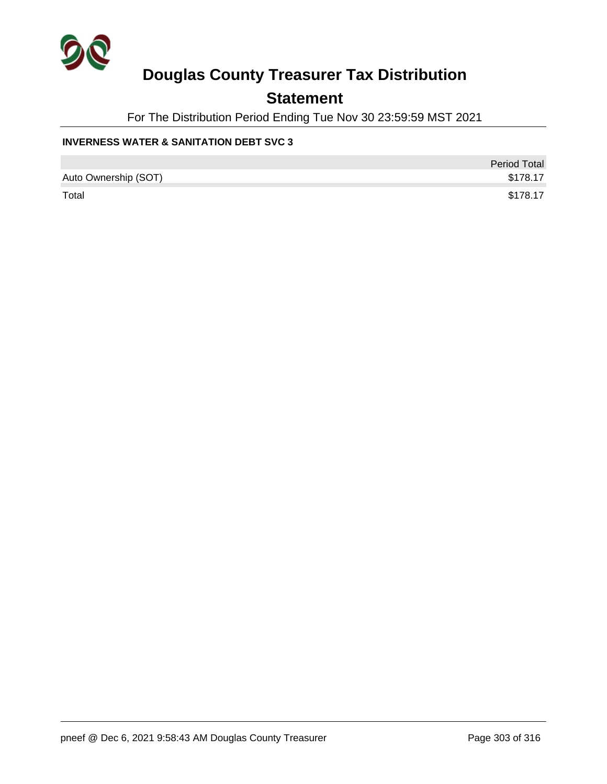

### **Statement**

For The Distribution Period Ending Tue Nov 30 23:59:59 MST 2021

### **INVERNESS WATER & SANITATION DEBT SVC 3**

|                      | <b>Period Total</b> |
|----------------------|---------------------|
| Auto Ownership (SOT) | \$178.17            |
| Total                | \$178.17            |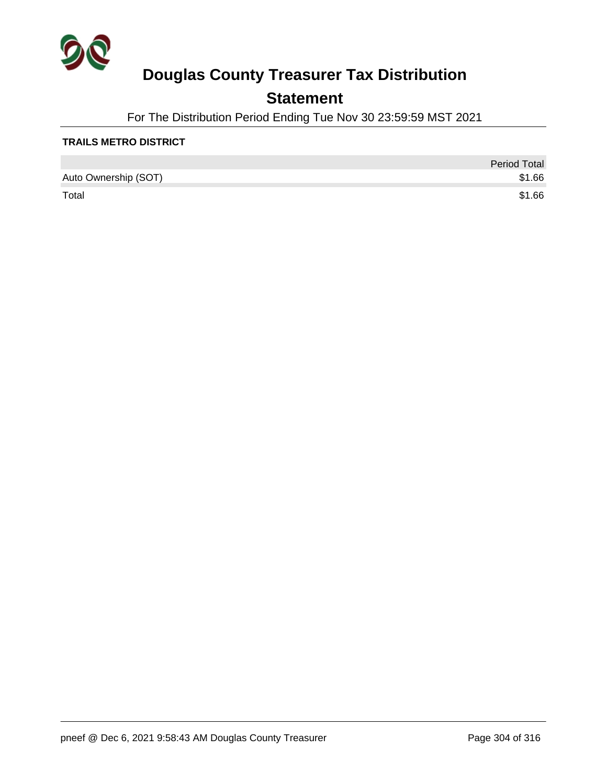

### **Statement**

For The Distribution Period Ending Tue Nov 30 23:59:59 MST 2021

#### **TRAILS METRO DISTRICT**

|                      | <b>Period Total</b> |
|----------------------|---------------------|
| Auto Ownership (SOT) | \$1.66              |
| Total                | \$1.66              |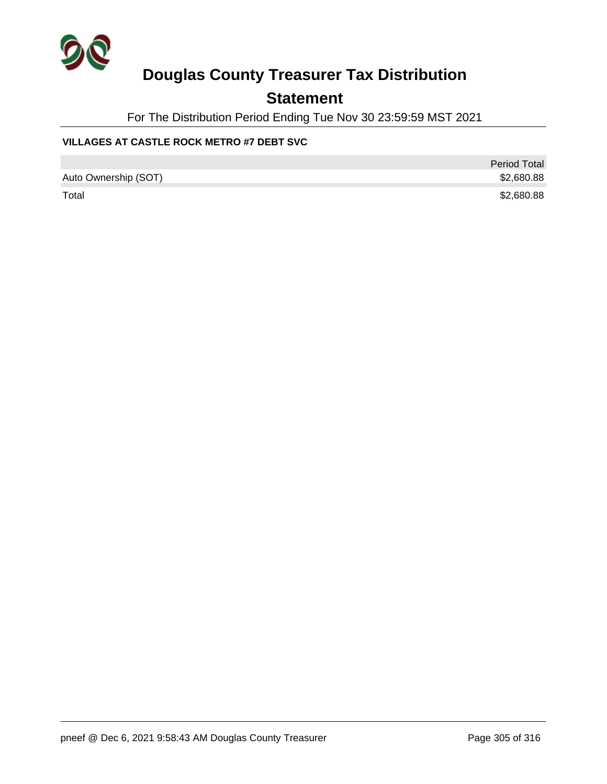

### **Statement**

For The Distribution Period Ending Tue Nov 30 23:59:59 MST 2021

### **VILLAGES AT CASTLE ROCK METRO #7 DEBT SVC**

|                      | <b>Period Total</b> |
|----------------------|---------------------|
| Auto Ownership (SOT) | \$2,680.88          |
| Total                | \$2,680.88          |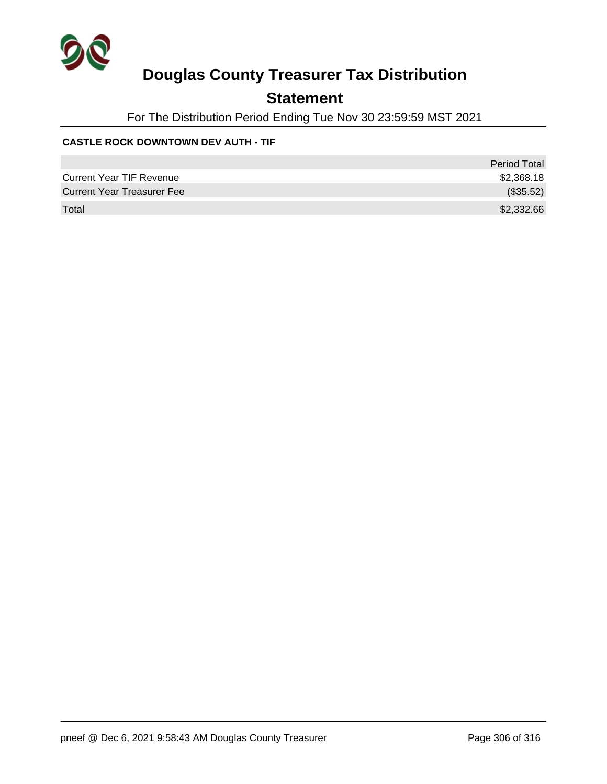

### **Statement**

For The Distribution Period Ending Tue Nov 30 23:59:59 MST 2021

### **CASTLE ROCK DOWNTOWN DEV AUTH - TIF**

|                                   | <b>Period Total</b> |
|-----------------------------------|---------------------|
| <b>Current Year TIF Revenue</b>   | \$2,368.18          |
| <b>Current Year Treasurer Fee</b> | (\$35.52)           |
| Total                             | \$2,332.66          |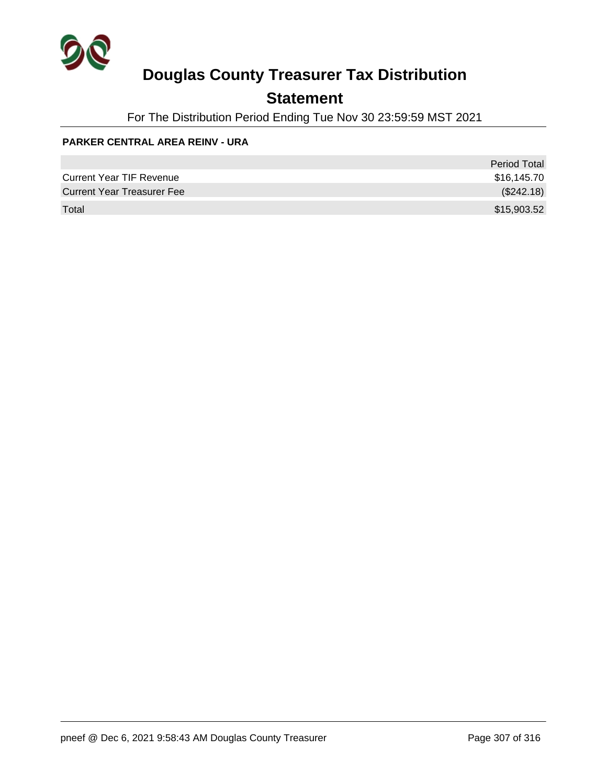

### **Statement**

For The Distribution Period Ending Tue Nov 30 23:59:59 MST 2021

### **PARKER CENTRAL AREA REINV - URA**

|                                   | <b>Period Total</b> |
|-----------------------------------|---------------------|
| <b>Current Year TIF Revenue</b>   | \$16,145.70         |
| <b>Current Year Treasurer Fee</b> | (\$242.18)          |
| Total                             | \$15,903.52         |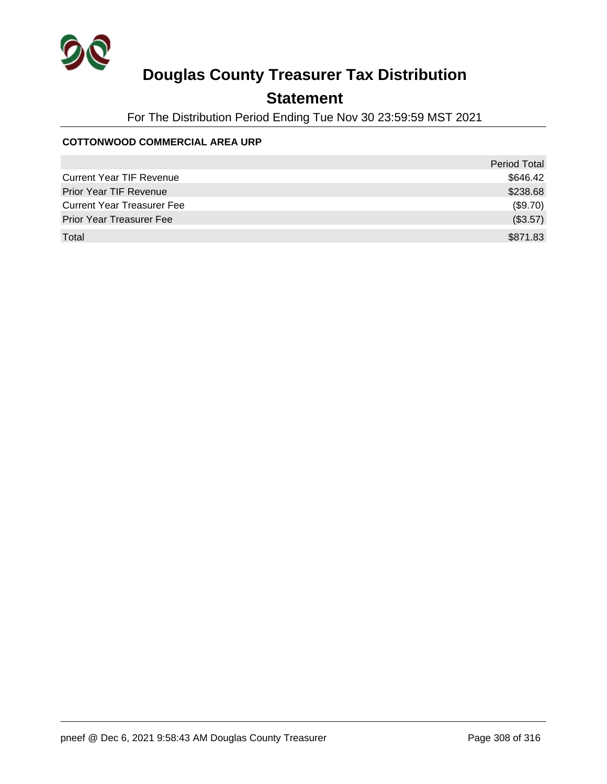

## **Statement**

For The Distribution Period Ending Tue Nov 30 23:59:59 MST 2021

### **COTTONWOOD COMMERCIAL AREA URP**

|                                   | Period Total |
|-----------------------------------|--------------|
| <b>Current Year TIF Revenue</b>   | \$646.42     |
| <b>Prior Year TIF Revenue</b>     | \$238.68     |
| <b>Current Year Treasurer Fee</b> | (\$9.70)     |
| <b>Prior Year Treasurer Fee</b>   | (\$3.57)     |
| Total                             | \$871.83     |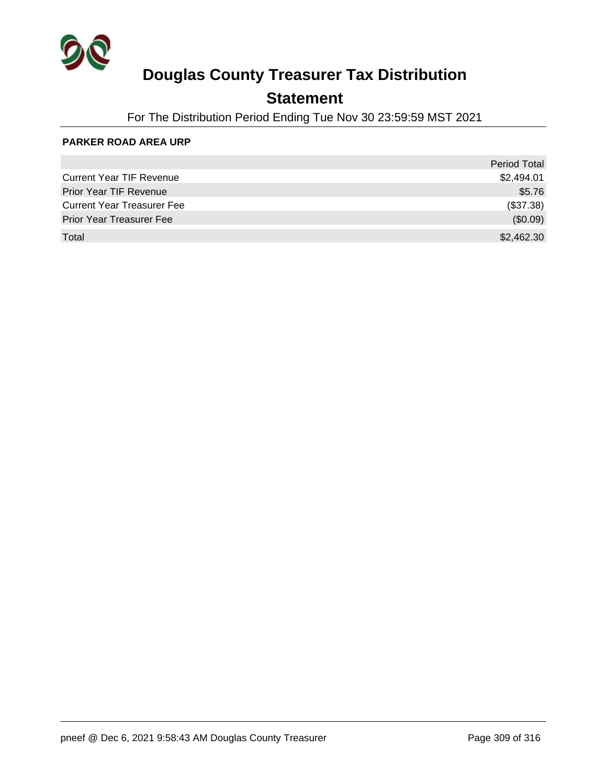

### **Statement**

For The Distribution Period Ending Tue Nov 30 23:59:59 MST 2021

#### **PARKER ROAD AREA URP**

|                                   | <b>Period Total</b> |
|-----------------------------------|---------------------|
| <b>Current Year TIF Revenue</b>   | \$2,494.01          |
| <b>Prior Year TIF Revenue</b>     | \$5.76              |
| <b>Current Year Treasurer Fee</b> | (\$37.38)           |
| <b>Prior Year Treasurer Fee</b>   | (\$0.09)            |
| Total                             | \$2,462.30          |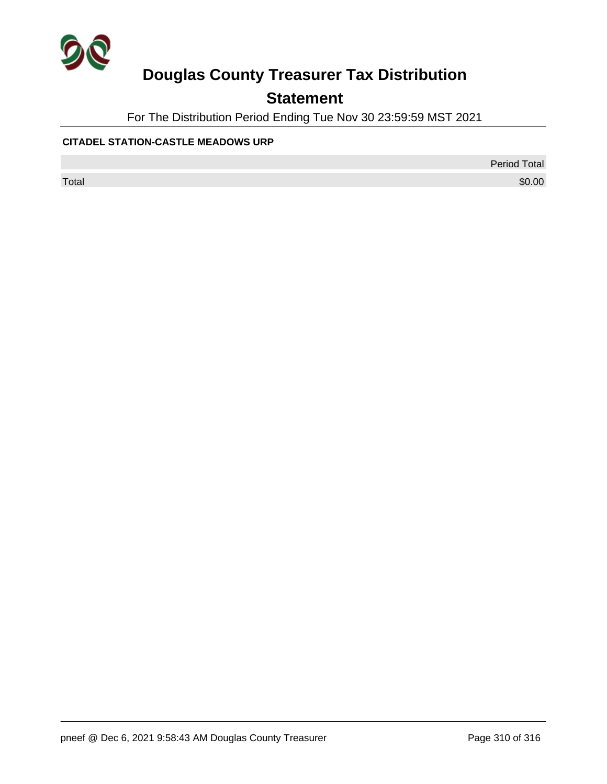

## **Statement**

For The Distribution Period Ending Tue Nov 30 23:59:59 MST 2021

### **CITADEL STATION-CASTLE MEADOWS URP**

Period Total

 $\sf Total$   $\$0.00$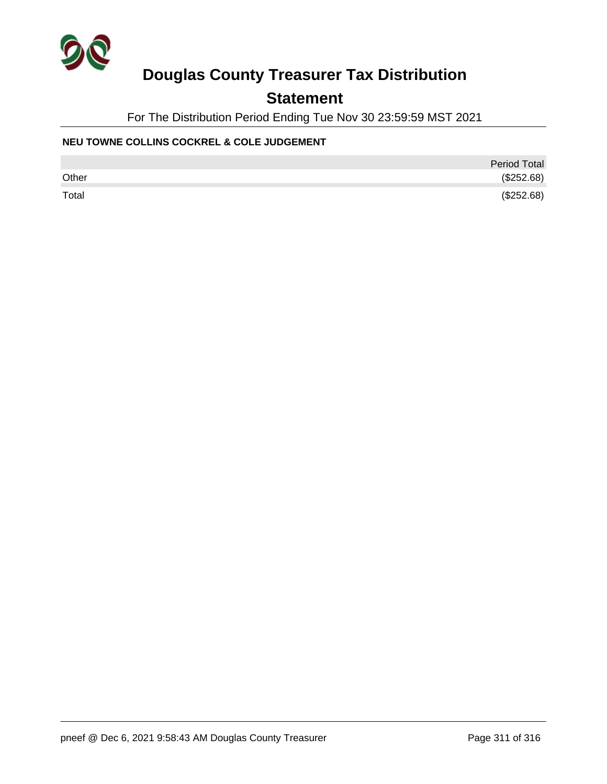

### **Statement**

For The Distribution Period Ending Tue Nov 30 23:59:59 MST 2021

### **NEU TOWNE COLLINS COCKREL & COLE JUDGEMENT**

|       | <b>Period Total</b> |
|-------|---------------------|
| Other | (\$252.68)          |
| Total | (\$252.68)          |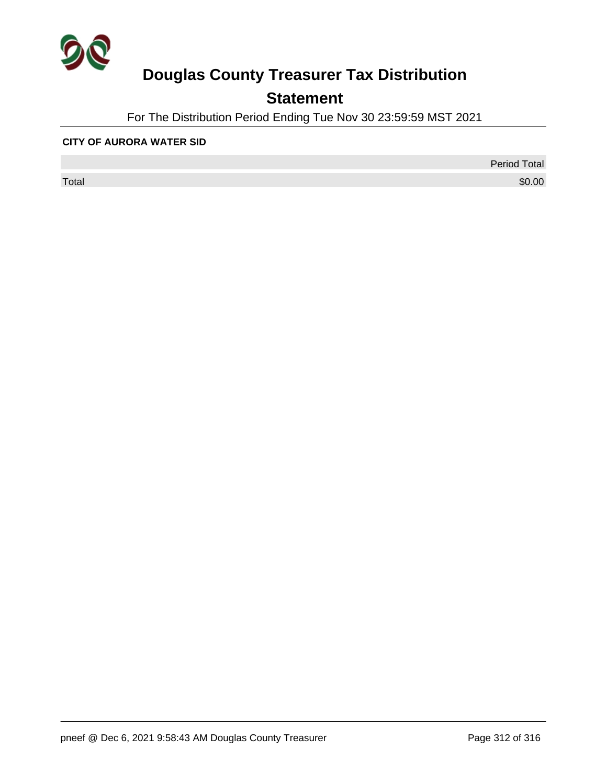

## **Statement**

For The Distribution Period Ending Tue Nov 30 23:59:59 MST 2021

#### **CITY OF AURORA WATER SID**

 $\sf Total$   $\$0.00$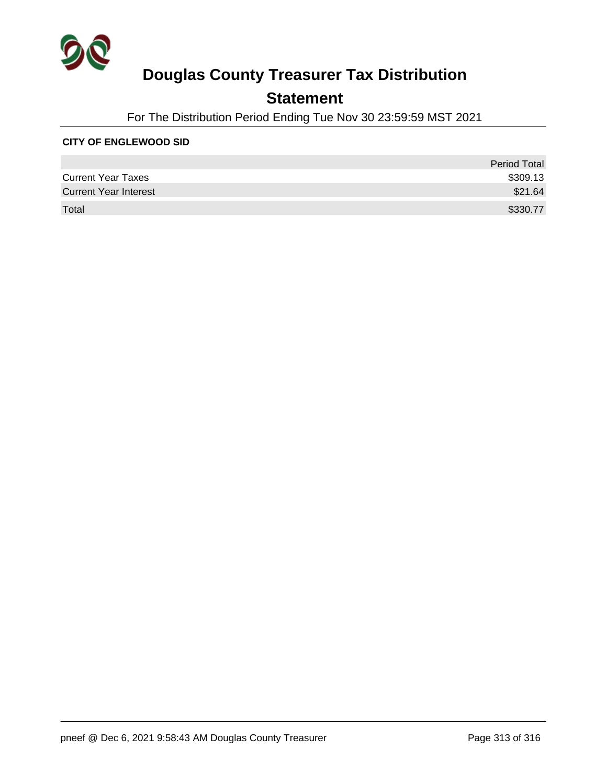

### **Statement**

For The Distribution Period Ending Tue Nov 30 23:59:59 MST 2021

#### **CITY OF ENGLEWOOD SID**

|                              | <b>Period Total</b> |
|------------------------------|---------------------|
| <b>Current Year Taxes</b>    | \$309.13            |
| <b>Current Year Interest</b> | \$21.64             |
| Total                        | \$330.77            |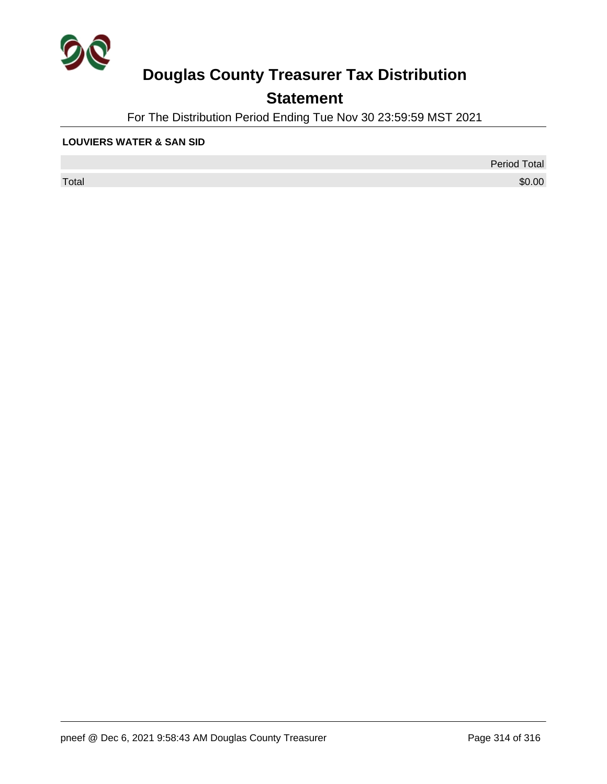

## **Statement**

For The Distribution Period Ending Tue Nov 30 23:59:59 MST 2021

#### **LOUVIERS WATER & SAN SID**

 $\sf Total$   $\$0.00$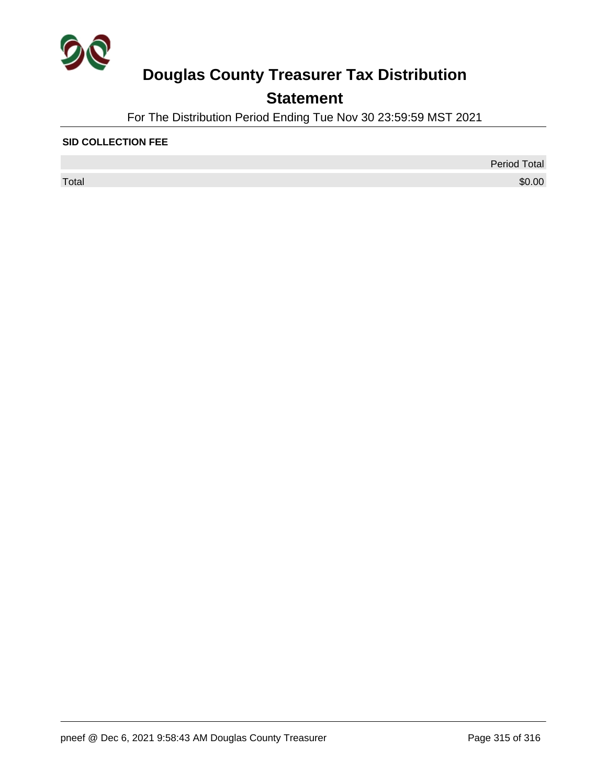

## **Statement**

For The Distribution Period Ending Tue Nov 30 23:59:59 MST 2021

### **SID COLLECTION FEE**

 $\sf Total$   $\$0.00$